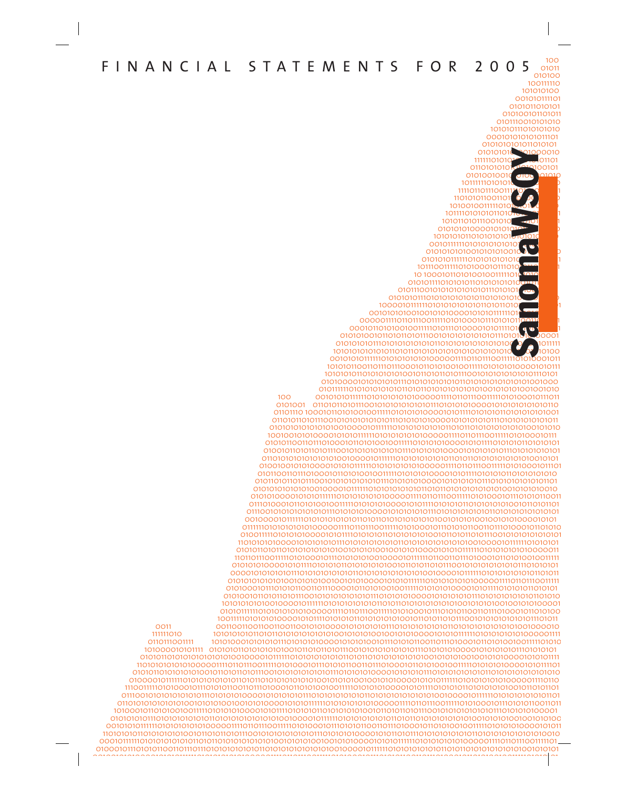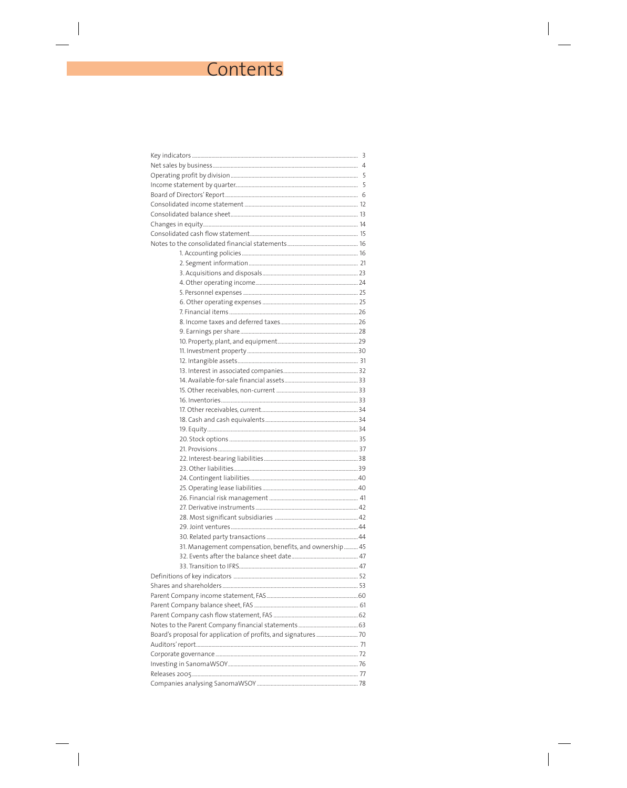# Contents

| 31. Management compensation, benefits, and ownership  45 |  |
|----------------------------------------------------------|--|
|                                                          |  |
|                                                          |  |
|                                                          |  |
|                                                          |  |
|                                                          |  |
|                                                          |  |
|                                                          |  |
|                                                          |  |
|                                                          |  |
|                                                          |  |
|                                                          |  |
|                                                          |  |
|                                                          |  |
|                                                          |  |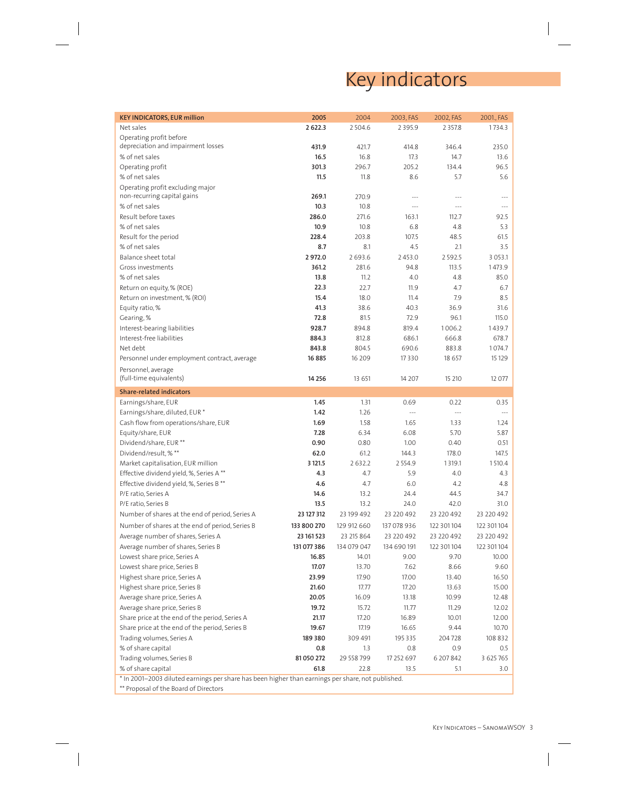# Key indicators

| <b>KEY INDICATORS, EUR million</b>                                                             | 2005        | 2004        | 2003, FAS      | 2002, FAS      | 2001., FAS           |
|------------------------------------------------------------------------------------------------|-------------|-------------|----------------|----------------|----------------------|
| Net sales                                                                                      | 2622.3      | 2504.6      | 2395.9         | 2 3 5 7.8      | 1734.3               |
| Operating profit before                                                                        |             |             |                |                |                      |
| depreciation and impairment losses                                                             | 431.9       | 421.7       | 414.8          | 346.4          | 235.0                |
| % of net sales                                                                                 | 16.5        | 16.8        | 17.3           | 14.7           | 13.6                 |
| Operating profit                                                                               | 301.3       | 296.7       | 205.2          | 134.4          | 96.5                 |
| % of net sales                                                                                 | 11.5        | 11.8        | 8.6            | 5.7            | 5.6                  |
| Operating profit excluding major                                                               |             |             |                |                |                      |
| non-recurring capital gains                                                                    | 269.1       | 270.9       | $---$          | $-$            |                      |
| % of net sales                                                                                 | 10.3        | 10.8        | $ -$           |                |                      |
| Result before taxes                                                                            | 286.0       | 271.6       | 163.1          | 112.7          | 92.5                 |
| % of net sales                                                                                 | 10.9        | 10.8        | 6.8            | 4.8            | 5.3                  |
| Result for the period                                                                          | 228.4       | 203.8       | 107.5          | 48.5           | 61.5                 |
| % of net sales                                                                                 | 8.7         | 8.1         | 4.5            | 2.1            | 3.5                  |
| Balance sheet total                                                                            | 2972.0      | 2693.6      | 2453.0         | 2592.5         | 3 0 5 3 .1           |
| Gross investments                                                                              | 361.2       | 281.6       | 94.8           | 113.5          | 1473.9               |
| % of net sales                                                                                 | 13.8        | 11.2        | 4.0            | 4.8            | 85.0                 |
| Return on equity, % (ROE)                                                                      | 22.3        | 22.7        | 11.9           | 4.7            | 6.7                  |
| Return on investment, % (ROI)                                                                  | 15.4        | 18.0        | 11.4           | 7.9            | 8.5                  |
| Equity ratio, %                                                                                | 41.3        | 38.6        | 40.3           | 36.9           | 31.6                 |
| Gearing, %                                                                                     | 72.8        | 81.5        | 72.9           | 96.1           | 115.0                |
| Interest-bearing liabilities                                                                   | 928.7       | 894.8       | 819.4          | 1006.2         | 1439.7               |
| Interest-free liabilities                                                                      | 884.3       | 812.8       | 686.1          | 666.8          | 678.7                |
| Net debt                                                                                       | 843.8       | 804.5       | 690.6          | 883.8          | 1074.7               |
| Personnel under employment contract, average                                                   | 16885       | 16 209      | 17330          | 18 657         | 15 12 9              |
| Personnel, average                                                                             |             |             |                |                |                      |
| (full-time equivalents)                                                                        | 14 2 5 6    | 13 651      | 14 207         | 15 210         | 12 077               |
| <b>Share-related indicators</b>                                                                |             |             |                |                |                      |
| Earnings/share, EUR                                                                            | 1.45        | 1.31        | 0.69           | 0.22           | 0.35                 |
| Earnings/share, diluted, EUR *                                                                 | 1.42        | 1.26        | $\overline{a}$ | $\overline{a}$ | $\sim$ $\sim$ $\sim$ |
| Cash flow from operations/share, EUR                                                           | 1.69        | 1.58        | 1.65           | 1.33           | 1.24                 |
| Equity/share, EUR                                                                              | 7.28        | 6.34        | 6.08           | 5.70           | 5.87                 |
| Dividend/share, EUR **                                                                         | 0.90        | 0.80        | 1.00           | 0.40           | 0.51                 |
| Dividend/result, % **                                                                          | 62.0        | 61.2        | 144.3          | 178.0          | 147.5                |
| Market capitalisation, EUR million                                                             | 3 1 2 1.5   | 2632.2      | 2554.9         | 1319.1         | 1510.4               |
| Effective dividend yield, %, Series A**                                                        | 4.3         | 4.7         | 5.9            | 4.0            | 4.3                  |
| Effective dividend yield, %, Series B **                                                       | 4.6         | 4.7         | 6.0            | 4.2            | 4.8                  |
| P/E ratio, Series A                                                                            | 14.6        | 13.2        | 24.4           | 44.5           | 34.7                 |
| P/E ratio, Series B                                                                            | 13.5        | 13.2        | 24.0           | 42.0           | 31.0                 |
| Number of shares at the end of period, Series A                                                | 23 127 312  | 23 199 492  | 23 220 492     | 23 220 492     | 23 220 492           |
| Number of shares at the end of period, Series B                                                | 133 800 270 | 129 912 660 | 137 078 936    | 122 301 104    | 122 301 104          |
| Average number of shares, Series A                                                             | 23 161 523  | 23 215 864  | 23 220 492     | 23 220 492     | 23 220 492           |
| Average number of shares, Series B                                                             | 131 077 386 | 134 079 047 | 134 690 191    | 122 301 104    | 122 301 104          |
| Lowest share price, Series A                                                                   | 16.85       | 14.01       | 9.00           | 9.70           | 10.00                |
| Lowest share price, Series B                                                                   | 17.07       | 13.70       | 7.62           | 8.66           | 9.60                 |
| Highest share price, Series A                                                                  | 23.99       | 17.90       | 17.00          | 13.40          | 16.50                |
| Highest share price, Series B                                                                  | 21.60       | 17.77       | 17.20          | 13.63          | 15.00                |
| Average share price, Series A                                                                  | 20.05       | 16.09       | 13.18          | 10.99          | 12.48                |
| Average share price, Series B                                                                  | 19.72       | 15.72       | 11.77          | 11.29          | 12.02                |
| Share price at the end of the period, Series A                                                 | 21.17       | 17.20       | 16.89          | 10.01          | 12.00                |
| Share price at the end of the period, Series B                                                 | 19.67       | 17.19       | 16.65          | 9.44           | 10.70                |
| Trading volumes, Series A                                                                      | 189380      | 309 491     | 195 335        | 204728         | 108 832              |
| % of share capital                                                                             | 0.8         | 1.3         | 0.8            | 0.9            | 0.5                  |
| Trading volumes, Series B                                                                      | 81 050 272  | 29 558 799  | 17 252 697     | 6 207 842      | 3 625 765            |
| % of share capital                                                                             | 61.8        | 22.8        | 13.5           | 5.1            | 3.0                  |
| the 2001–2003 diluted earnings per share has been bigher than earnings per share not published |             |             |                |                |                      |

\* In 2001–2003 diluted earnings per share has been higher than earnings per share, not published.

\*\* Proposal of the Board of Directors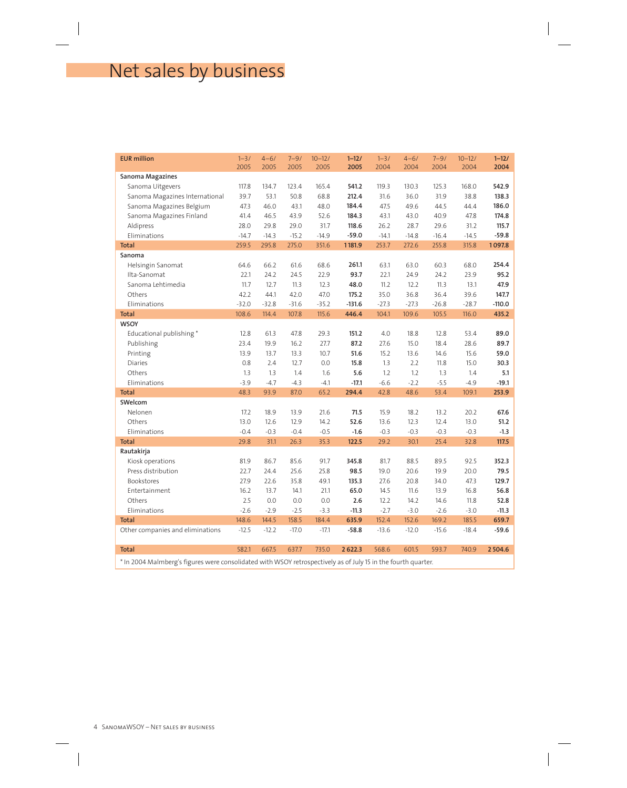# Net sales by business

| <b>EUR million</b>                                                                                              | $1 - 3/$<br>2005 | $4 - 6/$<br>2005 | $7 - 9/$<br>2005 | $10 - 12/$<br>2005 | $1 - 12/$<br>2005 | $1 - 3/$<br>2004 | $4 - 6/$<br>2004 | $7 - 9/$<br>2004 | $10 - 12/$<br>2004 | $1 - 12/$<br>2004 |
|-----------------------------------------------------------------------------------------------------------------|------------------|------------------|------------------|--------------------|-------------------|------------------|------------------|------------------|--------------------|-------------------|
| Sanoma Magazines                                                                                                |                  |                  |                  |                    |                   |                  |                  |                  |                    |                   |
| Sanoma Uitgevers                                                                                                | 117.8            | 134.7            | 123.4            | 165.4              | 541.2             | 119.3            | 130.3            | 125.3            | 168.0              | 542.9             |
| Sanoma Magazines International                                                                                  | 39.7             | 53.1             | 50.8             | 68.8               | 212.4             | 31.6             | 36.0             | 31.9             | 38.8               | 138.3             |
| Sanoma Magazines Belgium                                                                                        | 47.3             | 46.0             | 43.1             | 48.0               | 184.4             | 47.5             | 49.6             | 44.5             | 44.4               | 186.0             |
| Sanoma Magazines Finland                                                                                        | 41.4             | 46.5             | 43.9             | 52.6               | 184.3             | 43.1             | 43.0             | 40.9             | 47.8               | 174.8             |
| Aldipress                                                                                                       | 28.0             | 29.8             | 29.0             | 31.7               | 118.6             | 26.2             | 28.7             | 29.6             | 31.2               | 115.7             |
| Eliminations                                                                                                    | $-14.7$          | $-14.3$          | $-15.2$          | $-14.9$            | $-59.0$           | $-14.1$          | $-14.8$          | $-16.4$          | $-14.5$            | $-59.8$           |
| <b>Total</b>                                                                                                    | 259.5            | 295.8            | 275.0            | 351.6              | 1181.9            | 253.7            | 272.6            | 255.8            | 315.8              | 1097.8            |
| Sanoma                                                                                                          |                  |                  |                  |                    |                   |                  |                  |                  |                    |                   |
| Helsingin Sanomat                                                                                               | 64.6             | 66.2             | 61.6             | 68.6               | 261.1             | 63.1             | 63.0             | 60.3             | 68.0               | 254.4             |
| Ilta-Sanomat                                                                                                    | 22.1             | 24.2             | 24.5             | 22.9               | 93.7              | 22.1             | 24.9             | 24.2             | 23.9               | 95.2              |
| Sanoma Lehtimedia                                                                                               | 11.7             | 12.7             | 11.3             | 12.3               | 48.0              | 11.2             | 12.2             | 11.3             | 13.1               | 47.9              |
| Others                                                                                                          | 42.2             | 44.1             | 42.0             | 47.0               | 175.2             | 35.0             | 36.8             | 36.4             | 39.6               | 147.7             |
| Eliminations                                                                                                    | $-32.0$          | $-32.8$          | $-31.6$          | $-35.2$            | $-131.6$          | $-27.3$          | $-27.3$          | $-26.8$          | $-28.7$            | $-110.0$          |
| <b>Total</b>                                                                                                    | 108.6            | 114.4            | 107.8            | 115.6              | 446.4             | 104.1            | 109.6            | 105.5            | 116.0              | 435.2             |
| <b>WSOY</b>                                                                                                     |                  |                  |                  |                    |                   |                  |                  |                  |                    |                   |
| Educational publishing*                                                                                         | 12.8             | 61.3             | 47.8             | 29.3               | 151.2             | 4.0              | 18.8             | 12.8             | 53.4               | 89.0              |
| Publishing                                                                                                      | 23.4             | 19.9             | 16.2             | 27.7               | 87.2              | 27.6             | 15.0             | 18.4             | 28.6               | 89.7              |
| Printing                                                                                                        | 13.9             | 13.7             | 13.3             | 10.7               | 51.6              | 15.2             | 13.6             | 14.6             | 15.6               | 59.0              |
| <b>Diaries</b>                                                                                                  | 0.8              | 2.4              | 12.7             | 0.0                | 15.8              | 1.3              | 2.2              | 11.8             | 15.0               | 30.3              |
| Others                                                                                                          | 1.3              | 1.3              | 1.4              | 1.6                | 5.6               | 1.2              | 1.2              | 1.3              | 1.4                | 5.1               |
| Eliminations                                                                                                    | $-3.9$           | $-4.7$           | $-4.3$           | $-4.1$             | $-17.1$           | $-6.6$           | $-2.2$           | $-5.5$           | $-4.9$             | $-19.1$           |
| <b>Total</b>                                                                                                    | 48.3             | 93.9             | 87.0             | 65.2               | 294.4             | 42.8             | 48.6             | 53.4             | 109.1              | 253.9             |
| SWelcom                                                                                                         |                  |                  |                  |                    |                   |                  |                  |                  |                    |                   |
| Nelonen                                                                                                         | 17.2             | 18.9             | 13.9             | 21.6               | 71.5              | 15.9             | 18.2             | 13.2             | 20.2               | 67.6              |
| Others                                                                                                          | 13.0             | 12.6             | 12.9             | 14.2               | 52.6              | 13.6             | 12.3             | 12.4             | 13.0               | 51.2              |
| Eliminations                                                                                                    | $-0.4$           | $-0.3$           | $-0.4$           | $-0.5$             | $-1.6$            | $-0.3$           | $-0.3$           | $-0.3$           | $-0.3$             | $-1.3$            |
| <b>Total</b>                                                                                                    | 29.8             | 31.1             | 26.3             | 35.3               | 122.5             | 29.2             | 30.1             | 25.4             | 32.8               | 117.5             |
| Rautakirja                                                                                                      |                  |                  |                  |                    |                   |                  |                  |                  |                    |                   |
| Kiosk operations                                                                                                | 81.9             | 86.7             | 85.6             | 91.7               | 345.8             | 81.7             | 88.5             | 89.5             | 92.5               | 352.3             |
| Press distribution                                                                                              | 22.7             | 24.4             | 25.6             | 25.8               | 98.5              | 19.0             | 20.6             | 19.9             | 20.0               | 79.5              |
| Bookstores                                                                                                      | 27.9             | 22.6             | 35.8             | 49.1               | 135.3             | 27.6             | 20.8             | 34.0             | 47.3               | 129.7             |
| Entertainment                                                                                                   | 16.2             | 13.7             | 14.1             | 21.1               | 65.0              | 14.5             | 11.6             | 13.9             | 16.8               | 56.8              |
| Others                                                                                                          | 2.5              | 0.0              | 0.0              | 0.0                | 2.6               | 12.2             | 14.2             | 14.6             | 11.8               | 52.8              |
| Eliminations                                                                                                    | $-2.6$           | $-2.9$           | $-2.5$           | $-3.3$             | $-11.3$           | $-2.7$           | $-3.0$           | $-2.6$           | $-3.0$             | $-11.3$           |
| <b>Total</b>                                                                                                    | 148.6            | 144.5            | 158.5            | 184.4              | 635.9             | 152.4            | 152.6            | 169.2            | 185.5              | 659.7             |
| Other companies and eliminations                                                                                | $-12.5$          | $-12.2$          | $-17.0$          | $-17.1$            | $-58.8$           | $-13.6$          | $-12.0$          | $-15.6$          | $-18.4$            | $-59.6$           |
| <b>Total</b>                                                                                                    | 582.1            | 667.5            | 637.7            | 735.0              | 2 6 2 2.3         | 568.6            | 601.5            | 593.7            | 740.9              | 2504.6            |
| the 2004 Melveleard's figures were accepted to duritle WCOV retreases timely as of lub 15 in the fourth averton |                  |                  |                  |                    |                   |                  |                  |                  |                    |                   |

\* In 2004 Malmberg's figures were consolidated with WSOY retrospectively as of July 15 in the fourth quarter.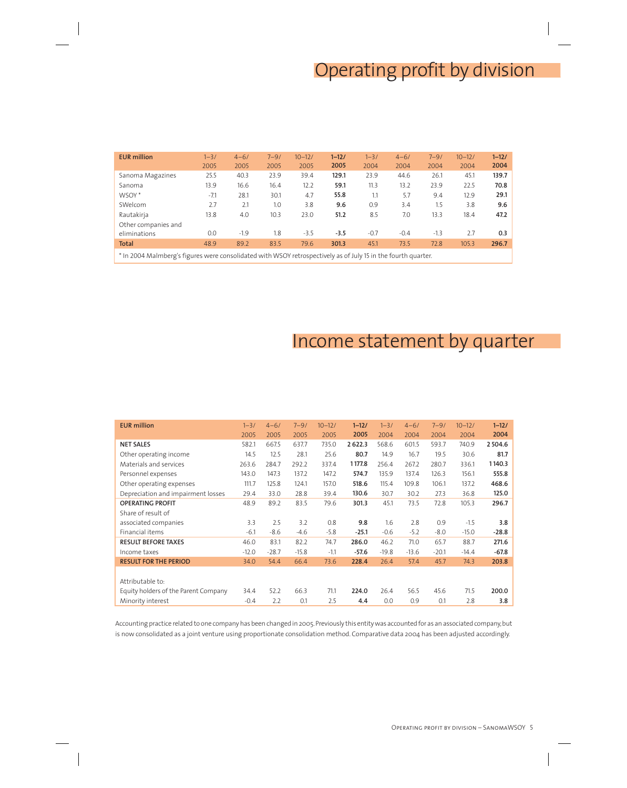# Operating profit by division

| <b>EUR million</b>  | $1 - 3/$<br>2005 | $4 - 6/$<br>2005 | $7 - 9/$<br>2005 | $10 - 12/$<br>2005 | $1 - 12/$<br>2005 | $1 - 3/$<br>2004 | $4 - 6/$<br>2004 | $7 - 9/$<br>2004 | $10 - 12/$<br>2004 | $1 - 12/$<br>2004 |
|---------------------|------------------|------------------|------------------|--------------------|-------------------|------------------|------------------|------------------|--------------------|-------------------|
| Sanoma Magazines    | 25.5             | 40.3             | 23.9             | 39.4               | 129.1             | 23.9             | 44.6             | 26.1             | 45.1               | 139.7             |
| Sanoma              | 13.9             | 16.6             | 16.4             | 12.2               | 59.1              | 11.3             | 13.2             | 23.9             | 22.5               | 70.8              |
| WSOY <sup>*</sup>   | $-7.1$           | 28.1             | 30.1             | 4.7                | 55.8              | 1.1              | 5.7              | 9.4              | 12.9               | 29.1              |
| SWelcom             | 2.7              | 2.1              | 1.0              | 3.8                | 9.6               | 0.9              | 3.4              | 1.5              | 3.8                | 9.6               |
| Rautakirja          | 13.8             | 4.0              | 10.3             | 23.0               | 51.2              | 8.5              | 7.0              | 13.3             | 18.4               | 47.2              |
| Other companies and |                  |                  |                  |                    |                   |                  |                  |                  |                    |                   |
| eliminations        | 0.0              | $-1.9$           | 1.8              | $-3.5$             | $-3.5$            | $-0.7$           | $-0.4$           | $-1.3$           | 2.7                | 0.3               |
| <b>Total</b>        | 48.9             | 89.2             | 83.5             | 79.6               | 301.3             | 45.1             | 73.5             | 72.8             | 105.3              | 296.7             |
|                     |                  |                  |                  |                    |                   |                  |                  |                  |                    |                   |

\* In 2004 Malmberg's figures were consolidated with WSOY retrospectively as of July 15 in the fourth quarter.

# Income statement by quarter

| <b>EUR million</b>                   | $1 - 3/$ | $4 - 6/$ | $7 - 9/$ | $10 - 12/$ | $1 - 12/$ | $1 - 3/$ | $4 - 6/$ | $7 - 9/$ | $10 - 12/$ | $1 - 12/$   |
|--------------------------------------|----------|----------|----------|------------|-----------|----------|----------|----------|------------|-------------|
|                                      | 2005     | 2005     | 2005     | 2005       | 2005      | 2004     | 2004     | 2004     | 2004       | 2004        |
| <b>NET SALES</b>                     | 582.1    | 667.5    | 637.7    | 735.0      | 2 622.3   | 568.6    | 601.5    | 593.7    | 740.9      | 2 5 0 4 . 6 |
| Other operating income               | 14.5     | 12.5     | 28.1     | 25.6       | 80.7      | 14.9     | 16.7     | 19.5     | 30.6       | 81.7        |
| Materials and services               | 263.6    | 284.7    | 292.2    | 337.4      | 1177.8    | 256.4    | 267.2    | 280.7    | 336.1      | 1140.3      |
| Personnel expenses                   | 143.0    | 147.3    | 137.2    | 147.2      | 574.7     | 135.9    | 137.4    | 126.3    | 156.1      | 555.8       |
| Other operating expenses             | 111.7    | 125.8    | 124.1    | 157.0      | 518.6     | 115.4    | 109.8    | 106.1    | 137.2      | 468.6       |
| Depreciation and impairment losses   | 29.4     | 33.0     | 28.8     | 39.4       | 130.6     | 30.7     | 30.2     | 27.3     | 36.8       | 125.0       |
| <b>OPERATING PROFIT</b>              | 48.9     | 89.2     | 83.5     | 79.6       | 301.3     | 45.1     | 73.5     | 72.8     | 105.3      | 296.7       |
| Share of result of                   |          |          |          |            |           |          |          |          |            |             |
| associated companies                 | 3.3      | 2.5      | 3.2      | 0.8        | 9.8       | 1.6      | 2.8      | 0.9      | $-1.5$     | 3.8         |
| Financial items                      | $-6.1$   | $-8.6$   | $-4.6$   | $-5.8$     | $-25.1$   | $-0.6$   | $-5.2$   | $-8.0$   | $-15.0$    | $-28.8$     |
| <b>RESULT BEFORE TAXES</b>           | 46.0     | 83.1     | 82.2     | 74.7       | 286.0     | 46.2     | 71.0     | 65.7     | 88.7       | 271.6       |
| Income taxes                         | $-12.0$  | $-28.7$  | $-15.8$  | $-1.1$     | $-57.6$   | $-19.8$  | $-13.6$  | $-20.1$  | $-14.4$    | $-67.8$     |
| <b>RESULT FOR THE PERIOD</b>         | 34.0     | 54.4     | 66.4     | 73.6       | 228.4     | 26.4     | 57.4     | 45.7     | 74.3       | 203.8       |
|                                      |          |          |          |            |           |          |          |          |            |             |
| Attributable to:                     |          |          |          |            |           |          |          |          |            |             |
| Equity holders of the Parent Company | 34.4     | 52.2     | 66.3     | 71.1       | 224.0     | 26.4     | 56.5     | 45.6     | 71.5       | 200.0       |
| Minority interest                    | $-0.4$   | 2.2      | 0.1      | 2.5        | 4.4       | 0.0      | 0.9      | 0.1      | 2.8        | 3.8         |

Accounting practice related to one company has been changed in 2005. Previously this entity was accounted for as an associated company, but is now consolidated as a joint venture using proportionate consolidation method. Comparative data 2004 has been adjusted accordingly.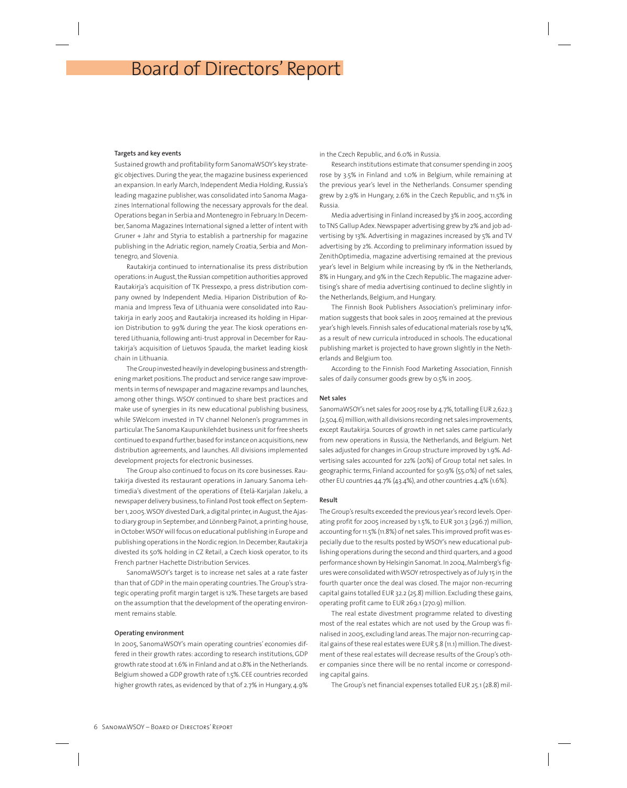# Board of Directors' Report

## **Targets and key events**

Sustained growth and profitability form SanomaWSOY's key strategic objectives. During the year, the magazine business experienced an expansion. In early March, Independent Media Holding, Russia's leading magazine publisher, was consolidated into Sanoma Magazines International following the necessary approvals for the deal. Operations began in Serbia and Montenegro in February. In December, Sanoma Magazines International signed a letter of intent with Gruner + Jahr and Styria to establish a partnership for magazine publishing in the Adriatic region, namely Croatia, Serbia and Montenegro, and Slovenia.

Rautakirja continued to internationalise its press distribution operations: in August, the Russian competition authorities approved Rautakirja's acquisition of TK Pressexpo, a press distribution company owned by Independent Media. Hiparion Distribution of Romania and Impress Teva of Lithuania were consolidated into Rautakirja in early 2005 and Rautakirja increased its holding in Hiparion Distribution to 99% during the year. The kiosk operations entered Lithuania, following anti-trust approval in December for Rautakirja's acquisition of Lietuvos Spauda, the market leading kiosk chain in Lithuania.

The Group invested heavily in developing business and strengthening market positions. The product and service range saw improvements in terms of newspaper and magazine revamps and launches, among other things. WSOY continued to share best practices and make use of synergies in its new educational publishing business, while SWelcom invested in TV channel Nelonen's programmes in particular. The Sanoma Kaupunkilehdet business unit for free sheets continued to expand further, based for instance on acquisitions, new distribution agreements, and launches. All divisions implemented development projects for electronic businesses.

The Group also continued to focus on its core businesses. Rautakirja divested its restaurant operations in January. Sanoma Lehtimedia's divestment of the operations of Etelä-Karjalan Jakelu, a newspaper delivery business, to Finland Post took effect on September 1, 2005. WSOY divested Dark, a digital printer, in August, the Ajasto diary group in September, and Lönnberg Painot, a printing house, in October. WSOY will focus on educational publishing in Europe and publishing operations in the Nordic region. In December, Rautakirja divested its 50% holding in CZ Retail, a Czech kiosk operator, to its French partner Hachette Distribution Services.

SanomaWSOY's target is to increase net sales at a rate faster than that of GDP in the main operating countries. The Group's strategic operating profit margin target is 12%. These targets are based on the assumption that the development of the operating environment remains stable.

## **Operating environment**

In 2005, SanomaWSOY's main operating countries' economies differed in their growth rates: according to research institutions, GDP growth rate stood at 1.6% in Finland and at 0.8% in the Netherlands. Belgium showed a GDP growth rate of 1.5%. CEE countries recorded higher growth rates, as evidenced by that of 2.7% in Hungary, 4.9%

in the Czech Republic, and 6.0% in Russia.

Research institutions estimate that consumer spending in 2005 rose by 3.5% in Finland and 1.0% in Belgium, while remaining at the previous year's level in the Netherlands. Consumer spending grew by 2.9% in Hungary, 2.6% in the Czech Republic, and 11.5% in Russia.

Media advertising in Finland increased by 3% in 2005, according to TNS Gallup Adex. Newspaper advertising grew by 2% and job advertising by 13%. Advertising in magazines increased by 5% and TV advertising by 2%. According to preliminary information issued by ZenithOptimedia, magazine advertising remained at the previous year's level in Belgium while increasing by 1% in the Netherlands, 8% in Hungary, and 9% in the Czech Republic. The magazine advertising's share of media advertising continued to decline slightly in the Netherlands, Belgium, and Hungary.

The Finnish Book Publishers Association's preliminary information suggests that book sales in 2005 remained at the previous year's high levels. Finnish sales of educational materials rose by 14%, as a result of new curricula introduced in schools. The educational publishing market is projected to have grown slightly in the Netherlands and Belgium too.

According to the Finnish Food Marketing Association, Finnish sales of daily consumer goods grew by 0.5% in 2005.

## **Net sales**

SanomaWSOY's net sales for 2005 rose by 4.7%, totalling EUR 2,622.3 (2,504.6) million, with all divisions recording net sales improvements, except Rautakirja. Sources of growth in net sales came particularly from new operations in Russia, the Netherlands, and Belgium. Net sales adjusted for changes in Group structure improved by 1.9%. Advertising sales accounted for 22% (20%) of Group total net sales. In geographic terms, Finland accounted for 50.9% (55.0%) of net sales, other EU countries 44.7% (43.4%), and other countries 4.4% (1.6%).

## **Result**

The Group's results exceeded the previous year's record levels. Operating profit for 2005 increased by 1.5%, to EUR 301.3 (296.7) million, accounting for 11.5% (11.8%) of net sales. This improved profit was especially due to the results posted by WSOY's new educational publishing operations during the second and third quarters, and a good performance shown by Helsingin Sanomat. In 2004, Malmberg's figures were consolidated with WSOY retrospectively as of July 15 in the fourth quarter once the deal was closed. The major non-recurring capital gains totalled EUR 32.2 (25.8) million. Excluding these gains, operating profit came to EUR 269.1 (270.9) million.

The real estate divestment programme related to divesting most of the real estates which are not used by the Group was finalised in 2005, excluding land areas. The major non-recurring capital gains of these real estates were EUR 5.8 (11.1) million. The divestment of these real estates will decrease results of the Group's other companies since there will be no rental income or corresponding capital gains.

The Group's net financial expenses totalled EUR 25.1 (28.8) mil-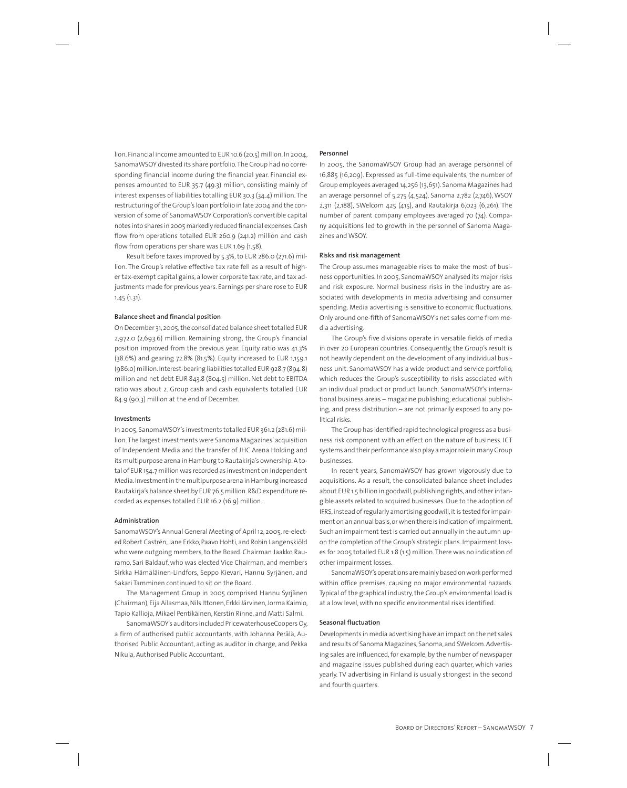lion. Financial income amounted to EUR 10.6 (20.5) million. In 2004, SanomaWSOY divested its share portfolio. The Group had no corresponding financial income during the financial year. Financial expenses amounted to EUR 35.7 (49.3) million, consisting mainly of interest expenses of liabilities totalling EUR 30.3 (34.4) million. The restructuring of the Group's loan portfolio in late 2004 and the conversion of some of SanomaWSOY Corporation's convertible capital notes into shares in 2005 markedly reduced financial expenses. Cash flow from operations totalled EUR 260.9 (241.2) million and cash flow from operations per share was EUR 1.69 (1.58).

Result before taxes improved by 5.3%, to EUR 286.0 (271.6) million. The Group's relative effective tax rate fell as a result of higher tax-exempt capital gains, a lower corporate tax rate, and tax adjustments made for previous years. Earnings per share rose to EUR 1.45 (1.31).

## **Balance sheet and financial position**

On December 31, 2005, the consolidated balance sheet totalled EUR 2,972.0 (2,693.6) million. Remaining strong, the Group's financial position improved from the previous year. Equity ratio was 41.3% (38.6%) and gearing 72.8% (81.5%). Equity increased to EUR 1,159.1 (986.0) million. Interest-bearing liabilities totalled EUR 928.7 (894.8) million and net debt EUR 843.8 (804.5) million. Net debt to EBITDA ratio was about 2. Group cash and cash equivalents totalled EUR 84.9 (90.3) million at the end of December.

#### **Investments**

In 2005, SanomaWSOY's investments totalled EUR 361.2 (281.6) million. The largest investments were Sanoma Magazines' acquisition of Independent Media and the transfer of JHC Arena Holding and its multipurpose arena in Hamburg to Rautakirja's ownership. A total of EUR 154.7 million was recorded as investment on Independent Media. Investment in the multipurpose arena in Hamburg increased Rautakirja's balance sheet by EUR 76.5 million. R&D expenditure recorded as expenses totalled EUR 16.2 (16.9) million.

### **Administration**

SanomaWSOY's Annual General Meeting of April 12, 2005, re-elected Robert Castrén, Jane Erkko, Paavo Hohti, and Robin Langenskiöld who were outgoing members, to the Board. Chairman Jaakko Rauramo, Sari Baldauf, who was elected Vice Chairman, and members Sirkka Hämäläinen-Lindfors, Seppo Kievari, Hannu Syrjänen, and Sakari Tamminen continued to sit on the Board.

The Management Group in 2005 comprised Hannu Syrjänen (Chairman), Eija Ailasmaa, Nils Ittonen, Erkki Järvinen, Jorma Kaimio, Tapio Kallioja, Mikael Pentikäinen, Kerstin Rinne, and Matti Salmi.

SanomaWSOY's auditors included PricewaterhouseCoopers Oy, a firm of authorised public accountants, with Johanna Perälä, Authorised Public Accountant, acting as auditor in charge, and Pekka Nikula, Authorised Public Accountant.

#### **Personnel**

In 2005, the SanomaWSOY Group had an average personnel of 16,885 (16,209). Expressed as full-time equivalents, the number of Group employees averaged 14,256 (13,651). Sanoma Magazines had an average personnel of 5,275 (4,524), Sanoma 2,782 (2,746), WSOY 2,311 (2,188), SWelcom 425 (415), and Rautakirja 6,023 (6,261). The number of parent company employees averaged 70 (74). Company acquisitions led to growth in the personnel of Sanoma Magazines and WSOY.

## **Risks and risk management**

The Group assumes manageable risks to make the most of business opportunities. In 2005, SanomaWSOY analysed its major risks and risk exposure. Normal business risks in the industry are associated with developments in media advertising and consumer spending. Media advertising is sensitive to economic fluctuations. Only around one-fifth of SanomaWSOY's net sales come from media advertising.

The Group's five divisions operate in versatile fields of media in over 20 European countries. Consequently, the Group's result is not heavily dependent on the development of any individual business unit. SanomaWSOY has a wide product and service portfolio, which reduces the Group's susceptibility to risks associated with an individual product or product launch. SanomaWSOY's international business areas – magazine publishing, educational publishing, and press distribution – are not primarily exposed to any political risks.

The Group has identified rapid technological progress as a business risk component with an effect on the nature of business. ICT systems and their performance also play a major role in many Group businesses.

In recent years, SanomaWSOY has grown vigorously due to acquisitions. As a result, the consolidated balance sheet includes about EUR 1.5 billion in goodwill, publishing rights, and other intangible assets related to acquired businesses. Due to the adoption of IFRS, instead of regularly amortising goodwill, it is tested for impairment on an annual basis, or when there is indication of impairment. Such an impairment test is carried out annually in the autumn upon the completion of the Group's strategic plans. Impairment losses for 2005 totalled EUR 1.8 (1.5) million. There was no indication of other impairment losses.

SanomaWSOY's operations are mainly based on work performed within office premises, causing no major environmental hazards. Typical of the graphical industry, the Group's environmental load is at a low level, with no specific environmental risks identified.

#### **Seasonal fluctuation**

Developments in media advertising have an impact on the net sales and results of Sanoma Magazines, Sanoma, and SWelcom. Advertising sales are influenced, for example, by the number of newspaper and magazine issues published during each quarter, which varies yearly. TV advertising in Finland is usually strongest in the second and fourth quarters.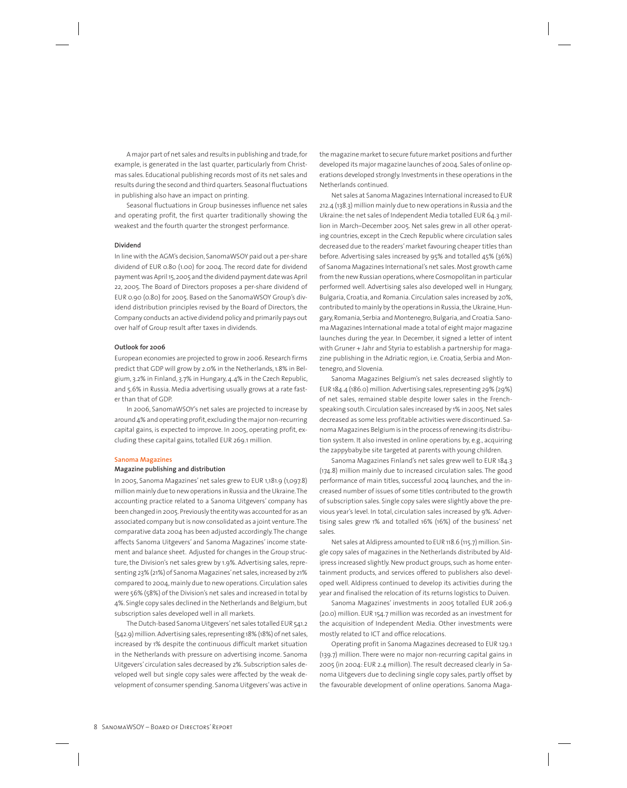A major part of net sales and results in publishing and trade, for example, is generated in the last quarter, particularly from Christmas sales. Educational publishing records most of its net sales and results during the second and third quarters. Seasonal fluctuations in publishing also have an impact on printing.

Seasonal fluctuations in Group businesses influence net sales and operating profit, the first quarter traditionally showing the weakest and the fourth quarter the strongest performance.

#### **Dividend**

In line with the AGM's decision, SanomaWSOY paid out a per-share dividend of EUR 0.80 (1.00) for 2004. The record date for dividend payment was April 15, 2005 and the dividend payment date was April 22, 2005. The Board of Directors proposes a per-share dividend of EUR 0.90 (0.80) for 2005. Based on the SanomaWSOY Group's dividend distribution principles revised by the Board of Directors, the Company conducts an active dividend policy and primarily pays out over half of Group result after taxes in dividends.

### **Outlook for 2006**

European economies are projected to grow in 2006. Research firms predict that GDP will grow by 2.0% in the Netherlands, 1.8% in Belgium, 3.2% in Finland, 3.7% in Hungary, 4.4% in the Czech Republic, and 5.6% in Russia. Media advertising usually grows at a rate faster than that of GDP.

In 2006, SanomaWSOY's net sales are projected to increase by around 4% and operating profit, excluding the major non-recurring capital gains, is expected to improve. In 2005, operating profit, excluding these capital gains, totalled EUR 269.1 million.

#### **Sanoma Magazines**

#### **Magazine publishing and distribution**

In 2005, Sanoma Magazines' net sales grew to EUR 1,181.9 (1,097.8) million mainly due to new operations in Russia and the Ukraine. The accounting practice related to a Sanoma Uitgevers' company has been changed in 2005. Previously the entity was accounted for as an associated company but is now consolidated as a joint venture. The comparative data 2004 has been adjusted accordingly. The change affects Sanoma Uitgevers' and Sanoma Magazines' income statement and balance sheet. Adjusted for changes in the Group structure, the Division's net sales grew by 1.9%. Advertising sales, representing 23% (21%) of Sanoma Magazines' net sales, increased by 21% compared to 2004, mainly due to new operations. Circulation sales were 56% (58%) of the Division's net sales and increased in total by 4%. Single copy sales declined in the Netherlands and Belgium, but subscription sales developed well in all markets.

The Dutch-based Sanoma Uitgevers' net sales totalled EUR 541.2 (542.9) million. Advertising sales, representing 18% (18%) of net sales, increased by 1% despite the continuous difficult market situation in the Netherlands with pressure on advertising income. Sanoma Uitgevers' circulation sales decreased by 2%. Subscription sales developed well but single copy sales were affected by the weak development of consumer spending. Sanoma Uitgevers' was active in

the magazine market to secure future market positions and further developed its major magazine launches of 2004. Sales of online operations developed strongly. Investments in these operations in the Netherlands continued.

Net sales at Sanoma Magazines International increased to EUR 212.4 (138.3) million mainly due to new operations in Russia and the Ukraine: the net sales of Independent Media totalled EUR 64.3 million in March–December 2005. Net sales grew in all other operating countries, except in the Czech Republic where circulation sales decreased due to the readers' market favouring cheaper titles than before. Advertising sales increased by 95% and totalled 45% (36%) of Sanoma Magazines International's net sales. Most growth came from the new Russian operations, where Cosmopolitan in particular performed well. Advertising sales also developed well in Hungary, Bulgaria, Croatia, and Romania. Circulation sales increased by 20%, contributed to mainly by the operations in Russia, the Ukraine, Hungary, Romania, Serbia and Montenegro, Bulgaria, and Croatia. Sanoma Magazines International made a total of eight major magazine launches during the year. In December, it signed a letter of intent with Gruner + Jahr and Styria to establish a partnership for magazine publishing in the Adriatic region, i.e. Croatia, Serbia and Montenegro, and Slovenia.

Sanoma Magazines Belgium's net sales decreased slightly to EUR 184.4 (186.0) million. Advertising sales, representing 29% (29%) of net sales, remained stable despite lower sales in the Frenchspeaking south. Circulation sales increased by 1% in 2005. Net sales decreased as some less profitable activities were discontinued. Sanoma Magazines Belgium is in the process of renewing its distribution system. It also invested in online operations by, e.g., acquiring the zappybaby.be site targeted at parents with young children.

Sanoma Magazines Finland's net sales grew well to EUR 184.3 (174.8) million mainly due to increased circulation sales. The good performance of main titles, successful 2004 launches, and the increased number of issues of some titles contributed to the growth of subscription sales. Single copy sales were slightly above the previous year's level. In total, circulation sales increased by 9%. Advertising sales grew 1% and totalled 16% (16%) of the business' net sales.

Net sales at Aldipress amounted to EUR 118.6 (115.7) million. Single copy sales of magazines in the Netherlands distributed by Aldipress increased slightly. New product groups, such as home entertainment products, and services offered to publishers also developed well. Aldipress continued to develop its activities during the year and finalised the relocation of its returns logistics to Duiven.

Sanoma Magazines' investments in 2005 totalled EUR 206.9 (20.0) million. EUR 154.7 million was recorded as an investment for the acquisition of Independent Media. Other investments were mostly related to ICT and office relocations.

Operating profit in Sanoma Magazines decreased to EUR 129.1 (139.7) million. There were no major non-recurring capital gains in 2005 (in 2004: EUR 2.4 million). The result decreased clearly in Sanoma Uitgevers due to declining single copy sales, partly offset by the favourable development of online operations. Sanoma Maga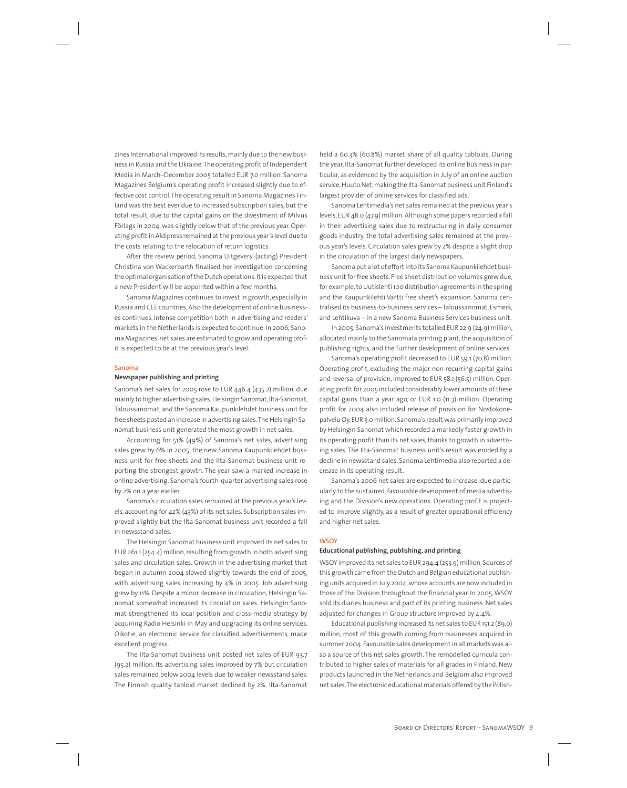zines International improved its results, mainly due to the new business in Russia and the Ukraine. The operating profit of Independent Media in March–December 2005 totalled EUR 7.0 million. Sanoma Magazines Belgium's operating profit increased slightly due to effective cost control. The operating result in Sanoma Magazines Finland was the best ever due to increased subscription sales, but the total result, due to the capital gains on the divestment of Milvus Förlags in 2004, was slightly below that of the previous year. Operating profit in Aldipress remained at the previous year's level due to the costs relating to the relocation of return logistics.

After the review period, Sanoma Uitgevers' (acting) President Christina von Wackerbarth finalised her investigation concerning the optimal organisation of the Dutch operations. It is expected that a new President will be appointed within a few months.

Sanoma Magazines continues to invest in growth, especially in Russia and CEE countries. Also the development of online businesses continues. Intense competition both in advertising and readers' markets in the Netherlands is expected to continue. In 2006, Sanoma Magazines' net sales are estimated to grow and operating profit is expected to be at the previous year's level.

#### **Sanoma**

### **Newspaper publishing and printing**

Sanoma's net sales for 2005 rose to EUR 446.4 (435.2) million, due mainly to higher advertising sales. Helsingin Sanomat, Ilta-Sanomat, Taloussanomat, and the Sanoma Kaupunkilehdet business unit for free sheets posted an increase in advertising sales. The Helsingin Sanomat business unit generated the most growth in net sales.

Accounting for 51% (49%) of Sanoma's net sales, advertising sales grew by 6% in 2005, the new Sanoma Kaupunkilehdet business unit for free sheets and the Ilta-Sanomat business unit reporting the strongest growth. The year saw a marked increase in online advertising. Sanoma's fourth-quarter advertising sales rose by 2% on a year earlier.

Sanoma's circulation sales remained at the previous year's levels, accounting for 42% (43%) of its net sales. Subscription sales improved slightly but the Ilta-Sanomat business unit recorded a fall in newsstand sales.

The Helsingin Sanomat business unit improved its net sales to EUR 261.1 (254.4) million, resulting from growth in both advertising sales and circulation sales. Growth in the advertising market that began in autumn 2004 slowed slightly towards the end of 2005, with advertising sales increasing by 4% in 2005. Job advertising grew by 11%. Despite a minor decrease in circulation, Helsingin Sanomat somewhat increased its circulation sales. Helsingin Sanomat strengthened its local position and cross-media strategy by acquiring Radio Helsinki in May and upgrading its online services. Oikotie, an electronic service for classified advertisements, made excellent progress.

The Ilta-Sanomat business unit posted net sales of EUR 93.7 (95.2) million. Its advertising sales improved by 7% but circulation sales remained below 2004 levels due to weaker newsstand sales. The Finnish quality tabloid market declined by 2%. Ilta-Sanomat

held a 60.3% (60.8%) market share of all quality tabloids. During the year, Ilta-Sanomat further developed its online business in particular, as evidenced by the acquisition in July of an online auction service, Huuto.Net, making the Ilta-Sanomat business unit Finland's largest provider of online services for classified ads.

Sanoma Lehtimedia's net sales remained at the previous year's levels, EUR 48.0 (47.9) million. Although some papers recorded a fall in their advertising sales due to restructuring in daily consumer goods industry, the total advertising sales remained at the previous year's levels. Circulation sales grew by 2% despite a slight drop in the circulation of the largest daily newspapers.

Sanoma put a lot of effort into its Sanoma Kaupunkilehdet business unit for free sheets. Free sheet distribution volumes grew due, for example, to Uutislehti 100 distribution agreements in the spring and the Kaupunkilehti Vartti free sheet's expansion. Sanoma centralised its business-to-business services – Taloussanomat, Esmerk, and Lehtikuva – in a new Sanoma Business Services business unit.

In 2005, Sanoma's investments totalled EUR 22.9 (24.9) million, allocated mainly to the Sanomala printing plant, the acquisition of publishing rights, and the further development of online services.

Sanoma's operating profit decreased to EUR 59.1 (70.8) million. Operating profit, excluding the major non-recurring capital gains and reversal of provision, improved to EUR 58.1 (56.5) million. Operating profit for 2005 included considerably lower amounts of these capital gains than a year ago, or EUR 1.0 (11.3) million. Operating profit for 2004 also included release of provision for Nostokonepalvelu Oy, EUR 3.0 million. Sanoma's result was primarily improved by Helsingin Sanomat which recorded a markedly faster growth in its operating profit than its net sales, thanks to growth in advertising sales. The Ilta-Sanomat business unit's result was eroded by a decline in newsstand sales. Sanoma Lehtimedia also reported a decrease in its operating result.

Sanoma's 2006 net sales are expected to increase, due particularly to the sustained, favourable development of media advertising and the Division's new operations. Operating profit is projected to improve slightly, as a result of greater operational efficiency and higher net sales.

### **WSOY**

## **Educational publishing, publishing, and printing**

WSOY improved its net sales to EUR 294.4 (253.9) million. Sources of this growth came from the Dutch and Belgian educational publishing units acquired in July 2004, whose accounts are now included in those of the Division throughout the financial year. In 2005, WSOY sold its diaries business and part of its printing business. Net sales adjusted for changes in Group structure improved by 4.4%.

Educational publishing increased its net sales to EUR 151.2 (89.0) million, most of this growth coming from businesses acquired in summer 2004. Favourable sales development in all markets was also a source of this net sales growth. The remodelled curricula contributed to higher sales of materials for all grades in Finland. New products launched in the Netherlands and Belgium also improved net sales. The electronic educational materials offered by the Polish-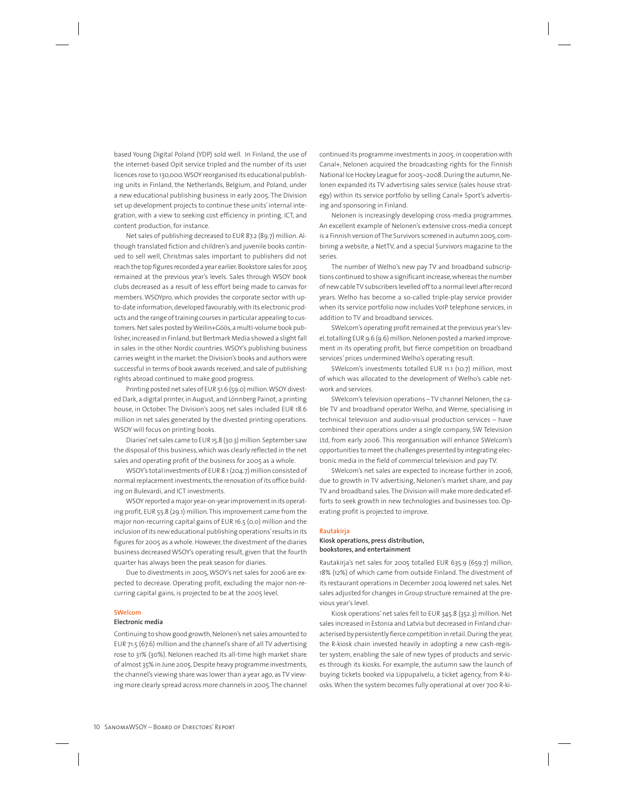based Young Digital Poland (YDP) sold well. In Finland, the use of the internet-based Opit service tripled and the number of its user licences rose to 130,000. WSOY reorganised its educational publishing units in Finland, the Netherlands, Belgium, and Poland, under a new educational publishing business in early 2005. The Division set up development projects to continue these units' internal integration, with a view to seeking cost efficiency in printing, ICT, and content production, for instance.

Net sales of publishing decreased to EUR 87.2 (89.7) million. Although translated fiction and children's and juvenile books continued to sell well, Christmas sales important to publishers did not reach the top figures recorded a year earlier. Bookstore sales for 2005 remained at the previous year's levels. Sales through WSOY book clubs decreased as a result of less effort being made to canvas for members. WSOYpro, which provides the corporate sector with upto-date information, developed favourably, with its electronic products and the range of training courses in particular appealing to customers. Net sales posted by Weilin+Göös, a multi-volume book publisher, increased in Finland, but Bertmark Media showed a slight fall in sales in the other Nordic countries. WSOY's publishing business carries weight in the market: the Division's books and authors were successful in terms of book awards received, and sale of publishing rights abroad continued to make good progress.

Printing posted net sales of EUR 51.6 (59.0) million. WSOY divested Dark, a digital printer, in August, and Lönnberg Painot, a printing house, in October. The Division's 2005 net sales included EUR 18.6 million in net sales generated by the divested printing operations. WSOY will focus on printing books.

Diaries' net sales came to EUR 15.8 (30.3) million. September saw the disposal of this business, which was clearly reflected in the net sales and operating profit of the business for 2005 as a whole.

WSOY's total investments of EUR 8.1 (204.7) million consisted of normal replacement investments, the renovation of its office building on Bulevardi, and ICT investments.

WSOY reported a major year-on-year improvement in its operating profit, EUR 55.8 (29.1) million. This improvement came from the major non-recurring capital gains of EUR 16.5 (0.0) million and the inclusion of its new educational publishing operations' results in its figures for 2005 as a whole. However, the divestment of the diaries business decreased WSOY's operating result, given that the fourth quarter has always been the peak season for diaries.

Due to divestments in 2005, WSOY's net sales for 2006 are expected to decrease. Operating profit, excluding the major non-recurring capital gains, is projected to be at the 2005 level.

#### **SWelcom**

#### **Electronic media**

Continuing to show good growth, Nelonen's net sales amounted to EUR 71.5 (67.6) million and the channel's share of all TV advertising rose to 31% (30%). Nelonen reached its all-time high market share of almost 35% in June 2005. Despite heavy programme investments, the channel's viewing share was lower than a year ago, as TV viewing more clearly spread across more channels in 2005. The channel continued its programme investments in 2005: in cooperation with Canal+, Nelonen acquired the broadcasting rights for the Finnish National Ice Hockey League for 2005–2008. During the autumn, Nelonen expanded its TV advertising sales service (sales house strategy) within its service portfolio by selling Canal+ Sport's advertising and sponsoring in Finland.

Nelonen is increasingly developing cross-media programmes. An excellent example of Nelonen's extensive cross-media concept is a Finnish version of The Survivors screened in autumn 2005, combining a website, a NetTV, and a special Survivors magazine to the series.

The number of Welho's new pay TV and broadband subscriptions continued to show a significant increase, whereas the number of new cable TV subscribers levelled off to a normal level after record years. Welho has become a so-called triple-play service provider when its service portfolio now includes VoIP telephone services, in addition to TV and broadband services.

SWelcom's operating profit remained at the previous year's level, totalling EUR 9.6 (9.6) million. Nelonen posted a marked improvement in its operating profit, but fierce competition on broadband services' prices undermined Welho's operating result.

SWelcom's investments totalled EUR 11.1 (10.7) million, most of which was allocated to the development of Welho's cable network and services.

SWelcom's television operations – TV channel Nelonen, the cable TV and broadband operator Welho, and Werne, specialising in technical television and audio-visual production services – have combined their operations under a single company, SW Television Ltd, from early 2006. This reorganisation will enhance SWelcom's opportunities to meet the challenges presented by integrating electronic media in the field of commercial television and pay TV.

SWelcom's net sales are expected to increase further in 2006, due to growth in TV advertising, Nelonen's market share, and pay TV and broadband sales. The Division will make more dedicated efforts to seek growth in new technologies and businesses too. Operating profit is projected to improve.

#### **Rautakirja**

## **Kiosk operations, press distribution, bookstores, and entertainment**

Rautakirja's net sales for 2005 totalled EUR 635.9 (659.7) million, 18% (12%) of which came from outside Finland. The divestment of its restaurant operations in December 2004 lowered net sales. Net sales adjusted for changes in Group structure remained at the previous year's level.

Kiosk operations' net sales fell to EUR 345.8 (352.3) million. Net sales increased in Estonia and Latvia but decreased in Finland characterised by persistently fierce competition in retail. During the year, the R-kiosk chain invested heavily in adopting a new cash-register system, enabling the sale of new types of products and services through its kiosks. For example, the autumn saw the launch of buying tickets booked via Lippupalvelu, a ticket agency, from R-kiosks. When the system becomes fully operational at over 700 R-ki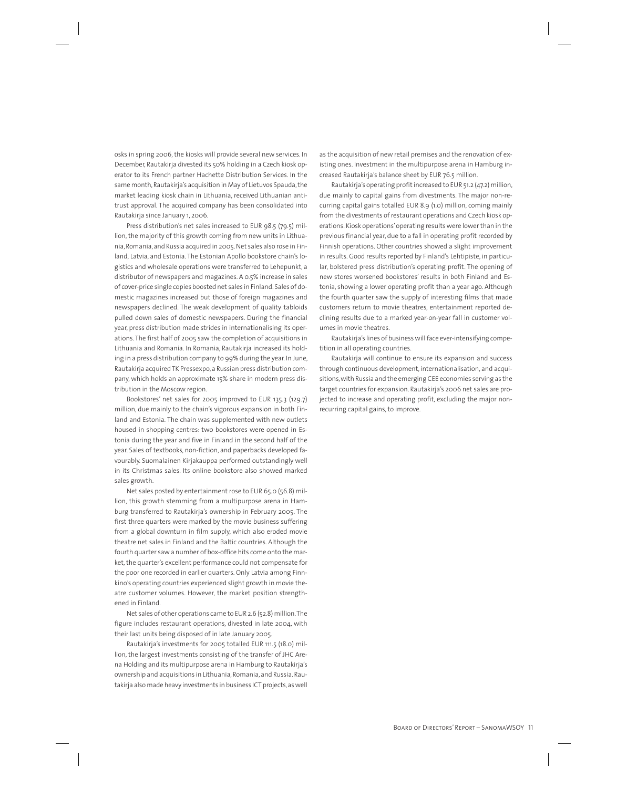osks in spring 2006, the kiosks will provide several new services. In December, Rautakirja divested its 50% holding in a Czech kiosk operator to its French partner Hachette Distribution Services. In the same month, Rautakirja's acquisition in May of Lietuvos Spauda, the market leading kiosk chain in Lithuania, received Lithuanian antitrust approval. The acquired company has been consolidated into Rautakirja since January 1, 2006.

Press distribution's net sales increased to EUR 98.5 (79.5) million, the majority of this growth coming from new units in Lithuania, Romania, and Russia acquired in 2005. Net sales also rose in Finland, Latvia, and Estonia. The Estonian Apollo bookstore chain's logistics and wholesale operations were transferred to Lehepunkt, a distributor of newspapers and magazines. A 0.5% increase in sales of cover-price single copies boosted net sales in Finland. Sales of domestic magazines increased but those of foreign magazines and newspapers declined. The weak development of quality tabloids pulled down sales of domestic newspapers. During the financial year, press distribution made strides in internationalising its operations. The first half of 2005 saw the completion of acquisitions in Lithuania and Romania. In Romania, Rautakirja increased its holding in a press distribution company to 99% during the year. In June, Rautakirja acquired TK Pressexpo, a Russian press distribution company, which holds an approximate 15% share in modern press distribution in the Moscow region.

Bookstores' net sales for 2005 improved to EUR 135.3 (129.7) million, due mainly to the chain's vigorous expansion in both Finland and Estonia. The chain was supplemented with new outlets housed in shopping centres: two bookstores were opened in Estonia during the year and five in Finland in the second half of the year. Sales of textbooks, non-fiction, and paperbacks developed favourably. Suomalainen Kirjakauppa performed outstandingly well in its Christmas sales. Its online bookstore also showed marked sales growth.

Net sales posted by entertainment rose to EUR 65.0 (56.8) million, this growth stemming from a multipurpose arena in Hamburg transferred to Rautakirja's ownership in February 2005. The first three quarters were marked by the movie business suffering from a global downturn in film supply, which also eroded movie theatre net sales in Finland and the Baltic countries. Although the fourth quarter saw a number of box-office hits come onto the market, the quarter's excellent performance could not compensate for the poor one recorded in earlier quarters. Only Latvia among Finnkino's operating countries experienced slight growth in movie theatre customer volumes. However, the market position strengthened in Finland.

Net sales of other operations came to EUR 2.6 (52.8) million. The figure includes restaurant operations, divested in late 2004, with their last units being disposed of in late January 2005.

Rautakirja's investments for 2005 totalled EUR 111.5 (18.0) million, the largest investments consisting of the transfer of JHC Arena Holding and its multipurpose arena in Hamburg to Rautakirja's ownership and acquisitions in Lithuania, Romania, and Russia. Rautakirja also made heavy investments in business ICT projects, as well as the acquisition of new retail premises and the renovation of existing ones. Investment in the multipurpose arena in Hamburg increased Rautakirja's balance sheet by EUR 76.5 million.

Rautakirja's operating profit increased to EUR 51.2 (47.2) million, due mainly to capital gains from divestments. The major non-recurring capital gains totalled EUR 8.9 (1.0) million, coming mainly from the divestments of restaurant operations and Czech kiosk operations. Kiosk operations' operating results were lower than in the previous financial year, due to a fall in operating profit recorded by Finnish operations. Other countries showed a slight improvement in results. Good results reported by Finland's Lehtipiste, in particular, bolstered press distribution's operating profit. The opening of new stores worsened bookstores' results in both Finland and Estonia, showing a lower operating profit than a year ago. Although the fourth quarter saw the supply of interesting films that made customers return to movie theatres, entertainment reported declining results due to a marked year-on-year fall in customer volumes in movie theatres.

Rautakirja's lines of business will face ever-intensifying competition in all operating countries.

Rautakirja will continue to ensure its expansion and success through continuous development, internationalisation, and acquisitions, with Russia and the emerging CEE economies serving as the target countries for expansion. Rautakirja's 2006 net sales are projected to increase and operating profit, excluding the major nonrecurring capital gains, to improve.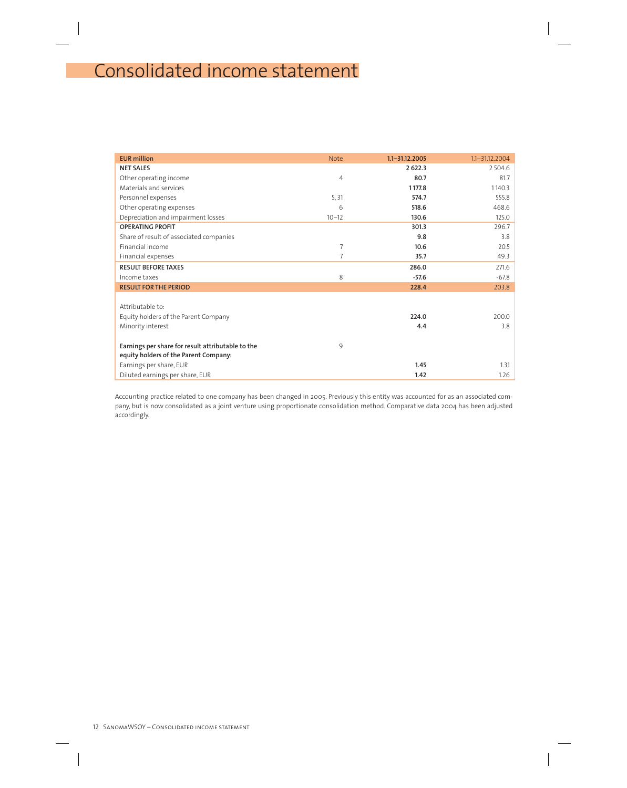# Consolidated income statement

| <b>EUR million</b>                                | <b>Note</b>    | $1.1 - 31.12.2005$ | $1.1 - 31.12.2004$ |
|---------------------------------------------------|----------------|--------------------|--------------------|
| <b>NET SALES</b>                                  |                | 2 6 2 2.3          | 2504.6             |
| Other operating income                            | $\overline{4}$ | 80.7               | 81.7               |
| Materials and services                            |                | 1177.8             | 1140.3             |
| Personnel expenses                                | 5,31           | 574.7              | 555.8              |
| Other operating expenses                          | 6              | 518.6              | 468.6              |
| Depreciation and impairment losses                | $10 - 12$      | 130.6              | 125.0              |
| <b>OPERATING PROFIT</b>                           |                | 301.3              | 296.7              |
| Share of result of associated companies           |                | 9.8                | 3.8                |
| Financial income                                  | $\overline{7}$ | 10.6               | 20.5               |
| Financial expenses                                | $\overline{7}$ | 35.7               | 49.3               |
| <b>RESULT BEFORE TAXES</b>                        |                | 286.0              | 271.6              |
| Income taxes                                      | 8              | $-57.6$            | $-67.8$            |
| <b>RESULT FOR THE PERIOD</b>                      |                | 228.4              | 203.8              |
|                                                   |                |                    |                    |
| Attributable to:                                  |                |                    |                    |
| Equity holders of the Parent Company              |                | 224.0              | 200.0              |
| Minority interest                                 |                | 4.4                | 3.8                |
| Earnings per share for result attributable to the | 9              |                    |                    |
| equity holders of the Parent Company:             |                |                    |                    |
| Earnings per share, EUR                           |                | 1.45               | 1.31               |
| Diluted earnings per share, EUR                   |                | 1.42               | 1.26               |

Accounting practice related to one company has been changed in 2005. Previously this entity was accounted for as an associated company, but is now consolidated as a joint venture using proportionate consolidation method. Comparative data 2004 has been adjusted accordingly.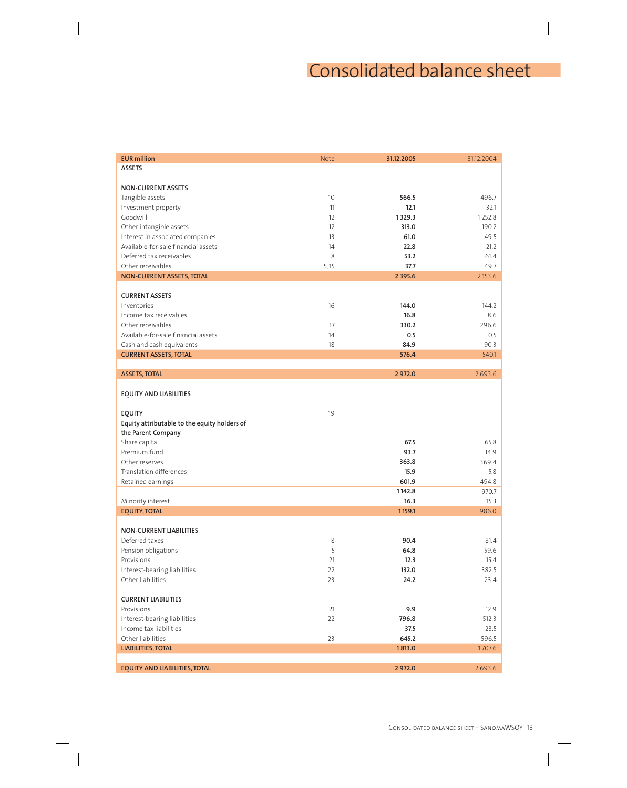# Consolidated balance sheet

| <b>EUR million</b>                           | <b>Note</b> | 31.12.2005  | 31.12.2004 |
|----------------------------------------------|-------------|-------------|------------|
| <b>ASSETS</b>                                |             |             |            |
|                                              |             |             |            |
| <b>NON-CURRENT ASSETS</b>                    |             |             |            |
| Tangible assets                              | 10          | 566.5       | 496.7      |
| Investment property                          | 11          | 12.1        | 32.1       |
| Goodwill                                     | 12          | 1329.3      | 1252.8     |
| Other intangible assets                      | 12          | 313.0       | 190.2      |
| Interest in associated companies             | 13          | 61.0        | 49.5       |
| Available-for-sale financial assets          | 14          | 22.8        | 21.2       |
| Deferred tax receivables                     | 8           | 53.2        | 61.4       |
| Other receivables                            | 5, 15       | 37.7        | 49.7       |
| NON-CURRENT ASSETS, TOTAL                    |             | 2 3 9 5 . 6 | 2153.6     |
|                                              |             |             |            |
| <b>CURRENT ASSETS</b>                        |             |             |            |
| Inventories                                  | 16          | 144.0       | 144.2      |
| Income tax receivables                       |             | 16.8        | 8.6        |
| Other receivables                            | 17          | 330.2       | 296.6      |
| Available-for-sale financial assets          | 14          | 0.5         | 0.5        |
| Cash and cash equivalents                    | 18          | 84.9        | 90.3       |
| <b>CURRENT ASSETS, TOTAL</b>                 |             | 576.4       | 540.1      |
|                                              |             |             |            |
| <b>ASSETS, TOTAL</b>                         |             | 2972.0      | 2693.6     |
|                                              |             |             |            |
| <b>EQUITY AND LIABILITIES</b>                |             |             |            |
|                                              |             |             |            |
| <b>EQUITY</b>                                | 19          |             |            |
| Equity attributable to the equity holders of |             |             |            |
| the Parent Company                           |             |             |            |
| Share capital                                |             | 67.5        | 65.8       |
| Premium fund                                 |             | 93.7        | 34.9       |
| Other reserves                               |             | 363.8       | 369.4      |
| <b>Translation differences</b>               |             | 15.9        | 5.8        |
| Retained earnings                            |             | 601.9       | 494.8      |
|                                              |             | 1142.8      | 970.7      |
| Minority interest                            |             | 16.3        | 15.3       |
| <b>EQUITY, TOTAL</b>                         |             | 1159.1      | 986.0      |
|                                              |             |             |            |
| <b>NON-CURRENT LIABILITIES</b>               |             |             |            |
| Deferred taxes                               | 8           | 90.4        | 81.4       |
| Pension obligations                          | 5           | 64.8        | 59.6       |
| Provisions                                   | 21          | 12.3        | 15.4       |
| Interest-bearing liabilities                 | 22          | 132.0       | 382.5      |
| Other liabilities                            | 23          | 24.2        | 23.4       |
|                                              |             |             |            |
| <b>CURRENT LIABILITIES</b>                   |             |             |            |
| Provisions                                   | 21          | 9.9         | 12.9       |
| Interest-bearing liabilities                 | 22          | 796.8       | 512.3      |
| Income tax liabilities                       |             | 37.5        | 23.5       |
| Other liabilities                            | 23          | 645.2       | 596.5      |
| <b>LIABILITIES, TOTAL</b>                    |             | 1813.0      | 1707.6     |
|                                              |             |             |            |
| EQUITY AND LIABILITIES, TOTAL                |             | 2972.0      | 2693.6     |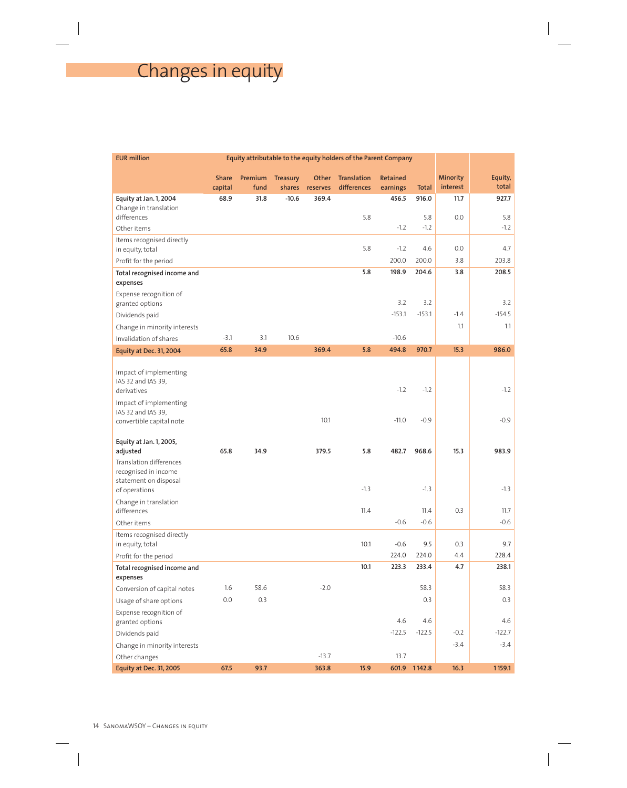# Changes in equity

| <b>EUR million</b>                                                       |                         |                 |                    |                   | Equity attributable to the equity holders of the Parent Company |                             |              |                      |                  |
|--------------------------------------------------------------------------|-------------------------|-----------------|--------------------|-------------------|-----------------------------------------------------------------|-----------------------------|--------------|----------------------|------------------|
|                                                                          | <b>Share</b><br>capital | Premium<br>fund | Treasury<br>shares | Other<br>reserves | Translation<br>differences                                      | <b>Retained</b><br>earnings | <b>Total</b> | Minority<br>interest | Equity,<br>total |
| Equity at Jan. 1, 2004                                                   | 68.9                    | 31.8            | $-10.6$            | 369.4             |                                                                 | 456.5                       | 916.0        | 11.7                 | 927.7            |
| Change in translation<br>differences                                     |                         |                 |                    |                   | 5.8                                                             |                             | 5.8          | 0.0                  | 5.8              |
| Other items                                                              |                         |                 |                    |                   |                                                                 | $-1.2$                      | $-1.2$       |                      | $-1.2$           |
| Items recognised directly                                                |                         |                 |                    |                   |                                                                 |                             |              |                      |                  |
| in equity, total                                                         |                         |                 |                    |                   | 5.8                                                             | $-1.2$                      | 4.6          | 0.0                  | 4.7              |
| Profit for the period                                                    |                         |                 |                    |                   |                                                                 | 200.0                       | 200.0        | 3.8                  | 203.8            |
| Total recognised income and<br>expenses                                  |                         |                 |                    |                   | 5.8                                                             | 198.9                       | 204.6        | 3.8                  | 208.5            |
| Expense recognition of                                                   |                         |                 |                    |                   |                                                                 |                             |              |                      |                  |
| granted options                                                          |                         |                 |                    |                   |                                                                 | 3.2                         | 3.2          |                      | 3.2              |
| Dividends paid                                                           |                         |                 |                    |                   |                                                                 | $-153.1$                    | $-153.1$     | $-1.4$               | $-154.5$         |
| Change in minority interests                                             |                         |                 |                    |                   |                                                                 |                             |              | 1.1                  | 1.1              |
| Invalidation of shares                                                   | $-3.1$                  | 3.1             | 10.6               |                   |                                                                 | $-10.6$                     |              |                      |                  |
| <b>Equity at Dec. 31, 2004</b>                                           | 65.8                    | 34.9            |                    | 369.4             | 5.8                                                             | 494.8                       | 970.7        | 15.3                 | 986.0            |
| Impact of implementing<br>IAS 32 and IAS 39,<br>derivatives              |                         |                 |                    |                   |                                                                 | $-1.2$                      | $-1.2$       |                      | $-1.2$           |
| Impact of implementing<br>IAS 32 and IAS 39,<br>convertible capital note |                         |                 |                    | 10.1              |                                                                 | $-11.0$                     | $-0.9$       |                      | $-0.9$           |
| Equity at Jan. 1, 2005,                                                  | 65.8                    | 34.9            |                    | 379.5             | 5.8                                                             | 482.7                       | 968.6        | 15.3                 | 983.9            |
| adjusted<br>Translation differences                                      |                         |                 |                    |                   |                                                                 |                             |              |                      |                  |
| recognised in income<br>statement on disposal                            |                         |                 |                    |                   | $-1.3$                                                          |                             | $-1.3$       |                      | $-1.3$           |
| of operations                                                            |                         |                 |                    |                   |                                                                 |                             |              |                      |                  |
| Change in translation<br>differences                                     |                         |                 |                    |                   | 11.4                                                            |                             | 11.4         | 0.3                  | 11.7             |
| Other items                                                              |                         |                 |                    |                   |                                                                 | $-0.6$                      | $-0.6$       |                      | $-0.6$           |
| Items recognised directly<br>in equity, total                            |                         |                 |                    |                   | 10.1                                                            | $-0.6$                      | 9.5          | 0.3                  | 9.7              |
| Profit for the period                                                    |                         |                 |                    |                   |                                                                 | 224.0                       | 224.0        | 4.4                  | 228.4            |
| Total recognised income and<br>expenses                                  |                         |                 |                    |                   | 10.1                                                            | 223.3                       | 233.4        | 4.7                  | 238.1            |
| Conversion of capital notes                                              | 1.6                     | 58.6            |                    | $-2.0$            |                                                                 |                             | 58.3         |                      | 58.3             |
| Usage of share options                                                   | 0.0                     | 0.3             |                    |                   |                                                                 |                             | 0.3          |                      | 0.3              |
| Expense recognition of<br>granted options                                |                         |                 |                    |                   |                                                                 | 4.6                         | 4.6          |                      | 4.6              |
| Dividends paid                                                           |                         |                 |                    |                   |                                                                 | $-122.5$                    | $-122.5$     | $-0.2$               | $-122.7$         |
| Change in minority interests                                             |                         |                 |                    |                   |                                                                 |                             |              | $-3.4$               | $-3.4$           |
| Other changes                                                            |                         |                 |                    | $-13.7$           |                                                                 | 13.7                        |              |                      |                  |
| <b>Equity at Dec. 31, 2005</b>                                           | 67.5                    | 93.7            |                    | 363.8             | 15.9                                                            |                             | 601.9 1142.8 | 16.3                 | 1159.1           |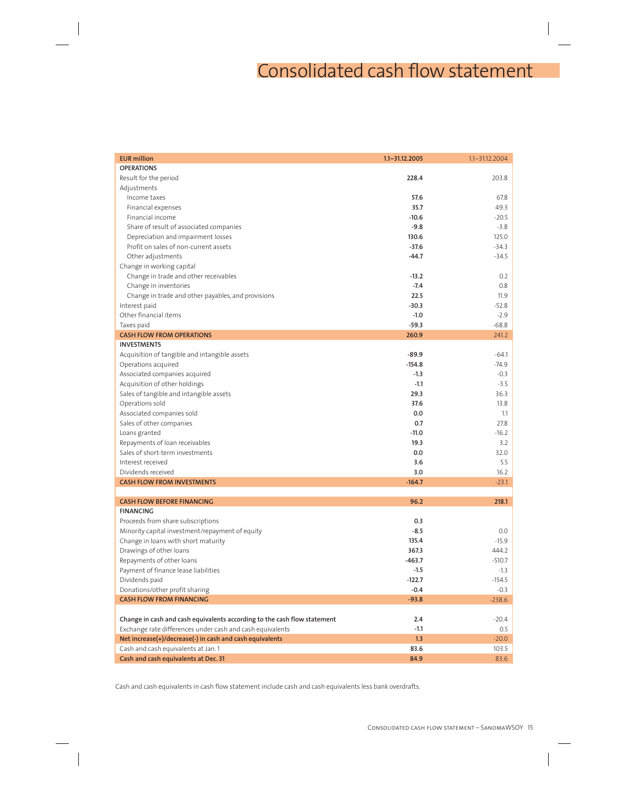# Consolidated cash flow statement

| <b>OPERATIONS</b><br>228.4<br>Result for the period<br>203.8<br>Adjustments<br>57.6<br>Income taxes<br>67.8<br>35.7<br>49.3<br>Financial expenses<br>Financial income<br>$-10.6$<br>$-20.5$<br>Share of result of associated companies<br>$-9.8$<br>$-3.8$<br>130.6<br>Depreciation and impairment losses<br>125.0<br>$-37.6$<br>Profit on sales of non-current assets<br>$-34.3$<br>Other adjustments<br>$-44.7$<br>$-34.5$<br>Change in working capital<br>Change in trade and other receivables<br>$-13.2$<br>0.2<br>$-7.4$<br>Change in inventories<br>0.8<br>Change in trade and other payables, and provisions<br>22.5<br>11.9<br>Interest paid<br>$-30.3$<br>$-52.8$<br>Other financial items<br>$-1.0$<br>$-2.9$<br>$-59.3$<br>Taxes paid<br>$-68.8$<br>260.9<br><b>CASH FLOW FROM OPERATIONS</b><br>241.2<br><b>INVESTMENTS</b><br>$-89.9$<br>$-64.1$<br>Acquisition of tangible and intangible assets<br>Operations acquired<br>$-154.8$<br>$-74.9$<br>Associated companies acquired<br>$-1.3$<br>$-0.3$<br>Acquisition of other holdings<br>$-1.1$<br>$-3.5$<br>Sales of tangible and intangible assets<br>29.3<br>36.3<br>37.6<br>Operations sold<br>13.8<br>Associated companies sold<br>0.0<br>1.1<br>Sales of other companies<br>0.7<br>27.8<br>$-11.0$<br>$-16.2$<br>Loans granted<br>19.3<br>Repayments of loan receivables<br>3.2<br>Sales of short-term investments<br>0.0<br>32.0<br>Interest received<br>3.6<br>5.5<br>Dividends received<br>3.0<br>16.2<br><b>CASH FLOW FROM INVESTMENTS</b><br>$-164.7$<br>$-23.1$<br>96.2<br>218.1<br><b>CASH FLOW BEFORE FINANCING</b><br><b>FINANCING</b><br>0.3<br>Proceeds from share subscriptions<br>$-8.5$<br>0.0<br>Minority capital investment/repayment of equity<br>Change in loans with short maturity<br>$-15.9$<br>135.4<br>Drawings of other loans<br>367.3<br>444.2<br>Repayments of other loans<br>$-463.7$<br>$-510.7$<br>Payment of finance lease liabilities<br>$-1.5$<br>$-1.3$<br>Dividends paid<br>$-122.7$<br>$-154.5$<br>Donations/other profit sharing<br>$-0.4$<br>$-0.3$<br><b>CASH FLOW FROM FINANCING</b><br>$-93.8$<br>$-238.6$<br>Change in cash and cash equivalents according to the cash flow statement<br>2.4<br>$-20.4$<br>Exchange rate differences under cash and cash equivalents<br>$-1.1$<br>0.5<br>Net increase(+)/decrease(-) in cash and cash equivalents<br>1.3<br>$-20.0$<br>Cash and cash equivalents at Jan. 1<br>83.6<br>103.5<br>Cash and cash equivalents at Dec. 31<br>84.9<br>83.6 | <b>EUR million</b> | 1.1-31.12.2005 | 1.1-31.12.2004 |
|--------------------------------------------------------------------------------------------------------------------------------------------------------------------------------------------------------------------------------------------------------------------------------------------------------------------------------------------------------------------------------------------------------------------------------------------------------------------------------------------------------------------------------------------------------------------------------------------------------------------------------------------------------------------------------------------------------------------------------------------------------------------------------------------------------------------------------------------------------------------------------------------------------------------------------------------------------------------------------------------------------------------------------------------------------------------------------------------------------------------------------------------------------------------------------------------------------------------------------------------------------------------------------------------------------------------------------------------------------------------------------------------------------------------------------------------------------------------------------------------------------------------------------------------------------------------------------------------------------------------------------------------------------------------------------------------------------------------------------------------------------------------------------------------------------------------------------------------------------------------------------------------------------------------------------------------------------------------------------------------------------------------------------------------------------------------------------------------------------------------------------------------------------------------------------------------------------------------------------------------------------------------------------------------------------------------------------------------------------------------------------------------------------------------------------------------------------------------------------------------------|--------------------|----------------|----------------|
|                                                                                                                                                                                                                                                                                                                                                                                                                                                                                                                                                                                                                                                                                                                                                                                                                                                                                                                                                                                                                                                                                                                                                                                                                                                                                                                                                                                                                                                                                                                                                                                                                                                                                                                                                                                                                                                                                                                                                                                                                                                                                                                                                                                                                                                                                                                                                                                                                                                                                                  |                    |                |                |
|                                                                                                                                                                                                                                                                                                                                                                                                                                                                                                                                                                                                                                                                                                                                                                                                                                                                                                                                                                                                                                                                                                                                                                                                                                                                                                                                                                                                                                                                                                                                                                                                                                                                                                                                                                                                                                                                                                                                                                                                                                                                                                                                                                                                                                                                                                                                                                                                                                                                                                  |                    |                |                |
|                                                                                                                                                                                                                                                                                                                                                                                                                                                                                                                                                                                                                                                                                                                                                                                                                                                                                                                                                                                                                                                                                                                                                                                                                                                                                                                                                                                                                                                                                                                                                                                                                                                                                                                                                                                                                                                                                                                                                                                                                                                                                                                                                                                                                                                                                                                                                                                                                                                                                                  |                    |                |                |
|                                                                                                                                                                                                                                                                                                                                                                                                                                                                                                                                                                                                                                                                                                                                                                                                                                                                                                                                                                                                                                                                                                                                                                                                                                                                                                                                                                                                                                                                                                                                                                                                                                                                                                                                                                                                                                                                                                                                                                                                                                                                                                                                                                                                                                                                                                                                                                                                                                                                                                  |                    |                |                |
|                                                                                                                                                                                                                                                                                                                                                                                                                                                                                                                                                                                                                                                                                                                                                                                                                                                                                                                                                                                                                                                                                                                                                                                                                                                                                                                                                                                                                                                                                                                                                                                                                                                                                                                                                                                                                                                                                                                                                                                                                                                                                                                                                                                                                                                                                                                                                                                                                                                                                                  |                    |                |                |
|                                                                                                                                                                                                                                                                                                                                                                                                                                                                                                                                                                                                                                                                                                                                                                                                                                                                                                                                                                                                                                                                                                                                                                                                                                                                                                                                                                                                                                                                                                                                                                                                                                                                                                                                                                                                                                                                                                                                                                                                                                                                                                                                                                                                                                                                                                                                                                                                                                                                                                  |                    |                |                |
|                                                                                                                                                                                                                                                                                                                                                                                                                                                                                                                                                                                                                                                                                                                                                                                                                                                                                                                                                                                                                                                                                                                                                                                                                                                                                                                                                                                                                                                                                                                                                                                                                                                                                                                                                                                                                                                                                                                                                                                                                                                                                                                                                                                                                                                                                                                                                                                                                                                                                                  |                    |                |                |
|                                                                                                                                                                                                                                                                                                                                                                                                                                                                                                                                                                                                                                                                                                                                                                                                                                                                                                                                                                                                                                                                                                                                                                                                                                                                                                                                                                                                                                                                                                                                                                                                                                                                                                                                                                                                                                                                                                                                                                                                                                                                                                                                                                                                                                                                                                                                                                                                                                                                                                  |                    |                |                |
|                                                                                                                                                                                                                                                                                                                                                                                                                                                                                                                                                                                                                                                                                                                                                                                                                                                                                                                                                                                                                                                                                                                                                                                                                                                                                                                                                                                                                                                                                                                                                                                                                                                                                                                                                                                                                                                                                                                                                                                                                                                                                                                                                                                                                                                                                                                                                                                                                                                                                                  |                    |                |                |
|                                                                                                                                                                                                                                                                                                                                                                                                                                                                                                                                                                                                                                                                                                                                                                                                                                                                                                                                                                                                                                                                                                                                                                                                                                                                                                                                                                                                                                                                                                                                                                                                                                                                                                                                                                                                                                                                                                                                                                                                                                                                                                                                                                                                                                                                                                                                                                                                                                                                                                  |                    |                |                |
|                                                                                                                                                                                                                                                                                                                                                                                                                                                                                                                                                                                                                                                                                                                                                                                                                                                                                                                                                                                                                                                                                                                                                                                                                                                                                                                                                                                                                                                                                                                                                                                                                                                                                                                                                                                                                                                                                                                                                                                                                                                                                                                                                                                                                                                                                                                                                                                                                                                                                                  |                    |                |                |
|                                                                                                                                                                                                                                                                                                                                                                                                                                                                                                                                                                                                                                                                                                                                                                                                                                                                                                                                                                                                                                                                                                                                                                                                                                                                                                                                                                                                                                                                                                                                                                                                                                                                                                                                                                                                                                                                                                                                                                                                                                                                                                                                                                                                                                                                                                                                                                                                                                                                                                  |                    |                |                |
|                                                                                                                                                                                                                                                                                                                                                                                                                                                                                                                                                                                                                                                                                                                                                                                                                                                                                                                                                                                                                                                                                                                                                                                                                                                                                                                                                                                                                                                                                                                                                                                                                                                                                                                                                                                                                                                                                                                                                                                                                                                                                                                                                                                                                                                                                                                                                                                                                                                                                                  |                    |                |                |
|                                                                                                                                                                                                                                                                                                                                                                                                                                                                                                                                                                                                                                                                                                                                                                                                                                                                                                                                                                                                                                                                                                                                                                                                                                                                                                                                                                                                                                                                                                                                                                                                                                                                                                                                                                                                                                                                                                                                                                                                                                                                                                                                                                                                                                                                                                                                                                                                                                                                                                  |                    |                |                |
|                                                                                                                                                                                                                                                                                                                                                                                                                                                                                                                                                                                                                                                                                                                                                                                                                                                                                                                                                                                                                                                                                                                                                                                                                                                                                                                                                                                                                                                                                                                                                                                                                                                                                                                                                                                                                                                                                                                                                                                                                                                                                                                                                                                                                                                                                                                                                                                                                                                                                                  |                    |                |                |
|                                                                                                                                                                                                                                                                                                                                                                                                                                                                                                                                                                                                                                                                                                                                                                                                                                                                                                                                                                                                                                                                                                                                                                                                                                                                                                                                                                                                                                                                                                                                                                                                                                                                                                                                                                                                                                                                                                                                                                                                                                                                                                                                                                                                                                                                                                                                                                                                                                                                                                  |                    |                |                |
|                                                                                                                                                                                                                                                                                                                                                                                                                                                                                                                                                                                                                                                                                                                                                                                                                                                                                                                                                                                                                                                                                                                                                                                                                                                                                                                                                                                                                                                                                                                                                                                                                                                                                                                                                                                                                                                                                                                                                                                                                                                                                                                                                                                                                                                                                                                                                                                                                                                                                                  |                    |                |                |
|                                                                                                                                                                                                                                                                                                                                                                                                                                                                                                                                                                                                                                                                                                                                                                                                                                                                                                                                                                                                                                                                                                                                                                                                                                                                                                                                                                                                                                                                                                                                                                                                                                                                                                                                                                                                                                                                                                                                                                                                                                                                                                                                                                                                                                                                                                                                                                                                                                                                                                  |                    |                |                |
|                                                                                                                                                                                                                                                                                                                                                                                                                                                                                                                                                                                                                                                                                                                                                                                                                                                                                                                                                                                                                                                                                                                                                                                                                                                                                                                                                                                                                                                                                                                                                                                                                                                                                                                                                                                                                                                                                                                                                                                                                                                                                                                                                                                                                                                                                                                                                                                                                                                                                                  |                    |                |                |
|                                                                                                                                                                                                                                                                                                                                                                                                                                                                                                                                                                                                                                                                                                                                                                                                                                                                                                                                                                                                                                                                                                                                                                                                                                                                                                                                                                                                                                                                                                                                                                                                                                                                                                                                                                                                                                                                                                                                                                                                                                                                                                                                                                                                                                                                                                                                                                                                                                                                                                  |                    |                |                |
|                                                                                                                                                                                                                                                                                                                                                                                                                                                                                                                                                                                                                                                                                                                                                                                                                                                                                                                                                                                                                                                                                                                                                                                                                                                                                                                                                                                                                                                                                                                                                                                                                                                                                                                                                                                                                                                                                                                                                                                                                                                                                                                                                                                                                                                                                                                                                                                                                                                                                                  |                    |                |                |
|                                                                                                                                                                                                                                                                                                                                                                                                                                                                                                                                                                                                                                                                                                                                                                                                                                                                                                                                                                                                                                                                                                                                                                                                                                                                                                                                                                                                                                                                                                                                                                                                                                                                                                                                                                                                                                                                                                                                                                                                                                                                                                                                                                                                                                                                                                                                                                                                                                                                                                  |                    |                |                |
|                                                                                                                                                                                                                                                                                                                                                                                                                                                                                                                                                                                                                                                                                                                                                                                                                                                                                                                                                                                                                                                                                                                                                                                                                                                                                                                                                                                                                                                                                                                                                                                                                                                                                                                                                                                                                                                                                                                                                                                                                                                                                                                                                                                                                                                                                                                                                                                                                                                                                                  |                    |                |                |
|                                                                                                                                                                                                                                                                                                                                                                                                                                                                                                                                                                                                                                                                                                                                                                                                                                                                                                                                                                                                                                                                                                                                                                                                                                                                                                                                                                                                                                                                                                                                                                                                                                                                                                                                                                                                                                                                                                                                                                                                                                                                                                                                                                                                                                                                                                                                                                                                                                                                                                  |                    |                |                |
|                                                                                                                                                                                                                                                                                                                                                                                                                                                                                                                                                                                                                                                                                                                                                                                                                                                                                                                                                                                                                                                                                                                                                                                                                                                                                                                                                                                                                                                                                                                                                                                                                                                                                                                                                                                                                                                                                                                                                                                                                                                                                                                                                                                                                                                                                                                                                                                                                                                                                                  |                    |                |                |
|                                                                                                                                                                                                                                                                                                                                                                                                                                                                                                                                                                                                                                                                                                                                                                                                                                                                                                                                                                                                                                                                                                                                                                                                                                                                                                                                                                                                                                                                                                                                                                                                                                                                                                                                                                                                                                                                                                                                                                                                                                                                                                                                                                                                                                                                                                                                                                                                                                                                                                  |                    |                |                |
|                                                                                                                                                                                                                                                                                                                                                                                                                                                                                                                                                                                                                                                                                                                                                                                                                                                                                                                                                                                                                                                                                                                                                                                                                                                                                                                                                                                                                                                                                                                                                                                                                                                                                                                                                                                                                                                                                                                                                                                                                                                                                                                                                                                                                                                                                                                                                                                                                                                                                                  |                    |                |                |
|                                                                                                                                                                                                                                                                                                                                                                                                                                                                                                                                                                                                                                                                                                                                                                                                                                                                                                                                                                                                                                                                                                                                                                                                                                                                                                                                                                                                                                                                                                                                                                                                                                                                                                                                                                                                                                                                                                                                                                                                                                                                                                                                                                                                                                                                                                                                                                                                                                                                                                  |                    |                |                |
|                                                                                                                                                                                                                                                                                                                                                                                                                                                                                                                                                                                                                                                                                                                                                                                                                                                                                                                                                                                                                                                                                                                                                                                                                                                                                                                                                                                                                                                                                                                                                                                                                                                                                                                                                                                                                                                                                                                                                                                                                                                                                                                                                                                                                                                                                                                                                                                                                                                                                                  |                    |                |                |
|                                                                                                                                                                                                                                                                                                                                                                                                                                                                                                                                                                                                                                                                                                                                                                                                                                                                                                                                                                                                                                                                                                                                                                                                                                                                                                                                                                                                                                                                                                                                                                                                                                                                                                                                                                                                                                                                                                                                                                                                                                                                                                                                                                                                                                                                                                                                                                                                                                                                                                  |                    |                |                |
|                                                                                                                                                                                                                                                                                                                                                                                                                                                                                                                                                                                                                                                                                                                                                                                                                                                                                                                                                                                                                                                                                                                                                                                                                                                                                                                                                                                                                                                                                                                                                                                                                                                                                                                                                                                                                                                                                                                                                                                                                                                                                                                                                                                                                                                                                                                                                                                                                                                                                                  |                    |                |                |
|                                                                                                                                                                                                                                                                                                                                                                                                                                                                                                                                                                                                                                                                                                                                                                                                                                                                                                                                                                                                                                                                                                                                                                                                                                                                                                                                                                                                                                                                                                                                                                                                                                                                                                                                                                                                                                                                                                                                                                                                                                                                                                                                                                                                                                                                                                                                                                                                                                                                                                  |                    |                |                |
|                                                                                                                                                                                                                                                                                                                                                                                                                                                                                                                                                                                                                                                                                                                                                                                                                                                                                                                                                                                                                                                                                                                                                                                                                                                                                                                                                                                                                                                                                                                                                                                                                                                                                                                                                                                                                                                                                                                                                                                                                                                                                                                                                                                                                                                                                                                                                                                                                                                                                                  |                    |                |                |
|                                                                                                                                                                                                                                                                                                                                                                                                                                                                                                                                                                                                                                                                                                                                                                                                                                                                                                                                                                                                                                                                                                                                                                                                                                                                                                                                                                                                                                                                                                                                                                                                                                                                                                                                                                                                                                                                                                                                                                                                                                                                                                                                                                                                                                                                                                                                                                                                                                                                                                  |                    |                |                |
|                                                                                                                                                                                                                                                                                                                                                                                                                                                                                                                                                                                                                                                                                                                                                                                                                                                                                                                                                                                                                                                                                                                                                                                                                                                                                                                                                                                                                                                                                                                                                                                                                                                                                                                                                                                                                                                                                                                                                                                                                                                                                                                                                                                                                                                                                                                                                                                                                                                                                                  |                    |                |                |
|                                                                                                                                                                                                                                                                                                                                                                                                                                                                                                                                                                                                                                                                                                                                                                                                                                                                                                                                                                                                                                                                                                                                                                                                                                                                                                                                                                                                                                                                                                                                                                                                                                                                                                                                                                                                                                                                                                                                                                                                                                                                                                                                                                                                                                                                                                                                                                                                                                                                                                  |                    |                |                |
|                                                                                                                                                                                                                                                                                                                                                                                                                                                                                                                                                                                                                                                                                                                                                                                                                                                                                                                                                                                                                                                                                                                                                                                                                                                                                                                                                                                                                                                                                                                                                                                                                                                                                                                                                                                                                                                                                                                                                                                                                                                                                                                                                                                                                                                                                                                                                                                                                                                                                                  |                    |                |                |
|                                                                                                                                                                                                                                                                                                                                                                                                                                                                                                                                                                                                                                                                                                                                                                                                                                                                                                                                                                                                                                                                                                                                                                                                                                                                                                                                                                                                                                                                                                                                                                                                                                                                                                                                                                                                                                                                                                                                                                                                                                                                                                                                                                                                                                                                                                                                                                                                                                                                                                  |                    |                |                |
|                                                                                                                                                                                                                                                                                                                                                                                                                                                                                                                                                                                                                                                                                                                                                                                                                                                                                                                                                                                                                                                                                                                                                                                                                                                                                                                                                                                                                                                                                                                                                                                                                                                                                                                                                                                                                                                                                                                                                                                                                                                                                                                                                                                                                                                                                                                                                                                                                                                                                                  |                    |                |                |
|                                                                                                                                                                                                                                                                                                                                                                                                                                                                                                                                                                                                                                                                                                                                                                                                                                                                                                                                                                                                                                                                                                                                                                                                                                                                                                                                                                                                                                                                                                                                                                                                                                                                                                                                                                                                                                                                                                                                                                                                                                                                                                                                                                                                                                                                                                                                                                                                                                                                                                  |                    |                |                |
|                                                                                                                                                                                                                                                                                                                                                                                                                                                                                                                                                                                                                                                                                                                                                                                                                                                                                                                                                                                                                                                                                                                                                                                                                                                                                                                                                                                                                                                                                                                                                                                                                                                                                                                                                                                                                                                                                                                                                                                                                                                                                                                                                                                                                                                                                                                                                                                                                                                                                                  |                    |                |                |
|                                                                                                                                                                                                                                                                                                                                                                                                                                                                                                                                                                                                                                                                                                                                                                                                                                                                                                                                                                                                                                                                                                                                                                                                                                                                                                                                                                                                                                                                                                                                                                                                                                                                                                                                                                                                                                                                                                                                                                                                                                                                                                                                                                                                                                                                                                                                                                                                                                                                                                  |                    |                |                |
|                                                                                                                                                                                                                                                                                                                                                                                                                                                                                                                                                                                                                                                                                                                                                                                                                                                                                                                                                                                                                                                                                                                                                                                                                                                                                                                                                                                                                                                                                                                                                                                                                                                                                                                                                                                                                                                                                                                                                                                                                                                                                                                                                                                                                                                                                                                                                                                                                                                                                                  |                    |                |                |
|                                                                                                                                                                                                                                                                                                                                                                                                                                                                                                                                                                                                                                                                                                                                                                                                                                                                                                                                                                                                                                                                                                                                                                                                                                                                                                                                                                                                                                                                                                                                                                                                                                                                                                                                                                                                                                                                                                                                                                                                                                                                                                                                                                                                                                                                                                                                                                                                                                                                                                  |                    |                |                |
|                                                                                                                                                                                                                                                                                                                                                                                                                                                                                                                                                                                                                                                                                                                                                                                                                                                                                                                                                                                                                                                                                                                                                                                                                                                                                                                                                                                                                                                                                                                                                                                                                                                                                                                                                                                                                                                                                                                                                                                                                                                                                                                                                                                                                                                                                                                                                                                                                                                                                                  |                    |                |                |
|                                                                                                                                                                                                                                                                                                                                                                                                                                                                                                                                                                                                                                                                                                                                                                                                                                                                                                                                                                                                                                                                                                                                                                                                                                                                                                                                                                                                                                                                                                                                                                                                                                                                                                                                                                                                                                                                                                                                                                                                                                                                                                                                                                                                                                                                                                                                                                                                                                                                                                  |                    |                |                |
|                                                                                                                                                                                                                                                                                                                                                                                                                                                                                                                                                                                                                                                                                                                                                                                                                                                                                                                                                                                                                                                                                                                                                                                                                                                                                                                                                                                                                                                                                                                                                                                                                                                                                                                                                                                                                                                                                                                                                                                                                                                                                                                                                                                                                                                                                                                                                                                                                                                                                                  |                    |                |                |
|                                                                                                                                                                                                                                                                                                                                                                                                                                                                                                                                                                                                                                                                                                                                                                                                                                                                                                                                                                                                                                                                                                                                                                                                                                                                                                                                                                                                                                                                                                                                                                                                                                                                                                                                                                                                                                                                                                                                                                                                                                                                                                                                                                                                                                                                                                                                                                                                                                                                                                  |                    |                |                |
|                                                                                                                                                                                                                                                                                                                                                                                                                                                                                                                                                                                                                                                                                                                                                                                                                                                                                                                                                                                                                                                                                                                                                                                                                                                                                                                                                                                                                                                                                                                                                                                                                                                                                                                                                                                                                                                                                                                                                                                                                                                                                                                                                                                                                                                                                                                                                                                                                                                                                                  |                    |                |                |
|                                                                                                                                                                                                                                                                                                                                                                                                                                                                                                                                                                                                                                                                                                                                                                                                                                                                                                                                                                                                                                                                                                                                                                                                                                                                                                                                                                                                                                                                                                                                                                                                                                                                                                                                                                                                                                                                                                                                                                                                                                                                                                                                                                                                                                                                                                                                                                                                                                                                                                  |                    |                |                |

Cash and cash equivalents in cash flow statement include cash and cash equivalents less bank overdrafts.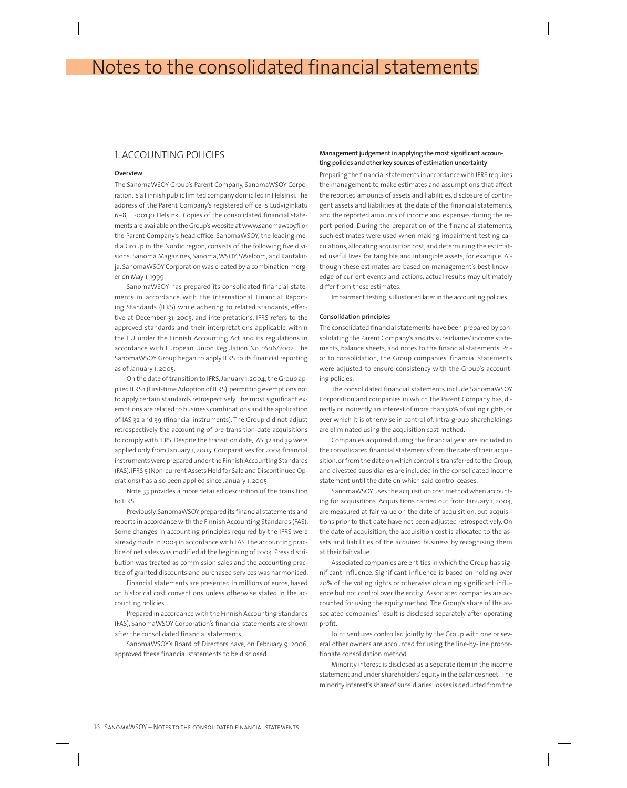# Notes to the consolidated financial statements

# 1. ACCOUNTING POLICIES

### **Overview**

The SanomaWSOY Group's Parent Company, SanomaWSOY Corporation, is a Finnish public limited company domiciled in Helsinki. The address of the Parent Company's registered office is Ludviginkatu 6–8, FI-00130 Helsinki. Copies of the consolidated financial statements are available on the Group's website at www.sanomawsoy.fi or the Parent Company's head office. SanomaWSOY, the leading media Group in the Nordic region, consists of the following five divisions: Sanoma Magazines, Sanoma, WSOY, SWelcom, and Rautakirja. SanomaWSOY Corporation was created by a combination merger on May 1, 1999.

SanomaWSOY has prepared its consolidated financial statements in accordance with the International Financial Reporting Standards (IFRS) while adhering to related standards, effective at December 31, 2005, and interpretations. IFRS refers to the approved standards and their interpretations applicable within the EU under the Finnish Accounting Act and its regulations in accordance with European Union Regulation No. 1606/2002. The SanomaWSOY Group began to apply IFRS to its financial reporting as of January 1, 2005.

On the date of transition to IFRS, January 1, 2004, the Group applied IFRS 1 (First-time Adoption of IFRS), permitting exemptions not to apply certain standards retrospectively. The most significant exemptions are related to business combinations and the application of IAS 32 and 39 (financial instruments). The Group did not adjust retrospectively the accounting of pre-transition-date acquisitions to comply with IFRS. Despite the transition date, IAS 32 and 39 were applied only from January 1, 2005. Comparatives for 2004 financial instruments were prepared under the Finnish Accounting Standards (FAS). IFRS 5 (Non-current Assets Held for Sale and Discontinued Operations) has also been applied since January 1, 2005.

Note 33 provides a more detailed description of the transition to IFRS.

Previously, SanomaWSOY prepared its financial statements and reports in accordance with the Finnish Accounting Standards (FAS). Some changes in accounting principles required by the IFRS were already made in 2004 in accordance with FAS. The accounting practice of net sales was modified at the beginning of 2004. Press distribution was treated as commission sales and the accounting practice of granted discounts and purchased services was harmonised.

Financial statements are presented in millions of euros, based on historical cost conventions unless otherwise stated in the accounting policies.

Prepared in accordance with the Finnish Accounting Standards (FAS), SanomaWSOY Corporation's financial statements are shown after the consolidated financial statements.

SanomaWSOY's Board of Directors have, on February 9, 2006, approved these financial statements to be disclosed.

# **Management judgement in applying the most significant accounting policies and other key sources of estimation uncertainty**

Preparing the financial statements in accordance with IFRS requires the management to make estimates and assumptions that affect the reported amounts of assets and liabilities, disclosure of contingent assets and liabilities at the date of the financial statements, and the reported amounts of income and expenses during the report period. During the preparation of the financial statements, such estimates were used when making impairment testing calculations, allocating acquisition cost, and determining the estimated useful lives for tangible and intangible assets, for example. Although these estimates are based on management's best knowledge of current events and actions, actual results may ultimately differ from these estimates.

Impairment testing is illustrated later in the accounting policies.

## **Consolidation principles**

The consolidated financial statements have been prepared by consolidating the Parent Company's and its subsidiaries' income statements, balance sheets, and notes to the financial statements. Prior to consolidation, the Group companies' financial statements were adjusted to ensure consistency with the Group's accounting policies.

The consolidated financial statements include SanomaWSOY Corporation and companies in which the Parent Company has, directly or indirectly, an interest of more than 50% of voting rights, or over which it is otherwise in control of. Intra-group shareholdings are eliminated using the acquisition cost method.

Companies acquired during the financial year are included in the consolidated financial statements from the date of their acquisition, or from the date on which control is transferred to the Group, and divested subsidiaries are included in the consolidated income statement until the date on which said control ceases.

SanomaWSOY uses the acquisition cost method when accounting for acquisitions. Acquisitions carried out from January 1, 2004, are measured at fair value on the date of acquisition, but acquisitions prior to that date have not been adjusted retrospectively. On the date of acquisition, the acquisition cost is allocated to the assets and liabilities of the acquired business by recognising them at their fair value.

Associated companies are entities in which the Group has significant influence. Significant influence is based on holding over 20% of the voting rights or otherwise obtaining significant influence but not control over the entity. Associated companies are accounted for using the equity method. The Group's share of the associated companies' result is disclosed separately after operating profit.

Joint ventures controlled jointly by the Group with one or several other owners are accounted for using the line-by-line proportionate consolidation method.

Minority interest is disclosed as a separate item in the income statement and under shareholders' equity in the balance sheet. The minority interest's share of subsidiaries' losses is deducted from the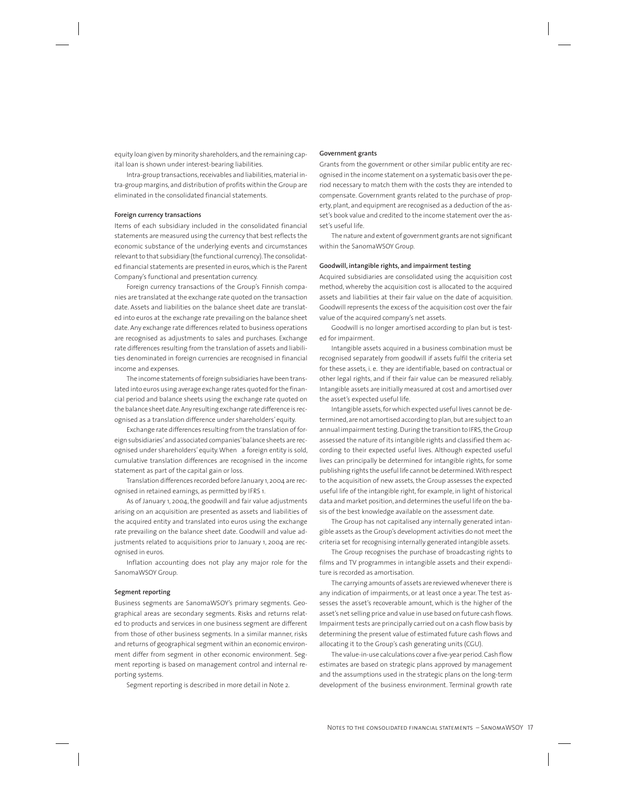equity loan given by minority shareholders, and the remaining capital loan is shown under interest-bearing liabilities.

Intra-group transactions, receivables and liabilities, material intra-group margins, and distribution of profits within the Group are eliminated in the consolidated financial statements.

#### **Foreign currency transactions**

Items of each subsidiary included in the consolidated financial statements are measured using the currency that best reflects the economic substance of the underlying events and circumstances relevant to that subsidiary (the functional currency). The consolidated financial statements are presented in euros, which is the Parent Company's functional and presentation currency.

Foreign currency transactions of the Group's Finnish companies are translated at the exchange rate quoted on the transaction date. Assets and liabilities on the balance sheet date are translated into euros at the exchange rate prevailing on the balance sheet date. Any exchange rate differences related to business operations are recognised as adjustments to sales and purchases. Exchange rate differences resulting from the translation of assets and liabilities denominated in foreign currencies are recognised in financial income and expenses.

The income statements of foreign subsidiaries have been translated into euros using average exchange rates quoted for the financial period and balance sheets using the exchange rate quoted on the balance sheet date. Any resulting exchange rate difference is recognised as a translation difference under shareholders' equity.

Exchange rate differences resulting from the translation of foreign subsidiaries' and associated companies' balance sheets are recognised under shareholders' equity. When a foreign entity is sold, cumulative translation differences are recognised in the income statement as part of the capital gain or loss.

Translation differences recorded before January 1, 2004 are recognised in retained earnings, as permitted by IFRS 1.

As of January 1, 2004, the goodwill and fair value adjustments arising on an acquisition are presented as assets and liabilities of the acquired entity and translated into euros using the exchange rate prevailing on the balance sheet date. Goodwill and value adjustments related to acquisitions prior to January 1, 2004 are recognised in euros.

Inflation accounting does not play any major role for the SanomaWSOY Group.

### **Segment reporting**

Business segments are SanomaWSOY's primary segments. Geographical areas are secondary segments. Risks and returns related to products and services in one business segment are different from those of other business segments. In a similar manner, risks and returns of geographical segment within an economic environment differ from segment in other economic environment. Segment reporting is based on management control and internal reporting systems.

Segment reporting is described in more detail in Note 2.

## **Government grants**

Grants from the government or other similar public entity are recognised in the income statement on a systematic basis over the period necessary to match them with the costs they are intended to compensate. Government grants related to the purchase of property, plant, and equipment are recognised as a deduction of the asset's book value and credited to the income statement over the asset's useful life.

The nature and extent of government grants are not significant within the SanomaWSOY Group.

#### **Goodwill, intangible rights, and impairment testing**

Acquired subsidiaries are consolidated using the acquisition cost method, whereby the acquisition cost is allocated to the acquired assets and liabilities at their fair value on the date of acquisition. Goodwill represents the excess of the acquisition cost over the fair value of the acquired company's net assets.

Goodwill is no longer amortised according to plan but is tested for impairment.

Intangible assets acquired in a business combination must be recognised separately from goodwill if assets fulfil the criteria set for these assets, i. e. they are identifiable, based on contractual or other legal rights, and if their fair value can be measured reliably. Intangible assets are initially measured at cost and amortised over the asset's expected useful life.

Intangible assets, for which expected useful lives cannot be determined, are not amortised according to plan, but are subject to an annual impairment testing. During the transition to IFRS, the Group assessed the nature of its intangible rights and classified them according to their expected useful lives. Although expected useful lives can principally be determined for intangible rights, for some publishing rights the useful life cannot be determined. With respect to the acquisition of new assets, the Group assesses the expected useful life of the intangible right, for example, in light of historical data and market position, and determines the useful life on the basis of the best knowledge available on the assessment date.

The Group has not capitalised any internally generated intangible assets as the Group's development activities do not meet the criteria set for recognising internally generated intangible assets.

The Group recognises the purchase of broadcasting rights to films and TV programmes in intangible assets and their expenditure is recorded as amortisation.

The carrying amounts of assets are reviewed whenever there is any indication of impairments, or at least once a year. The test assesses the asset's recoverable amount, which is the higher of the asset's net selling price and value in use based on future cash flows. Impairment tests are principally carried out on a cash flow basis by determining the present value of estimated future cash flows and allocating it to the Group's cash generating units (CGU).

The value-in-use calculations cover a five-year period. Cash flow estimates are based on strategic plans approved by management and the assumptions used in the strategic plans on the long-term development of the business environment. Terminal growth rate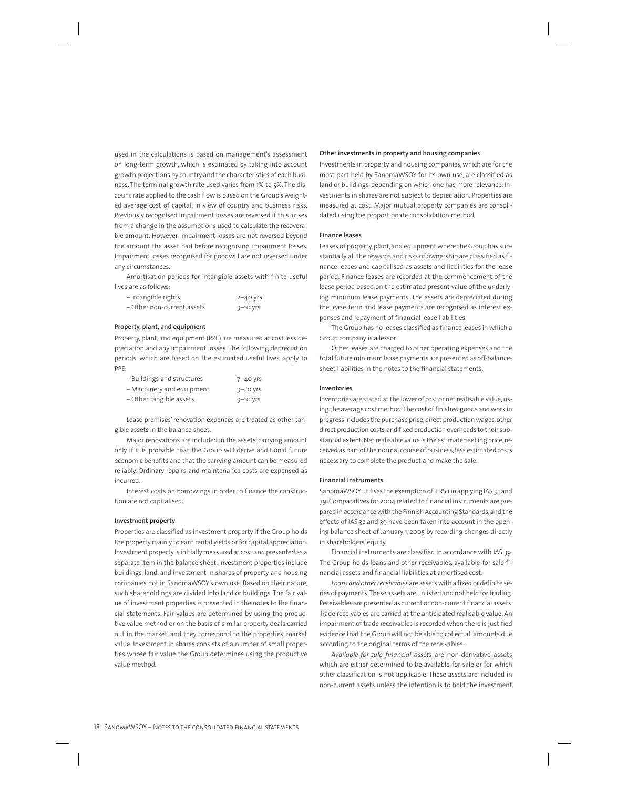used in the calculations is based on management's assessment on long-term growth, which is estimated by taking into account growth projections by country and the characteristics of each business. The terminal growth rate used varies from 1% to 5%. The discount rate applied to the cash flow is based on the Group's weighted average cost of capital, in view of country and business risks. Previously recognised impairment losses are reversed if this arises from a change in the assumptions used to calculate the recoverable amount. However, impairment losses are not reversed beyond the amount the asset had before recognising impairment losses. Impairment losses recognised for goodwill are not reversed under any circumstances.

Amortisation periods for intangible assets with finite useful lives are as follows:

| - Intangible rights        | $2 - 40$ yrs |
|----------------------------|--------------|
| - Other non-current assets | 3–10 yrs     |

## **Property, plant, and equipment**

Property, plant, and equipment (PPE) are measured at cost less depreciation and any impairment losses. The following depreciation periods, which are based on the estimated useful lives, apply to PPE:

| - Buildings and structures | $7 - 40$ yrs |
|----------------------------|--------------|
| - Machinery and equipment  | $3-20$ yrs   |
| - Other tangible assets    | $3-10$ yrs   |

Lease premises' renovation expenses are treated as other tangible assets in the balance sheet.

Major renovations are included in the assets' carrying amount only if it is probable that the Group will derive additional future economic benefits and that the carrying amount can be measured reliably. Ordinary repairs and maintenance costs are expensed as incurred.

Interest costs on borrowings in order to finance the construction are not capitalised.

## **Investment property**

Properties are classified as investment property if the Group holds the property mainly to earn rental yields or for capital appreciation. Investment property is initially measured at cost and presented as a separate item in the balance sheet. Investment properties include buildings, land, and investment in shares of property and housing companies not in SanomaWSOY's own use. Based on their nature, such shareholdings are divided into land or buildings. The fair value of investment properties is presented in the notes to the financial statements. Fair values are determined by using the productive value method or on the basis of similar property deals carried out in the market, and they correspond to the properties' market value. Investment in shares consists of a number of small properties whose fair value the Group determines using the productive value method.

### **Other investments in property and housing companies**

Investments in property and housing companies, which are for the most part held by SanomaWSOY for its own use, are classified as land or buildings, depending on which one has more relevance. Investments in shares are not subject to depreciation. Properties are measured at cost. Major mutual property companies are consolidated using the proportionate consolidation method.

#### **Finance leases**

Leases of property, plant, and equipment where the Group has substantially all the rewards and risks of ownership are classified as finance leases and capitalised as assets and liabilities for the lease period. Finance leases are recorded at the commencement of the lease period based on the estimated present value of the underlying minimum lease payments. The assets are depreciated during the lease term and lease payments are recognised as interest expenses and repayment of financial lease liabilities.

The Group has no leases classified as finance leases in which a Group company is a lessor.

Other leases are charged to other operating expenses and the total future minimum lease payments are presented as off-balancesheet liabilities in the notes to the financial statements.

### **Inventories**

Inventories are stated at the lower of cost or net realisable value, using the average cost method. The cost of finished goods and work in progress includes the purchase price, direct production wages, other direct production costs, and fixed production overheads to their substantial extent. Net realisable value is the estimated selling price, received as part of the normal course of business, less estimated costs necessary to complete the product and make the sale.

## **Financial instruments**

SanomaWSOY utilises the exemption of IFRS 1 in applying IAS 32 and 39. Comparatives for 2004 related to financial instruments are prepared in accordance with the Finnish Accounting Standards, and the effects of IAS 32 and 39 have been taken into account in the opening balance sheet of January 1, 2005 by recording changes directly in shareholders' equity.

Financial instruments are classified in accordance with IAS 39. The Group holds loans and other receivables, available-for-sale financial assets and financial liabilities at amortised cost.

*Loans and other receivables* are assets with a fixed or definite series of payments. These assets are unlisted and not held for trading. Receivables are presented as current or non-current financial assets. Trade receivables are carried at the anticipated realisable value. An impairment of trade receivables is recorded when there is justified evidence that the Group will not be able to collect all amounts due according to the original terms of the receivables.

*Available-for-sale financial assets* are non-derivative assets which are either determined to be available-for-sale or for which other classification is not applicable. These assets are included in non-current assets unless the intention is to hold the investment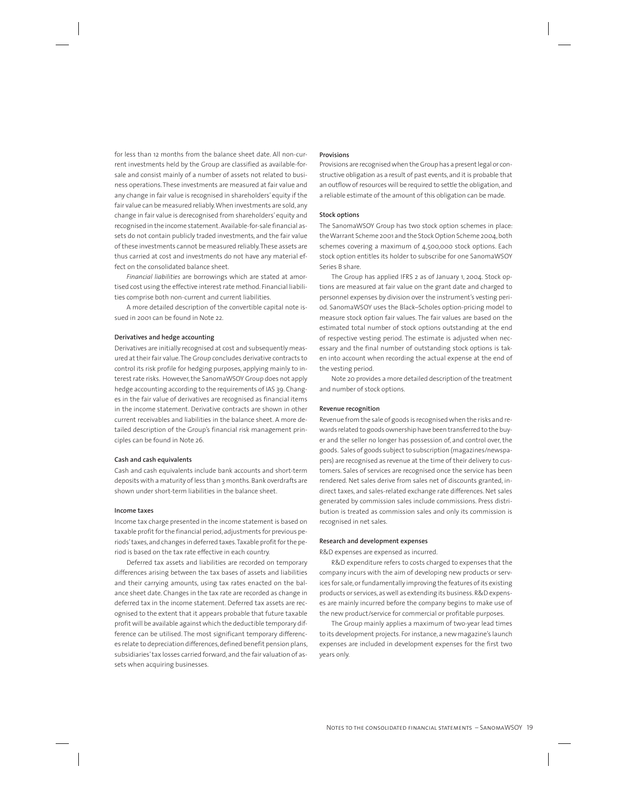for less than 12 months from the balance sheet date. All non-current investments held by the Group are classified as available-forsale and consist mainly of a number of assets not related to business operations. These investments are measured at fair value and any change in fair value is recognised in shareholders' equity if the fair value can be measured reliably. When investments are sold, any change in fair value is derecognised from shareholders' equity and recognised in the income statement. Available-for-sale financial assets do not contain publicly traded investments, and the fair value of these investments cannot be measured reliably. These assets are thus carried at cost and investments do not have any material effect on the consolidated balance sheet.

*Financial liabilities* are borrowings which are stated at amortised cost using the effective interest rate method. Financial liabilities comprise both non-current and current liabilities.

A more detailed description of the convertible capital note issued in 2001 can be found in Note 22.

## **Derivatives and hedge accounting**

Derivatives are initially recognised at cost and subsequently measured at their fair value. The Group concludes derivative contracts to control its risk profile for hedging purposes, applying mainly to interest rate risks. However, the SanomaWSOY Group does not apply hedge accounting according to the requirements of IAS 39. Changes in the fair value of derivatives are recognised as financial items in the income statement. Derivative contracts are shown in other current receivables and liabilities in the balance sheet. A more detailed description of the Group's financial risk management principles can be found in Note 26.

#### **Cash and cash equivalents**

Cash and cash equivalents include bank accounts and short-term deposits with a maturity of less than 3 months. Bank overdrafts are shown under short-term liabilities in the balance sheet.

## **Income taxes**

Income tax charge presented in the income statement is based on taxable profit for the financial period, adjustments for previous periods' taxes, and changes in deferred taxes. Taxable profit for the period is based on the tax rate effective in each country.

Deferred tax assets and liabilities are recorded on temporary differences arising between the tax bases of assets and liabilities and their carrying amounts, using tax rates enacted on the balance sheet date. Changes in the tax rate are recorded as change in deferred tax in the income statement. Deferred tax assets are recognised to the extent that it appears probable that future taxable profit will be available against which the deductible temporary difference can be utilised. The most significant temporary differences relate to depreciation differences, defined benefit pension plans, subsidiaries' tax losses carried forward, and the fair valuation of assets when acquiring businesses.

#### **Provisions**

Provisions are recognised when the Group has a present legal or constructive obligation as a result of past events, and it is probable that an outflow of resources will be required to settle the obligation, and a reliable estimate of the amount of this obligation can be made.

#### **Stock options**

The SanomaWSOY Group has two stock option schemes in place: the Warrant Scheme 2001 and the Stock Option Scheme 2004, both schemes covering a maximum of 4,500,000 stock options. Each stock option entitles its holder to subscribe for one SanomaWSOY Series B share.

The Group has applied IFRS 2 as of January 1, 2004. Stock options are measured at fair value on the grant date and charged to personnel expenses by division over the instrument's vesting period. SanomaWSOY uses the Black–Scholes option-pricing model to measure stock option fair values. The fair values are based on the estimated total number of stock options outstanding at the end of respective vesting period. The estimate is adjusted when necessary and the final number of outstanding stock options is taken into account when recording the actual expense at the end of the vesting period.

Note 20 provides a more detailed description of the treatment and number of stock options.

#### **Revenue recognition**

Revenue from the sale of goods is recognised when the risks and rewards related to goods ownership have been transferred to the buyer and the seller no longer has possession of, and control over, the goods. Sales of goods subject to subscription (magazines/newspapers) are recognised as revenue at the time of their delivery to customers. Sales of services are recognised once the service has been rendered. Net sales derive from sales net of discounts granted, indirect taxes, and sales-related exchange rate differences. Net sales generated by commission sales include commissions. Press distribution is treated as commission sales and only its commission is recognised in net sales.

### **Research and development expenses**

R&D expenses are expensed as incurred.

R&D expenditure refers to costs charged to expenses that the company incurs with the aim of developing new products or services for sale, or fundamentally improving the features of its existing products or services, as well as extending its business. R&D expenses are mainly incurred before the company begins to make use of the new product/service for commercial or profitable purposes.

The Group mainly applies a maximum of two-year lead times to its development projects. For instance, a new magazine's launch expenses are included in development expenses for the first two years only.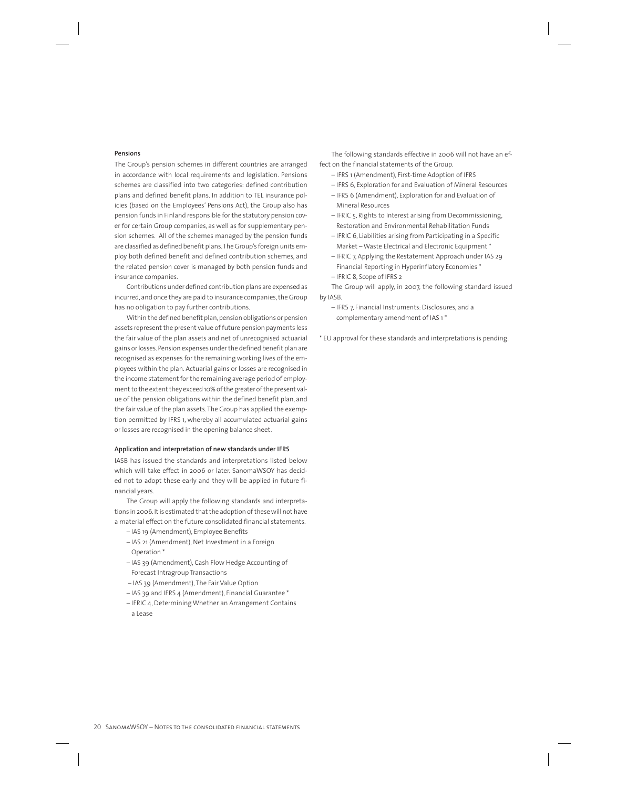#### **Pensions**

The Group's pension schemes in different countries are arranged in accordance with local requirements and legislation. Pensions schemes are classified into two categories: defined contribution plans and defined benefit plans. In addition to TEL insurance policies (based on the Employees' Pensions Act), the Group also has pension funds in Finland responsible for the statutory pension cover for certain Group companies, as well as for supplementary pension schemes. All of the schemes managed by the pension funds are classified as defined benefit plans. The Group's foreign units employ both defined benefit and defined contribution schemes, and the related pension cover is managed by both pension funds and insurance companies.

Contributions under defined contribution plans are expensed as incurred, and once they are paid to insurance companies, the Group has no obligation to pay further contributions.

Within the defined benefit plan, pension obligations or pension assets represent the present value of future pension payments less the fair value of the plan assets and net of unrecognised actuarial gains or losses. Pension expenses under the defined benefit plan are recognised as expenses for the remaining working lives of the employees within the plan. Actuarial gains or losses are recognised in the income statement for the remaining average period of employment to the extent they exceed 10% of the greater of the present value of the pension obligations within the defined benefit plan, and the fair value of the plan assets. The Group has applied the exemption permitted by IFRS 1, whereby all accumulated actuarial gains or losses are recognised in the opening balance sheet.

#### **Application and interpretation of new standards under IFRS**

IASB has issued the standards and interpretations listed below which will take effect in 2006 or later. SanomaWSOY has decided not to adopt these early and they will be applied in future financial years.

The Group will apply the following standards and interpretations in 2006. It is estimated that the adoption of these will not have a material effect on the future consolidated financial statements.

- IAS 19 (Amendment), Employee Benefits
- IAS 21 (Amendment), Net Investment in a Foreign Operation \*
- IAS 39 (Amendment), Cash Flow Hedge Accounting of Forecast Intragroup Transactions
- IAS 39 (Amendment), The Fair Value Option
- IAS 39 and IFRS 4 (Amendment), Financial Guarantee \*
- IFRIC 4, Determining Whether an Arrangement Contains a Lease

The following standards effective in 2006 will not have an effect on the financial statements of the Group.

- IFRS 1 (Amendment), First-time Adoption of IFRS
- IFRS 6, Exploration for and Evaluation of Mineral Resources
- IFRS 6 (Amendment), Exploration for and Evaluation of Mineral Resources
- IFRIC 5, Rights to Interest arising from Decommissioning, Restoration and Environmental Rehabilitation Funds
- IFRIC 6, Liabilities arising from Participating in a Specific Market – Waste Electrical and Electronic Equipment \*
- IFRIC 7, Applying the Restatement Approach under IAS 29 Financial Reporting in Hyperinflatory Economies \*
- IFRIC 8, Scope of IFRS 2

The Group will apply, in 2007, the following standard issued by IASB.

- IFRS 7, Financial Instruments: Disclosures, and a complementary amendment of IAS 1 \*
- \* EU approval for these standards and interpretations is pending.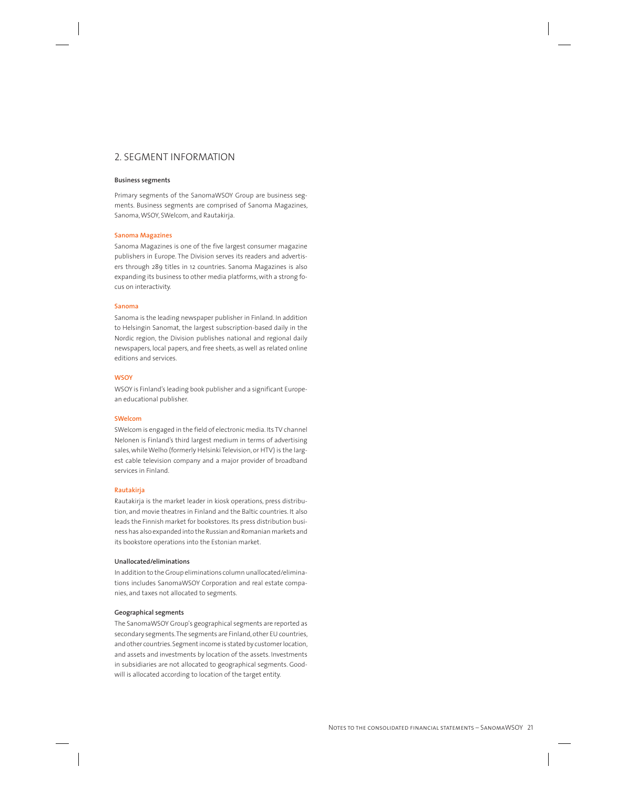# 2. SEGMENT INFORMATION

## **Business segments**

Primary segments of the SanomaWSOY Group are business segments. Business segments are comprised of Sanoma Magazines, Sanoma, WSOY, SWelcom, and Rautakirja.

#### **Sanoma Magazines**

Sanoma Magazines is one of the five largest consumer magazine publishers in Europe. The Division serves its readers and advertisers through 289 titles in 12 countries. Sanoma Magazines is also expanding its business to other media platforms, with a strong focus on interactivity.

### **Sanoma**

Sanoma is the leading newspaper publisher in Finland. In addition to Helsingin Sanomat, the largest subscription-based daily in the Nordic region, the Division publishes national and regional daily newspapers, local papers, and free sheets, as well as related online editions and services.

#### **WSOY**

WSOY is Finland's leading book publisher and a significant European educational publisher.

#### **SWelcom**

SWelcom is engaged in the field of electronic media. Its TV channel Nelonen is Finland's third largest medium in terms of advertising sales, while Welho (formerly Helsinki Television, or HTV) is the largest cable television company and a major provider of broadband services in Finland.

#### **Rautakirja**

Rautakirja is the market leader in kiosk operations, press distribution, and movie theatres in Finland and the Baltic countries. It also leads the Finnish market for bookstores. Its press distribution business has also expanded into the Russian and Romanian markets and its bookstore operations into the Estonian market.

## **Unallocated/eliminations**

In addition to the Group eliminations column unallocated/eliminations includes SanomaWSOY Corporation and real estate companies, and taxes not allocated to segments.

#### **Geographical segments**

The SanomaWSOY Group's geographical segments are reported as secondary segments. The segments are Finland, other EU countries, and other countries. Segment income is stated by customer location, and assets and investments by location of the assets. Investments in subsidiaries are not allocated to geographical segments. Goodwill is allocated according to location of the target entity.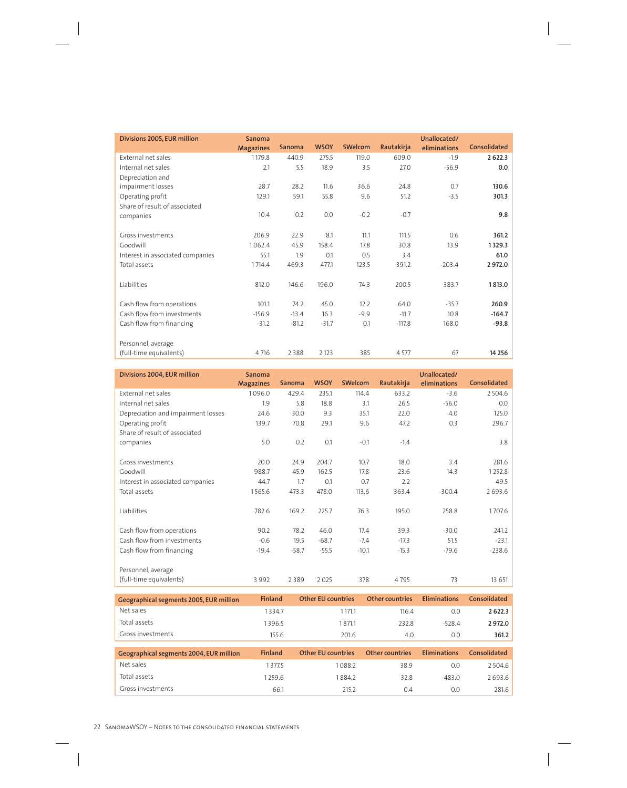| Divisions 2005, EUR million      | <b>Sanoma</b>    |               |             |                |            | Unallocated/ |              |
|----------------------------------|------------------|---------------|-------------|----------------|------------|--------------|--------------|
|                                  | <b>Magazines</b> | <b>Sanoma</b> | <b>WSOY</b> | <b>SWelcom</b> | Rautakirja | eliminations | Consolidated |
| External net sales               | 1179.8           | 440.9         | 275.5       | 119.0          | 609.0      | $-1.9$       | 2 6 2 2.3    |
| Internal net sales               | 2.1              | 5.5           | 18.9        | 3.5            | 27.0       | $-56.9$      | 0.0          |
| Depreciation and                 |                  |               |             |                |            |              |              |
| impairment losses                | 28.7             | 28.2          | 11.6        | 36.6           | 24.8       | 0.7          | 130.6        |
| Operating profit                 | 129.1            | 59.1          | 55.8        | 9.6            | 51.2       | $-3.5$       | 301.3        |
| Share of result of associated    |                  |               |             |                |            |              |              |
| companies                        | 10.4             | 0.2           | 0.0         | $-0.2$         | $-0.7$     |              | 9.8          |
|                                  |                  |               |             |                |            |              |              |
| Gross investments                | 206.9            | 22.9          | 8.1         | 11.1           | 111.5      | 0.6          | 361.2        |
| Goodwill                         | 1062.4           | 45.9          | 158.4       | 17.8           | 30.8       | 13.9         | 1329.3       |
| Interest in associated companies | 55.1             | 1.9           | 0.1         | 0.5            | 3.4        |              | 61.0         |
| Total assets                     | 1714.4           | 469.3         | 477.1       | 123.5          | 391.2      | $-203.4$     | 2972.0       |
|                                  |                  |               |             |                |            |              |              |
| Liabilities                      | 812.0            | 146.6         | 196.0       | 74.3           | 200.5      | 383.7        | 1813.0       |
|                                  |                  |               |             |                |            |              |              |
| Cash flow from operations        | 101.1            | 74.2          | 45.0        | 12.2           | 64.0       | $-35.7$      | 260.9        |
| Cash flow from investments       | $-156.9$         | $-13.4$       | 16.3        | $-9.9$         | $-11.7$    | 10.8         | $-164.7$     |
| Cash flow from financing         | $-31.2$          | $-81.2$       | $-31.7$     | 0.1            | $-117.8$   | 168.0        | $-93.8$      |
|                                  |                  |               |             |                |            |              |              |
| Personnel, average               |                  |               |             |                |            |              |              |
| (full-time equivalents)          | 4716             | 2388          | 2 1 2 3     | 385            | 4577       | 67           | 14 2 5 6     |

| Divisions 2004, EUR million        | Sanoma<br><b>Magazines</b> | <b>Sanoma</b> | <b>WSOY</b> | <b>SWelcom</b> | Rautakirja | Unallocated/<br>eliminations | Consolidated |
|------------------------------------|----------------------------|---------------|-------------|----------------|------------|------------------------------|--------------|
| External net sales                 | 1096.0                     | 429.4         | 235.1       | 114.4          | 633.2      | $-3.6$                       | 2504.6       |
| Internal net sales                 | 1.9                        | 5.8           | 18.8        | 3.1            | 26.5       | $-56.0$                      | 0.0          |
| Depreciation and impairment losses | 24.6                       | 30.0          | 9.3         | 35.1           | 22.0       | 4.0                          | 125.0        |
| Operating profit                   | 139.7                      | 70.8          | 29.1        | 9.6            | 47.2       | 0.3                          | 296.7        |
| Share of result of associated      |                            |               |             |                |            |                              |              |
| companies                          | 5.0                        | 0.2           | 0.1         | $-0.1$         | $-1.4$     |                              | 3.8          |
|                                    |                            |               |             |                |            |                              |              |
| Gross investments                  | 20.0                       | 24.9          | 204.7       | 10.7           | 18.0       | 3.4                          | 281.6        |
| Goodwill                           | 988.7                      | 45.9          | 162.5       | 17.8           | 23.6       | 14.3                         | 1252.8       |
| Interest in associated companies   | 44.7                       | 1.7           | 0.1         | 0.7            | 2.2        |                              | 49.5         |
| Total assets                       | 1565.6                     | 473.3         | 478.0       | 113.6          | 363.4      | $-300.4$                     | 2693.6       |
|                                    |                            |               |             |                |            |                              |              |
| Liabilities                        | 782.6                      | 169.2         | 225.7       | 76.3           | 195.0      | 258.8                        | 1707.6       |
|                                    |                            |               |             |                |            |                              |              |
| Cash flow from operations          | 90.2                       | 78.2          | 46.0        | 17.4           | 39.3       | $-30.0$                      | 241.2        |
| Cash flow from investments         | $-0.6$                     | 19.5          | $-68.7$     | $-7.4$         | $-17.3$    | 51.5                         | $-23.1$      |
| Cash flow from financing           | $-19.4$                    | $-58.7$       | $-55.5$     | $-10.1$        | $-15.3$    | $-79.6$                      | $-238.6$     |
|                                    |                            |               |             |                |            |                              |              |
| Personnel, average                 |                            |               |             |                |            |                              |              |
| (full-time equivalents)            | 3992                       | 2389          | 2025        | 378            | 4795       | 73                           | 13 6 51      |

| Geographical segments 2005, EUR million | <b>Finland</b> | <b>Other EU countries</b> | Other countries        | <b>Fliminations</b> | Consolidated |
|-----------------------------------------|----------------|---------------------------|------------------------|---------------------|--------------|
| Net sales                               | 1334.7         | 1 171.1                   | 116.4                  | 0.0                 | 2 6 2 2.3    |
| Total assets                            | 1396.5         | 1871.1                    | 232.8                  | $-528.4$            | 2972.0       |
| Gross investments                       | 155.6          | 201.6                     | 4.0                    | 0.0                 | 361.2        |
|                                         |                |                           |                        |                     |              |
| Geographical segments 2004, EUR million | <b>Finland</b> | Other FU countries        | <b>Other countries</b> | <b>Fliminations</b> | Consolidated |
| Net sales                               | 1377.5         | 1088.2                    | 38.9                   | 0.0                 | 2504.6       |
| Total assets                            | 1259.6         | 1884.2                    | 32.8                   | $-483.0$            | 2693.6       |
| Gross investments                       | 66.1           | 215.2                     | 0.4                    | 0.0                 | 281.6        |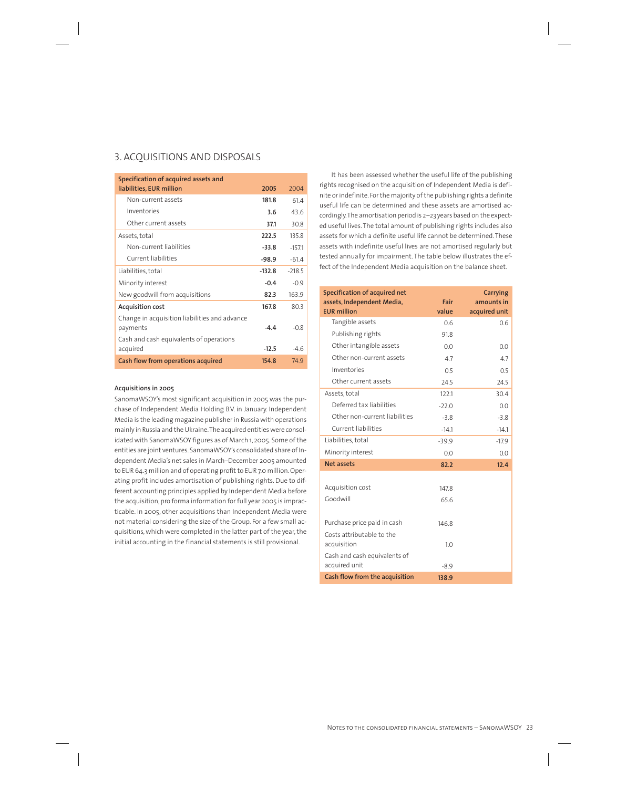# 3. ACQUISITIONS AND DISPOSALS

| Specification of acquired assets and<br>liabilities, EUR million | 2005     | 2004     |
|------------------------------------------------------------------|----------|----------|
| Non-current assets                                               | 181.8    | 614      |
| Inventories                                                      | 3.6      | 436      |
| Other current assets                                             | 37.1     | 30.8     |
| Assets, total                                                    | 222.5    | 135.8    |
| Non-current liabilities                                          | $-33.8$  | $-157.1$ |
| Current liabilities                                              | $-98.9$  | $-61.4$  |
| Liabilities, total                                               | $-132.8$ | $-2185$  |
| Minority interest                                                | $-0.4$   | $-0.9$   |
| New goodwill from acquisitions                                   | 82.3     | 163.9    |
| Acquisition cost                                                 | 167.8    | 80.3     |
| Change in acquisition liabilities and advance<br>payments        | $-4.4$   | $-0.8$   |
| Cash and cash equivalents of operations<br>acquired              | $-12.5$  | $-46$    |
| Cash flow from operations acquired                               | 154.8    | 749      |

## **Acquisitions in 2005**

SanomaWSOY's most significant acquisition in 2005 was the purchase of Independent Media Holding B.V. in January. Independent Media is the leading magazine publisher in Russia with operations mainly in Russia and the Ukraine. The acquired entities were consolidated with SanomaWSOY figures as of March 1, 2005. Some of the entities are joint ventures. SanomaWSOY's consolidated share of Independent Media's net sales in March–December 2005 amounted to EUR 64.3 million and of operating profit to EUR 7.0 million. Operating profit includes amortisation of publishing rights. Due to different accounting principles applied by Independent Media before the acquisition, pro forma information for full year 2005 is impracticable. In 2005, other acquisitions than Independent Media were not material considering the size of the Group. For a few small acquisitions, which were completed in the latter part of the year, the initial accounting in the financial statements is still provisional.

It has been assessed whether the useful life of the publishing rights recognised on the acquisition of Independent Media is definite or indefinite. For the majority of the publishing rights a definite useful life can be determined and these assets are amortised accordingly. The amortisation period is 2–23 years based on the expected useful lives. The total amount of publishing rights includes also assets for which a definite useful life cannot be determined. These assets with indefinite useful lives are not amortised regularly but tested annually for impairment. The table below illustrates the effect of the Independent Media acquisition on the balance sheet.

| Specification of acquired net<br>assets, Independent Media,<br><b>EUR</b> million | Fair<br>value | <b>Carrying</b><br>amounts in<br>acquired unit |
|-----------------------------------------------------------------------------------|---------------|------------------------------------------------|
| Tangible assets                                                                   | 0.6           | 0.6                                            |
| Publishing rights                                                                 | 91.8          |                                                |
| Other intangible assets                                                           | 0.0           | 0.0                                            |
| Other non-current assets                                                          | 4.7           | 4.7                                            |
| Inventories                                                                       | 0.5           | 0.5                                            |
| Other current assets                                                              | 24.5          | 24.5                                           |
| Assets, total                                                                     | 122.1         | 30.4                                           |
| Deferred tax liabilities                                                          | $-22.0$       | 0.0                                            |
| Other non-current liabilities                                                     | $-3.8$        | $-3.8$                                         |
| Current liabilities                                                               | $-14.1$       | $-14.1$                                        |
| Liabilities, total                                                                | $-39.9$       | $-17.9$                                        |
| Minority interest                                                                 | 0.0           | 0.0                                            |
| <b>Net assets</b>                                                                 | 82.2          | 12.4                                           |
|                                                                                   |               |                                                |
| Acquisition cost                                                                  | 147.8         |                                                |
| Goodwill                                                                          | 65.6          |                                                |
|                                                                                   |               |                                                |
| Purchase price paid in cash                                                       | 146.8         |                                                |
| Costs attributable to the<br>acquisition                                          | 1.0           |                                                |
| Cash and cash equivalents of<br>acquired unit                                     | $-8.9$        |                                                |
| Cash flow from the acquisition                                                    | 138.9         |                                                |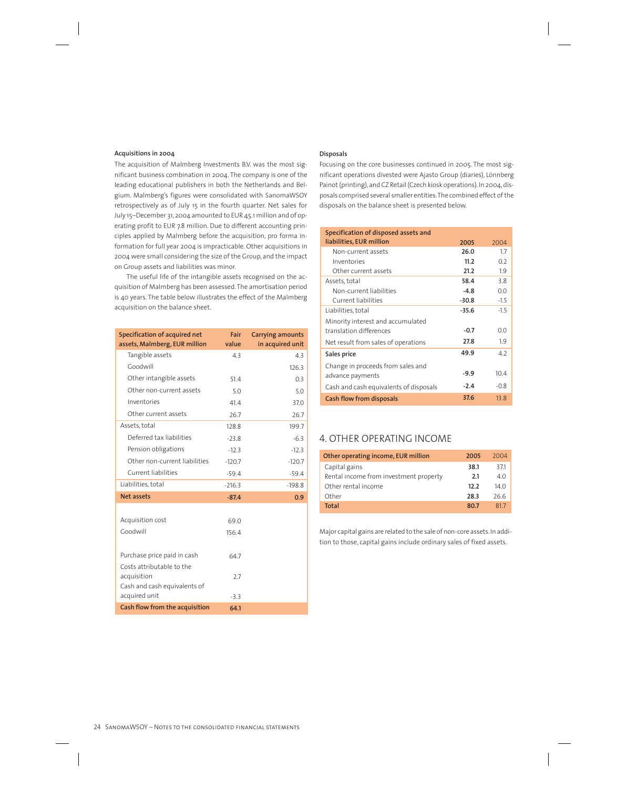## **Acquisitions in 2004**

The acquisition of Malmberg Investments B.V. was the most significant business combination in 2004. The company is one of the leading educational publishers in both the Netherlands and Belgium. Malmberg's figures were consolidated with SanomaWSOY retrospectively as of July 15 in the fourth quarter. Net sales for July 15–December 31, 2004 amounted to EUR 45.1 million and of operating profit to EUR 7.8 million. Due to different accounting principles applied by Malmberg before the acquisition, pro forma information for full year 2004 is impracticable. Other acquisitions in 2004 were small considering the size of the Group, and the impact on Group assets and liabilities was minor.

The useful life of the intangible assets recognised on the acquisition of Malmberg has been assessed. The amortisation period is 40 years. The table below illustrates the effect of the Malmberg acquisition on the balance sheet.

| Specification of acquired net  | Fair     | <b>Carrying amounts</b> |
|--------------------------------|----------|-------------------------|
| assets, Malmberg, EUR million  | value    | in acquired unit        |
| Tangible assets                | 4.3      | 4.3                     |
| Goodwill                       |          | 126.3                   |
| Other intangible assets        | 51.4     | 0.3                     |
| Other non-current assets       | 5.0      | 5.0                     |
| Inventories                    | 41.4     | 37.0                    |
| Other current assets           | 26.7     | 26.7                    |
| Assets, total                  | 128.8    | 199.7                   |
| Deferred tax liabilities       | $-23.8$  | $-6.3$                  |
| Pension obligations            | $-12.3$  | $-12.3$                 |
| Other non-current liabilities  | $-120.7$ | $-120.7$                |
| Current liabilities            | $-59.4$  | $-59.4$                 |
| Liabilities, total             | $-216.3$ | $-198.8$                |
| <b>Net assets</b>              | $-87.4$  | 0.9                     |
|                                |          |                         |
| Acquisition cost               | 69.0     |                         |
| Goodwill                       | 156.4    |                         |
|                                |          |                         |
| Purchase price paid in cash    | 64.7     |                         |
| Costs attributable to the      |          |                         |
| acquisition                    | 2.7      |                         |
| Cash and cash equivalents of   |          |                         |
| acquired unit                  | $-3.3$   |                         |
| Cash flow from the acquisition | 64.1     |                         |

# **Disposals**

Focusing on the core businesses continued in 2005. The most significant operations divested were Ajasto Group (diaries), Lönnberg Painot (printing), and CZ Retail (Czech kiosk operations). In 2004, disposals comprised several smaller entities. The combined effect of the disposals on the balance sheet is presented below.

| Specification of disposed assets and   |         |        |
|----------------------------------------|---------|--------|
| liabilities, EUR million               | 2005    | 2004   |
| Non-current assets                     | 26.0    | 17     |
| Inventories                            | 11.2    | 0.2    |
| Other current assets                   | 21.2    | 1.9    |
| Assets, total                          | 58.4    | 38     |
| Non-current liabilities                | $-4.8$  | 0.0    |
| Current liabilities                    | $-30.8$ | $-1.5$ |
| Liabilities, total                     | -35.6   | $-1.5$ |
| Minority interest and accumulated      |         |        |
| translation differences                | $-0.7$  | 0.0    |
| Net result from sales of operations    | 27.8    | 1.9    |
| Sales price                            | 49.9    | 42     |
| Change in proceeds from sales and      |         |        |
| advance payments                       | $-9.9$  | 10.4   |
| Cash and cash equivalents of disposals | $-2.4$  | $-0.8$ |
| Cash flow from disposals               | 37.6    | 13.8   |

# 4. OTHER OPERATING INCOME

| Other operating income, EUR million    | 2005 | 2004            |
|----------------------------------------|------|-----------------|
| Capital gains                          | 38.1 | 371             |
| Rental income from investment property | 2.1  | 4 O             |
| Other rental income                    | 12.2 | 14 <sub>0</sub> |
| Other                                  | 28.3 | 26.6            |
| Total                                  | 80.7 | 817             |

Major capital gains are related to the sale of non-core assets. In addition to those, capital gains include ordinary sales of fixed assets.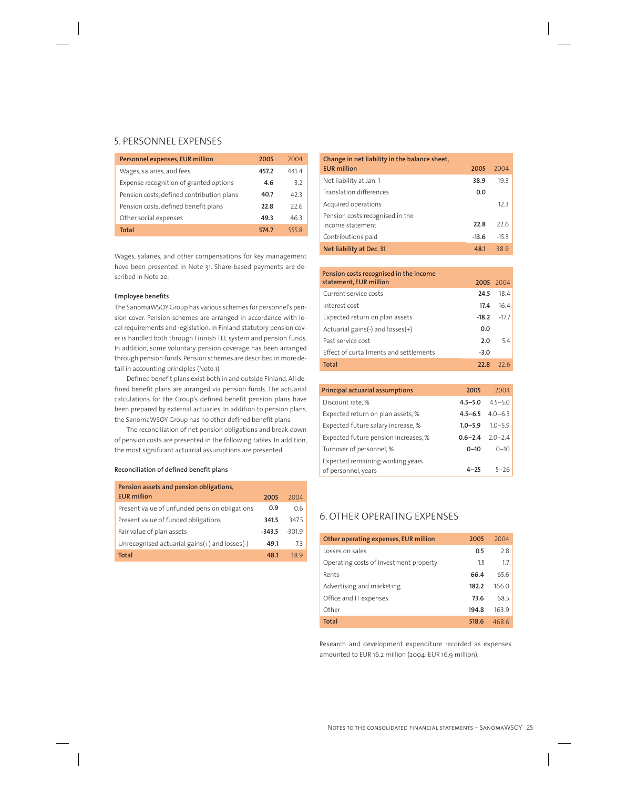# 5. PERSONNEL EXPENSES

| Personnel expenses, EUR million           | 2005  | 2004 |
|-------------------------------------------|-------|------|
| Wages, salaries, and fees                 | 457.2 | 4414 |
| Expense recognition of granted options    | 4.6   | 3.2  |
| Pension costs, defined contribution plans | 40.7  | 42 3 |
| Pension costs, defined benefit plans      | 22.8  | 226  |
| Other social expenses                     | 49.3  | 463  |
| Total                                     | 5747  | 5558 |

Wages, salaries, and other compensations for key management have been presented in Note 31. Share-based payments are described in Note 20.

## **Employee benefits**

The SanomaWSOY Group has various schemes for personnel's pension cover. Pension schemes are arranged in accordance with local requirements and legislation. In Finland statutory pension cover is handled both through Finnish TEL system and pension funds. In addition, some voluntary pension coverage has been arranged through pension funds. Pension schemes are described in more detail in accounting principles (Note 1).

Defined benefit plans exist both in and outside Finland. All defined benefit plans are arranged via pension funds. The actuarial calculations for the Group's defined benefit pension plans have been prepared by external actuaries. In addition to pension plans, the SanomaWSOY Group has no other defined benefit plans.

The reconciliation of net pension obligations and break-down of pension costs are presented in the following tables. In addition, the most significant actuarial assumptions are presented.

## **Reconciliation of defined benefit plans**

| Pension assets and pension obligations,       |          |          |
|-----------------------------------------------|----------|----------|
| <b>EUR million</b>                            | 2005     | 2004     |
| Present value of unfunded pension obligations | 0.9      | 0.6      |
| Present value of funded obligations           | 341.5    | 347.5    |
| Fair value of plan assets                     | $-343.5$ | $-301.9$ |
| Unrecognised actuarial gains(+) and losses(-) | 49.1     | $-7.3$   |
| Total                                         | 48.1     | 389      |

| Change in net liability in the balance sheet, |         |        |
|-----------------------------------------------|---------|--------|
| <b>EUR million</b>                            | 2005    | 2004   |
| Net liability at Jan. 1                       | 38.9    | 193    |
| Translation differences                       | 0.0     |        |
| Acquired operations                           |         | 123    |
| Pension costs recognised in the               |         |        |
| income statement                              | 22.8    | 226    |
| Contributions paid                            | $-13.6$ | $-153$ |
| Net liability at Dec. 31                      | 48.1    | 389    |

| Pension costs recognised in the income |         |           |
|----------------------------------------|---------|-----------|
| statement, EUR million                 |         | 2005 2004 |
| Current service costs                  | 24.5    | 18.4      |
| Interest cost                          | 17.4    | 16.4      |
| Expected return on plan assets         | $-18.2$ | $-17.7$   |
| Actuarial gains(-) and $losses(+)$     | 0.0     |           |
| Past service cost                      | 2.0     | 54        |
| Effect of curtailments and settlements | $-3.0$  |           |
| <b>Total</b>                           | 22.8    |           |

| <b>Principal actuarial assumptions</b> | 2005        | 2004                    |
|----------------------------------------|-------------|-------------------------|
| Discount rate, %                       | $4.5 - 5.0$ | $4.5 - 5.0$             |
| Expected return on plan assets, %      |             | $4.5 - 6.5$ $4.0 - 6.3$ |
| Expected future salary increase, %     |             | $1.0 - 5.9$ $1.0 - 5.9$ |
| Expected future pension increases, %   |             | $0.6 - 2.4$ 2.0 - 2.4   |
| Turnover of personnel, %               | $0 - 10$    | $0 - 10$                |
| Expected remaining working years       |             |                         |
| of personnel, years                    | $4 - 25$    | $5 - 26$                |

# 6. OTHER OPERATING EXPENSES

| Other operating expenses, EUR million  | 2005  | 2004  |
|----------------------------------------|-------|-------|
| Losses on sales                        | 0.5   | 2.8   |
| Operating costs of investment property | 1.1   | 1.7   |
| Rents                                  | 66.4  | 656   |
| Advertising and marketing              | 182.2 | 1660  |
| Office and IT expenses                 | 73.6  | 685   |
| Other                                  | 194.8 | 163.9 |
| Total                                  | 518.6 | 468.6 |

Research and development expenditure recorded as expenses amounted to EUR 16.2 million (2004: EUR 16.9 million).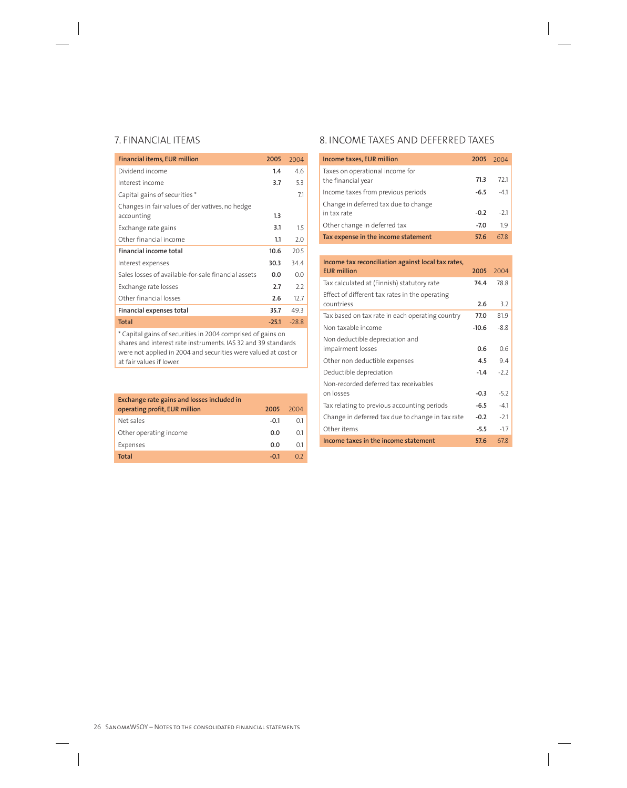| Financial items, EUR million                        | 2005    | 2004   |
|-----------------------------------------------------|---------|--------|
| Dividend income                                     | 1.4     | 4.6    |
| Interest income                                     | 3.7     | 5.3    |
| Capital gains of securities*                        |         | 7.1    |
| Changes in fair values of derivatives, no hedge     |         |        |
| accounting                                          | 1.3     |        |
| Exchange rate gains                                 | 3.1     | 1.5    |
| Other financial income                              | 1.1     | 2.0    |
| <b>Financial income total</b>                       | 10.6    | 20.5   |
| Interest expenses                                   | 30.3    | 34.4   |
| Sales losses of available-for-sale financial assets | 0.0     | 0.0    |
| Exchange rate losses                                | 2.7     | 2.2    |
| Other financial losses                              | 2.6     | 12.7   |
| Financial expenses total                            | 35.7    | 49.3   |
| Total                                               | $-25.1$ | $-288$ |

\* Capital gains of securities in 2004 comprised of gains on shares and interest rate instruments. IAS 32 and 39 standards were not applied in 2004 and securities were valued at cost or at fair values if lower.

| Exchange rate gains and losses included in<br>operating profit, EUR million | 2005   | 2004 |
|-----------------------------------------------------------------------------|--------|------|
| Net sales                                                                   | $-0.1$ | 01   |
| Other operating income                                                      | 0.0    | 01   |
| Expenses                                                                    | 0.O    | 01   |
| Total                                                                       | $-0.1$ |      |

# 7. FINANCIAL ITEMS 8. INCOME TAXES AND DEFERRED TAXES

| Income taxes, EUR million                             | 2005 2004 |       |
|-------------------------------------------------------|-----------|-------|
| Taxes on operational income for<br>the financial year | 71.3      | 721   |
| Income taxes from previous periods                    | $-6.5$    | $-41$ |
| Change in deferred tax due to change<br>in tax rate   | $-0.2$    | $-21$ |
| Other change in deferred tax                          | $-7.0$    | 19    |
| Tax expense in the income statement                   | 57.6      | 678   |

| Income tax reconciliation against local tax rates,<br><b>EUR</b> million | 2005    | 2004   |
|--------------------------------------------------------------------------|---------|--------|
| Tax calculated at (Finnish) statutory rate                               | 74.4    | 78.8   |
| Effect of different tax rates in the operating                           |         |        |
| countriess                                                               | 2.6     | 3.2    |
| Tax based on tax rate in each operating country                          | 77.0    | 81.9   |
| Non taxable income                                                       | $-10.6$ | $-8.8$ |
| Non deductible depreciation and                                          |         |        |
| impairment losses                                                        | 0.6     | 0.6    |
| Other non deductible expenses                                            | 4.5     | 9.4    |
| Deductible depreciation                                                  | $-1.4$  | $-2.2$ |
| Non-recorded deferred tax receivables                                    |         |        |
| on losses                                                                | $-0.3$  | $-5.2$ |
| Tax relating to previous accounting periods                              | $-6.5$  | $-4.1$ |
| Change in deferred tax due to change in tax rate                         | $-0.2$  | $-2.1$ |
| Other items                                                              | $-5.5$  | $-1.7$ |
| Income taxes in the income statement                                     | 57.6    | 678    |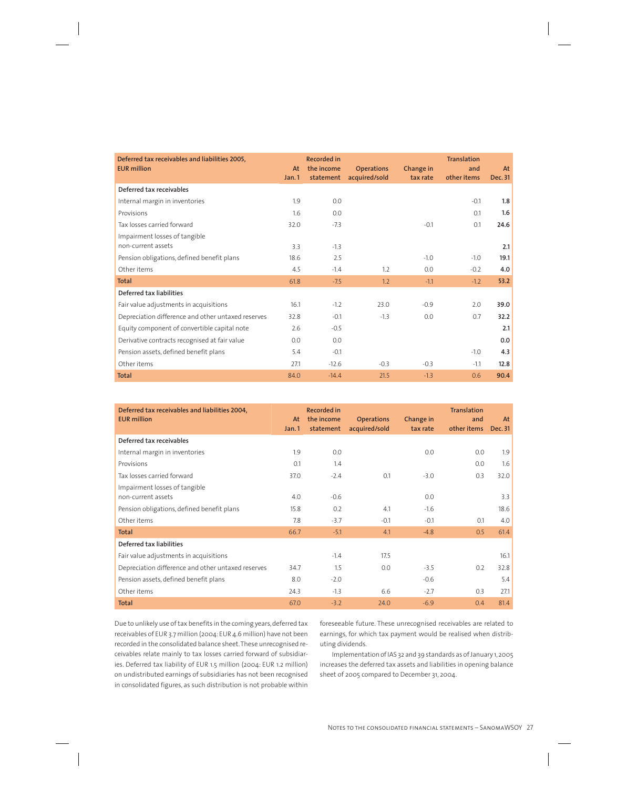| Deferred tax receivables and liabilities 2005,<br><b>EUR million</b> | At    | <b>Recorded in</b><br>the income | <b>Operations</b> | <b>Change in</b> | <b>Translation</b><br>and | At      |
|----------------------------------------------------------------------|-------|----------------------------------|-------------------|------------------|---------------------------|---------|
|                                                                      | Jan.1 | statement                        | acquired/sold     | tax rate         | other items               | Dec. 31 |
| Deferred tax receivables                                             |       |                                  |                   |                  |                           |         |
| Internal margin in inventories                                       | 1.9   | 0.0                              |                   |                  | $-0.1$                    | 1.8     |
| Provisions                                                           | 1.6   | 0.0                              |                   |                  | 0.1                       | 1.6     |
| Tax losses carried forward                                           | 32.0  | $-7.3$                           |                   | $-0.1$           | 0.1                       | 24.6    |
| Impairment losses of tangible                                        |       |                                  |                   |                  |                           |         |
| non-current assets                                                   | 3.3   | $-1.3$                           |                   |                  |                           | 2.1     |
| Pension obligations, defined benefit plans                           | 18.6  | 2.5                              |                   | $-1.0$           | $-1.0$                    | 19.1    |
| Other items                                                          | 4.5   | $-1.4$                           | 1.2               | 0.0              | $-0.2$                    | 4.0     |
| <b>Total</b>                                                         | 61.8  | $-7.5$                           | 1.2               | $-1.1$           | $-1.2$                    | 53.2    |
| Deferred tax liabilities                                             |       |                                  |                   |                  |                           |         |
| Fair value adjustments in acquisitions                               | 16.1  | $-1.2$                           | 23.0              | $-0.9$           | 2.0                       | 39.0    |
| Depreciation difference and other untaxed reserves                   | 32.8  | $-0.1$                           | $-1.3$            | 0.0              | 0.7                       | 32.2    |
| Equity component of convertible capital note                         | 2.6   | $-0.5$                           |                   |                  |                           | 2.1     |
| Derivative contracts recognised at fair value                        | 0.0   | 0.0                              |                   |                  |                           | 0.0     |
| Pension assets, defined benefit plans                                | 5.4   | $-0.1$                           |                   |                  | $-1.0$                    | 4.3     |
| Other items                                                          | 27.1  | $-12.6$                          | $-0.3$            | $-0.3$           | $-1.1$                    | 12.8    |
| <b>Total</b>                                                         | 84.0  | $-14.4$                          | 21.5              | $-1.3$           | 0.6                       | 90.4    |

| Deferred tax receivables and liabilities 2004,<br><b>EUR million</b> | At<br>Jan.1 | Recorded in<br>the income<br>statement | <b>Operations</b><br>acquired/sold | Change in<br>tax rate | <b>Translation</b><br>and<br>other items | At<br>Dec. 31 |
|----------------------------------------------------------------------|-------------|----------------------------------------|------------------------------------|-----------------------|------------------------------------------|---------------|
| Deferred tax receivables                                             |             |                                        |                                    |                       |                                          |               |
| Internal margin in inventories                                       | 1.9         | 0.0                                    |                                    | 0.0                   | 0.0                                      | 1.9           |
| Provisions                                                           | 0.1         | 1.4                                    |                                    |                       | 0.0                                      | 1.6           |
| Tax losses carried forward                                           | 37.0        | $-2.4$                                 | 0.1                                | $-3.0$                | 0.3                                      | 32.0          |
| Impairment losses of tangible                                        |             |                                        |                                    |                       |                                          |               |
| non-current assets                                                   | 4.0         | $-0.6$                                 |                                    | 0.0                   |                                          | 3.3           |
| Pension obligations, defined benefit plans                           | 15.8        | 0.2                                    | 4.1                                | $-1.6$                |                                          | 18.6          |
| Other items                                                          | 7.8         | $-3.7$                                 | $-0.1$                             | $-0.1$                | 0.1                                      | 4.0           |
| <b>Total</b>                                                         | 66.7        | $-5.1$                                 | 4.1                                | $-4.8$                | 0.5                                      | 61.4          |
| Deferred tax liabilities                                             |             |                                        |                                    |                       |                                          |               |
| Fair value adjustments in acquisitions                               |             | $-1.4$                                 | 17.5                               |                       |                                          | 16.1          |
| Depreciation difference and other untaxed reserves                   | 34.7        | 1.5                                    | 0.0                                | $-3.5$                | 0.2                                      | 32.8          |
| Pension assets, defined benefit plans                                | 8.0         | $-2.0$                                 |                                    | $-0.6$                |                                          | 5.4           |
| Other items                                                          | 24.3        | $-1.3$                                 | 6.6                                | $-2.7$                | 0.3                                      | 27.1          |
| <b>Total</b>                                                         | 67.0        | $-3.2$                                 | 24.0                               | $-6.9$                | 0.4                                      | 81.4          |

Due to unlikely use of tax benefits in the coming years, deferred tax receivables of EUR 3.7 million (2004: EUR 4.6 million) have not been recorded in the consolidated balance sheet. These unrecognised receivables relate mainly to tax losses carried forward of subsidiaries. Deferred tax liability of EUR 1.5 million (2004: EUR 1.2 million) on undistributed earnings of subsidiaries has not been recognised in consolidated figures, as such distribution is not probable within

foreseeable future. These unrecognised receivables are related to earnings, for which tax payment would be realised when distributing dividends.

Implementation of IAS 32 and 39 standards as of January 1, 2005 increases the deferred tax assets and liabilities in opening balance sheet of 2005 compared to December 31, 2004.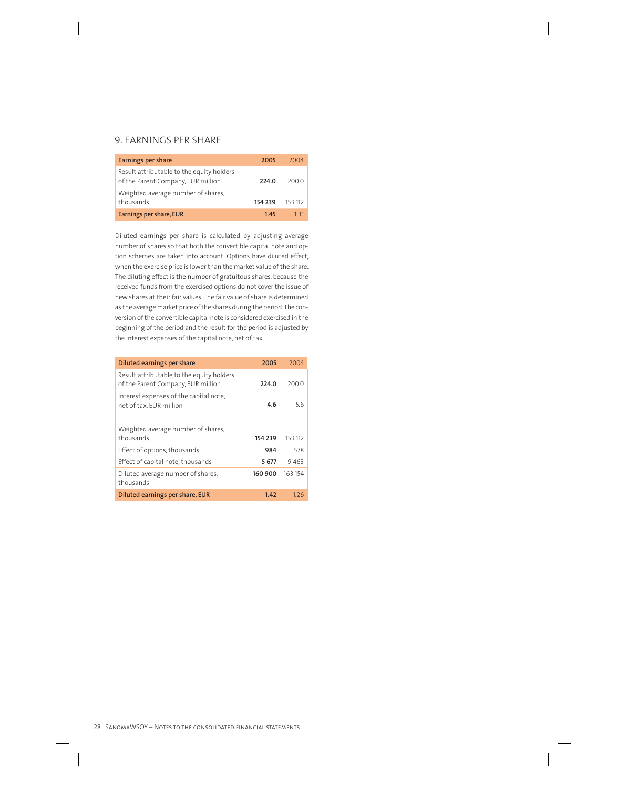# 9. EARNINGS PER SHARE

| <b>Earnings per share</b>                                                       | 2005    | 2004    |
|---------------------------------------------------------------------------------|---------|---------|
| Result attributable to the equity holders<br>of the Parent Company, EUR million | 224.0   | 200.0   |
| Weighted average number of shares,<br>thousands                                 | 154 239 | 153 112 |
| Earnings per share, EUR                                                         | 145     | 1 ੨1    |

Diluted earnings per share is calculated by adjusting average number of shares so that both the convertible capital note and option schemes are taken into account. Options have diluted effect, when the exercise price is lower than the market value of the share. The diluting effect is the number of gratuitous shares, because the received funds from the exercised options do not cover the issue of new shares at their fair values. The fair value of share is determined as the average market price of the shares during the period. The conversion of the convertible capital note is considered exercised in the beginning of the period and the result for the period is adjusted by the interest expenses of the capital note, net of tax.

| Diluted earnings per share                                                      | 2005    | 2004    |
|---------------------------------------------------------------------------------|---------|---------|
| Result attributable to the equity holders<br>of the Parent Company, EUR million | 224.0   | 200.0   |
| Interest expenses of the capital note,<br>net of tax, EUR million               | 4.6     | 56      |
| Weighted average number of shares,                                              |         |         |
| thousands                                                                       | 154 239 | 153 112 |
| Effect of options, thousands                                                    | 984     | 578     |
| Effect of capital note, thousands                                               | 5677    | 9463    |
| Diluted average number of shares,<br>thousands                                  | 160 900 | 163 154 |
| Diluted earnings per share, EUR                                                 | 1.42    | 1.26    |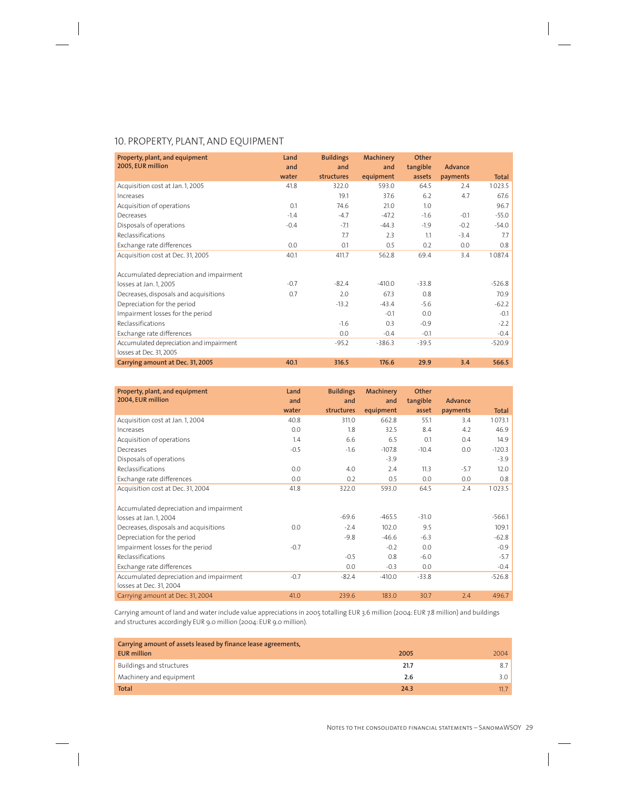# 10. PROPERTY, PLANT, AND EQUIPMENT

| Property, plant, and equipment<br>2005, EUR million | Land<br>and | <b>Buildings</b><br>and | <b>Machinery</b><br>and | Other<br>tangible | Advance  |              |
|-----------------------------------------------------|-------------|-------------------------|-------------------------|-------------------|----------|--------------|
|                                                     | water       | structures              | equipment               | assets            | payments | <b>Total</b> |
| Acquisition cost at Jan. 1, 2005                    | 41.8        | 322.0                   | 593.0                   | 64.5              | 2.4      | 1023.5       |
| Increases                                           |             | 19.1                    | 37.6                    | 6.2               | 4.7      | 67.6         |
| Acquisition of operations                           | 0.1         | 74.6                    | 21.0                    | 1.0               |          | 96.7         |
| Decreases                                           | $-1.4$      | $-4.7$                  | $-47.2$                 | $-1.6$            | $-0.1$   | $-55.0$      |
| Disposals of operations                             | $-0.4$      | $-7.1$                  | $-44.3$                 | $-1.9$            | $-0.2$   | $-54.0$      |
| Reclassifications                                   |             | 7.7                     | 2.3                     | 1.1               | $-3.4$   | 7.7          |
| Exchange rate differences                           | 0.0         | 0.1                     | 0.5                     | 0.2               | 0.0      | 0.8          |
| Acquisition cost at Dec. 31, 2005                   | 40.1        | 411.7                   | 562.8                   | 69.4              | 3.4      | 1087.4       |
| Accumulated depreciation and impairment             |             |                         |                         |                   |          |              |
| losses at Jan. 1, 2005                              | $-0.7$      | $-82.4$                 | $-410.0$                | $-33.8$           |          | $-526.8$     |
| Decreases, disposals and acquisitions               | 0.7         | 2.0                     | 67.3                    | 0.8               |          | 70.9         |
| Depreciation for the period                         |             | $-13.2$                 | $-43.4$                 | $-5.6$            |          | $-62.2$      |
| Impairment losses for the period                    |             |                         | $-0.1$                  | 0.0               |          | $-0.1$       |
| Reclassifications                                   |             | $-1.6$                  | 0.3                     | $-0.9$            |          | $-2.2$       |
| Exchange rate differences                           |             | 0.0                     | $-0.4$                  | $-0.1$            |          | $-0.4$       |
| Accumulated depreciation and impairment             |             | $-95.2$                 | $-386.3$                | $-39.5$           |          | $-520.9$     |
| losses at Dec. 31, 2005                             |             |                         |                         |                   |          |              |
| Carrying amount at Dec. 31, 2005                    | 40.1        | 316.5                   | 176.6                   | 29.9              | 3.4      | 566.5        |

| Property, plant, and equipment          | Land   | <b>Buildings</b> | <b>Machinery</b> | Other    |          |              |
|-----------------------------------------|--------|------------------|------------------|----------|----------|--------------|
| 2004, EUR million                       | and    | and              | and              | tangible | Advance  |              |
|                                         | water  | structures       | equipment        | asset    | payments | <b>Total</b> |
| Acquisition cost at Jan. 1, 2004        | 40.8   | 311.0            | 662.8            | 55.1     | 3.4      | 1073.1       |
| Increases                               | 0.0    | 1.8              | 32.5             | 8.4      | 4.2      | 46.9         |
| Acquisition of operations               | 1.4    | 6.6              | 6.5              | 0.1      | 0.4      | 14.9         |
| Decreases                               | $-0.5$ | $-1.6$           | $-107.8$         | $-10.4$  | 0.0      | $-120.3$     |
| Disposals of operations                 |        |                  | $-3.9$           |          |          | $-3.9$       |
| Reclassifications                       | 0.0    | 4.0              | 2.4              | 11.3     | $-5.7$   | 12.0         |
| Exchange rate differences               | 0.0    | 0.2              | 0.5              | 0.0      | 0.0      | 0.8          |
| Acquisition cost at Dec. 31, 2004       | 41.8   | 322.0            | 593.0            | 64.5     | 2.4      | 1023.5       |
|                                         |        |                  |                  |          |          |              |
| Accumulated depreciation and impairment |        |                  |                  |          |          |              |
| losses at Jan. 1, 2004                  |        | $-69.6$          | $-465.5$         | $-31.0$  |          | $-566.1$     |
| Decreases, disposals and acquisitions   | 0.0    | $-2.4$           | 102.0            | 9.5      |          | 109.1        |
| Depreciation for the period             |        | $-9.8$           | $-46.6$          | $-6.3$   |          | $-62.8$      |
| Impairment losses for the period        | $-0.7$ |                  | $-0.2$           | 0.0      |          | $-0.9$       |
| Reclassifications                       |        | $-0.5$           | 0.8              | $-6.0$   |          | $-5.7$       |
| Exchange rate differences               |        | 0.0              | $-0.3$           | 0.0      |          | $-0.4$       |
| Accumulated depreciation and impairment | $-0.7$ | $-82.4$          | $-410.0$         | $-33.8$  |          | $-526.8$     |
| losses at Dec. 31, 2004                 |        |                  |                  |          |          |              |
| Carrying amount at Dec. 31, 2004        | 41.0   | 239.6            | 183.0            | 30.7     | 2.4      | 496.7        |

Carrying amount of land and water include value appreciations in 2005 totalling EUR 3.6 million (2004: EUR 7.8 million) and buildings and structures accordingly EUR 9.0 million (2004: EUR 9.0 million).

| Carrying amount of assets leased by finance lease agreements, |      |      |
|---------------------------------------------------------------|------|------|
| <b>EUR million</b>                                            | 2005 | 2004 |
| Buildings and structures                                      | 21.7 | 8.7  |
| Machinery and equipment                                       | 2.6  | 3.0  |
| <b>Total</b>                                                  | 24.3 |      |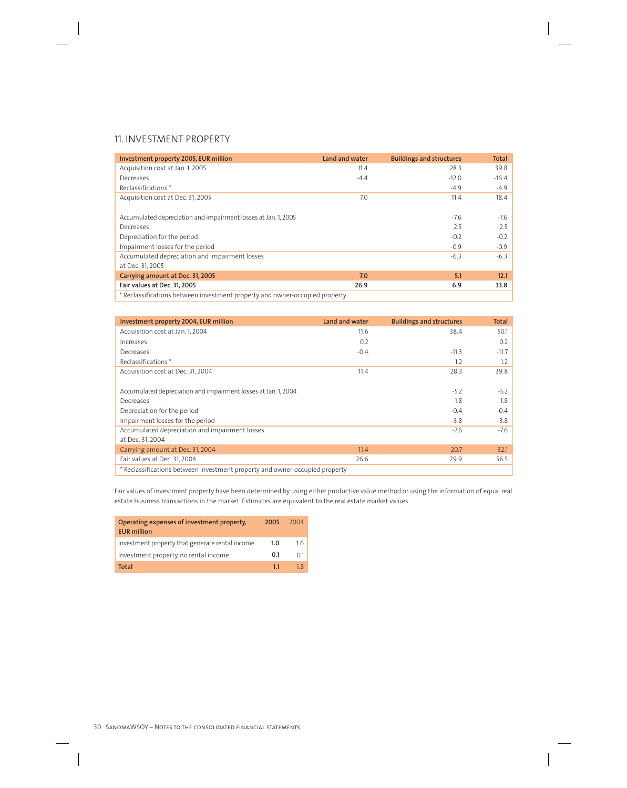# 11. INVESTMENT PROPERTY

| Investment property 2005, EUR million                                       | Land and water | <b>Buildings and structures</b> | <b>Total</b> |
|-----------------------------------------------------------------------------|----------------|---------------------------------|--------------|
| Acquisition cost at Jan. 1, 2005                                            | 11.4           | 28.3                            | 39.8         |
| Decreases                                                                   | $-4.4$         | $-12.0$                         | $-16.4$      |
| Reclassifications <sup>*</sup>                                              |                | $-4.9$                          | $-4.9$       |
| Acquisition cost at Dec. 31, 2005                                           | 7.0            | 11.4                            | 18.4         |
|                                                                             |                |                                 |              |
| Accumulated depreciation and impairment losses at Jan. 1, 2005              |                | $-7.6$                          | $-7.6$       |
| Decreases                                                                   |                | 2.5                             | 2.5          |
| Depreciation for the period                                                 |                | $-0.2$                          | $-0.2$       |
| Impairment losses for the period                                            |                | $-0.9$                          | $-0.9$       |
| Accumulated depreciation and impairment losses                              |                | $-6.3$                          | $-6.3$       |
| at Dec. 31, 2005                                                            |                |                                 |              |
| Carrying amount at Dec. 31, 2005                                            | 7.0            | 5.1                             | 12.1         |
| Fair values at Dec. 31, 2005                                                | 26.9           | 6.9                             | 33.8         |
| * Reclassifications between investment property and owner-occupied property |                |                                 |              |

| Investment property 2004, EUR million                                       | Land and water | <b>Buildings and structures</b> | <b>Total</b> |
|-----------------------------------------------------------------------------|----------------|---------------------------------|--------------|
| Acquisition cost at Jan. 1, 2004                                            | 11.6           | 38.4                            | 50.1         |
| Increases                                                                   | 0.2            |                                 | 0.2          |
| Decreases                                                                   | $-0.4$         | $-11.3$                         | $-11.7$      |
| Reclassifications *                                                         |                | 1.2                             | 1.2          |
| Acquisition cost at Dec. 31, 2004                                           | 11.4           | 28.3                            | 39.8         |
|                                                                             |                |                                 |              |
| Accumulated depreciation and impairment losses at Jan. 1, 2004              |                | $-5.2$                          | $-5.2$       |
| Decreases                                                                   |                | 1.8                             | 1.8          |
| Depreciation for the period                                                 |                | $-0.4$                          | $-0.4$       |
| Impairment losses for the period                                            |                | $-3.8$                          | $-3.8$       |
| Accumulated depreciation and impairment losses                              |                | $-7.6$                          | $-7.6$       |
| at Dec. 31, 2004                                                            |                |                                 |              |
| Carrying amount at Dec. 31, 2004                                            | 11.4           | 20.7                            | 32.1         |
| Fair values at Dec. 31, 2004                                                | 26.6           | 29.9                            | 56.5         |
| * Reclassifications between investment property and owner-occupied property |                |                                 |              |

Fair values of investment property have been determined by using either productive value method or using the information of equal real estate business transactions in the market. Estimates are equivalent to the real estate market values.

| Operating expenses of investment property,<br><b>EUR million</b> | 2005 | 2004        |
|------------------------------------------------------------------|------|-------------|
| Investment property that generate rental income                  | 1.0  | 16          |
| Investment property, no rental income                            | 0.1  | $\bigcap$ 1 |
| Total                                                            | 11   | 1 R         |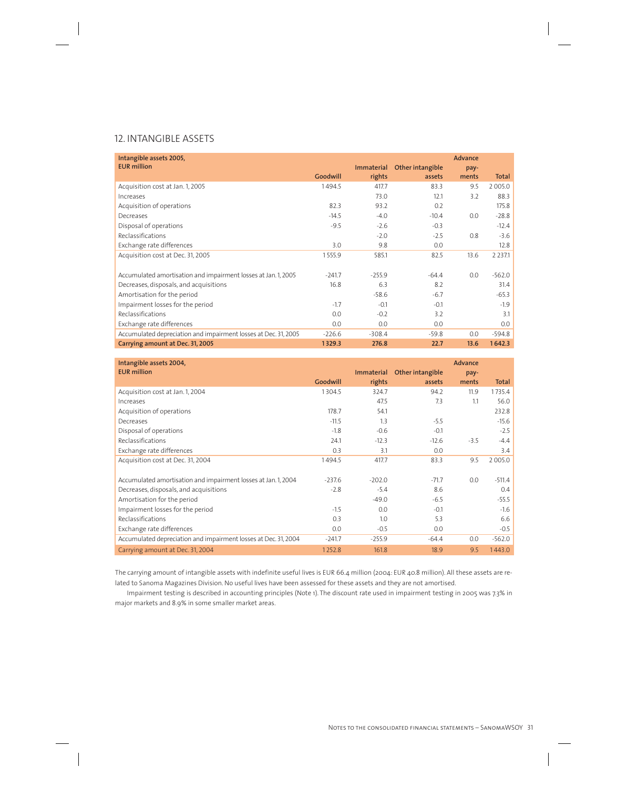# 12. INTANGIBLE ASSETS

| Intangible assets 2005,<br><b>EUR million</b>                   | Goodwill | Immaterial<br>rights | Other intangible<br>assets | <b>Advance</b><br>pay-<br>ments | <b>Total</b> |
|-----------------------------------------------------------------|----------|----------------------|----------------------------|---------------------------------|--------------|
| Acquisition cost at Jan. 1, 2005                                | 1494.5   | 417.7                | 83.3                       | 9.5                             | 2 0 0 5 .0   |
| Increases                                                       |          | 73.0                 | 12.1                       | 3.2                             | 88.3         |
| Acquisition of operations                                       | 82.3     | 93.2                 | 0.2                        |                                 | 175.8        |
| Decreases                                                       | $-14.5$  | $-4.0$               | $-10.4$                    | 0.0                             | $-28.8$      |
| Disposal of operations                                          | $-9.5$   | $-2.6$               | $-0.3$                     |                                 | $-12.4$      |
| Reclassifications                                               |          | $-2.0$               | $-2.5$                     | 0.8                             | $-3.6$       |
| Exchange rate differences                                       | 3.0      | 9.8                  | 0.0                        |                                 | 12.8         |
| Acquisition cost at Dec. 31, 2005                               | 1555.9   | 585.1                | 82.5                       | 13.6                            | 2 2 3 7 .1   |
|                                                                 |          |                      |                            |                                 |              |
| Accumulated amortisation and impairment losses at Jan. 1, 2005  | $-241.7$ | $-255.9$             | $-64.4$                    | 0.0                             | $-562.0$     |
| Decreases, disposals, and acquisitions                          | 16.8     | 6.3                  | 8.2                        |                                 | 31.4         |
| Amortisation for the period                                     |          | $-58.6$              | $-6.7$                     |                                 | $-65.3$      |
| Impairment losses for the period                                | $-1.7$   | $-0.1$               | $-0.1$                     |                                 | $-1.9$       |
| Reclassifications                                               | 0.0      | $-0.2$               | 3.2                        |                                 | 3.1          |
| Exchange rate differences                                       | 0.0      | 0.0                  | 0.0                        |                                 | 0.0          |
| Accumulated depreciation and impairment losses at Dec. 31, 2005 | $-226.6$ | $-308.4$             | $-59.8$                    | 0.0                             | $-594.8$     |
| Carrying amount at Dec. 31, 2005                                | 1329.3   | 276.8                | 22.7                       | 13.6                            | 1642.3       |

| Intangible assets 2004,<br><b>EUR million</b>                   |          | Immaterial | Other intangible | <b>Advance</b><br>pay- |          |
|-----------------------------------------------------------------|----------|------------|------------------|------------------------|----------|
|                                                                 | Goodwill | rights     | assets           | ments                  | Total    |
| Acquisition cost at Jan. 1, 2004                                | 1304.5   | 324.7      | 94.2             | 11.9                   | 1735.4   |
| Increases                                                       |          | 47.5       | 7.3              | 1.1                    | 56.0     |
| Acquisition of operations                                       | 178.7    | 54.1       |                  |                        | 232.8    |
| Decreases                                                       | $-11.5$  | 1.3        | $-5.5$           |                        | $-15.6$  |
| Disposal of operations                                          | $-1.8$   | $-0.6$     | $-0.1$           |                        | $-2.5$   |
| Reclassifications                                               | 24.1     | $-12.3$    | $-12.6$          | $-3.5$                 | $-4.4$   |
| Exchange rate differences                                       | 0.3      | 3.1        | 0.0              |                        | 3.4      |
| Acquisition cost at Dec. 31, 2004                               | 1494.5   | 417.7      | 83.3             | 9.5                    | 2005.0   |
|                                                                 |          |            |                  |                        |          |
| Accumulated amortisation and impairment losses at Jan. 1, 2004  | $-237.6$ | $-202.0$   | $-71.7$          | 0.0                    | $-511.4$ |
| Decreases, disposals, and acquisitions                          | $-2.8$   | $-5.4$     | 8.6              |                        | 0.4      |
| Amortisation for the period                                     |          | $-49.0$    | $-6.5$           |                        | $-55.5$  |
| Impairment losses for the period                                | $-1.5$   | 0.0        | $-0.1$           |                        | $-1.6$   |
| Reclassifications                                               | 0.3      | 1.0        | 5.3              |                        | 6.6      |
| Exchange rate differences                                       | 0.0      | $-0.5$     | 0.0              |                        | $-0.5$   |
| Accumulated depreciation and impairment losses at Dec. 31, 2004 | $-241.7$ | $-255.9$   | $-64.4$          | 0.0                    | $-562.0$ |
| Carrying amount at Dec. 31, 2004                                | 1252.8   | 161.8      | 18.9             | 9.5                    | 1443.0   |

The carrying amount of intangible assets with indefinite useful lives is EUR 66.4 million (2004: EUR 40.8 million). All these assets are related to Sanoma Magazines Division. No useful lives have been assessed for these assets and they are not amortised.

Impairment testing is described in accounting principles (Note 1). The discount rate used in impairment testing in 2005 was 7.3% in major markets and 8.9% in some smaller market areas.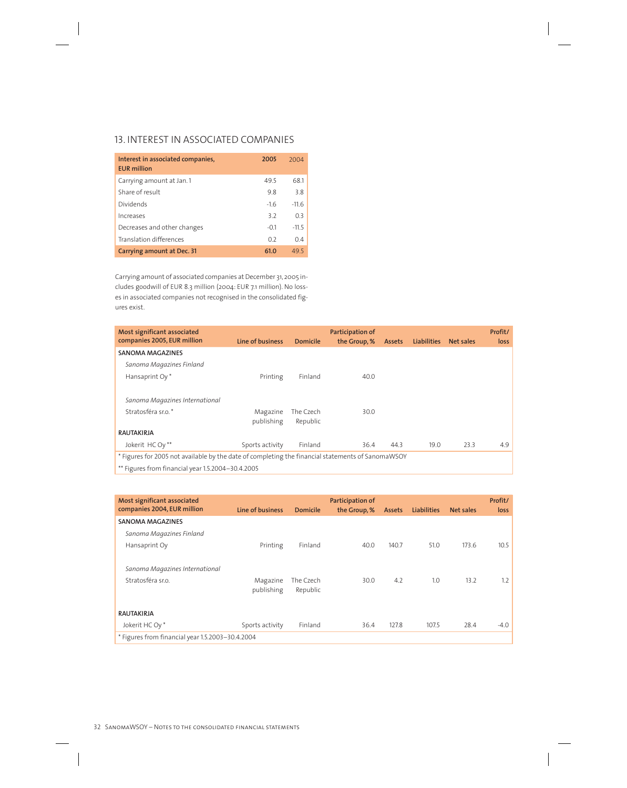# 13. INTEREST IN ASSOCIATED COMPANIES

| Interest in associated companies,<br><b>EUR</b> million | 2005   | 2004    |
|---------------------------------------------------------|--------|---------|
| Carrying amount at Jan. 1                               | 49.5   | 68.1    |
| Share of result                                         | 9.8    | 3.8     |
| Dividends                                               | $-1.6$ | $-11.6$ |
| Increases                                               | 3.2    | 0.3     |
| Decreases and other changes                             | $-0.1$ | $-11.5$ |
| Translation differences                                 | 0.2    | 0.4     |
| Carrying amount at Dec. 31                              | 61.0   | 495     |

Carrying amount of associated companies at December 31, 2005 includes goodwill of EUR 8.3 million (2004: EUR 7.1 million). No losses in associated companies not recognised in the consolidated figures exist.

| Most significant associated<br>companies 2005, EUR million                                        | Line of business       | <b>Domicile</b>       | Participation of<br>the Group, % | <b>Assets</b> | <b>Liabilities</b> | Net sales | Profit/<br>loss |
|---------------------------------------------------------------------------------------------------|------------------------|-----------------------|----------------------------------|---------------|--------------------|-----------|-----------------|
| <b>SANOMA MAGAZINES</b>                                                                           |                        |                       |                                  |               |                    |           |                 |
| Sanoma Magazines Finland                                                                          |                        |                       |                                  |               |                    |           |                 |
| Hansaprint Oy*                                                                                    | Printing               | Finland               | 40.0                             |               |                    |           |                 |
| Sanoma Magazines International<br>Stratosféra sr.o.*                                              | Magazine<br>publishing | The Czech<br>Republic | 30.0                             |               |                    |           |                 |
| <b>RAUTAKIRJA</b>                                                                                 |                        |                       |                                  |               |                    |           |                 |
| Jokerit HC Ov**                                                                                   | Sports activity        | Finland               | 36.4                             | 44.3          | 19.0               | 23.3      | 4.9             |
| * Figures for 2005 not available by the date of completing the financial statements of SanomaWSOY |                        |                       |                                  |               |                    |           |                 |

\*\* Figures from financial year 1.5.2004–30.4.2005

| Most significant associated<br>companies 2004, EUR million | Line of business | <b>Domicile</b> | Participation of<br>the Group, % | <b>Assets</b> | <b>Liabilities</b> | Net sales | Profit/<br>loss |
|------------------------------------------------------------|------------------|-----------------|----------------------------------|---------------|--------------------|-----------|-----------------|
| <b>SANOMA MAGAZINES</b>                                    |                  |                 |                                  |               |                    |           |                 |
| Sanoma Magazines Finland                                   |                  |                 |                                  |               |                    |           |                 |
| Hansaprint Oy                                              | Printing         | Finland         | 40.0                             | 140.7         | 51.0               | 173.6     | 10.5            |
|                                                            |                  |                 |                                  |               |                    |           |                 |
| Sanoma Magazines International                             |                  |                 |                                  |               |                    |           |                 |
| Stratosféra sr.o.                                          | Magazine         | The Czech       | 30.0                             | 4.2           | 1.0                | 13.2      | 1.2             |
|                                                            | publishing       | Republic        |                                  |               |                    |           |                 |
|                                                            |                  |                 |                                  |               |                    |           |                 |
| <b>RAUTAKIRJA</b>                                          |                  |                 |                                  |               |                    |           |                 |
| Jokerit HC Oy*                                             | Sports activity  | Finland         | 36.4                             | 127.8         | 107.5              | 28.4      | $-4.0$          |
| * Figures from financial year 1.5.2003-30.4.2004           |                  |                 |                                  |               |                    |           |                 |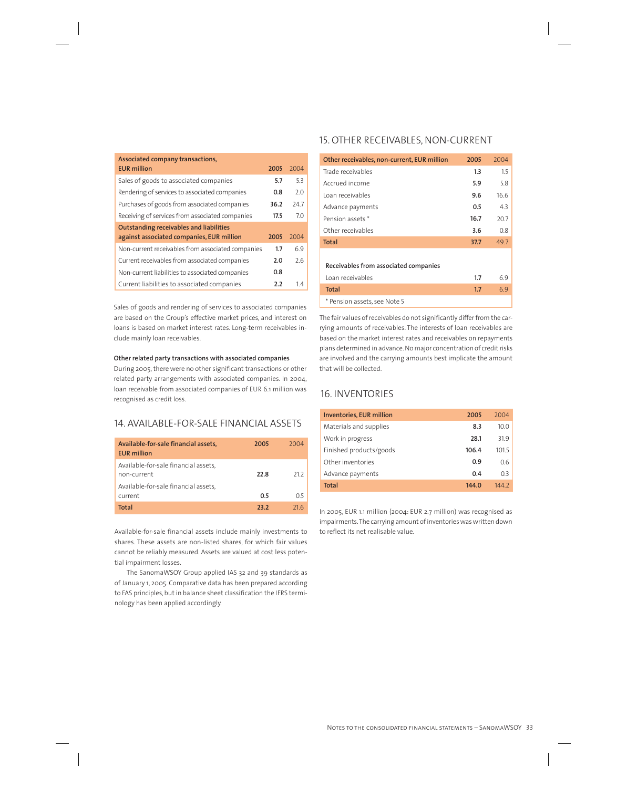| Associated company transactions,                  |      |      |
|---------------------------------------------------|------|------|
| <b>EUR million</b>                                | 2005 | 2004 |
| Sales of goods to associated companies            | 5.7  | 5.3  |
| Rendering of services to associated companies     | 0.8  | 2.0  |
| Purchases of goods from associated companies      | 36.2 | 247  |
| Receiving of services from associated companies   | 17.5 | 7.0  |
| <b>Outstanding receivables and liabilities</b>    |      |      |
| against associated companies, EUR million         | 2005 | 2004 |
| Non-current receivables from associated companies | 1.7  | 6.9  |
| Current receivables from associated companies     | 2.0  | 76   |
| Non-current liabilities to associated companies   | 0.8  |      |
| Current liabilities to associated companies       | 2.2  | 14   |

Sales of goods and rendering of services to associated companies are based on the Group's effective market prices, and interest on loans is based on market interest rates. Long-term receivables include mainly loan receivables.

## **Other related party transactions with associated companies**

During 2005, there were no other significant transactions or other related party arrangements with associated companies. In 2004, loan receivable from associated companies of EUR 6.1 million was recognised as credit loss.

# 14. AVAILABLE-FOR-SALE FINANCIAL ASSETS

| Available-for-sale financial assets,<br><b>EUR million</b>                                  | 2005        | 2004 |
|---------------------------------------------------------------------------------------------|-------------|------|
| Available-for-sale financial assets,<br>non-current<br>Available-for-sale financial assets, | 22.8        | 212  |
| current                                                                                     | 0.5         | 0.5  |
| Total                                                                                       | <b>23 2</b> | 21 G |

Available-for-sale financial assets include mainly investments to shares. These assets are non-listed shares, for which fair values cannot be reliably measured. Assets are valued at cost less potential impairment losses.

The SanomaWSOY Group applied IAS 32 and 39 standards as of January 1, 2005. Comparative data has been prepared according to FAS principles, but in balance sheet classification the IFRS terminology has been applied accordingly.

# 15. OTHER RECEIVABLES, NON-CURRENT

| Other receivables, non-current, EUR million               | 2005 | 2004 |
|-----------------------------------------------------------|------|------|
| Trade receivables                                         | 1.3  | 1.5  |
| Accrued income                                            | 5.9  | 5.8  |
| Loan receivables                                          | 9.6  | 16.6 |
| Advance payments                                          | 0.5  | 4.3  |
| Pension assets *                                          | 16.7 | 20.7 |
| Other receivables                                         | 3.6  | 0.8  |
| <b>Total</b>                                              | 37.7 | 49.7 |
| Receivables from associated companies<br>Loan receivables | 1.7  | 6.9  |
| <b>Total</b>                                              | 1.7  | 6.9  |
| * Pension assets, see Note 5                              |      |      |

The fair values of receivables do not significantly differ from the carrying amounts of receivables. The interests of loan receivables are based on the market interest rates and receivables on repayments plans determined in advance. No major concentration of credit risks are involved and the carrying amounts best implicate the amount that will be collected.

# 16. INVENTORIES

| <b>Inventories, EUR million</b> | 2005  | 2004              |
|---------------------------------|-------|-------------------|
| Materials and supplies          | 8.3   | 10.0 <sub>1</sub> |
| Work in progress                | 28.1  | 31.9              |
| Finished products/goods         | 106.4 | 101.5             |
| Other inventories               | 0.9   | 0.6               |
| Advance payments                | 0.4   | 0.3               |
| Total                           | 144.0 | 144 2             |

In 2005, EUR 1.1 million (2004: EUR 2.7 million) was recognised as impairments. The carrying amount of inventories was written down to reflect its net realisable value.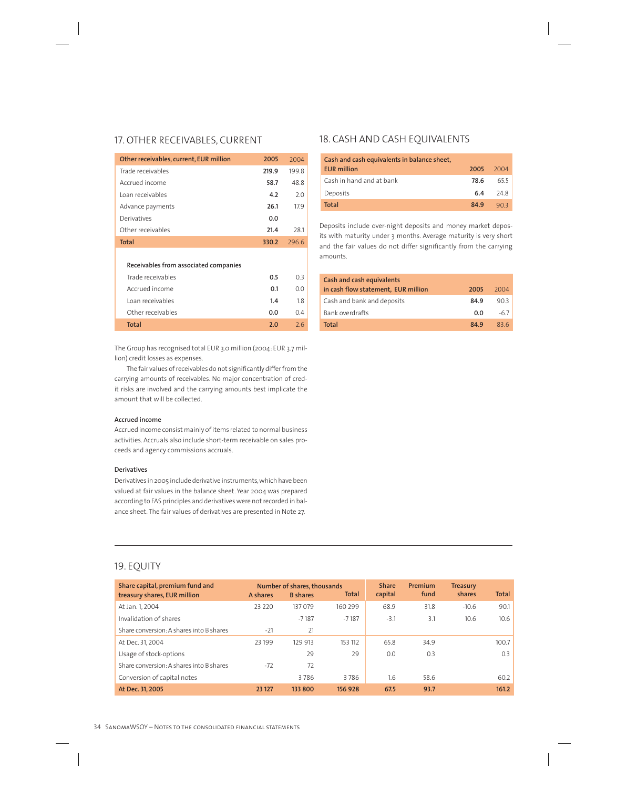# 17. OTHER RECEIVABLES, CURRENT

| Other receivables, current, EUR million | 2005  | 2004  |
|-----------------------------------------|-------|-------|
| Trade receivables                       | 219.9 | 199 8 |
| Accrued income                          | 58.7  | 488   |
| Loan receivables                        | 4.2   | 2.0   |
| Advance payments                        | 26.1  | 179   |
| Derivatives                             | 0.O   |       |
| Other receivables                       | 21.4  | 281   |
| Total                                   | 330.2 | 7966  |
|                                         |       |       |

## **Receivables from associated companies**

| Trade receivables | 0.5        | 03  |
|-------------------|------------|-----|
| Accrued income    | 0.1        | n n |
| Loan receivables  | 1.4        | 18  |
| Other receivables | 0.O        | 04  |
| Total             | <u>ጋ በ</u> | 76  |

The Group has recognised total EUR 3.0 million (2004: EUR 3.7 million) credit losses as expenses.

The fair values of receivables do not significantly differ from the carrying amounts of receivables. No major concentration of credit risks are involved and the carrying amounts best implicate the amount that will be collected.

# **Accrued income**

Accrued income consist mainly of items related to normal business activities. Accruals also include short-term receivable on sales proceeds and agency commissions accruals.

## **Derivatives**

Derivatives in 2005 include derivative instruments, which have been valued at fair values in the balance sheet. Year 2004 was prepared according to FAS principles and derivatives were not recorded in balance sheet. The fair values of derivatives are presented in Note 27.

# 18. CASH AND CASH EQUIVALENTS

| Cash and cash equivalents in balance sheet, |      |        |
|---------------------------------------------|------|--------|
| <b>EUR</b> million                          | 2005 | -2004  |
| Cash in hand and at bank                    | 78.6 | 655    |
| Deposits                                    | 6.4  | - 24 8 |
| <b>Total</b>                                | 849  | 903    |

Deposits include over-night deposits and money market deposits with maturity under 3 months. Average maturity is very short and the fair values do not differ significantly from the carrying amounts.

| Cash and cash equivalents           |      |      |
|-------------------------------------|------|------|
| in cash flow statement, EUR million | 2005 | 2004 |
| Cash and bank and deposits          | 84.9 | 90.3 |
| Bank overdrafts                     | 0.0  | -6.7 |
| <b>Total</b>                        | 84.9 | 836  |

# 19. EQUITY

| Share capital, premium fund and          |          | Number of shares, thousands |         | <b>Share</b> | Premium | <b>Treasury</b> |              |
|------------------------------------------|----------|-----------------------------|---------|--------------|---------|-----------------|--------------|
| treasury shares, EUR million             | A shares | <b>B</b> shares             | Total   | capital      | fund    | shares          | <b>Total</b> |
| At Jan. 1, 2004                          | 23 2 2 0 | 137079                      | 160 299 | 68.9         | 31.8    | $-10.6$         | 90.1         |
| Invalidation of shares                   |          | $-7187$                     | $-7187$ | $-3.1$       | 3.1     | 10.6            | 10.6         |
| Share conversion: A shares into B shares | $-21$    | 21                          |         |              |         |                 |              |
| At Dec. 31, 2004                         | 23 199   | 129 913                     | 153 112 | 65.8         | 34.9    |                 | 100.7        |
| Usage of stock-options                   |          | 29                          | 29      | 0.0          | 0.3     |                 | 0.3          |
| Share conversion: A shares into B shares | $-72$    | 72                          |         |              |         |                 |              |
| Conversion of capital notes              |          | 3786                        | 3786    | 1.6          | 58.6    |                 | 60.2         |
| At Dec. 31, 2005                         | 23 127   | 133 800                     | 156928  | 67.5         | 93.7    |                 | 161.2        |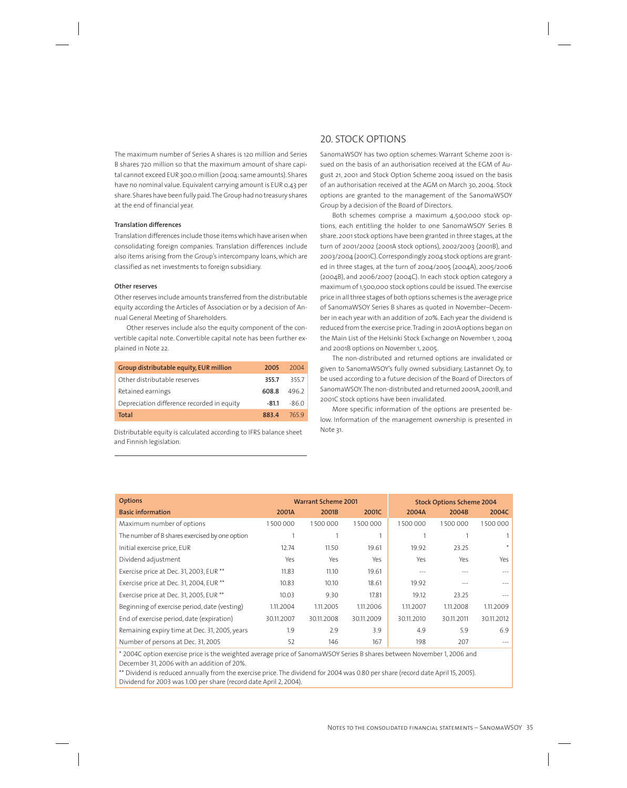The maximum number of Series A shares is 120 million and Series B shares 720 million so that the maximum amount of share capital cannot exceed EUR 300.0 million (2004: same amounts). Shares have no nominal value. Equivalent carrying amount is EUR 0.43 per share. Shares have been fully paid. The Group had no treasury shares at the end of financial year.

# **Translation differences**

Translation differences include those items which have arisen when consolidating foreign companies. Translation differences include also items arising from the Group's intercompany loans, which are classified as net investments to foreign subsidiary.

## **Other reserves**

Other reserves include amounts transferred from the distributable equity according the Articles of Association or by a decision of Annual General Meeting of Shareholders.

Other reserves include also the equity component of the convertible capital note. Convertible capital note has been further explained in Note 22.

| Group distributable equity, EUR million    | 2005    | 2004   |
|--------------------------------------------|---------|--------|
| Other distributable reserves               | 355.7   | 3557   |
| Retained earnings                          | 608.8   | 4962   |
| Depreciation difference recorded in equity | $-81.1$ | $-860$ |
| Total                                      | 8834    | 7659   |

Distributable equity is calculated according to IFRS balance sheet and Finnish legislation.

# 20. STOCK OPTIONS

SanomaWSOY has two option schemes: Warrant Scheme 2001 issued on the basis of an authorisation received at the EGM of August 21, 2001 and Stock Option Scheme 2004 issued on the basis of an authorisation received at the AGM on March 30, 2004. Stock options are granted to the management of the SanomaWSOY Group by a decision of the Board of Directors.

Both schemes comprise a maximum 4,500,000 stock options, each entitling the holder to one SanomaWSOY Series B share. 2001 stock options have been granted in three stages, at the turn of 2001/2002 (2001A stock options), 2002/2003 (2001B), and 2003/2004 (2001C). Correspondingly 2004 stock options are granted in three stages, at the turn of 2004/2005 (2004A), 2005/2006 (2004B), and 2006/2007 (2004C). In each stock option category a maximum of 1,500,000 stock options could be issued. The exercise price in all three stages of both options schemes is the average price of SanomaWSOY Series B shares as quoted in November–December in each year with an addition of 20%. Each year the dividend is reduced from the exercise price. Trading in 2001A options began on the Main List of the Helsinki Stock Exchange on November 1, 2004 and 2001B options on November 1, 2005.

The non-distributed and returned options are invalidated or given to SanomaWSOY's fully owned subsidiary, Lastannet Oy, to be used according to a future decision of the Board of Directors of SanomaWSOY. The non-distributed and returned 2001A, 2001B, and 2001C stock options have been invalidated.

More specific information of the options are presented below. Information of the management ownership is presented in Note 31.

|            |            |            | <b>Stock Options Scheme 2004</b> |            |            |  |
|------------|------------|------------|----------------------------------|------------|------------|--|
| 2001A      | 2001B      | 2001C      | 2004A                            | 2004B      | 2004C      |  |
| 1500000    | 1500000    | 1500000    | 1500000                          | 1500000    | 1500000    |  |
|            |            |            |                                  |            |            |  |
| 12.74      | 11.50      | 19.61      | 19.92                            | 23.25      | $\ast$     |  |
| Yes        | Yes        | Yes        | Yes                              | Yes        | Yes        |  |
| 11.83      | 11.10      | 19.61      | $- - -$                          |            |            |  |
| 10.83      | 10.10      | 18.61      | 19.92                            |            |            |  |
| 10.03      | 9.30       | 17.81      | 19.12                            | 23.25      |            |  |
| 1.11.2004  | 1.11.2005  | 1.11.2006  | 1.11.2007                        | 1.11.2008  | 1.11.2009  |  |
| 30.11.2007 | 30.11.2008 | 30.11.2009 | 30.11.2010                       | 30.11.2011 | 30.11.2012 |  |
| 1.9        | 2.9        | 3.9        | 4.9                              | 5.9        | 6.9        |  |
| 52         | 146        | 167        | 198                              | 207        |            |  |
|            |            |            | <b>Warrant Scheme 2001</b>       |            |            |  |

\* 2004C option exercise price is the weighted average price of SanomaWSOY Series B shares between November 1, 2006 and December 31, 2006 with an addition of 20%.

\*\* Dividend is reduced annually from the exercise price. The dividend for 2004 was 0.80 per share (record date April 15, 2005). Dividend for 2003 was 1.00 per share (record date April 2, 2004).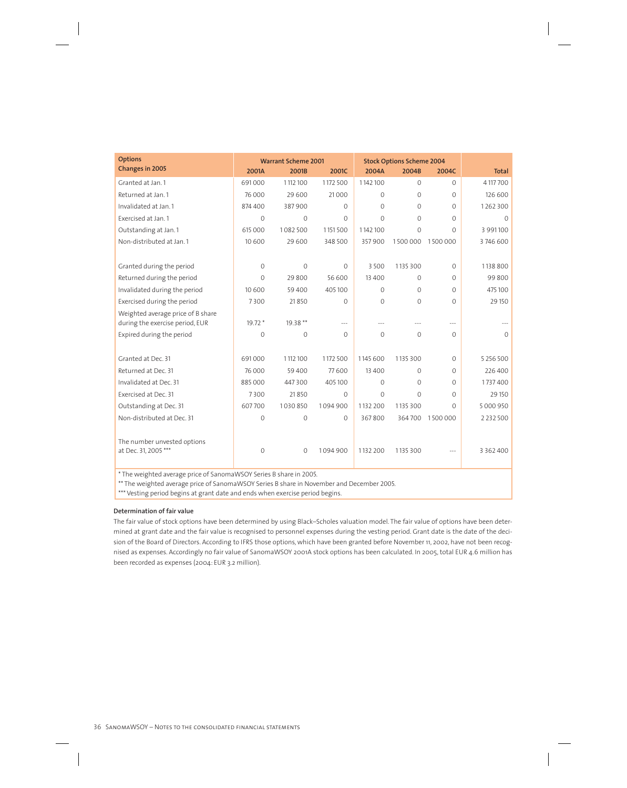| <b>Options</b>                                                                            | <b>Warrant Scheme 2001</b> |             |              | <b>Stock Options Scheme 2004</b> |                |              |               |
|-------------------------------------------------------------------------------------------|----------------------------|-------------|--------------|----------------------------------|----------------|--------------|---------------|
| <b>Changes in 2005</b>                                                                    | 2001A                      | 2001B       | 2001C        | 2004A                            | 2004B          | 2004C        | <b>Total</b>  |
| Granted at Jan. 1                                                                         | 691000                     | 1112100     | 1172 500     | 1142100                          | $\Omega$       | $\Omega$     | 4 117 700     |
| Returned at Jan. 1                                                                        | 76 000                     | 29 600      | 21000        | $\Omega$                         | $\Omega$       | $\Omega$     | 126 600       |
| Invalidated at Jan. 1                                                                     | 874 400                    | 387900      | $\Omega$     | $\mathbf{0}$                     | $\overline{0}$ | $\circ$      | 1262300       |
| Exercised at Jan. 1                                                                       | $\mathbf 0$                | $\mathbf 0$ | $\mathbf{0}$ | $\Omega$                         | $\mathcal{O}$  | $\Omega$     | $\Omega$      |
| Outstanding at Jan. 1                                                                     | 615 000                    | 1082500     | 1151500      | 1142100                          | $\Omega$       | $\Omega$     | 3 991 100     |
| Non-distributed at Jan. 1                                                                 | 10 600                     | 29 600      | 348 500      | 357900                           | 1500000        | 1500000      | 3746600       |
|                                                                                           |                            |             |              |                                  |                |              |               |
| Granted during the period                                                                 | $\Omega$                   | $\Omega$    | $\mathbf{0}$ | 3 5 0 0                          | 1135 300       | $\Omega$     | 1138 800      |
| Returned during the period                                                                | 0                          | 29 800      | 56 600       | 13 400                           | $\mathcal{O}$  | $\circ$      | 99800         |
| Invalidated during the period                                                             | 10 600                     | 59 400      | 405100       | $\Omega$                         | $\overline{0}$ | $\Omega$     | 475 100       |
| Exercised during the period                                                               | 7300                       | 21850       | $\Omega$     | $\Omega$                         | $\Omega$       | $\Omega$     | 29 150        |
| Weighted average price of B share                                                         |                            |             |              |                                  |                |              |               |
| during the exercise period, EUR                                                           | 19.72 *                    | 19.38 **    |              |                                  |                | $-$ --       |               |
| Expired during the period                                                                 | $\overline{0}$             | $\mathbf 0$ | $\Omega$     | $\overline{0}$                   | $\overline{0}$ | $\Omega$     | $\Omega$      |
|                                                                                           |                            |             |              |                                  |                |              |               |
| Granted at Dec. 31                                                                        | 691000                     | 1112100     | 1172 500     | 1145 600                         | 1135 300       | $\circ$      | 5 256 500     |
| Returned at Dec. 31                                                                       | 76 000                     | 59 400      | 77600        | 13 4 0 0                         | $\overline{0}$ | $\mathbf{0}$ | 226 400       |
| Invalidated at Dec. 31                                                                    | 885000                     | 447 300     | 405100       | $\Omega$                         | $\mathbf{0}$   | $\Omega$     | 1737400       |
| Exercised at Dec. 31                                                                      | 7300                       | 21850       | $\Omega$     | $\Omega$                         | $\Omega$       | $\Omega$     | 29 150        |
| Outstanding at Dec. 31                                                                    | 607700                     | 1030850     | 1094900      | 1132 200                         | 1135 300       | $\Omega$     | 5 000 950     |
| Non-distributed at Dec. 31                                                                | $\Omega$                   | $\Omega$    | $\Omega$     | 367800                           | 364700         | 1500000      | 2 2 3 2 5 0 0 |
|                                                                                           |                            |             |              |                                  |                |              |               |
| The number unvested options                                                               |                            |             |              |                                  |                |              |               |
| at Dec. 31, 2005 ***                                                                      | $\mathbf{0}$               | $\mathbb O$ | 1094900      | 1132 200                         | 1135 300       | $---$        | 3 3 6 2 4 0 0 |
|                                                                                           |                            |             |              |                                  |                |              |               |
| * The weighted average price of SanomaWSOY Series B share in 2005.                        |                            |             |              |                                  |                |              |               |
| ** The weighted average price of SanomaWSOY Series B share in November and December 2005. |                            |             |              |                                  |                |              |               |

\*\*\* Vesting period begins at grant date and ends when exercise period begins.

# **Determination of fair value**

The fair value of stock options have been determined by using Black–Scholes valuation model. The fair value of options have been determined at grant date and the fair value is recognised to personnel expenses during the vesting period. Grant date is the date of the decision of the Board of Directors. According to IFRS those options, which have been granted before November 11, 2002, have not been recognised as expenses. Accordingly no fair value of SanomaWSOY 2001A stock options has been calculated. In 2005, total EUR 4.6 million has been recorded as expenses (2004: EUR 3.2 million).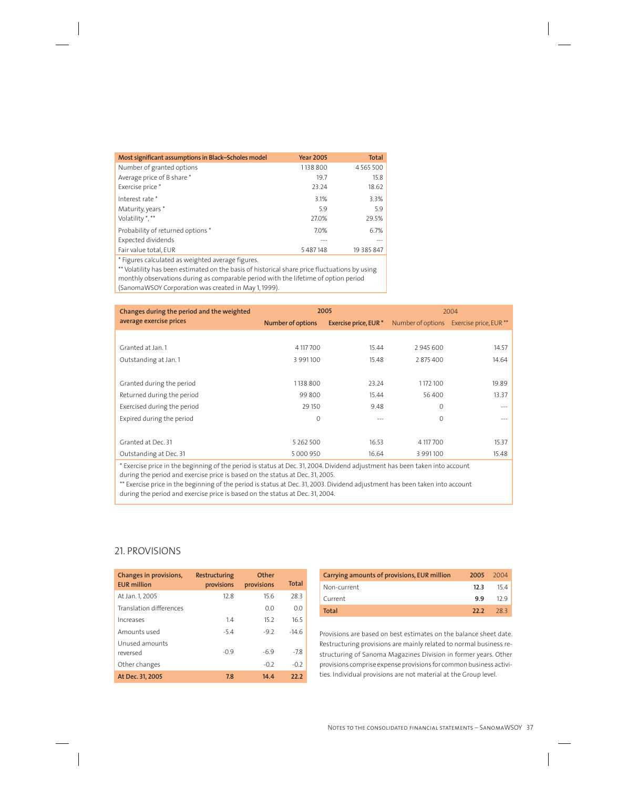| Most significant assumptions in Black-Scholes model                 | <b>Year 2005</b> | Total      |
|---------------------------------------------------------------------|------------------|------------|
| Number of granted options                                           | 1138 800         | 4565500    |
| Average price of B share *                                          | 19.7             | 15.8       |
| Exercise price *                                                    | 23.24            | 18.62      |
| Interest rate*                                                      | 3.1%             | 3.3%       |
| Maturity, years *                                                   | 5.9              | 5.9        |
| Volatility *, **                                                    | 27.0%            | 29.5%      |
| Probability of returned options *                                   | 7.0%             | 6.7%       |
| Expected dividends                                                  |                  | $--$       |
| Fair value total, EUR                                               | 5487148          | 19 385 847 |
| * Figures of definitions of a correct which discusses as 21 where a |                  |            |

Figures calculated as weighted average figures.

\*\* Volatility has been estimated on the basis of historical share price fluctuations by using monthly observations during as comparable period with the lifetime of option period (SanomaWSOY Corporation was created in May 1, 1999).

| Changes during the period and the weighted | 2005                     |                       |                   | 2004                   |
|--------------------------------------------|--------------------------|-----------------------|-------------------|------------------------|
| average exercise prices                    | <b>Number of options</b> | Exercise price, EUR * | Number of options | Exercise price, EUR ** |
|                                            |                          |                       |                   |                        |
| Granted at Jan. 1                          | 4 117 700                | 15.44                 | 2945600           | 14.57                  |
| Outstanding at Jan. 1                      | 3 991 100                | 15.48                 | 2875400           | 14.64                  |
|                                            |                          |                       |                   |                        |
| Granted during the period                  | 1138 800                 | 23.24                 | 1172100           | 19.89                  |
| Returned during the period                 | 99 800                   | 15.44                 | 56 400            | 13.37                  |
| Exercised during the period                | 29 15 0                  | 9.48                  | $\Omega$          |                        |
| Expired during the period                  | 0                        | $- - -$               | $\Omega$          |                        |
|                                            |                          |                       |                   |                        |
| Granted at Dec. 31                         | 5 2 6 2 5 0 0            | 16.53                 | 4 117 700         | 15.37                  |
| Outstanding at Dec. 31                     | 5 000 950                | 16.64                 | 3 9 9 1 1 0 0     | 15.48                  |

\* Exercise price in the beginning of the period is status at Dec. 31, 2004. Dividend adjustment has been taken into account during the period and exercise price is based on the status at Dec. 31, 2005.

\*\* Exercise price in the beginning of the period is status at Dec. 31, 2003. Dividend adjustment has been taken into account during the period and exercise price is based on the status at Dec. 31, 2004.

## 21. PROVISIONS

| Changes in provisions,<br><b>EUR</b> million | Restructuring<br>provisions | Other<br>provisions | <b>Total</b> |
|----------------------------------------------|-----------------------------|---------------------|--------------|
| At Jan. 1, 2005                              | 12.8                        | 15.6                | 28.3         |
| Translation differences                      |                             | 0.0                 | 0.0          |
| Increases                                    | 14                          | 15.2                | 16.5         |
| Amounts used                                 | $-5.4$                      | $-9.2$              | $-14.6$      |
| Unused amounts<br>reversed                   | $-09$                       | $-69$               | $-78$        |
| Other changes                                |                             | $-0.2$              | $-0.2$       |
| At Dec. 31, 2005                             | 7.8                         | 14.4                | 22.2         |

| Carrying amounts of provisions, EUR million | 2005 2004 |        |
|---------------------------------------------|-----------|--------|
| Non-current                                 | 12.3      | - 15.4 |
| Current                                     | 9.9       | 129    |
| Total                                       | 22.2      | - 28.3 |

Provisions are based on best estimates on the balance sheet date. Restructuring provisions are mainly related to normal business restructuring of Sanoma Magazines Division in former years. Other provisions comprise expense provisions for common business activities. Individual provisions are not material at the Group level.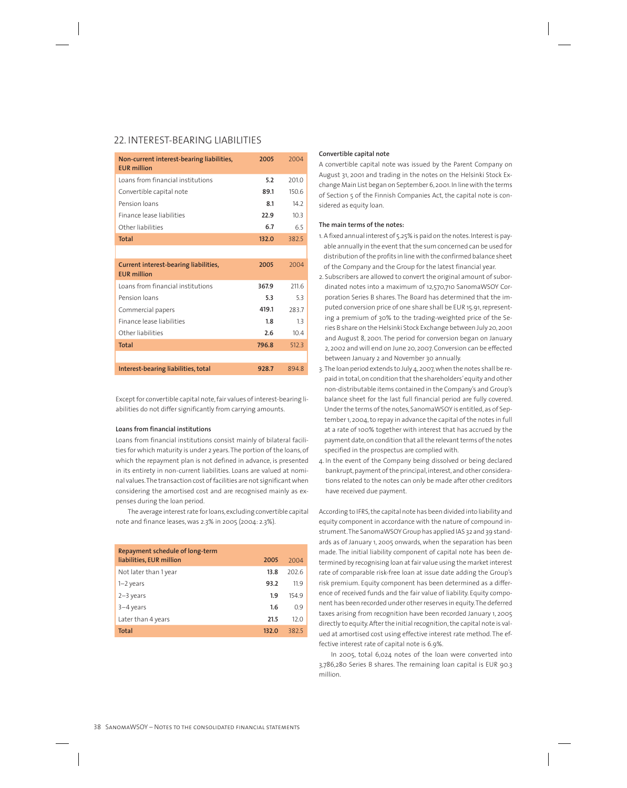### 22. INTEREST-BEARING LIABILITIES

| Non-current interest-bearing liabilities,<br><b>FUR million</b> | 2005  | 2004  |
|-----------------------------------------------------------------|-------|-------|
| Loans from financial institutions                               | 5.2   | 2010  |
| Convertible capital note                                        | 89.1  | 150.6 |
| Pension loans                                                   | 8.1   | 142   |
| Finance lease liabilities                                       | 22.9  | 103   |
| Other liabilities                                               | 6.7   | 65    |
| <b>Total</b>                                                    | 132.0 | 3825  |
|                                                                 |       |       |
| Current interest-bearing liabilities,<br><b>EUR million</b>     | 2005  | 2004  |
| Loans from financial institutions                               | 367.9 | 211.6 |
| Pension loans                                                   | 5.3   | 5.3   |
| Commercial papers                                               | 419.1 | 283.7 |
| Finance lease liabilities                                       | 1.8   | 13    |
| Other liabilities                                               | 2.6   | 10.4  |
| <b>Total</b>                                                    | 796.8 | 512.3 |
|                                                                 |       |       |
| Interest-bearing liabilities, total                             | 928.7 | 894.8 |

Except for convertible capital note, fair values of interest-bearing liabilities do not differ significantly from carrying amounts.

#### **Loans from financial institutions**

Loans from financial institutions consist mainly of bilateral facilities for which maturity is under 2 years. The portion of the loans, of which the repayment plan is not defined in advance, is presented in its entirety in non-current liabilities. Loans are valued at nominal values. The transaction cost of facilities are not significant when considering the amortised cost and are recognised mainly as expenses during the loan period.

The average interest rate for loans, excluding convertible capital note and finance leases, was 2.3% in 2005 (2004: 2.3%).

| Repayment schedule of long-term |       |       |
|---------------------------------|-------|-------|
| liabilities, EUR million        | 2005  | 2004  |
| Not later than 1 year           | 13.8  | 202.6 |
| $1-2$ years                     | 93.2  | 11.9  |
| $2-3$ years                     | 1.9   | 154.9 |
| $3-4$ years                     | 1.6   | 0.9   |
| Later than 4 years              | 21.5  | 12.0  |
| <b>Total</b>                    | 132.0 | 3825  |

#### **Convertible capital note**

A convertible capital note was issued by the Parent Company on August 31, 2001 and trading in the notes on the Helsinki Stock Exchange Main List began on September 6, 2001. In line with the terms of Section 5 of the Finnish Companies Act, the capital note is considered as equity loan.

#### **The main terms of the notes:**

- 1. A fixed annual interest of 5.25% is paid on the notes. Interest is payable annually in the event that the sum concerned can be used for distribution of the profits in line with the confirmed balance sheet of the Company and the Group for the latest financial year.
- 2. Subscribers are allowed to convert the original amount of subordinated notes into a maximum of 12,570,710 SanomaWSOY Corporation Series B shares. The Board has determined that the imputed conversion price of one share shall be EUR 15.91, representing a premium of 30% to the trading-weighted price of the Series B share on the Helsinki Stock Exchange between July 20, 2001 and August 8, 2001. The period for conversion began on January 2, 2002 and will end on June 20, 2007. Conversion can be effected between January 2 and November 30 annually.
- 3. The loan period extends to July 4, 2007, when the notes shall be repaid in total, on condition that the shareholders' equity and other non-distributable items contained in the Company's and Group's balance sheet for the last full financial period are fully covered. Under the terms of the notes, SanomaWSOY is entitled, as of September 1, 2004, to repay in advance the capital of the notes in full at a rate of 100% together with interest that has accrued by the payment date, on condition that all the relevant terms of the notes specified in the prospectus are complied with.
- 4. In the event of the Company being dissolved or being declared bankrupt, payment of the principal, interest, and other considerations related to the notes can only be made after other creditors have received due payment.

According to IFRS, the capital note has been divided into liability and equity component in accordance with the nature of compound instrument. The SanomaWSOY Group has applied IAS 32 and 39 standards as of January 1, 2005 onwards, when the separation has been made. The initial liability component of capital note has been determined by recognising loan at fair value using the market interest rate of comparable risk-free loan at issue date adding the Group's risk premium. Equity component has been determined as a difference of received funds and the fair value of liability. Equity component has been recorded under other reserves in equity. The deferred taxes arising from recognition have been recorded January 1, 2005 directly to equity. After the initial recognition, the capital note is valued at amortised cost using effective interest rate method. The effective interest rate of capital note is 6.9%.

In 2005, total 6,024 notes of the loan were converted into 3,786,280 Series B shares. The remaining loan capital is EUR 90.3 million.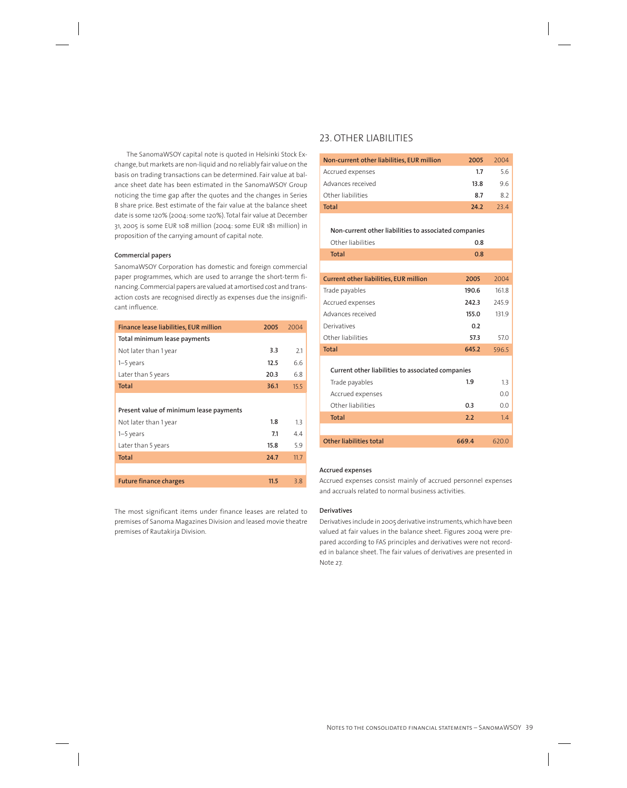The SanomaWSOY capital note is quoted in Helsinki Stock Exchange, but markets are non-liquid and no reliably fair value on the basis on trading transactions can be determined. Fair value at balance sheet date has been estimated in the SanomaWSOY Group noticing the time gap after the quotes and the changes in Series B share price. Best estimate of the fair value at the balance sheet date is some 120% (2004: some 120%). Total fair value at December 31, 2005 is some EUR 108 million (2004: some EUR 181 million) in proposition of the carrying amount of capital note.

#### **Commercial papers**

SanomaWSOY Corporation has domestic and foreign commercial paper programmes, which are used to arrange the short-term financing. Commercial papers are valued at amortised cost and transaction costs are recognised directly as expenses due the insignificant influence.

| 2.1  |
|------|
| 6.6  |
| 6.8  |
| 15.5 |
|      |
|      |
| 1.3  |
| 4.4  |
| 5.9  |
| 11.7 |
|      |
| 3.8  |
|      |

The most significant items under finance leases are related to premises of Sanoma Magazines Division and leased movie theatre premises of Rautakirja Division.

## 23. OTHER LIABILITIES

| Non-current other liabilities, EUR million            | 2005  | 2004  |
|-------------------------------------------------------|-------|-------|
| Accrued expenses                                      | 1.7   | 56    |
| Advances received                                     | 13.8  | 9.6   |
| Other liabilities                                     | 8.7   | 8.2   |
| <b>Total</b>                                          | 24.2  | 23.4  |
|                                                       |       |       |
| Non-current other liabilities to associated companies |       |       |
| Other liabilities                                     | 0.8   |       |
| <b>Total</b>                                          | 0.8   |       |
|                                                       |       |       |
| <b>Current other liabilities, EUR million</b>         | 2005  | 2004  |
| Trade payables                                        | 190.6 | 161.8 |
| Accrued expenses                                      | 242.3 | 245.9 |
| Advances received                                     | 155.0 | 131.9 |
| Derivatives                                           | 0.2   |       |
| Other liabilities                                     | 57.3  | 57.0  |
| <b>Total</b>                                          | 645.2 | 596.5 |
|                                                       |       |       |
| Current other liabilities to associated companies     |       |       |
| Trade payables                                        | 1.9   | 1.3   |
| Accrued expenses                                      |       | 0.0   |
| Other liabilities                                     | 0.3   | 0.0   |
| <b>Total</b>                                          | 2.2   | 1.4   |
|                                                       |       |       |
| Other liabilities total                               | 669.4 | 620.0 |
|                                                       |       |       |

#### **Accrued expenses**

Accrued expenses consist mainly of accrued personnel expenses and accruals related to normal business activities.

#### **Derivatives**

Derivatives include in 2005 derivative instruments, which have been valued at fair values in the balance sheet. Figures 2004 were prepared according to FAS principles and derivatives were not recorded in balance sheet. The fair values of derivatives are presented in Note 27.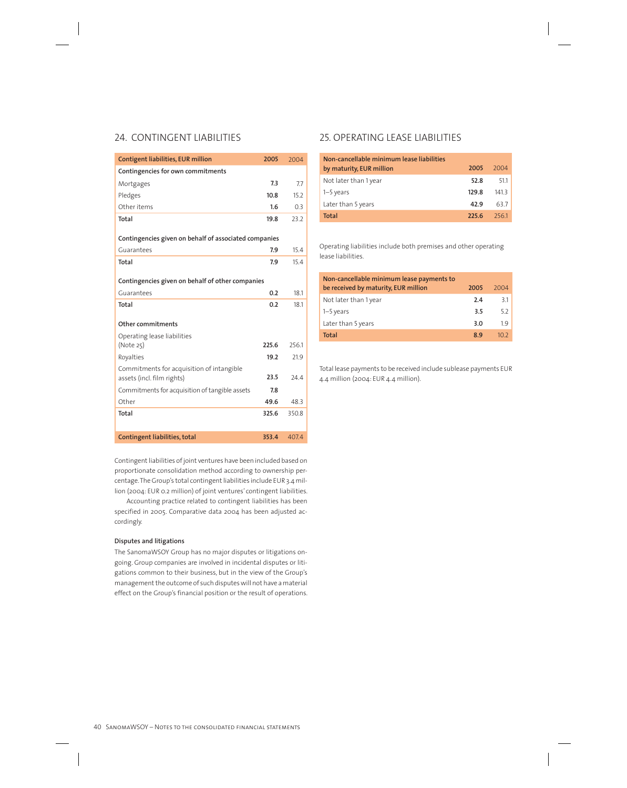## 24. CONTINGENT LIABILITIES

| Contigent liabilities, EUR million                    | 2005  | 2004  |
|-------------------------------------------------------|-------|-------|
| Contingencies for own commitments                     |       |       |
| Mortgages                                             | 7.3   | 7.7   |
| Pledges                                               | 10.8  | 15.2  |
| Other items                                           | 1.6   | 0.3   |
| Total                                                 | 19.8  | 23.2  |
|                                                       |       |       |
| Contingencies given on behalf of associated companies |       |       |
| Guarantees                                            | 7.9   | 15.4  |
| Total                                                 | 7.9   | 15.4  |
|                                                       |       |       |
| Contingencies given on behalf of other companies      |       |       |
| Guarantees                                            | 0.2   | 18.1  |
| Total                                                 | 0.2   | 18.1  |
|                                                       |       |       |
| Other commitments                                     |       |       |
| Operating lease liabilities                           |       |       |
| (Note 25)                                             | 225.6 | 256.1 |
|                                                       |       |       |
| Royalties                                             | 19.2  | 21.9  |
| Commitments for acquisition of intangible             |       |       |
| assets (incl. film rights)                            | 23.5  | 24.4  |
| Commitments for acquisition of tangible assets        | 7.8   |       |
| Other                                                 | 49.6  | 48.3  |
| Total                                                 | 325.6 | 350.8 |
|                                                       |       |       |

Contingent liabilities of joint ventures have been included based on proportionate consolidation method according to ownership percentage. The Group's total contingent liabilities include EUR 3.4 million (2004: EUR 0.2 million) of joint ventures' contingent liabilities.

Accounting practice related to contingent liabilities has been specified in 2005. Comparative data 2004 has been adjusted accordingly.

#### **Disputes and litigations**

The SanomaWSOY Group has no major disputes or litigations ongoing. Group companies are involved in incidental disputes or litigations common to their business, but in the view of the Group's management the outcome of such disputes will not have a material effect on the Group's financial position or the result of operations.

## 25. OPERATING LEASE LIABILITIES

| Non-cancellable minimum lease liabilities<br>by maturity, EUR million | 2005  | 2004 |
|-----------------------------------------------------------------------|-------|------|
| Not later than 1 year                                                 | 52.8  | 511  |
| $1-5$ years                                                           | 129.8 | 1413 |
| Later than 5 years                                                    | 42.9  | 637  |
| Total                                                                 | 225 G | 2561 |

Operating liabilities include both premises and other operating lease liabilities.

| Non-cancellable minimum lease payments to |      |                 |
|-------------------------------------------|------|-----------------|
| be received by maturity, EUR million      | 2005 | 2004            |
| Not later than 1 year                     | 2.4  | 3.1             |
| $1-5$ years                               | 3.5  | 5.2             |
| Later than 5 years                        | 3.0  | 1.9             |
| <b>Total</b>                              | 8.9  | 10 <sub>2</sub> |
|                                           |      |                 |

Total lease payments to be received include sublease payments EUR 4.4 million (2004: EUR 4.4 million).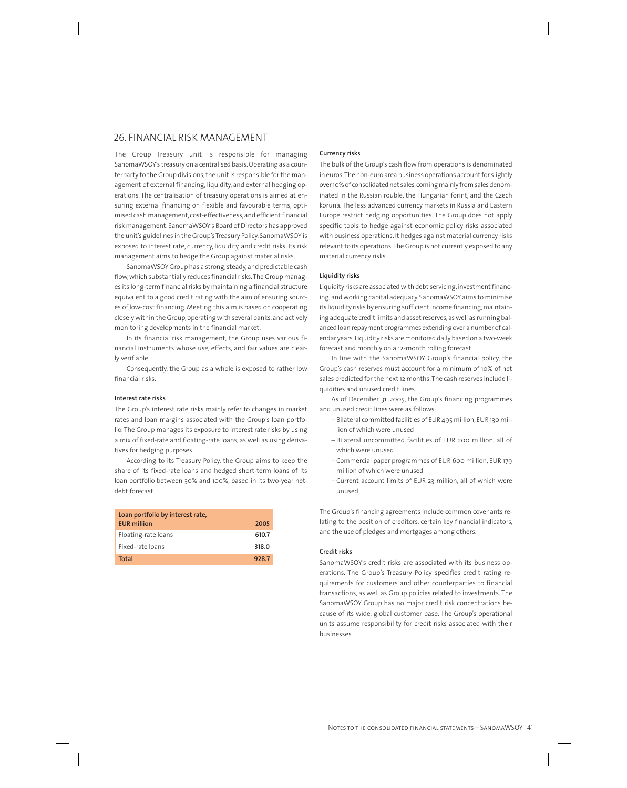### 26. FINANCIAL RISK MANAGEMENT

The Group Treasury unit is responsible for managing SanomaWSOY's treasury on a centralised basis. Operating as a counterparty to the Group divisions, the unit is responsible for the management of external financing, liquidity, and external hedging operations. The centralisation of treasury operations is aimed at ensuring external financing on flexible and favourable terms, optimised cash management, cost-effectiveness, and efficient financial risk management. SanomaWSOY's Board of Directors has approved the unit's guidelines in the Group's Treasury Policy. SanomaWSOY is exposed to interest rate, currency, liquidity, and credit risks. Its risk management aims to hedge the Group against material risks.

SanomaWSOY Group has a strong, steady, and predictable cash flow, which substantially reduces financial risks. The Group manages its long-term financial risks by maintaining a financial structure equivalent to a good credit rating with the aim of ensuring sources of low-cost financing. Meeting this aim is based on cooperating closely within the Group, operating with several banks, and actively monitoring developments in the financial market.

In its financial risk management, the Group uses various financial instruments whose use, effects, and fair values are clearly verifiable.

Consequently, the Group as a whole is exposed to rather low financial risks.

#### **Interest rate risks**

The Group's interest rate risks mainly refer to changes in market rates and loan margins associated with the Group's loan portfolio. The Group manages its exposure to interest rate risks by using a mix of fixed-rate and floating-rate loans, as well as using derivatives for hedging purposes.

According to its Treasury Policy, the Group aims to keep the share of its fixed-rate loans and hedged short-term loans of its loan portfolio between 30% and 100%, based in its two-year netdebt forecast.

| Loan portfolio by interest rate,<br><b>EUR</b> million | 2005  |
|--------------------------------------------------------|-------|
| Floating-rate loans                                    | 610.7 |
| Fixed-rate loans                                       | 318.0 |
| Total                                                  | 928.7 |

#### **Currency risks**

The bulk of the Group's cash flow from operations is denominated in euros. The non-euro area business operations account for slightly over 10% of consolidated net sales, coming mainly from sales denominated in the Russian rouble, the Hungarian forint, and the Czech koruna. The less advanced currency markets in Russia and Eastern Europe restrict hedging opportunities. The Group does not apply specific tools to hedge against economic policy risks associated with business operations. It hedges against material currency risks relevant to its operations. The Group is not currently exposed to any material currency risks.

#### **Liquidity risks**

Liquidity risks are associated with debt servicing, investment financing, and working capital adequacy. SanomaWSOY aims to minimise its liquidity risks by ensuring sufficient income financing, maintaining adequate credit limits and asset reserves, as well as running balanced loan repayment programmes extending over a number of calendar years. Liquidity risks are monitored daily based on a two-week forecast and monthly on a 12-month rolling forecast.

In line with the SanomaWSOY Group's financial policy, the Group's cash reserves must account for a minimum of 10% of net sales predicted for the next 12 months. The cash reserves include liquidities and unused credit lines.

As of December 31, 2005, the Group's financing programmes and unused credit lines were as follows:

- Bilateral committed facilities of EUR 495 million, EUR 130 million of which were unused
- Bilateral uncommitted facilities of EUR 200 million, all of which were unused
- Commercial paper programmes of EUR 600 million, EUR 179 million of which were unused
- Current account limits of EUR 23 million, all of which were unused.

The Group's financing agreements include common covenants relating to the position of creditors, certain key financial indicators, and the use of pledges and mortgages among others.

#### **Credit risks**

SanomaWSOY's credit risks are associated with its business operations. The Group's Treasury Policy specifies credit rating requirements for customers and other counterparties to financial transactions, as well as Group policies related to investments. The SanomaWSOY Group has no major credit risk concentrations because of its wide, global customer base. The Group's operational units assume responsibility for credit risks associated with their businesses.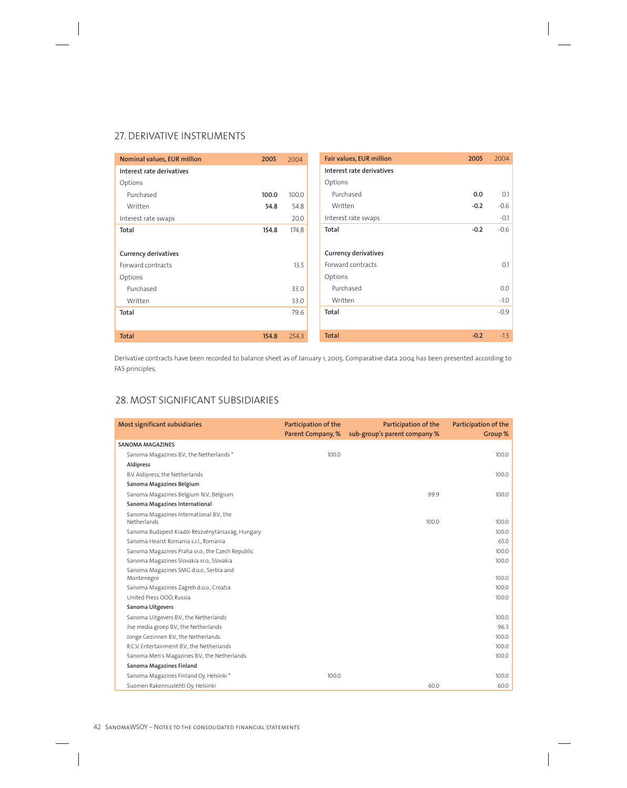## 27. DERIVATIVE INSTRUMENTS

| Nominal values, EUR million | 2005  | 2004  | Fair values, EUR million    | 2005   | 2004   |
|-----------------------------|-------|-------|-----------------------------|--------|--------|
| Interest rate derivatives   |       |       | Interest rate derivatives   |        |        |
| Options                     |       |       | Options                     |        |        |
| Purchased                   | 100.0 | 100.0 | Purchased                   | 0.0    | 0.1    |
| Written                     | 54.8  | 54.8  | Written                     | $-0.2$ | $-0.6$ |
| Interest rate swaps         |       | 20.0  | Interest rate swaps         |        | $-0.1$ |
| Total                       | 154.8 | 174.8 | Total                       | $-0.2$ | $-0.6$ |
|                             |       |       |                             |        |        |
| <b>Currency derivatives</b> |       |       | <b>Currency derivatives</b> |        |        |
| Forward contracts           |       | 13.5  | Forward contracts           |        | 0.1    |
| Options                     |       |       | Options                     |        |        |
| Purchased                   |       | 33.0  | Purchased                   |        | 0.0    |
| Written                     |       | 33.0  | Written                     |        | $-1.0$ |
| Total                       |       | 79.6  | Total                       |        | $-0.9$ |
|                             |       |       |                             |        |        |
| <b>Total</b>                | 154.8 | 254.3 | <b>Total</b>                | $-0.2$ | $-1.5$ |

Derivative contracts have been recorded to balance sheet as of January 1, 2005. Comparative data 2004 has been presented according to FAS principles.

## 28. MOST SIGNIFICANT SUBSIDIARIES

| Most significant subsidiaries                           | Participation of the<br>Parent Company, % | Participation of the<br>sub-group's parent company % | Participation of the<br>Group % |
|---------------------------------------------------------|-------------------------------------------|------------------------------------------------------|---------------------------------|
| <b>SANOMA MAGAZINES</b>                                 |                                           |                                                      |                                 |
| Sanoma Magazines B.V., the Netherlands *                | 100.0                                     |                                                      | 100.0                           |
| Aldipress                                               |                                           |                                                      |                                 |
| B.V. Aldipress, the Netherlands                         |                                           |                                                      | 100.0                           |
| Sanoma Magazines Belgium                                |                                           |                                                      |                                 |
| Sanoma Magazines Belgium N.V., Belgium                  |                                           | 99.9                                                 | 100.0                           |
| Sanoma Magazines International                          |                                           |                                                      |                                 |
| Sanoma Magazines International B.V., the<br>Netherlands |                                           | 100.0                                                | 100.0                           |
| Sanoma Budapest Kiadói Részvénytársaság, Hungary        |                                           |                                                      | 100.0                           |
| Sanoma Hearst Romania s.r.l., Romania                   |                                           |                                                      | 65.0                            |
| Sanoma Magazines Praha sr.o., the Czech Republic        |                                           |                                                      | 100.0                           |
| Sanoma Magazines Slovakia sr.o., Slovakia               |                                           |                                                      | 100.0                           |
| Sanoma Magazines SMG d.o.o., Serbia and<br>Montenegro   |                                           |                                                      | 100.0                           |
| Sanoma Magazines Zagreb d.o.o., Croatia                 |                                           |                                                      | 100.0                           |
| United Press OOO, Russia                                |                                           |                                                      | 100.0                           |
| Sanoma Uitgevers                                        |                                           |                                                      |                                 |
| Sanoma Uitgevers B.V., the Netherlands                  |                                           |                                                      | 100.0                           |
| ilse media groep B.V., the Netherlands                  |                                           |                                                      | 96.3                            |
| Jonge Gezinnen B.V., the Netherlands                    |                                           |                                                      | 100.0                           |
| R.C.V. Entertainment B.V., the Netherlands              |                                           |                                                      | 100.0                           |
| Sanoma Men's Magazines B.V., the Netherlands            |                                           |                                                      | 100.0                           |
| Sanoma Magazines Finland                                |                                           |                                                      |                                 |
| Sanoma Magazines Finland Oy, Helsinki *                 | 100.0                                     |                                                      | 100.0                           |
| Suomen Rakennuslehti Oy, Helsinki                       |                                           | 60.0                                                 | 60.0                            |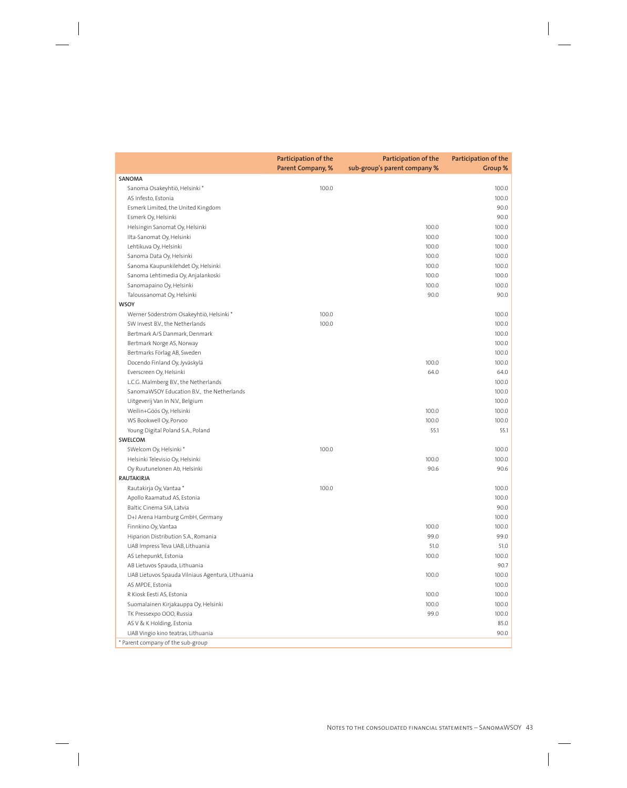|                                                  | Participation of the<br><b>Parent Company, %</b> | Participation of the<br>sub-group's parent company % | Participation of the<br>Group % |
|--------------------------------------------------|--------------------------------------------------|------------------------------------------------------|---------------------------------|
| <b>SANOMA</b>                                    |                                                  |                                                      |                                 |
| Sanoma Osakeyhtiö, Helsinki*                     | 100.0                                            |                                                      | 100.0                           |
| AS Infesto, Estonia                              |                                                  |                                                      | 100.0                           |
| Esmerk Limited, the United Kingdom               |                                                  |                                                      | 90.0                            |
| Esmerk Oy, Helsinki                              |                                                  |                                                      | 90.0                            |
| Helsingin Sanomat Oy, Helsinki                   |                                                  | 100.0                                                | 100.0                           |
| Ilta-Sanomat Oy, Helsinki                        |                                                  | 100.0                                                | 100.0                           |
| Lehtikuva Oy, Helsinki                           |                                                  | 100.0                                                | 100.0                           |
| Sanoma Data Oy, Helsinki                         |                                                  | 100.0                                                | 100.0                           |
| Sanoma Kaupunkilehdet Oy, Helsinki               |                                                  | 100.0                                                | 100.0                           |
| Sanoma Lehtimedia Oy, Anjalankoski               |                                                  | 100.0                                                | 100.0                           |
| Sanomapaino Oy, Helsinki                         |                                                  | 100.0                                                | 100.0                           |
| Taloussanomat Oy, Helsinki                       |                                                  | 90.0                                                 | 90.0                            |
| <b>WSOY</b>                                      |                                                  |                                                      |                                 |
| Werner Söderström Osakeyhtiö, Helsinki*          | 100.0                                            |                                                      | 100.0                           |
| SW Invest B.V., the Netherlands                  | 100.0                                            |                                                      | 100.0                           |
| Bertmark A/S Danmark, Denmark                    |                                                  |                                                      | 100.0                           |
| Bertmark Norge AS, Norway                        |                                                  |                                                      | 100.0                           |
| Bertmarks Förlag AB, Sweden                      |                                                  |                                                      | 100.0                           |
| Docendo Finland Oy, Jyväskylä                    |                                                  | 100.0                                                | 100.0                           |
| Everscreen Oy, Helsinki                          |                                                  | 64.0                                                 | 64.0                            |
| L.C.G. Malmberg B.V., the Netherlands            |                                                  |                                                      | 100.0                           |
| SanomaWSOY Education B.V., the Netherlands       |                                                  |                                                      | 100.0                           |
| Uitgeverij Van In N.V., Belgium                  |                                                  |                                                      | 100.0                           |
| Weilin+Göös Oy, Helsinki                         |                                                  | 100.0                                                | 100.0                           |
| WS Bookwell Oy, Porvoo                           |                                                  | 100.0                                                | 100.0                           |
| Young Digital Poland S.A., Poland                |                                                  | 55.1                                                 | 55.1                            |
| SWELCOM                                          |                                                  |                                                      |                                 |
| SWelcom Oy, Helsinki*                            | 100.0                                            |                                                      | 100.0                           |
| Helsinki Televisio Oy, Helsinki                  |                                                  | 100.0                                                | 100.0                           |
| Oy Ruutunelonen Ab, Helsinki                     |                                                  | 90.6                                                 | 90.6                            |
| <b>RAUTAKIRJA</b>                                |                                                  |                                                      |                                 |
| Rautakirja Oy, Vantaa*                           | 100.0                                            |                                                      | 100.0                           |
| Apollo Raamatud AS, Estonia                      |                                                  |                                                      | 100.0                           |
| Baltic Cinema SIA, Latvia                        |                                                  |                                                      | 90.0                            |
| D+J Arena Hamburg GmbH, Germany                  |                                                  |                                                      | 100.0                           |
| Finnkino Oy, Vantaa                              |                                                  | 100.0                                                | 100.0                           |
| Hiparion Distribution S.A., Romania              |                                                  | 99.0                                                 | 99.0                            |
| UAB Impress Teva UAB, Lithuania                  |                                                  | 51.0                                                 | 51.0                            |
| AS Lehepunkt, Estonia                            |                                                  | 100.0                                                | 100.0                           |
| AB Lietuvos Spauda, Lithuania                    |                                                  |                                                      | 90.7                            |
| UAB Lietuvos Spauda Vilniaus Agentura, Lithuania |                                                  | 100.0                                                | 100.0                           |
| AS MPDE, Estonia                                 |                                                  |                                                      | 100.0                           |
| R Kiosk Eesti AS, Estonia                        |                                                  | 100.0                                                | 100.0                           |
| Suomalainen Kirjakauppa Oy, Helsinki             |                                                  | 100.0                                                | 100.0                           |
| TK Pressexpo OOO, Russia                         |                                                  | 99.0                                                 | 100.0                           |
| AS V & K Holding, Estonia                        |                                                  |                                                      | 85.0                            |
| UAB Vingio kino teatras, Lithuania               |                                                  |                                                      | 90.0                            |
| * Parent company of the sub-group                |                                                  |                                                      |                                 |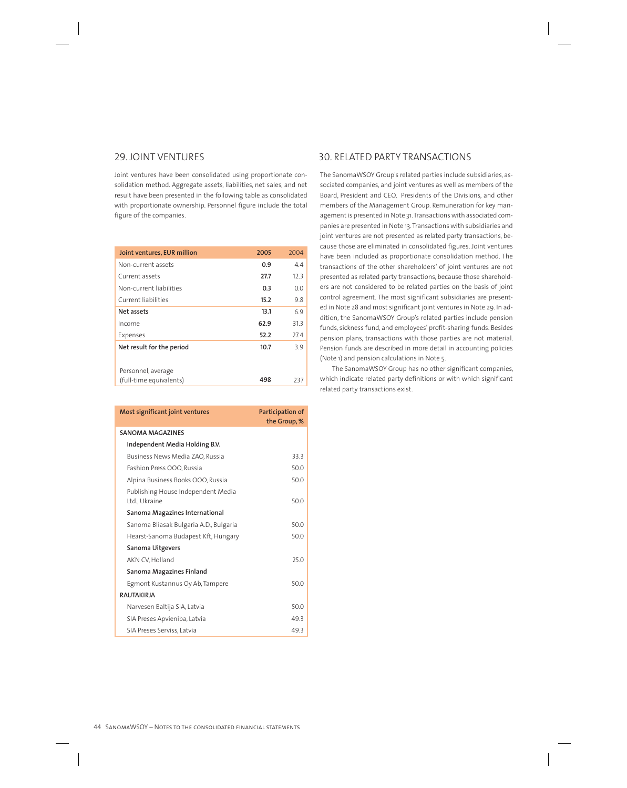## 29. JOINT VENTURES

Joint ventures have been consolidated using proportionate consolidation method. Aggregate assets, liabilities, net sales, and net result have been presented in the following table as consolidated with proportionate ownership. Personnel figure include the total figure of the companies.

| Joint ventures, EUR million                   | 2005 | 2004 |
|-----------------------------------------------|------|------|
| Non-current assets                            | 0.9  | 4.4  |
| Current assets                                | 27.7 | 123  |
| Non-current liabilities                       | 0.3  | 0.0  |
| Current liabilities                           | 15.2 | 9.8  |
| Net assets                                    | 13.1 | 6.9  |
| Income                                        | 62.9 | 31.3 |
| Expenses                                      | 52.2 | 27.4 |
| Net result for the period                     | 10.7 | 3.9  |
| Personnel, average<br>(full-time equivalents) | 498  | 237  |

| Most significant joint ventures                     | Participation of<br>the Group, % |
|-----------------------------------------------------|----------------------------------|
| <b>SANOMA MAGAZINES</b>                             |                                  |
| Independent Media Holding B.V.                      |                                  |
| Business News Media ZAO, Russia                     | 33.3                             |
| Fashion Press OOO, Russia                           | 500                              |
| Alpina Business Books OOO, Russia                   | 50.0                             |
| Publishing House Independent Media<br>Ltd., Ukraine | 50.0                             |
| Sanoma Magazines International                      |                                  |
| Sanoma Bliasak Bulgaria A.D., Bulgaria              | 500                              |
| Hearst-Sanoma Budapest Kft, Hungary                 | 50.0                             |
| Sanoma Uitgevers                                    |                                  |
| AKN CV, Holland                                     | 25.0                             |
| Sanoma Magazines Finland                            |                                  |
| Egmont Kustannus Oy Ab, Tampere                     | 50.0                             |
| <b>RAUTAKIRIA</b>                                   |                                  |
| Narvesen Baltija SIA, Latvia                        | 50.0                             |
| SIA Preses Apvieniba, Latvia                        | 49.3                             |
| SIA Preses Serviss, Latvia                          | 49.3                             |

## 30. RELATED PARTY TRANSACTIONS

The SanomaWSOY Group's related parties include subsidiaries, associated companies, and joint ventures as well as members of the Board, President and CEO, Presidents of the Divisions, and other members of the Management Group. Remuneration for key management is presented in Note 31. Transactions with associated companies are presented in Note 13. Transactions with subsidiaries and joint ventures are not presented as related party transactions, because those are eliminated in consolidated figures. Joint ventures have been included as proportionate consolidation method. The transactions of the other shareholders' of joint ventures are not presented as related party transactions, because those shareholders are not considered to be related parties on the basis of joint control agreement. The most significant subsidiaries are presented in Note 28 and most significant joint ventures in Note 29. In addition, the SanomaWSOY Group's related parties include pension funds, sickness fund, and employees' profit-sharing funds. Besides pension plans, transactions with those parties are not material. Pension funds are described in more detail in accounting policies (Note 1) and pension calculations in Note 5.

The SanomaWSOY Group has no other significant companies, which indicate related party definitions or with which significant related party transactions exist.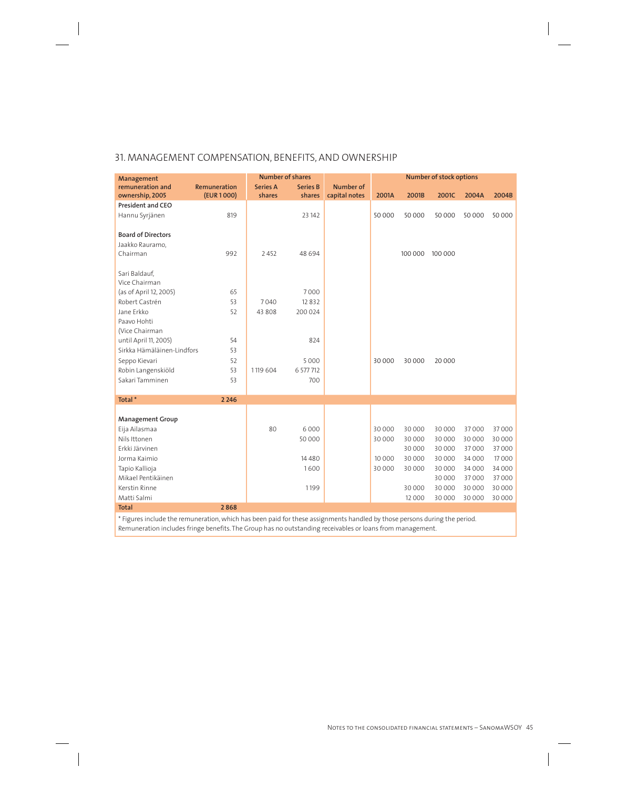## 31. MANAGEMENT COMPENSATION, BENEFITS, AND OWNERSHIP

| Management                 |              | <b>Number of shares</b> |                 |               |        |         | Number of stock options |        |        |
|----------------------------|--------------|-------------------------|-----------------|---------------|--------|---------|-------------------------|--------|--------|
| remuneration and           | Remuneration | <b>Series A</b>         | <b>Series B</b> | Number of     |        |         |                         |        |        |
| ownership, 2005            | (EUR 1000)   | shares                  | shares          | capital notes | 2001A  | 2001B   | 2001C                   | 2004A  | 2004B  |
| <b>President and CEO</b>   |              |                         |                 |               |        |         |                         |        |        |
| Hannu Syrjänen             | 819          |                         | 23 14 2         |               | 50 000 | 50 000  | 50 000                  | 50 000 | 50 000 |
|                            |              |                         |                 |               |        |         |                         |        |        |
| <b>Board of Directors</b>  |              |                         |                 |               |        |         |                         |        |        |
| Jaakko Rauramo,            |              |                         |                 |               |        |         |                         |        |        |
| Chairman                   | 992          | 2452                    | 48 694          |               |        | 100 000 | 100 000                 |        |        |
| Sari Baldauf,              |              |                         |                 |               |        |         |                         |        |        |
| Vice Chairman              |              |                         |                 |               |        |         |                         |        |        |
| (as of April 12, 2005)     | 65           |                         | 7000            |               |        |         |                         |        |        |
| Robert Castrén             | 53           | 7040                    | 12832           |               |        |         |                         |        |        |
| Jane Erkko                 | 52           | 43 808                  | 200 024         |               |        |         |                         |        |        |
| Paavo Hohti                |              |                         |                 |               |        |         |                         |        |        |
| (Vice Chairman             |              |                         |                 |               |        |         |                         |        |        |
| until April 11, 2005)      | 54           |                         | 824             |               |        |         |                         |        |        |
| Sirkka Hämäläinen-Lindfors | 53           |                         |                 |               |        |         |                         |        |        |
| Seppo Kievari              | 52           |                         | 5000            |               | 30 000 | 30 000  | 20 000                  |        |        |
| Robin Langenskiöld         | 53           | 1119 604                | 6 577 712       |               |        |         |                         |        |        |
| Sakari Tamminen            | 53           |                         | 700             |               |        |         |                         |        |        |
|                            |              |                         |                 |               |        |         |                         |        |        |
| Total*                     | 2 2 4 6      |                         |                 |               |        |         |                         |        |        |
| <b>Management Group</b>    |              |                         |                 |               |        |         |                         |        |        |
| Eija Ailasmaa              |              | 80                      | 6 0 0 0         |               | 30000  | 30 000  | 30 000                  | 37000  | 37000  |
| Nils Ittonen               |              |                         | 50 000          |               | 30 000 | 30 000  | 30 000                  | 30 000 | 30000  |
| Erkki Järvinen             |              |                         |                 |               |        | 30 000  | 30 000                  | 37000  | 37000  |
| Jorma Kaimio               |              |                         | 14 4 8 0        |               | 10 000 | 30 000  | 30 000                  | 34 000 | 17000  |
| Tapio Kallioja             |              |                         | 1600            |               | 30000  | 30 000  | 30 000                  | 34 000 | 34 000 |
| Mikael Pentikäinen         |              |                         |                 |               |        |         | 30 000                  | 37000  | 37000  |
| Kerstin Rinne              |              |                         | 1199            |               |        | 30 000  | 30 000                  | 30 000 | 30 000 |
| Matti Salmi                |              |                         |                 |               |        | 12 000  | 30 000                  | 30 000 | 30 000 |
| <b>Total</b>               | 2868         |                         |                 |               |        |         |                         |        |        |

\* Figures include the remuneration, which has been paid for these assignments handled by those persons during the period. Remuneration includes fringe benefits. The Group has no outstanding receivables or loans from management.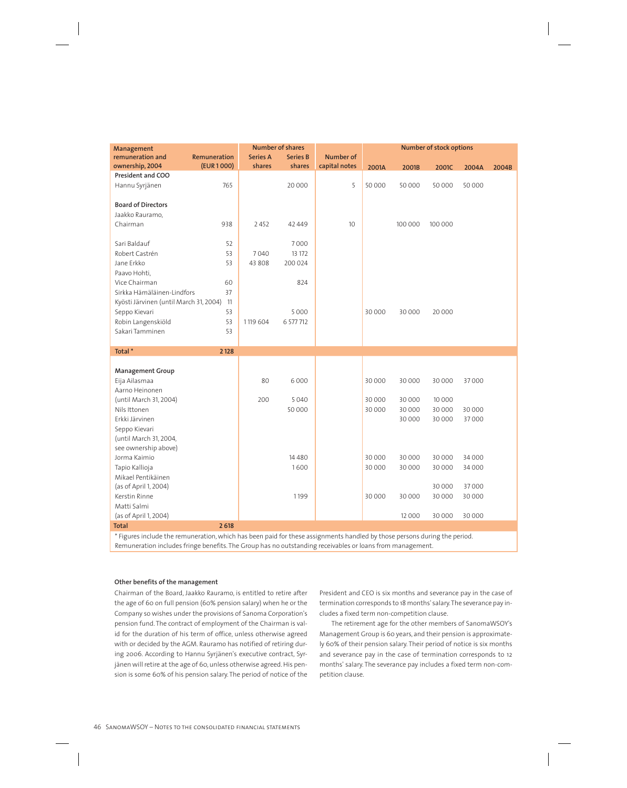| Management                             |              |                 | <b>Number of shares</b> |                  | Number of stock options |         |         |        |       |
|----------------------------------------|--------------|-----------------|-------------------------|------------------|-------------------------|---------|---------|--------|-------|
| remuneration and                       | Remuneration | <b>Series A</b> | <b>Series B</b>         | <b>Number of</b> |                         |         |         |        |       |
| ownership, 2004                        | (EUR 1000)   | shares          | shares                  | capital notes    | 2001A                   | 2001B   | 2001C   | 2004A  | 2004B |
| President and COO                      |              |                 |                         |                  |                         |         |         |        |       |
| Hannu Syrjänen                         | 765          |                 | 20 000                  | 5                | 50000                   | 50 000  | 50 000  | 50 000 |       |
|                                        |              |                 |                         |                  |                         |         |         |        |       |
| <b>Board of Directors</b>              |              |                 |                         |                  |                         |         |         |        |       |
| Jaakko Rauramo,                        |              |                 |                         |                  |                         |         |         |        |       |
| Chairman                               | 938          | 2 4 5 2         | 42 449                  | 10               |                         | 100 000 | 100 000 |        |       |
|                                        |              |                 |                         |                  |                         |         |         |        |       |
| Sari Baldauf                           | 52           |                 | 7000                    |                  |                         |         |         |        |       |
| Robert Castrén                         | 53           | 7040            | 13 172                  |                  |                         |         |         |        |       |
| Jane Erkko                             | 53           | 43 808          | 200 024                 |                  |                         |         |         |        |       |
| Paavo Hohti,                           |              |                 |                         |                  |                         |         |         |        |       |
| Vice Chairman                          | 60           |                 | 824                     |                  |                         |         |         |        |       |
| Sirkka Hämäläinen-Lindfors             | 37           |                 |                         |                  |                         |         |         |        |       |
| Kyösti Järvinen (until March 31, 2004) | 11           |                 |                         |                  |                         |         |         |        |       |
| Seppo Kievari                          | 53           |                 | 5000                    |                  | 30 000                  | 30 000  | 20 000  |        |       |
| Robin Langenskiöld                     | 53           | 1119 604        | 6 577 712               |                  |                         |         |         |        |       |
| Sakari Tamminen                        | 53           |                 |                         |                  |                         |         |         |        |       |
| Total*                                 |              |                 |                         |                  |                         |         |         |        |       |
|                                        | 2 1 2 8      |                 |                         |                  |                         |         |         |        |       |
| <b>Management Group</b>                |              |                 |                         |                  |                         |         |         |        |       |
| Eija Ailasmaa                          |              | 80              | 6000                    |                  | 30 000                  | 30 000  | 30 000  | 37000  |       |
| Aarno Heinonen                         |              |                 |                         |                  |                         |         |         |        |       |
| (until March 31, 2004)                 |              | 200             | 5040                    |                  | 30 000                  | 30 000  | 10 000  |        |       |
| Nils Ittonen                           |              |                 | 50000                   |                  | 30 000                  | 30 000  | 30 000  | 30 000 |       |
| Erkki Järvinen                         |              |                 |                         |                  |                         | 30 000  | 30 000  | 37000  |       |
| Seppo Kievari                          |              |                 |                         |                  |                         |         |         |        |       |
| (until March 31, 2004,                 |              |                 |                         |                  |                         |         |         |        |       |
| see ownership above)                   |              |                 |                         |                  |                         |         |         |        |       |
| Jorma Kaimio                           |              |                 | 14480                   |                  | 30 000                  | 30 000  | 30 000  | 34 000 |       |
| Tapio Kallioja                         |              |                 | 1600                    |                  | 30000                   | 30 000  | 30 000  | 34 000 |       |
| Mikael Pentikäinen                     |              |                 |                         |                  |                         |         |         |        |       |
| (as of April 1, 2004)                  |              |                 |                         |                  |                         |         | 30 000  | 37000  |       |
| Kerstin Rinne                          |              |                 | 1199                    |                  | 30 000                  | 30 000  | 30 000  | 30 000 |       |
| Matti Salmi                            |              |                 |                         |                  |                         |         |         |        |       |
| (as of April 1, 2004)                  |              |                 |                         |                  |                         | 12 000  | 30 000  | 30 000 |       |
| <b>Total</b>                           | 2 6 18       |                 |                         |                  |                         |         |         |        |       |

\* Figures include the remuneration, which has been paid for these assignments handled by those persons during the period. Remuneration includes fringe benefits. The Group has no outstanding receivables or loans from management.

#### **Other benefits of the management**

Chairman of the Board, Jaakko Rauramo, is entitled to retire after the age of 60 on full pension (60% pension salary) when he or the Company so wishes under the provisions of Sanoma Corporation's pension fund. The contract of employment of the Chairman is valid for the duration of his term of office, unless otherwise agreed with or decided by the AGM. Rauramo has notified of retiring during 2006. According to Hannu Syrjänen's executive contract, Syrjänen will retire at the age of 60, unless otherwise agreed. His pension is some 60% of his pension salary. The period of notice of the President and CEO is six months and severance pay in the case of termination corresponds to 18 months' salary. The severance pay includes a fixed term non-competition clause.

The retirement age for the other members of SanomaWSOY's Management Group is 60 years, and their pension is approximately 60% of their pension salary. Their period of notice is six months and severance pay in the case of termination corresponds to 12 months' salary. The severance pay includes a fixed term non-competition clause.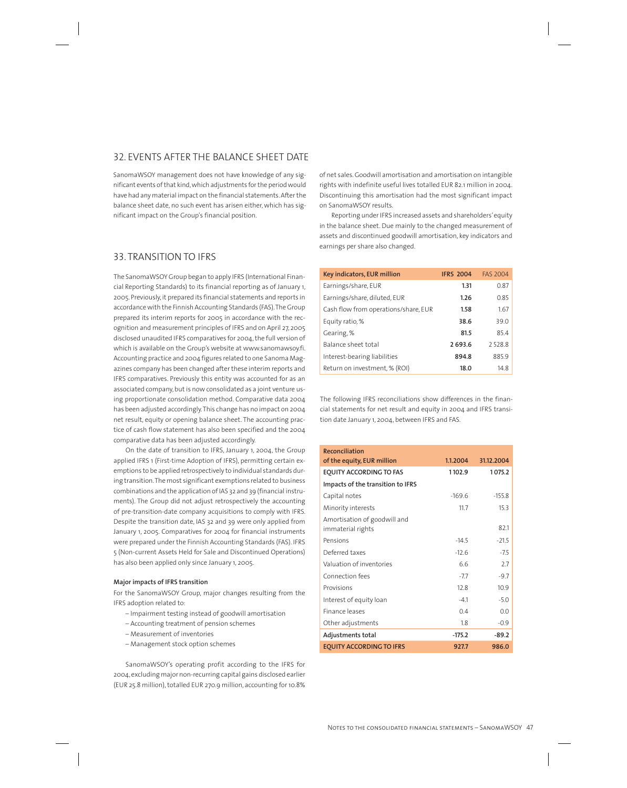## 32. EVENTS AFTER THE BALANCE SHEET DATE

SanomaWSOY management does not have knowledge of any significant events of that kind, which adjustments for the period would have had any material impact on the financial statements. After the balance sheet date, no such event has arisen either, which has significant impact on the Group's financial position.

## 33. TRANSITION TO IFRS

The SanomaWSOY Group began to apply IFRS (International Financial Reporting Standards) to its financial reporting as of January 1, 2005. Previously, it prepared its financial statements and reports in accordance with the Finnish Accounting Standards (FAS). The Group prepared its interim reports for 2005 in accordance with the recognition and measurement principles of IFRS and on April 27, 2005 disclosed unaudited IFRS comparatives for 2004, the full version of which is available on the Group's website at www.sanomawsoy.fi. Accounting practice and 2004 figures related to one Sanoma Magazines company has been changed after these interim reports and IFRS comparatives. Previously this entity was accounted for as an associated company, but is now consolidated as a joint venture using proportionate consolidation method. Comparative data 2004 has been adjusted accordingly. This change has no impact on 2004 net result, equity or opening balance sheet. The accounting practice of cash flow statement has also been specified and the 2004 comparative data has been adjusted accordingly.

On the date of transition to IFRS, January 1, 2004, the Group applied IFRS 1 (First-time Adoption of IFRS), permitting certain exemptions to be applied retrospectively to individual standards during transition. The most significant exemptions related to business combinations and the application of IAS 32 and 39 (financial instruments). The Group did not adjust retrospectively the accounting of pre-transition-date company acquisitions to comply with IFRS. Despite the transition date, IAS 32 and 39 were only applied from January 1, 2005. Comparatives for 2004 for financial instruments were prepared under the Finnish Accounting Standards (FAS). IFRS 5 (Non-current Assets Held for Sale and Discontinued Operations) has also been applied only since January 1, 2005.

#### **Major impacts of IFRS transition**

For the SanomaWSOY Group, major changes resulting from the IFRS adoption related to:

- Impairment testing instead of goodwill amortisation
- Accounting treatment of pension schemes
- Measurement of inventories
- Management stock option schemes

SanomaWSOY's operating profit according to the IFRS for 2004, excluding major non-recurring capital gains disclosed earlier (EUR 25.8 million), totalled EUR 270.9 million, accounting for 10.8%

of net sales. Goodwill amortisation and amortisation on intangible rights with indefinite useful lives totalled EUR 82.1 million in 2004. Discontinuing this amortisation had the most significant impact on SanomaWSOY results.

Reporting under IFRS increased assets and shareholders' equity in the balance sheet. Due mainly to the changed measurement of assets and discontinued goodwill amortisation, key indicators and earnings per share also changed.

| Key indicators, EUR million          | <b>IFRS 2004</b> | <b>FAS 2004</b> |
|--------------------------------------|------------------|-----------------|
| Earnings/share, EUR                  | 1.31             | 0.87            |
| Earnings/share, diluted, EUR         | 1.26             | 0.85            |
| Cash flow from operations/share, EUR | 1.58             | 1.67            |
| Equity ratio, %                      | 38.6             | 39.0            |
| Gearing, %                           | 81.5             | 85.4            |
| Balance sheet total                  | 2693.6           | 2528.8          |
| Interest-bearing liabilities         | 894.8            | 885.9           |
| Return on investment, % (ROI)        | 18.0             | 14.8            |

The following IFRS reconciliations show differences in the financial statements for net result and equity in 2004 and IFRS transition date January 1, 2004, between IFRS and FAS.

| Reconciliation<br>of the equity, EUR million      | 1.1.2004 | 31.12.2004 |
|---------------------------------------------------|----------|------------|
| <b>EQUITY ACCORDING TO FAS</b>                    | 1102.9   | 1075.2     |
| Impacts of the transition to IFRS                 |          |            |
| Capital notes                                     | $-169.6$ | $-155.8$   |
| Minority interests                                | 11.7     | 15.3       |
| Amortisation of goodwill and<br>immaterial rights |          | 82.1       |
| Pensions                                          | $-14.5$  | $-21.5$    |
| Deferred taxes                                    | $-12.6$  | $-7.5$     |
| Valuation of inventories                          | 66       | 2.7        |
| Connection fees                                   | $-7.7$   | $-9.7$     |
| Provisions                                        | 12.8     | 10.9       |
| Interest of equity loan                           | $-4.1$   | $-5.0$     |
| Finance leases                                    | 0.4      | 0.0        |
| Other adjustments                                 | 1.8      | $-0.9$     |
| Adjustments total                                 | $-175.2$ | $-89.2$    |
| <b>EQUITY ACCORDING TO IFRS</b>                   | 927.7    | 986.0      |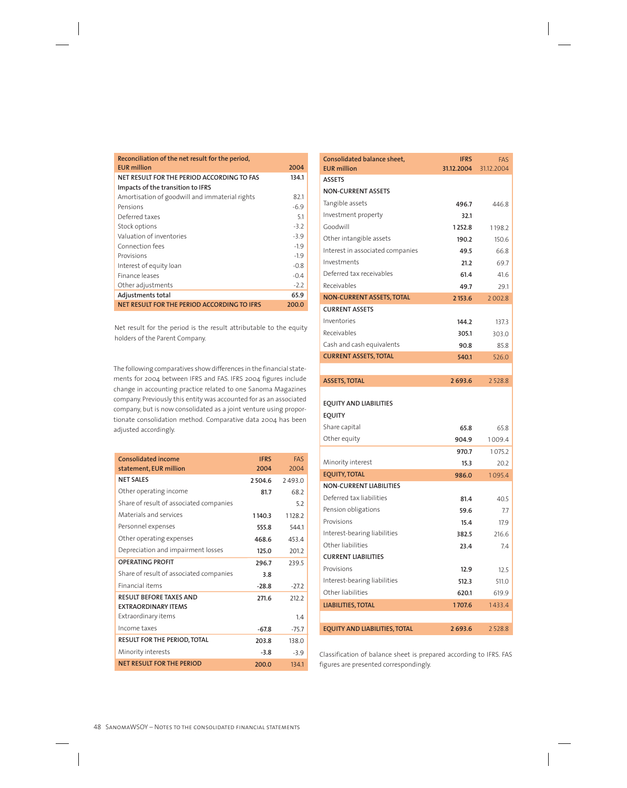| Reconciliation of the net result for the period, |        |
|--------------------------------------------------|--------|
| <b>EUR million</b>                               | 2004   |
| NET RESULT FOR THE PERIOD ACCORDING TO FAS       | 134.1  |
| Impacts of the transition to IFRS                |        |
| Amortisation of goodwill and immaterial rights   | 82.1   |
| Pensions                                         | $-6.9$ |
| Deferred taxes                                   | 5.1    |
| Stock options                                    | $-3.2$ |
| Valuation of inventories                         | $-3.9$ |
| Connection fees                                  | $-1.9$ |
| Provisions                                       | $-1.9$ |
| Interest of equity loan                          | $-0.8$ |
| Finance leases                                   | $-0.4$ |
| Other adjustments                                | $-2.2$ |
| Adjustments total                                | 65.9   |
| NET RESULT FOR THE PERIOD ACCORDING TO IFRS      | 200.0  |

Net result for the period is the result attributable to the equity holders of the Parent Company.

The following comparatives show differences in the financial statements for 2004 between IFRS and FAS. IFRS 2004 figures include change in accounting practice related to one Sanoma Magazines company. Previously this entity was accounted for as an associated company, but is now consolidated as a joint venture using proportionate consolidation method. Comparative data 2004 has been adjusted accordingly.

| Consolidated income<br>statement, EUR million                | <b>IFRS</b><br>2004 | <b>FAS</b><br>2004 |
|--------------------------------------------------------------|---------------------|--------------------|
| <b>NET SALES</b>                                             | 2 5 0 4 . 6         | 2493.0             |
| Other operating income                                       | 81.7                | 68.2               |
| Share of result of associated companies                      |                     | 5.2                |
| Materials and services                                       | 1140.3              | 1128.2             |
| Personnel expenses                                           | 555.8               | 544.1              |
| Other operating expenses                                     | 468.6               | 453.4              |
| Depreciation and impairment losses                           | 125.0               | 201.2              |
| <b>OPERATING PROFIT</b>                                      | 296.7               | 239.5              |
| Share of result of associated companies                      | 3.8                 |                    |
| Financial items                                              | $-28.8$             | $-27.2$            |
| <b>RESULT BEFORE TAXES AND</b><br><b>FXTRAORDINARY ITFMS</b> | 271.6               | 212.2              |
| Extraordinary items                                          |                     | 14                 |
| Income taxes                                                 | $-67.8$             | $-75.7$            |
| <b>RESULT FOR THE PERIOD, TOTAL</b>                          | 203.8               | 138.0              |
| Minority interests                                           | $-3.8$              | $-3.9$             |
| <b>NET RESULT FOR THE PERIOD</b>                             | 200.0               | 134.1              |

| Consolidated balance sheet,<br><b>EUR million</b> | <b>IFRS</b><br>31.12.2004 | FAS<br>31.12.2004 |
|---------------------------------------------------|---------------------------|-------------------|
| <b>ASSETS</b>                                     |                           |                   |
| <b>NON-CURRENT ASSETS</b>                         |                           |                   |
| Tangible assets                                   | 496.7                     | 446.8             |
| Investment property                               | 32.1                      |                   |
| Goodwill                                          | 1252.8                    | 1198.2            |
| Other intangible assets                           | 190.2                     | 150.6             |
| Interest in associated companies                  | 49.5                      | 66.8              |
| Investments                                       | 21.2                      | 69.7              |
| Deferred tax receivables                          | 61.4                      | 41.6              |
| Receivables                                       | 49.7                      | 29.1              |
| <b>NON-CURRENT ASSETS, TOTAL</b>                  | 2 153.6                   | 2 0 0 2.8         |
| <b>CURRENT ASSETS</b>                             |                           |                   |
| Inventories                                       | 144.2                     | 137.3             |
| Receivables                                       | 305.1                     | 303.0             |
| Cash and cash equivalents                         | 90.8                      | 85.8              |
| <b>CURRENT ASSETS, TOTAL</b>                      | 540.1                     | 526.0             |
|                                                   |                           |                   |
| <b>ASSETS, TOTAL</b>                              | 2693.6                    | 2528.8            |
|                                                   |                           |                   |
| <b>EQUITY AND LIABILITIES</b>                     |                           |                   |
| <b>EQUITY</b>                                     |                           |                   |
| Share capital                                     | 65.8                      | 65.8              |
| Other equity                                      | 904.9                     | 1009.4            |
| Minority interest                                 | 970.7                     | 1075.2            |
| <b>EQUITY, TOTAL</b>                              | 15.3                      | 20.2<br>1095.4    |
| <b>NON-CURRENT LIABILITIES</b>                    | 986.0                     |                   |
| Deferred tax liabilities                          |                           | 40.5              |
| Pension obligations                               | 81.4<br>59.6              | 7.7               |
| Provisions                                        | 15.4                      | 17.9              |
| Interest-bearing liabilities                      | 382.5                     | 216.6             |
| Other liabilities                                 | 23.4                      | 7.4               |
| <b>CURRENT LIABILITIES</b>                        |                           |                   |
| Provisions                                        | 12.9                      | 12.5              |
| Interest-bearing liabilities                      | 512.3                     | 511.0             |
| Other liabilities                                 | 620.1                     | 619.9             |
| <b>LIABILITIES, TOTAL</b>                         | 1707.6                    | 1433.4            |
|                                                   |                           |                   |
| <b>EQUITY AND LIABILITIES, TOTAL</b>              | 2 693.6                   | 2528.8            |
|                                                   |                           |                   |

Classification of balance sheet is prepared according to IFRS. FAS figures are presented correspondingly.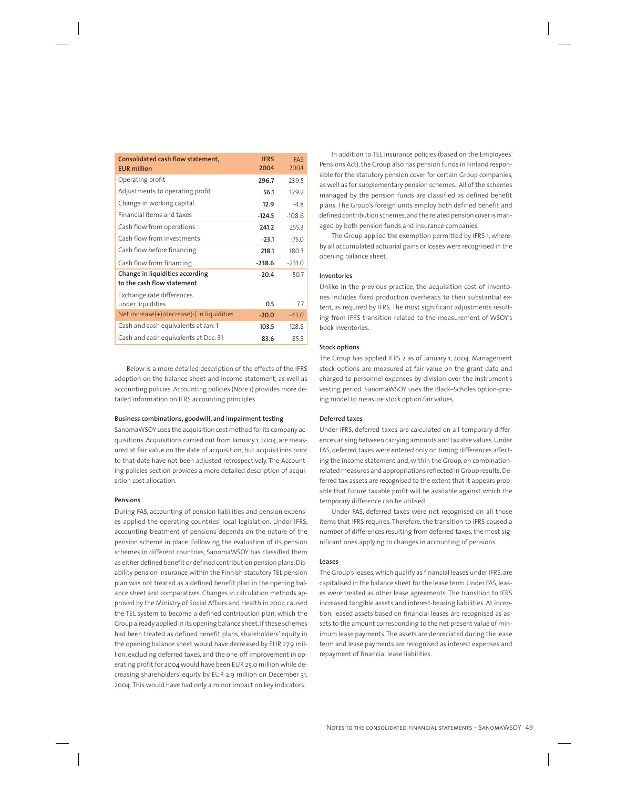| Consolidated cash flow statement,<br><b>EUR million</b>       | <b>IFRS</b><br>2004 | <b>FAS</b><br>2004 |
|---------------------------------------------------------------|---------------------|--------------------|
| Operating profit                                              | 296.7               | 239.5              |
| Adjustments to operating profit                               | 56.1                | 129.2              |
| Change in working capital                                     | 12.9                | $-4.8$             |
| Financial items and taxes                                     | $-124.5$            | $-108.6$           |
| Cash flow from operations                                     | 241.2               | 255.3              |
| Cash flow from investments                                    | $-23.1$             | $-75.0$            |
| Cash flow before financing                                    | 218.1               | 1803               |
| Cash flow from financing                                      | $-238.6$            | $-231.0$           |
| Change in liquidities according<br>to the cash flow statement | $-20.4$             | $-50.7$            |
| Exchange rate differences<br>under liquidities                | 0.5                 | 7.7                |
| Net increase $(+)/$ decrease $(-)$ in liquidities             | $-20.0$             | $-43.0$            |
| Cash and cash equivalents at Jan. 1                           | 103.5               | 128.8              |
| Cash and cash equivalents at Dec. 31                          | 83.6                | 85.8               |

Below is a more detailed description of the effects of the IFRS adoption on the balance sheet and income statement, as well as accounting policies. Accounting policies (Note 1) provides more detailed information on IFRS accounting principles.

#### **Business combinations, goodwill, and impairment testing**

SanomaWSOY uses the acquisition cost method for its company acquisitions. Acquisitions carried out from January 1, 2004, are measured at fair value on the date of acquisition, but acquisitions prior to that date have not been adjusted retrospectively. The Accounting policies section provides a more detailed description of acquisition cost allocation.

#### **Pensions**

During FAS, accounting of pension liabilities and pension expenses applied the operating countries' local legislation. Under IFRS, accounting treatment of pensions depends on the nature of the pension scheme in place. Following the evaluation of its pension schemes in different countries, SanomaWSOY has classified them as either defined benefit or defined contribution pension plans. Disability pension insurance within the Finnish statutory TEL pension plan was not treated as a defined benefit plan in the opening balance sheet and comparatives. Changes in calculation methods approved by the Ministry of Social Affairs and Health in 2004 caused the TEL system to become a defined contribution plan, which the Group already applied in its opening balance sheet. If these schemes had been treated as defined benefit plans, shareholders' equity in the opening balance sheet would have decreased by EUR 27.9 million, excluding deferred taxes, and the one-off improvement in operating profit for 2004 would have been EUR 25.0 million while decreasing shareholders' equity by EUR 2.9 million on December 31, 2004. This would have had only a minor impact on key indicators.

In addition to TEL insurance policies (based on the Employees' Pensions Act), the Group also has pension funds in Finland responsible for the statutory pension cover for certain Group companies, as well as for supplementary pension schemes. All of the schemes managed by the pension funds are classified as defined benefit plans. The Group's foreign units employ both defined benefit and defined contribution schemes, and the related pension cover is managed by both pension funds and insurance companies.

The Group applied the exemption permitted by IFRS 1, whereby all accumulated actuarial gains or losses were recognised in the opening balance sheet.

#### **Inventories**

Unlike in the previous practice, the acquisition cost of inventories includes fixed production overheads to their substantial extent, as required by IFRS. The most significant adjustments resulting from IFRS transition related to the measurement of WSOY's book inventories.

#### **Stock options**

The Group has applied IFRS 2 as of January 1, 2004. Management stock options are measured at fair value on the grant date and charged to personnel expenses by division over the instrument's vesting period. SanomaWSOY uses the Black–Scholes option-pricing model to measure stock option fair values.

#### **Deferred taxes**

Under IFRS, deferred taxes are calculated on all temporary differences arising between carrying amounts and taxable values. Under FAS, deferred taxes were entered only on timing differences affecting the income statement and, within the Group, on combinationrelated measures and appropriations reflected in Group results. Deferred tax assets are recognised to the extent that it appears probable that future taxable profit will be available against which the temporary difference can be utilised.

Under FAS, deferred taxes were not recognised on all those items that IFRS requires. Therefore, the transition to IFRS caused a number of differences resulting from deferred taxes, the most significant ones applying to changes in accounting of pensions.

#### **Leases**

The Group's leases, which qualify as financial leases under IFRS, are capitalised in the balance sheet for the lease term. Under FAS, leases were treated as other lease agreements. The transition to IFRS increased tangible assets and interest-bearing liabilities. At inception, leased assets based on financial leases are recognised as assets to the amount corresponding to the net present value of minimum lease payments. The assets are depreciated during the lease term and lease payments are recognised as interest expenses and repayment of financial lease liabilities.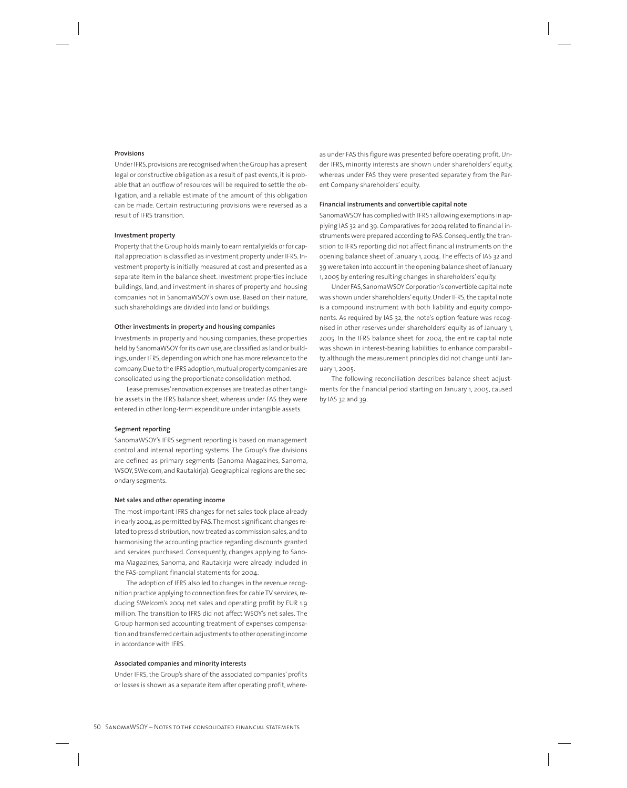#### **Provisions**

Under IFRS, provisions are recognised when the Group has a present legal or constructive obligation as a result of past events, it is probable that an outflow of resources will be required to settle the obligation, and a reliable estimate of the amount of this obligation can be made. Certain restructuring provisions were reversed as a result of IFRS transition.

#### **Investment property**

Property that the Group holds mainly to earn rental yields or for capital appreciation is classified as investment property under IFRS. Investment property is initially measured at cost and presented as a separate item in the balance sheet. Investment properties include buildings, land, and investment in shares of property and housing companies not in SanomaWSOY's own use. Based on their nature, such shareholdings are divided into land or buildings.

#### **Other investments in property and housing companies**

Investments in property and housing companies, these properties held by SanomaWSOY for its own use, are classified as land or buildings, under IFRS, depending on which one has more relevance to the company. Due to the IFRS adoption, mutual property companies are consolidated using the proportionate consolidation method.

Lease premises' renovation expenses are treated as other tangible assets in the IFRS balance sheet, whereas under FAS they were entered in other long-term expenditure under intangible assets.

#### **Segment reporting**

SanomaWSOY's IFRS segment reporting is based on management control and internal reporting systems. The Group's five divisions are defined as primary segments (Sanoma Magazines, Sanoma, WSOY, SWelcom, and Rautakirja). Geographical regions are the secondary segments.

#### **Net sales and other operating income**

The most important IFRS changes for net sales took place already in early 2004, as permitted by FAS. The most significant changes related to press distribution, now treated as commission sales, and to harmonising the accounting practice regarding discounts granted and services purchased. Consequently, changes applying to Sanoma Magazines, Sanoma, and Rautakirja were already included in the FAS-compliant financial statements for 2004.

The adoption of IFRS also led to changes in the revenue recognition practice applying to connection fees for cable TV services, reducing SWelcom's 2004 net sales and operating profit by EUR 1.9 million. The transition to IFRS did not affect WSOY's net sales. The Group harmonised accounting treatment of expenses compensation and transferred certain adjustments to other operating income in accordance with IFRS.

#### **Associated companies and minority interests**

Under IFRS, the Group's share of the associated companies' profits or losses is shown as a separate item after operating profit, whereas under FAS this figure was presented before operating profit. Under IFRS, minority interests are shown under shareholders' equity, whereas under FAS they were presented separately from the Parent Company shareholders' equity.

#### **Financial instruments and convertible capital note**

SanomaWSOY has complied with IFRS 1 allowing exemptions in applying IAS 32 and 39. Comparatives for 2004 related to financial instruments were prepared according to FAS. Consequently, the transition to IFRS reporting did not affect financial instruments on the opening balance sheet of January 1, 2004. The effects of IAS 32 and 39 were taken into account in the opening balance sheet of January 1, 2005 by entering resulting changes in shareholders' equity.

Under FAS, SanomaWSOY Corporation's convertible capital note was shown under shareholders' equity. Under IFRS, the capital note is a compound instrument with both liability and equity components. As required by IAS 32, the note's option feature was recognised in other reserves under shareholders' equity as of January 1, 2005. In the IFRS balance sheet for 2004, the entire capital note was shown in interest-bearing liabilities to enhance comparability, although the measurement principles did not change until January 1, 2005.

The following reconciliation describes balance sheet adjustments for the financial period starting on January 1, 2005, caused by IAS 32 and 39.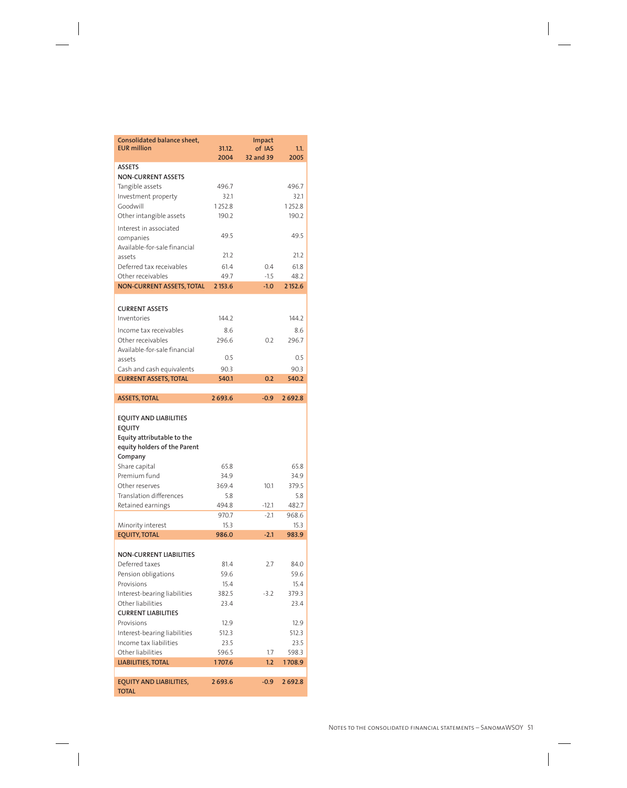| Consolidated balance sheet,<br><b>EUR million</b>                                                     | 31.12.        | <b>Impact</b><br>of IAS | 1.1.          |
|-------------------------------------------------------------------------------------------------------|---------------|-------------------------|---------------|
|                                                                                                       | 2004          | 32 and 39               | 2005          |
| <b>ASSETS</b>                                                                                         |               |                         |               |
| <b>NON-CURRENT ASSETS</b>                                                                             |               |                         |               |
| Tangible assets                                                                                       | 496.7         |                         | 496.7         |
| Investment property                                                                                   | 32.1          |                         | 32.1          |
| Goodwill                                                                                              | 1252.8        |                         | 1252.8        |
| Other intangible assets                                                                               | 190.2         |                         | 190.2         |
| Interest in associated                                                                                |               |                         |               |
| companies                                                                                             | 49.5          |                         | 49.5          |
| Available-for-sale financial                                                                          |               |                         |               |
| assets                                                                                                | 21.2          |                         | 21.2          |
| Deferred tax receivables                                                                              | 61.4          | 0.4                     | 61.8          |
| Other receivables                                                                                     | 49.7          | $-1.5$                  | 48.2          |
| <b>NON-CURRENT ASSETS, TOTAL</b>                                                                      | 2 153.6       | $-1.0$                  | 2 152.6       |
| <b>CURRENT ASSETS</b>                                                                                 |               |                         |               |
| Inventories                                                                                           | 144.2         |                         | 144.2         |
|                                                                                                       |               |                         |               |
| Income tax receivables                                                                                | 8.6           |                         | 8.6           |
| Other receivables                                                                                     | 296.6         | 0.2                     | 296.7         |
| Available-for-sale financial                                                                          | 0.5           |                         | 0.5           |
| assets<br>Cash and cash equivalents                                                                   | 90.3          |                         | 90.3          |
| <b>CURRENT ASSETS, TOTAL</b>                                                                          | 540.1         | 0.2                     | 540.2         |
|                                                                                                       |               |                         |               |
| <b>ASSETS, TOTAL</b>                                                                                  | 2693.6        | $-0.9$                  | 2692.8        |
|                                                                                                       |               |                         |               |
| <b>EQUITY AND LIABILITIES</b><br>EQUITY<br>Equity attributable to the<br>equity holders of the Parent |               |                         |               |
| Company                                                                                               |               |                         |               |
| Share capital                                                                                         | 65.8          |                         | 65.8          |
| Premium fund                                                                                          | 34.9          |                         | 34.9          |
| Other reserves                                                                                        | 369.4         | 10.1                    | 379.5         |
| <b>Translation differences</b>                                                                        | 5.8           |                         | 5.8           |
| Retained earnings                                                                                     | 494.8         | $-12.1$<br>$-2.1$       | 482.7         |
|                                                                                                       | 970.7<br>15.3 |                         | 968.6<br>15.3 |
| Minority interest<br><b>EQUITY, TOTAL</b>                                                             | 986.0         | $-2.1$                  | 983.9         |
|                                                                                                       |               |                         |               |
| <b>NON-CURRENT LIABILITIES</b>                                                                        |               |                         |               |
| Deferred taxes                                                                                        | 81.4          | 2.7                     | 84.0          |
| Pension obligations                                                                                   | 59.6          |                         | 59.6          |
| Provisions                                                                                            | 15.4          |                         | 15.4          |
| Interest-bearing liabilities                                                                          | 382.5         | $-3.2$                  | 379.3         |
| Other liabilities                                                                                     | 23.4          |                         | 23.4          |
| <b>CURRENT LIABILITIES</b><br>Provisions                                                              |               |                         |               |
|                                                                                                       | 12.9<br>512.3 |                         | 12.9<br>512.3 |
| Interest-bearing liabilities<br>Income tax liabilities                                                | 23.5          |                         | 23.5          |
| Other liabilities                                                                                     | 596.5         | 1.7                     | 598.3         |
| LIABILITIES, TOTAL                                                                                    | 1707.6        | 1.2 <sub>2</sub>        | 1708.9        |
| <b>EQUITY AND LIABILITIES,</b>                                                                        |               |                         |               |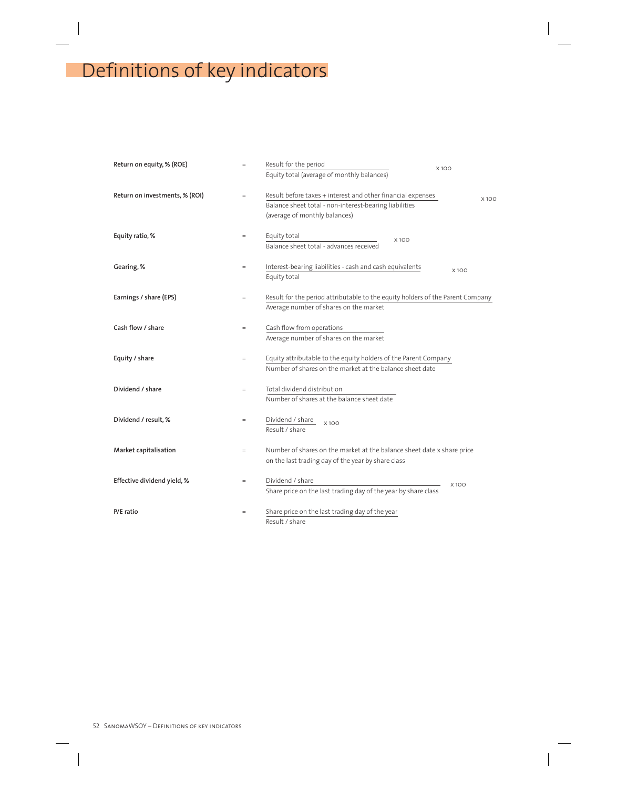# Definitions of key indicators

| Return on equity, % (ROE)      | $=$      | Result for the period                                                                                                                                  | X100        |
|--------------------------------|----------|--------------------------------------------------------------------------------------------------------------------------------------------------------|-------------|
|                                |          | Equity total (average of monthly balances)                                                                                                             |             |
| Return on investments, % (ROI) | $\equiv$ | Result before taxes + interest and other financial expenses<br>Balance sheet total - non-interest-bearing liabilities<br>(average of monthly balances) | <b>X10C</b> |
| Equity ratio, %                | $=$      | Equity total<br>X100<br>Balance sheet total - advances received                                                                                        |             |
| Gearing, %                     | $=$      | Interest-bearing liabilities - cash and cash equivalents<br>Equity total                                                                               | X100        |
| Earnings / share (EPS)         | $=$      | Result for the period attributable to the equity holders of the Parent Company<br>Average number of shares on the market                               |             |
| Cash flow / share              | $=$      | Cash flow from operations<br>Average number of shares on the market                                                                                    |             |
| Equity / share                 | $=$      | Equity attributable to the equity holders of the Parent Company<br>Number of shares on the market at the balance sheet date                            |             |
| Dividend / share               | $=$      | Total dividend distribution<br>Number of shares at the balance sheet date                                                                              |             |
| Dividend / result, %           | $=$      | Dividend / share<br>X100<br>Result / share                                                                                                             |             |
| Market capitalisation          | $=$      | Number of shares on the market at the balance sheet date x share price<br>on the last trading day of the year by share class                           |             |
| Effective dividend yield, %    | $=$      | Dividend / share<br>Share price on the last trading day of the year by share class                                                                     | X100        |
| P/E ratio                      | $=$      | Share price on the last trading day of the year<br>Result / share                                                                                      |             |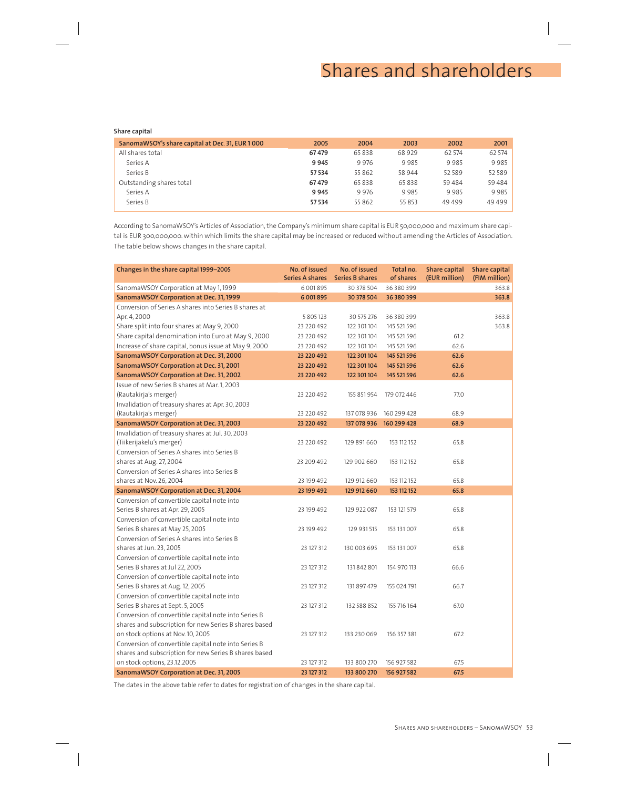# Shares and shareholders

#### **Share capital**

| SanomaWSOY's share capital at Dec. 31, EUR 1000 | 2005   | 2004  | 2003   | 2002   | 2001    |
|-------------------------------------------------|--------|-------|--------|--------|---------|
| All shares total                                | 67479  | 65838 | 68 929 | 62 574 | 62 574  |
| Series A                                        | 9945   | 9976  | 9985   | 9985   | 9985    |
| Series B                                        | 57 534 | 55862 | 58 944 | 52589  | 52 589  |
| Outstanding shares total                        | 67479  | 65838 | 65838  | 59484  | 59 4 84 |
| Series A                                        | 9945   | 9976  | 9985   | 9985   | 9985    |
| Series B                                        | 57 534 | 55862 | 55 853 | 49499  | 49499   |
|                                                 |        |       |        |        |         |

According to SanomaWSOY's Articles of Association, the Company's minimum share capital is EUR 50,000,000 and maximum share capital is EUR 300,000,000. within which limits the share capital may be increased or reduced without amending the Articles of Association. The table below shows changes in the share capital.

| Changes in the share capital 1999-2005                | No. of issued<br><b>Series A shares</b> | No. of issued<br><b>Series B shares</b> | Total no.<br>of shares | <b>Share capital</b><br>(EUR million) | <b>Share capital</b><br>(FIM million) |
|-------------------------------------------------------|-----------------------------------------|-----------------------------------------|------------------------|---------------------------------------|---------------------------------------|
| SanomaWSOY Corporation at May 1, 1999                 | 6 001 8 95                              | 30 378 504                              | 36 380 399             |                                       | 363.8                                 |
| SanomaWSOY Corporation at Dec. 31, 1999               | 6 001 895                               | 30 378 504                              | 36 380 399             |                                       | 363.8                                 |
| Conversion of Series A shares into Series B shares at |                                         |                                         |                        |                                       |                                       |
| Apr. 4, 2000                                          | 5 8 0 5 1 2 3                           | 30 575 276                              | 36 380 399             |                                       | 363.8                                 |
| Share split into four shares at May 9, 2000           | 23 220 492                              | 122 301 104                             | 145 521 596            |                                       | 363.8                                 |
| Share capital denomination into Euro at May 9, 2000   | 23 220 492                              | 122 301 104                             | 145 521 596            | 61.2                                  |                                       |
| Increase of share capital, bonus issue at May 9, 2000 | 23 220 492                              | 122 301 104                             | 145 521 596            | 62.6                                  |                                       |
| SanomaWSOY Corporation at Dec. 31, 2000               | 23 220 492                              | 122 301 104                             | 145 521 596            | 62.6                                  |                                       |
| SanomaWSOY Corporation at Dec. 31, 2001               | 23 220 492                              | 122 301 104                             | 145 521 596            | 62.6                                  |                                       |
| SanomaWSOY Corporation at Dec. 31, 2002               | 23 220 492                              | 122 301 104                             | 145 521 596            | 62.6                                  |                                       |
| Issue of new Series B shares at Mar. 1, 2003          |                                         |                                         |                        |                                       |                                       |
| (Rautakirja's merger)                                 | 23 220 492                              | 155 851 954                             | 179 072 446            | 77.0                                  |                                       |
| Invalidation of treasury shares at Apr. 30, 2003      |                                         |                                         |                        |                                       |                                       |
| (Rautakirja's merger)                                 | 23 220 492                              | 137 078 936                             | 160 299 428            | 68.9                                  |                                       |
| SanomaWSOY Corporation at Dec. 31, 2003               | 23 220 492                              | 137 078 936                             | 160 299 428            | 68.9                                  |                                       |
| Invalidation of treasury shares at Jul. 30, 2003      |                                         |                                         |                        |                                       |                                       |
| (Tiikerijakelu's merger)                              | 23 220 492                              | 129 891 660                             | 153 112 152            | 65.8                                  |                                       |
| Conversion of Series A shares into Series B           |                                         |                                         |                        |                                       |                                       |
| shares at Aug. 27, 2004                               | 23 209 492                              | 129 902 660                             | 153 112 152            | 65.8                                  |                                       |
| Conversion of Series A shares into Series B           |                                         |                                         |                        |                                       |                                       |
| shares at Nov. 26, 2004                               | 23 199 492                              | 129 912 660                             | 153 112 152            | 65.8                                  |                                       |
| SanomaWSOY Corporation at Dec. 31, 2004               | 23 199 492                              | 129 912 660                             | 153 112 152            | 65.8                                  |                                       |
| Conversion of convertible capital note into           |                                         |                                         |                        |                                       |                                       |
| Series B shares at Apr. 29, 2005                      | 23 199 492                              | 129 922 087                             | 153 121 579            | 65.8                                  |                                       |
| Conversion of convertible capital note into           |                                         |                                         |                        |                                       |                                       |
| Series B shares at May 25, 2005                       | 23 199 492                              | 129 931 515                             | 153 131 007            | 65.8                                  |                                       |
| Conversion of Series A shares into Series B           |                                         |                                         |                        |                                       |                                       |
| shares at Jun. 23, 2005                               | 23 127 312                              | 130 003 695                             | 153 131 007            | 65.8                                  |                                       |
| Conversion of convertible capital note into           |                                         |                                         |                        |                                       |                                       |
| Series B shares at Jul 22, 2005                       | 23 127 312                              | 131 842 801                             | 154 970 113            | 66.6                                  |                                       |
| Conversion of convertible capital note into           |                                         |                                         |                        |                                       |                                       |
| Series B shares at Aug. 12, 2005                      | 23 127 312                              | 131 897 479                             | 155 024 791            | 66.7                                  |                                       |
| Conversion of convertible capital note into           |                                         |                                         |                        |                                       |                                       |
| Series B shares at Sept. 5, 2005                      | 23 127 312                              | 132 588 852                             | 155 716 164            | 67.0                                  |                                       |
| Conversion of convertible capital note into Series B  |                                         |                                         |                        |                                       |                                       |
| shares and subscription for new Series B shares based |                                         |                                         |                        |                                       |                                       |
| on stock options at Nov. 10, 2005                     | 23 127 312                              | 133 230 069                             | 156 357 381            | 67.2                                  |                                       |
| Conversion of convertible capital note into Series B  |                                         |                                         |                        |                                       |                                       |
| shares and subscription for new Series B shares based |                                         |                                         |                        |                                       |                                       |
| on stock options, 23.12.2005                          | 23 127 312                              | 133 800 270                             | 156 927 582            | 67.5                                  |                                       |
| SanomaWSOY Corporation at Dec. 31, 2005               | 23 127 312                              | 133 800 270                             | 156 927 582            | 67.5                                  |                                       |

The dates in the above table refer to dates for registration of changes in the share capital.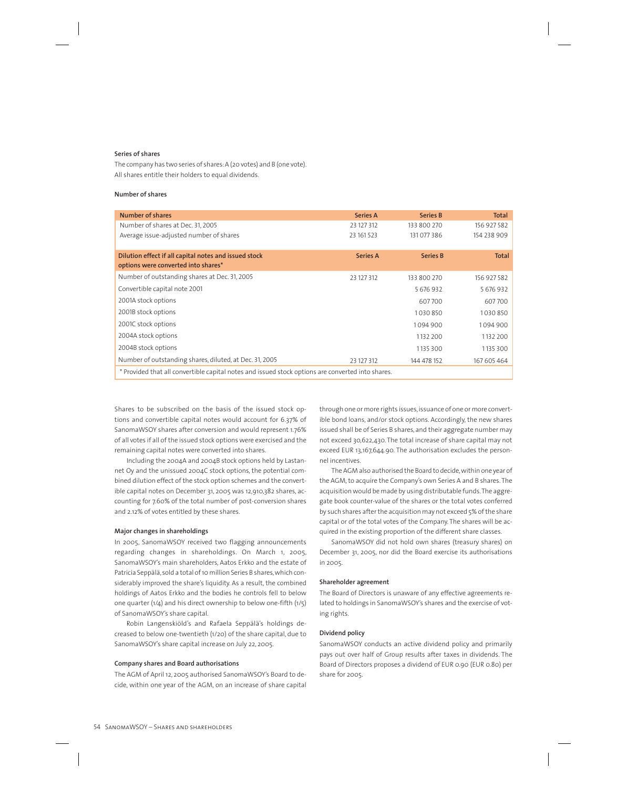#### **Series of shares**

The company has two series of shares: A (20 votes) and B (one vote). All shares entitle their holders to equal dividends.

#### **Number of shares**

| Number of shares                                                                                  | <b>Series A</b> | <b>Series B</b> | Total        |  |  |  |
|---------------------------------------------------------------------------------------------------|-----------------|-----------------|--------------|--|--|--|
| Number of shares at Dec. 31, 2005                                                                 | 23 127 312      | 133 800 270     | 156 927 582  |  |  |  |
| Average issue-adjusted number of shares                                                           | 23 161 523      | 131077386       | 154 238 909  |  |  |  |
|                                                                                                   |                 |                 |              |  |  |  |
| Dilution effect if all capital notes and issued stock                                             | <b>Series A</b> | <b>Series B</b> | <b>Total</b> |  |  |  |
| options were converted into shares*                                                               |                 |                 |              |  |  |  |
| Number of outstanding shares at Dec. 31, 2005                                                     | 23 127 312      | 133 800 270     | 156 927 582  |  |  |  |
| Convertible capital note 2001                                                                     |                 | 5 676 932       | 5 676 932    |  |  |  |
| 2001A stock options                                                                               |                 | 607700          | 607700       |  |  |  |
| 2001B stock options                                                                               |                 | 1030850         | 1030850      |  |  |  |
| 2001C stock options                                                                               |                 | 1094900         | 1094900      |  |  |  |
| 2004A stock options                                                                               |                 | 1132 200        | 1132 200     |  |  |  |
| 2004B stock options                                                                               |                 | 1135 300        | 1135 300     |  |  |  |
| Number of outstanding shares, diluted, at Dec. 31, 2005                                           | 23 127 312      | 144 478 152     | 167 605 464  |  |  |  |
| * Provided that all convertible capital notes and issued stock options are converted into shares. |                 |                 |              |  |  |  |

Shares to be subscribed on the basis of the issued stock options and convertible capital notes would account for 6.37% of SanomaWSOY shares after conversion and would represent 1.76% of all votes if all of the issued stock options were exercised and the remaining capital notes were converted into shares.

Including the 2004A and 2004B stock options held by Lastannet Oy and the unissued 2004C stock options, the potential combined dilution effect of the stock option schemes and the convertible capital notes on December 31, 2005 was 12,910,382 shares, accounting for 7.60% of the total number of post-conversion shares and 2.12% of votes entitled by these shares.

#### **Major changes in shareholdings**

In 2005, SanomaWSOY received two flagging announcements regarding changes in shareholdings. On March 1, 2005, SanomaWSOY's main shareholders, Aatos Erkko and the estate of Patricia Seppälä, sold a total of 10 million Series B shares, which considerably improved the share's liquidity. As a result, the combined holdings of Aatos Erkko and the bodies he controls fell to below one quarter (1/4) and his direct ownership to below one-fifth (1/5) of SanomaWSOY's share capital.

Robin Langenskiöld's and Rafaela Seppälä's holdings decreased to below one-twentieth (1/20) of the share capital, due to SanomaWSOY's share capital increase on July 22, 2005.

#### **Company shares and Board authorisations**

The AGM of April 12, 2005 authorised SanomaWSOY's Board to decide, within one year of the AGM, on an increase of share capital through one or more rights issues, issuance of one or more convertible bond loans, and/or stock options. Accordingly, the new shares issued shall be of Series B shares, and their aggregate number may not exceed 30,622,430. The total increase of share capital may not exceed EUR 13,167,644.90. The authorisation excludes the personnel incentives.

The AGM also authorised the Board to decide, within one year of the AGM, to acquire the Company's own Series A and B shares. The acquisition would be made by using distributable funds. The aggregate book counter-value of the shares or the total votes conferred by such shares after the acquisition may not exceed 5% of the share capital or of the total votes of the Company. The shares will be acquired in the existing proportion of the different share classes.

SanomaWSOY did not hold own shares (treasury shares) on December 31, 2005, nor did the Board exercise its authorisations in 2005.

#### **Shareholder agreement**

The Board of Directors is unaware of any effective agreements related to holdings in SanomaWSOY's shares and the exercise of voting rights.

#### **Dividend policy**

SanomaWSOY conducts an active dividend policy and primarily pays out over half of Group results after taxes in dividends. The Board of Directors proposes a dividend of EUR 0.90 (EUR 0.80) per share for 2005.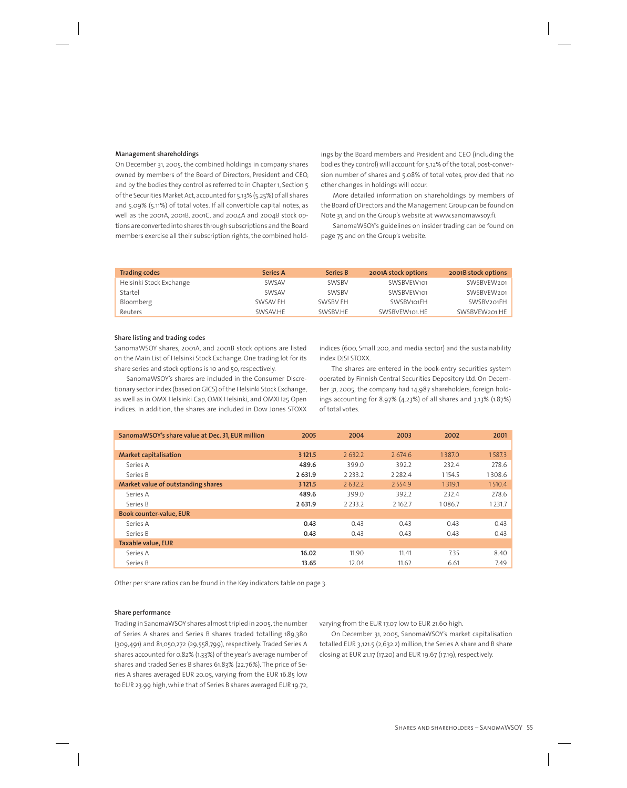#### **Management shareholdings**

On December 31, 2005, the combined holdings in company shares owned by members of the Board of Directors, President and CEO, and by the bodies they control as referred to in Chapter 1, Section 5 of the Securities Market Act, accounted for 5.13% (5.25%) of all shares and 5.09% (5.11%) of total votes. If all convertible capital notes, as well as the 2001A, 2001B, 2001C, and 2004A and 2004B stock options are converted into shares through subscriptions and the Board members exercise all their subscription rights, the combined holdings by the Board members and President and CEO (including the bodies they control) will account for 5.12% of the total, post-conversion number of shares and 5.08% of total votes, provided that no other changes in holdings will occur.

More detailed information on shareholdings by members of the Board of Directors and the Management Group can be found on Note 31, and on the Group's website at www.sanomawsoy.fi.

SanomaWSOY's guidelines on insider trading can be found on page 75 and on the Group's website.

| <b>Trading codes</b>    | <b>Series A</b> | <b>Series B</b> | 2001A stock options | 2001B stock options     |
|-------------------------|-----------------|-----------------|---------------------|-------------------------|
| Helsinki Stock Exchange | SWSAV           | <b>SWSBV</b>    | SWSBVEW101          | SWSBVEW201              |
| Startel                 | SWSAV           | <b>SWSBV</b>    | SWSBVEW101          | SWSBVEW201              |
| Bloomberg               | SWSAV FH        | SWSBV FH        | SWSBV101FH          | SWSBV <sub>201</sub> FH |
| Reuters                 | SWSAV.HE        | SWSBV.HE        | SWSBVEW101.HE       | SWSBVEW201.HE           |

#### **Share listing and trading codes**

SanomaWSOY shares, 2001A, and 2001B stock options are listed on the Main List of Helsinki Stock Exchange. One trading lot for its share series and stock options is 10 and 50, respectively.

SanomaWSOY's shares are included in the Consumer Discretionary sector index (based on GICS) of the Helsinki Stock Exchange, as well as in OMX Helsinki Cap, OMX Helsinki, and OMXH25 Open indices. In addition, the shares are included in Dow Jones STOXX

indices (600, Small 200, and media sector) and the sustainability index DJSI STOXX.

The shares are entered in the book-entry securities system operated by Finnish Central Securities Depository Ltd. On December 31, 2005, the company had 14,987 shareholders, foreign holdings accounting for 8.97% (4.23%) of all shares and 3.13% (1.87%) of total votes.

| SanomaWSOY's share value at Dec. 31, EUR million | 2005    | 2004        | 2003        | 2002   | 2001   |
|--------------------------------------------------|---------|-------------|-------------|--------|--------|
|                                                  |         |             |             |        |        |
| <b>Market capitalisation</b>                     | 3 121.5 | 2632.2      | 2 674.6     | 1387.0 | 1587.3 |
| Series A                                         | 489.6   | 399.0       | 392.2       | 232.4  | 278.6  |
| Series B                                         | 2 631.9 | 2 2 3 3 . 2 | 2 2 8 2 . 4 | 1154.5 | 1308.6 |
| Market value of outstanding shares               | 3 121.5 | 2632.2      | 2554.9      | 1319.1 | 1510.4 |
| Series A                                         | 489.6   | 399.0       | 392.2       | 232.4  | 278.6  |
| Series B                                         | 2 631.9 | 2 2 3 3 . 2 | 2162.7      | 1086.7 | 1231.7 |
| <b>Book counter-value, EUR</b>                   |         |             |             |        |        |
| Series A                                         | 0.43    | 0.43        | 0.43        | 0.43   | 0.43   |
| Series B                                         | 0.43    | 0.43        | 0.43        | 0.43   | 0.43   |
| <b>Taxable value, EUR</b>                        |         |             |             |        |        |
| Series A                                         | 16.02   | 11.90       | 11.41       | 7.35   | 8.40   |
| Series B                                         | 13.65   | 12.04       | 11.62       | 6.61   | 7.49   |

Other per share ratios can be found in the Key indicators table on page 3.

#### **Share performance**

Trading in SanomaWSOY shares almost tripled in 2005, the number of Series A shares and Series B shares traded totalling 189,380 (309,491) and 81,050,272 (29,558,799), respectively. Traded Series A shares accounted for 0.82% (1.33%) of the year's average number of shares and traded Series B shares 61.83% (22.76%). The price of Series A shares averaged EUR 20.05, varying from the EUR 16.85 low to EUR 23.99 high, while that of Series B shares averaged EUR 19.72, varying from the EUR 17.07 low to EUR 21.60 high.

On December 31, 2005, SanomaWSOY's market capitalisation totalled EUR 3,121.5 (2,632.2) million, the Series A share and B share closing at EUR 21.17 (17.20) and EUR 19.67 (17.19), respectively.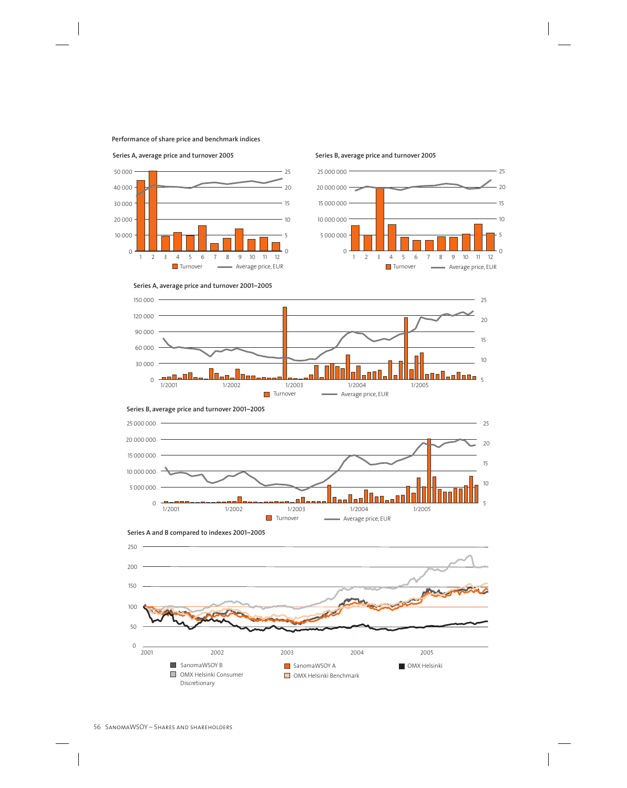#### **Performance of share price and benchmark indices**



#### **Series A, average price and turnover 2005 Series B, average price and turnover 2005**



**Series A, average price and turnover 2001–2005**









**Series A and B compared to indexes 2001–2005**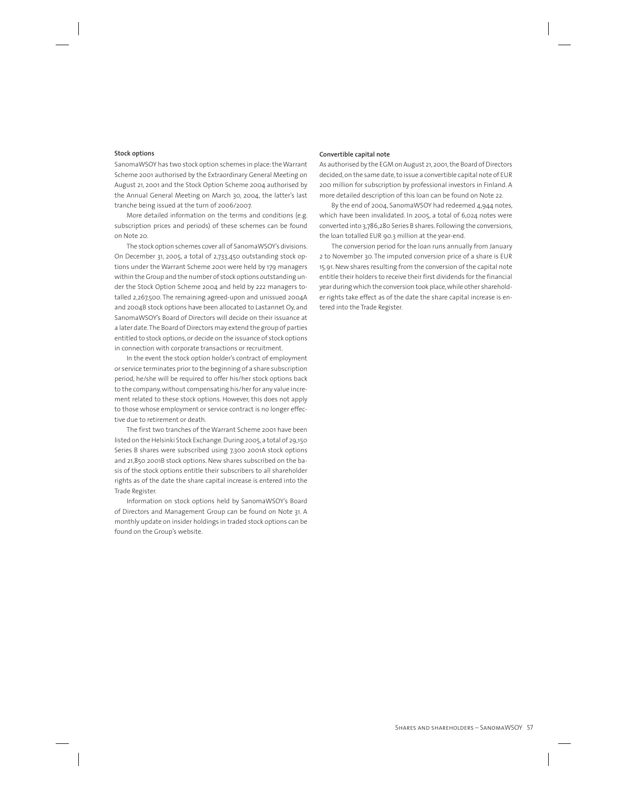#### **Stock options**

SanomaWSOY has two stock option schemes in place: the Warrant Scheme 2001 authorised by the Extraordinary General Meeting on August 21, 2001 and the Stock Option Scheme 2004 authorised by the Annual General Meeting on March 30, 2004, the latter's last tranche being issued at the turn of 2006/2007.

More detailed information on the terms and conditions (e.g. subscription prices and periods) of these schemes can be found on Note 20.

The stock option schemes cover all of SanomaWSOY's divisions. On December 31, 2005, a total of 2,733,450 outstanding stock options under the Warrant Scheme 2001 were held by 179 managers within the Group and the number of stock options outstanding under the Stock Option Scheme 2004 and held by 222 managers totalled 2,267,500. The remaining agreed-upon and unissued 2004A and 2004B stock options have been allocated to Lastannet Oy, and SanomaWSOY's Board of Directors will decide on their issuance at a later date. The Board of Directors may extend the group of parties entitled to stock options, or decide on the issuance of stock options in connection with corporate transactions or recruitment.

In the event the stock option holder's contract of employment or service terminates prior to the beginning of a share subscription period, he/she will be required to offer his/her stock options back to the company, without compensating his/her for any value increment related to these stock options. However, this does not apply to those whose employment or service contract is no longer effective due to retirement or death.

The first two tranches of the Warrant Scheme 2001 have been listed on the Helsinki Stock Exchange. During 2005, a total of 29,150 Series B shares were subscribed using 7,300 2001A stock options and 21,850 2001B stock options. New shares subscribed on the basis of the stock options entitle their subscribers to all shareholder rights as of the date the share capital increase is entered into the Trade Register.

Information on stock options held by SanomaWSOY's Board of Directors and Management Group can be found on Note 31. A monthly update on insider holdings in traded stock options can be found on the Group's website.

#### **Convertible capital note**

As authorised by the EGM on August 21, 2001, the Board of Directors decided, on the same date, to issue a convertible capital note of EUR 200 million for subscription by professional investors in Finland. A more detailed description of this loan can be found on Note 22.

By the end of 2004, SanomaWSOY had redeemed 4,944 notes, which have been invalidated. In 2005, a total of 6,024 notes were converted into 3,786,280 Series B shares. Following the conversions, the loan totalled EUR 90.3 million at the year-end.

The conversion period for the loan runs annually from January 2 to November 30. The imputed conversion price of a share is EUR 15.91. New shares resulting from the conversion of the capital note entitle their holders to receive their first dividends for the financial year during which the conversion took place, while other shareholder rights take effect as of the date the share capital increase is entered into the Trade Register.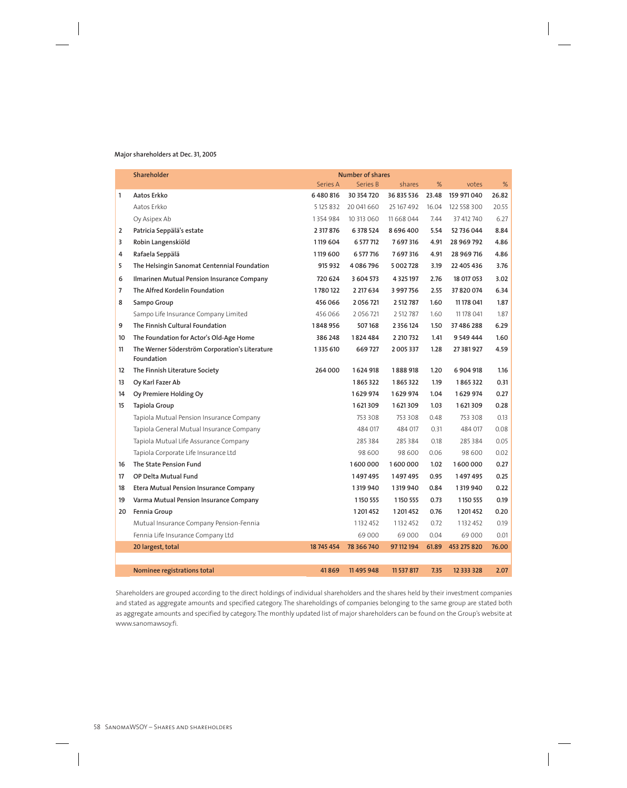#### **Major shareholders at Dec. 31, 2005**

|                   | Shareholder<br><b>Number of shares</b>                       |            |            |               |       |             |       |
|-------------------|--------------------------------------------------------------|------------|------------|---------------|-------|-------------|-------|
|                   |                                                              | Series A   | Series B   | shares        | %     | votes       | %     |
| 1                 | Aatos Erkko                                                  | 6480816    | 30 354 720 | 36 835 536    | 23.48 | 159 971 040 | 26.82 |
|                   | Aatos Erkko                                                  | 5 125 832  | 20 041 660 | 25 167 492    | 16.04 | 122 558 300 | 20.55 |
|                   | Oy Asipex Ab                                                 | 1354984    | 10 313 060 | 11 668 044    | 7.44  | 37 412 740  | 6.27  |
| 2                 | Patricia Seppälä's estate                                    | 2 317 876  | 6 378 524  | 8696400       | 5.54  | 52 736 044  | 8.84  |
| 3                 | Robin Langenskiöld                                           | 1119 604   | 6 577 712  | 7697316       | 4.91  | 28 969 792  | 4.86  |
| 4                 | Rafaela Seppälä                                              | 1119 600   | 6 577 716  | 7697316       | 4.91  | 28 969 716  | 4.86  |
| 5                 | The Helsingin Sanomat Centennial Foundation                  | 915 932    | 4086796    | 5 002 728     | 3.19  | 22 405 436  | 3.76  |
| 6                 | Ilmarinen Mutual Pension Insurance Company                   | 720 624    | 3 604 573  | 4 3 2 5 1 9 7 | 2.76  | 18 017 053  | 3.02  |
| $\overline{7}$    | The Alfred Kordelin Foundation                               | 1780122    | 2 217 634  | 3 997 756     | 2.55  | 37 820 074  | 6.34  |
| 8                 | Sampo Group                                                  | 456 066    | 2056721    | 2 512 787     | 1.60  | 11 178 041  | 1.87  |
|                   | Sampo Life Insurance Company Limited                         | 456 066    | 2056721    | 2 512 787     | 1.60  | 11 178 041  | 1.87  |
| 9                 | The Finnish Cultural Foundation                              | 1848956    | 507168     | 2 3 5 6 1 2 4 | 1.50  | 37 486 288  | 6.29  |
| 10                | The Foundation for Actor's Old-Age Home                      | 386 248    | 1824484    | 2 210 732     | 1.41  | 9 549 444   | 1.60  |
| 11                | The Werner Söderström Corporation's Literature<br>Foundation | 1335 610   | 669727     | 2005337       | 1.28  | 27 381 927  | 4.59  |
| $12 \overline{ }$ | The Finnish Literature Society                               | 264 000    | 1624 918   | 1888918       | 1.20  | 6904918     | 1.16  |
| 13                | Oy Karl Fazer Ab                                             |            | 1865322    | 1865322       | 1.19  | 1865322     | 0.31  |
| 14                | Oy Premiere Holding Oy                                       |            | 1629 974   | 1629 974      | 1.04  | 1629 974    | 0.27  |
| 15                | Tapiola Group                                                |            | 1621309    | 1621309       | 1.03  | 1621309     | 0.28  |
|                   | Tapiola Mutual Pension Insurance Company                     |            | 753 308    | 753 308       | 0.48  | 753 308     | 0.13  |
|                   | Tapiola General Mutual Insurance Company                     |            | 484 017    | 484 017       | 0.31  | 484 017     | 0.08  |
|                   | Tapiola Mutual Life Assurance Company                        |            | 285 384    | 285 384       | 0.18  | 285 384     | 0.05  |
|                   | Tapiola Corporate Life Insurance Ltd                         |            | 98 600     | 98 600        | 0.06  | 98 600      | 0.02  |
| 16                | The State Pension Fund                                       |            | 1600000    | 1600000       | 1.02  | 1600000     | 0.27  |
| 17                | OP Delta Mutual Fund                                         |            | 1497495    | 1497495       | 0.95  | 1497495     | 0.25  |
| 18                | <b>Etera Mutual Pension Insurance Company</b>                |            | 1319940    | 1319 940      | 0.84  | 1319 940    | 0.22  |
| 19                | Varma Mutual Pension Insurance Company                       |            | 1150 555   | 1150 555      | 0.73  | 1150 555    | 0.19  |
| 20                | Fennia Group                                                 |            | 1201452    | 1 201 452     | 0.76  | 1201452     | 0.20  |
|                   | Mutual Insurance Company Pension-Fennia                      |            | 1132 452   | 1132452       | 0.72  | 1132452     | 0.19  |
|                   | Fennia Life Insurance Company Ltd                            |            | 69000      | 69000         | 0.04  | 69000       | 0.01  |
|                   | 20 largest, total                                            | 18 745 454 | 78 366 740 | 97 112 194    | 61.89 | 453 275 820 | 76.00 |
|                   |                                                              |            |            |               |       |             |       |
|                   | Nominee registrations total                                  | 41869      | 11 495 948 | 11 537 817    | 7.35  | 12 333 328  | 2.07  |

Shareholders are grouped according to the direct holdings of individual shareholders and the shares held by their investment companies and stated as aggregate amounts and specified category. The shareholdings of companies belonging to the same group are stated both as aggregate amounts and specified by category. The monthly updated list of major shareholders can be found on the Group's website at www.sanomawsoy.fi.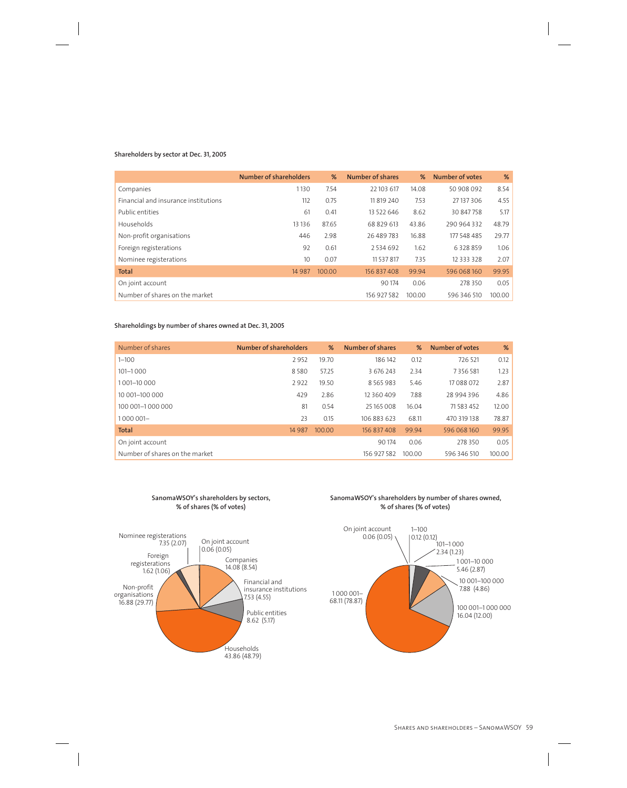#### **Shareholders by sector at Dec. 31, 2005**

|                                      | Number of shareholders | %      | Number of shares | %      | Number of votes | %      |
|--------------------------------------|------------------------|--------|------------------|--------|-----------------|--------|
| Companies                            | 1130                   | 7.54   | 22 103 617       | 14.08  | 50 908 092      | 8.54   |
| Financial and insurance institutions | 112                    | 0.75   | 11 819 240       | 7.53   | 27 137 306      | 4.55   |
| Public entities                      | 61                     | 0.41   | 13 522 646       | 8.62   | 30 847 758      | 5.17   |
| Households                           | 13 13 6                | 87.65  | 68 829 613       | 43.86  | 290 964 332     | 48.79  |
| Non-profit organisations             | 446                    | 2.98   | 26 489 783       | 16.88  | 177 548 485     | 29.77  |
| Foreign registerations               | 92                     | 0.61   | 2534692          | 1.62   | 6328859         | 1.06   |
| Nominee registerations               | 10                     | 0.07   | 11 537 817       | 7.35   | 12 3 3 3 3 2 8  | 2.07   |
| <b>Total</b>                         | 14 9 8 7               | 100.00 | 156 837 408      | 99.94  | 596 068 160     | 99.95  |
| On joint account                     |                        |        | 90 174           | 0.06   | 278 350         | 0.05   |
| Number of shares on the market       |                        |        | 156 927 582      | 100.00 | 596 346 510     | 100.00 |

#### **Shareholdings by number of shares owned at Dec. 31, 2005**

| Number of shares               | Number of shareholders | %      | Number of shares | %      | Number of votes | %      |
|--------------------------------|------------------------|--------|------------------|--------|-----------------|--------|
| $1 - 100$                      | 2952                   | 19.70  | 186142           | 0.12   | 726 521         | 0.12   |
| $101 - 1000$                   | 8580                   | 57.25  | 3 676 243        | 2.34   | 7 3 5 6 5 8 1   | 1.23   |
| 1001-10000                     | 2922                   | 19.50  | 8 5 6 5 9 8 3    | 5.46   | 17 088 072      | 2.87   |
| 10 001-100 000                 | 429                    | 2.86   | 12 3 60 4 09     | 7.88   | 28 994 396      | 4.86   |
| 100 001-1 000 000              | 81                     | 0.54   | 25 165 008       | 16.04  | 71 583 452      | 12.00  |
| 1000 001-                      | 23                     | 0.15   | 106 883 623      | 68.11  | 470 319 138     | 78.87  |
| <b>Total</b>                   | 14 9 8 7               | 100.00 | 156 837 408      | 99.94  | 596 068 160     | 99.95  |
| On joint account               |                        |        | 90 174           | 0.06   | 278 350         | 0.05   |
| Number of shares on the market |                        |        | 156 927 582      | 100.00 | 596 346 510     | 100.00 |



Households 43.86 (48.79)

#### **SanomaWSOY's shareholders by number of shares owned, % of shares (% of votes)**

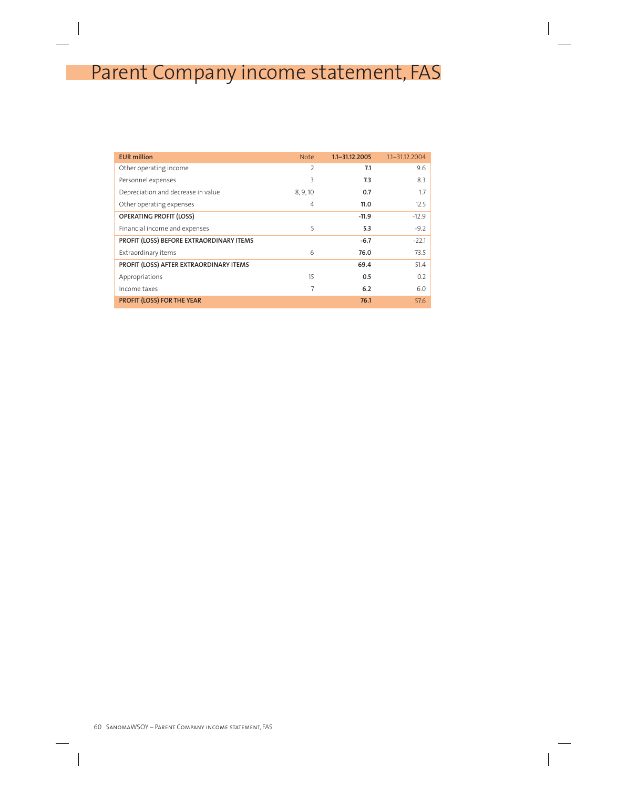# Parent Company income statement, FAS

| <b>EUR million</b>                       | <b>Note</b>    | $1.1 - 31.12.2005$ | $1.1 - 31.12.2004$ |
|------------------------------------------|----------------|--------------------|--------------------|
| Other operating income                   | 2              | 7.1                | 9.6                |
| Personnel expenses                       | 3              | 7.3                | 8.3                |
| Depreciation and decrease in value       | 8, 9, 10       | 0.7                | 1.7                |
| Other operating expenses                 | $\overline{4}$ | 11.0               | 12.5               |
| <b>OPERATING PROFIT (LOSS)</b>           |                | $-11.9$            | $-12.9$            |
| Financial income and expenses            | 5              | 5.3                | $-9.2$             |
| PROFIT (LOSS) BEFORE EXTRAORDINARY ITEMS |                | $-6.7$             | $-22.1$            |
| Extraordinary items                      | 6              | 76.0               | 73.5               |
| PROFIT (LOSS) AFTER EXTRAORDINARY ITEMS  |                | 69.4               | 51.4               |
| Appropriations                           | 15             | 0.5                | 0.2                |
| Income taxes                             | 7              | 6.2                | 6.0                |
| PROFIT (LOSS) FOR THE YEAR               |                | 76.1               | 57.6               |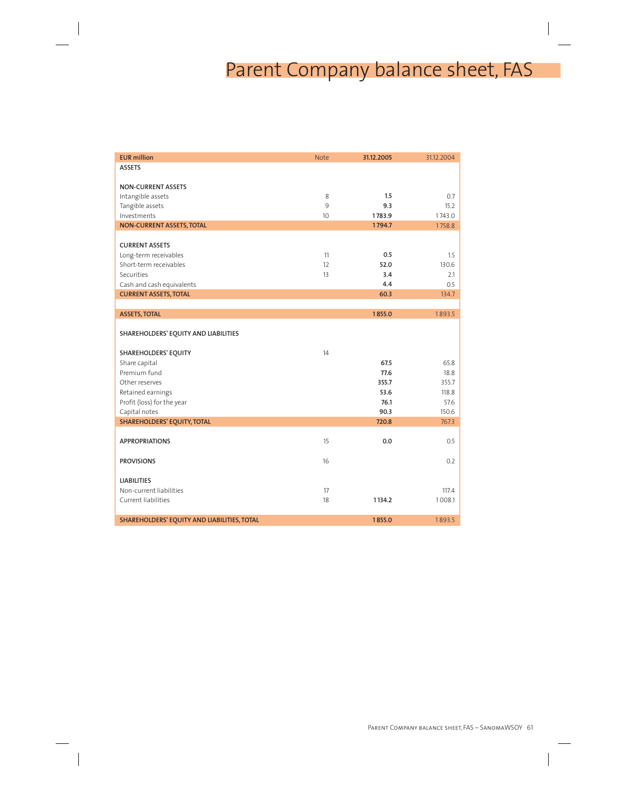# Parent Company balance sheet, FAS

| <b>EUR million</b>                          | <b>Note</b>     | 31.12.2005 | 31.12.2004 |
|---------------------------------------------|-----------------|------------|------------|
| <b>ASSETS</b>                               |                 |            |            |
|                                             |                 |            |            |
| <b>NON-CURRENT ASSETS</b>                   |                 |            |            |
| Intangible assets                           | 8               | 1.5        | 0.7        |
| Tangible assets                             | 9               | 9.3        | 15.2       |
| Investments                                 | 10 <sup>°</sup> | 1783.9     | 1743.0     |
| NON-CURRENT ASSETS, TOTAL                   |                 | 1794.7     | 1758.8     |
| <b>CURRENT ASSETS</b>                       |                 |            |            |
| Long-term receivables                       | 11              | 0.5        | 1.5        |
| Short-term receivables                      | 12              | 52.0       | 130.6      |
| Securities                                  | 13              | 3.4        | 2.1        |
| Cash and cash equivalents                   |                 | 4.4        | 0.5        |
| <b>CURRENT ASSETS, TOTAL</b>                |                 | 60.3       | 134.7      |
|                                             |                 |            |            |
| <b>ASSETS, TOTAL</b>                        |                 | 1855.0     | 1893.5     |
| SHAREHOLDERS' EQUITY AND LIABILITIES        |                 |            |            |
|                                             |                 |            |            |
| SHAREHOLDERS' EQUITY                        | 14              |            |            |
| Share capital                               |                 | 67.5       | 65.8       |
| Premium fund                                |                 | 77.6       | 18.8       |
| Other reserves                              |                 | 355.7      | 355.7      |
| Retained earnings                           |                 | 53.6       | 118.8      |
| Profit (loss) for the year                  |                 | 76.1       | 57.6       |
| Capital notes                               |                 | 90.3       | 150.6      |
| SHAREHOLDERS' EQUITY, TOTAL                 |                 | 720.8      | 767.3      |
|                                             |                 |            |            |
| <b>APPROPRIATIONS</b>                       | 15              | 0.0        | 0.5        |
| <b>PROVISIONS</b>                           | 16              |            | 0.2        |
|                                             |                 |            |            |
| <b>LIABILITIES</b>                          |                 |            |            |
| Non-current liabilities                     | 17              |            | 117.4      |
| Current liabilities                         | 18              | 1134.2     | 1008.1     |
| SHAREHOLDERS' EQUITY AND LIABILITIES, TOTAL |                 | 1855.0     | 1893.5     |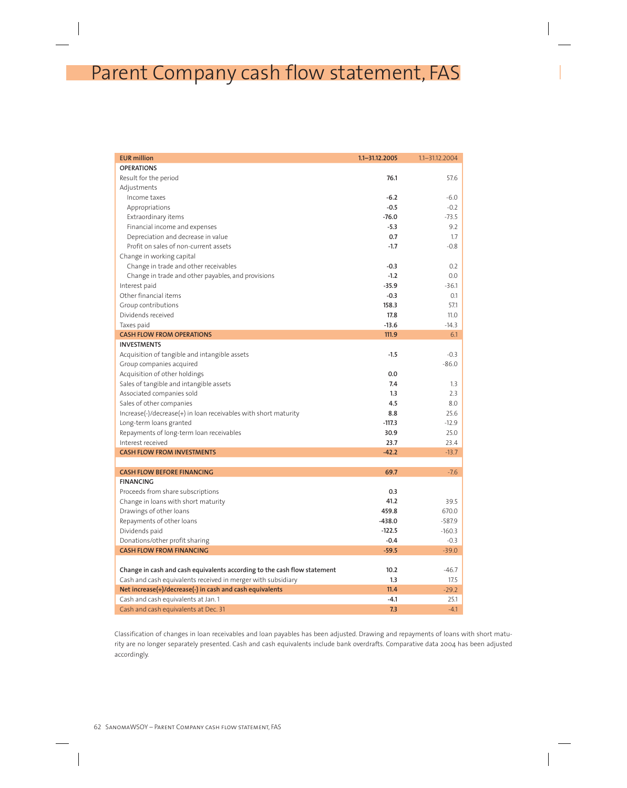# Parent Company cash flow statement, FAS

| <b>EUR million</b>                                                       | $1.1 - 31.12.2005$ | $1.1 - 31.12.2004$ |
|--------------------------------------------------------------------------|--------------------|--------------------|
| <b>OPERATIONS</b>                                                        |                    |                    |
| Result for the period                                                    | 76.1               | 57.6               |
| Adjustments                                                              |                    |                    |
| Income taxes                                                             | $-6.2$             | $-6.0$             |
| Appropriations                                                           | $-0.5$             | $-0.2$             |
| Extraordinary items                                                      | $-76.0$            | $-73.5$            |
| Financial income and expenses                                            | $-5.3$             | 9.2                |
| Depreciation and decrease in value                                       | 0.7                | 1.7                |
| Profit on sales of non-current assets                                    | $-1.7$             | $-0.8$             |
| Change in working capital                                                |                    |                    |
| Change in trade and other receivables                                    | $-0.3$             | 0.2                |
| Change in trade and other payables, and provisions                       | $-1.2$             | $0.0\,$            |
| Interest paid                                                            | $-35.9$            | $-36.1$            |
| Other financial items                                                    | $-0.3$             | 0.1                |
| Group contributions                                                      | 158.3              | 57.1               |
| Dividends received                                                       | 17.8               | 11.0               |
| Taxes paid                                                               | $-13.6$            | $-14.3$            |
| <b>CASH FLOW FROM OPERATIONS</b>                                         | 111.9              | 6.1                |
| <b>INVESTMENTS</b>                                                       |                    |                    |
| Acquisition of tangible and intangible assets                            | $-1.5$             | $-0.3$             |
| Group companies acquired                                                 |                    | $-86.0$            |
| Acquisition of other holdings                                            | 0.0                |                    |
| Sales of tangible and intangible assets                                  | 7.4                | 1.3                |
| Associated companies sold                                                | 1.3                | 2.3                |
| Sales of other companies                                                 | 4.5                | 8.0                |
| Increase(-)/decrease(+) in loan receivables with short maturity          | 8.8                | 25.6               |
| Long-term loans granted                                                  | $-117.3$           | $-12.9$            |
| Repayments of long-term loan receivables                                 | 30.9               | 25.0               |
| Interest received                                                        | 23.7               | 23.4               |
| <b>CASH FLOW FROM INVESTMENTS</b>                                        | $-42.2$            | $-13.7$            |
| <b>CASH FLOW BEFORE FINANCING</b>                                        | 69.7               | $-7.6$             |
| <b>FINANCING</b>                                                         |                    |                    |
| Proceeds from share subscriptions                                        | 0.3                |                    |
| Change in loans with short maturity                                      | 41.2               | 39.5               |
| Drawings of other loans                                                  | 459.8              | 670.0              |
| Repayments of other loans                                                | $-438.0$           | $-587.9$           |
| Dividends paid                                                           | $-122.5$           | $-160.3$           |
| Donations/other profit sharing                                           | $-0.4$             | $-0.3$             |
| <b>CASH FLOW FROM FINANCING</b>                                          | $-59.5$            | $-39.0$            |
|                                                                          |                    |                    |
| Change in cash and cash equivalents according to the cash flow statement | 10.2               | -46.7              |
| Cash and cash equivalents received in merger with subsidiary             | 1.3                | 17.5               |
| Net increase(+)/decrease(-) in cash and cash equivalents                 | 11.4               | $-29.2$            |
| Cash and cash equivalents at Jan.1                                       | -4.1               | 25.1               |
| Cash and cash equivalents at Dec. 31                                     | 7.3                | $-4.1$             |

Classification of changes in loan receivables and loan payables has been adjusted. Drawing and repayments of loans with short maturity are no longer separately presented. Cash and cash equivalents include bank overdrafts. Comparative data 2004 has been adjusted accordingly.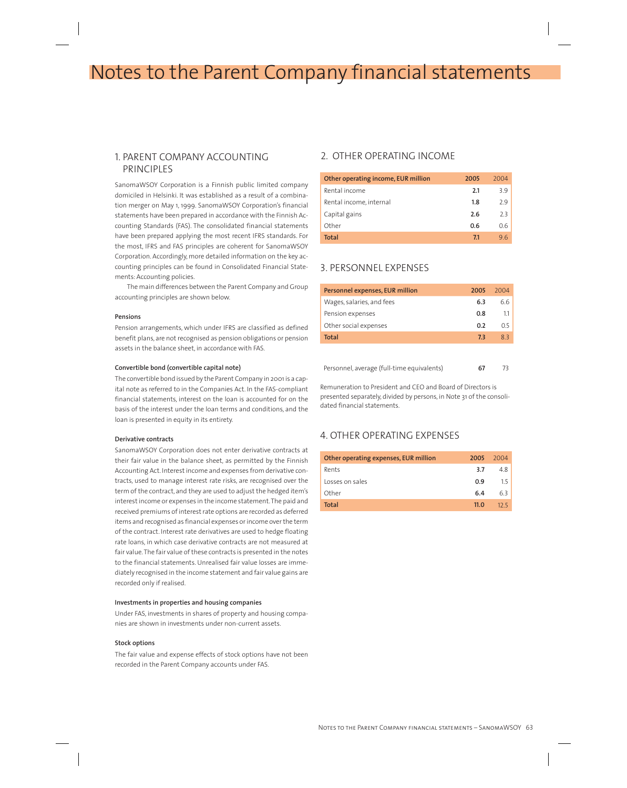## Notes to the Parent Company financial statements

## 1. PARENT COMPANY ACCOUNTING PRINCIPLES

SanomaWSOY Corporation is a Finnish public limited company domiciled in Helsinki. It was established as a result of a combination merger on May 1, 1999. SanomaWSOY Corporation's financial statements have been prepared in accordance with the Finnish Accounting Standards (FAS). The consolidated financial statements have been prepared applying the most recent IFRS standards. For the most, IFRS and FAS principles are coherent for SanomaWSOY Corporation. Accordingly, more detailed information on the key accounting principles can be found in Consolidated Financial Statements: Accounting policies.

The main differences between the Parent Company and Group accounting principles are shown below.

#### **Pensions**

Pension arrangements, which under IFRS are classified as defined benefit plans, are not recognised as pension obligations or pension assets in the balance sheet, in accordance with FAS.

#### **Convertible bond (convertible capital note)**

The convertible bond issued by the Parent Company in 2001 is a capital note as referred to in the Companies Act. In the FAS-compliant financial statements, interest on the loan is accounted for on the basis of the interest under the loan terms and conditions, and the loan is presented in equity in its entirety.

#### **Derivative contracts**

SanomaWSOY Corporation does not enter derivative contracts at their fair value in the balance sheet, as permitted by the Finnish Accounting Act. Interest income and expenses from derivative contracts, used to manage interest rate risks, are recognised over the term of the contract, and they are used to adjust the hedged item's interest income or expenses in the income statement. The paid and received premiums of interest rate options are recorded as deferred items and recognised as financial expenses or income over the term of the contract. Interest rate derivatives are used to hedge floating rate loans, in which case derivative contracts are not measured at fair value. The fair value of these contracts is presented in the notes to the financial statements. Unrealised fair value losses are immediately recognised in the income statement and fair value gains are recorded only if realised.

#### **Investments in properties and housing companies**

Under FAS, investments in shares of property and housing companies are shown in investments under non-current assets.

#### **Stock options**

The fair value and expense effects of stock options have not been recorded in the Parent Company accounts under FAS.

## 2. OTHER OPERATING INCOME

| Other operating income, EUR million | 2005 | 2004 |
|-------------------------------------|------|------|
| Rental income                       | 2.1  | 39   |
| Rental income, internal             | 1.8  | 79   |
| Capital gains                       | 2.6  | 2.3  |
| Other                               | 0.6  | 0.6  |
| Total                               | 7.1  | 96   |

### 3. PERSONNEL EXPENSES

| Personnel expenses, EUR million | 2005 | 2004    |
|---------------------------------|------|---------|
| Wages, salaries, and fees       | 6.3  | 6.6     |
| Pension expenses                | 0.8  | $1.1-1$ |
| Other social expenses           | 0.2  | 0.5     |
| Total                           | 7.3  | 83      |
|                                 |      |         |

Personnel, average (full-time equivalents) **67** 73

Remuneration to President and CEO and Board of Directors is presented separately, divided by persons, in Note 31 of the consolidated financial statements.

## 4. OTHER OPERATING EXPENSES

| Other operating expenses, EUR million | 2005        | 2004 |
|---------------------------------------|-------------|------|
| Rents                                 | 3.7         | 48   |
| Losses on sales                       | 0.9         | 15   |
| Other                                 | 6.4         | 63   |
| Total                                 | 11 $\Omega$ | 12.5 |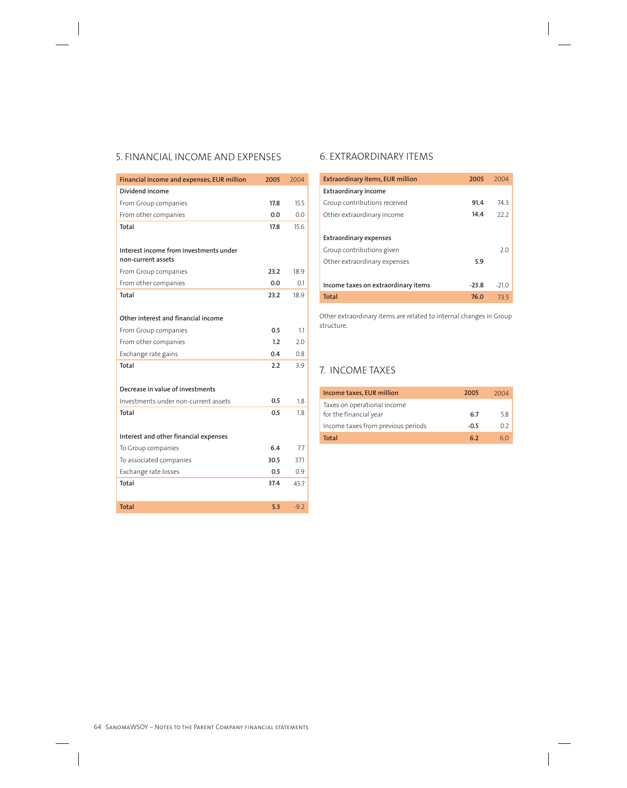## 5. FINANCIAL INCOME AND EXPENSES

| Financial income and expenses, EUR million | 2005 | 2004   |
|--------------------------------------------|------|--------|
| Dividend income                            |      |        |
| From Group companies                       | 17.8 | 15.5   |
| From other companies                       | 0.0  | 0.0    |
| Total                                      | 17.8 | 15.6   |
|                                            |      |        |
| Interest income from investments under     |      |        |
| non-current assets                         |      |        |
| From Group companies                       | 23.2 | 18.9   |
| From other companies                       | 0.0  | 0.1    |
| Total                                      | 23.2 | 18.9   |
|                                            |      |        |
| Other interest and financial income        |      |        |
| From Group companies                       | 0.5  | 1.1    |
| From other companies                       | 1.2  | 2.0    |
| Exchange rate gains                        | 0.4  | 0.8    |
| <b>Total</b>                               | 2.2  | 3.9    |
|                                            |      |        |
| Decrease in value of investments           |      |        |
| Investments under non-current assets       | 0.5  | 1.8    |
| Total                                      | 0.5  | 1.8    |
|                                            |      |        |
| Interest and other financial expenses      |      |        |
| To Group companies                         | 6.4  | 7.7    |
| To associated companies                    | 30.5 | 371    |
| Exchange rate losses                       | 0.5  | 0.9    |
| Total                                      | 37.4 | 45.7   |
|                                            |      |        |
| <b>Total</b>                               | 5.3  | $-9.2$ |

## 6. EXTRAORDINARY ITEMS

| <b>Extraordinary items, EUR million</b> | 2005    | 2004    |
|-----------------------------------------|---------|---------|
| <b>Extraordinary income</b>             |         |         |
| Group contributions received            | 91.4    | 74.3    |
| Other extraordinary income              | 14.4    | 22.2    |
|                                         |         |         |
| <b>Extraordinary expenses</b>           |         |         |
| Group contributions given               |         | 2.0     |
| Other extraordinary expenses            | 5.9     |         |
|                                         |         |         |
| Income taxes on extraordinary items     | $-23.8$ | $-21.0$ |
| <b>Total</b>                            | 76.0    | 73.5    |

Other extraordinary items are related to internal changes in Group structure.

## 7. INCOME TAXES

| Income taxes, EUR million                             | 2005   | 2004 |
|-------------------------------------------------------|--------|------|
| Taxes on operational income<br>for the financial year | 6.7    | 5.8  |
| Income taxes from previous periods                    | $-0.5$ | 0.2  |
| <b>Total</b>                                          | 62     | 6()  |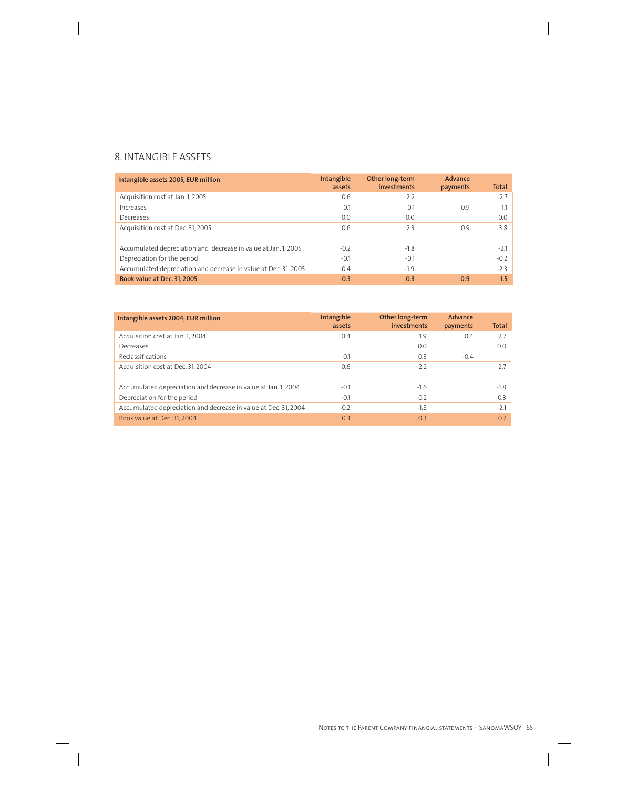## 8. INTANGIBLE ASSETS

| Intangible assets 2005, EUR million                             | <b>Intangible</b><br>assets | Other long-term<br>investments | Advance<br>payments | Total  |
|-----------------------------------------------------------------|-----------------------------|--------------------------------|---------------------|--------|
| Acquisition cost at Jan. 1, 2005                                | 0.6                         | 2.2                            |                     | 2.7    |
| Increases                                                       | 0.1                         | 0.1                            | 0.9                 |        |
| Decreases                                                       | 0.0                         | 0.0                            |                     | 0.0    |
| Acquisition cost at Dec. 31, 2005                               | 0.6                         | 2.3                            | 0.9                 | 3.8    |
| Accumulated depreciation and decrease in value at Jan. 1, 2005  | $-0.2$                      | $-1.8$                         |                     | $-2.1$ |
| Depreciation for the period                                     | $-0.1$                      | $-0.1$                         |                     | $-0.2$ |
| Accumulated depreciation and decrease in value at Dec. 31, 2005 | $-0.4$                      | $-1.9$                         |                     | $-2.3$ |
| Book value at Dec. 31, 2005                                     | 0.3                         | 0.3                            | 0.9                 | 1.5    |

| Intangible assets 2004, EUR million                             | Intangible<br>assets | Other long-term<br>investments | Advance<br>payments | <b>Total</b> |
|-----------------------------------------------------------------|----------------------|--------------------------------|---------------------|--------------|
| Acquisition cost at Jan. 1, 2004                                | 0.4                  | 1.9                            | 0.4                 | 2.7          |
| Decreases                                                       |                      | 0.0                            |                     | 0.0          |
| Reclassifications                                               | 0.1                  | 0.3                            | $-0.4$              |              |
| Acquisition cost at Dec. 31, 2004                               | 0.6                  | 2.2                            |                     | 2.7          |
| Accumulated depreciation and decrease in value at Jan. 1, 2004  | $-0.1$               | $-1.6$                         |                     | $-1.8$       |
| Depreciation for the period                                     | $-0.1$               | $-0.2$                         |                     | $-0.3$       |
| Accumulated depreciation and decrease in value at Dec. 31, 2004 | $-0.2$               | $-1.8$                         |                     | $-2.1$       |
| Book value at Dec. 31, 2004                                     | 0.3                  | 0.3                            |                     | 0.7          |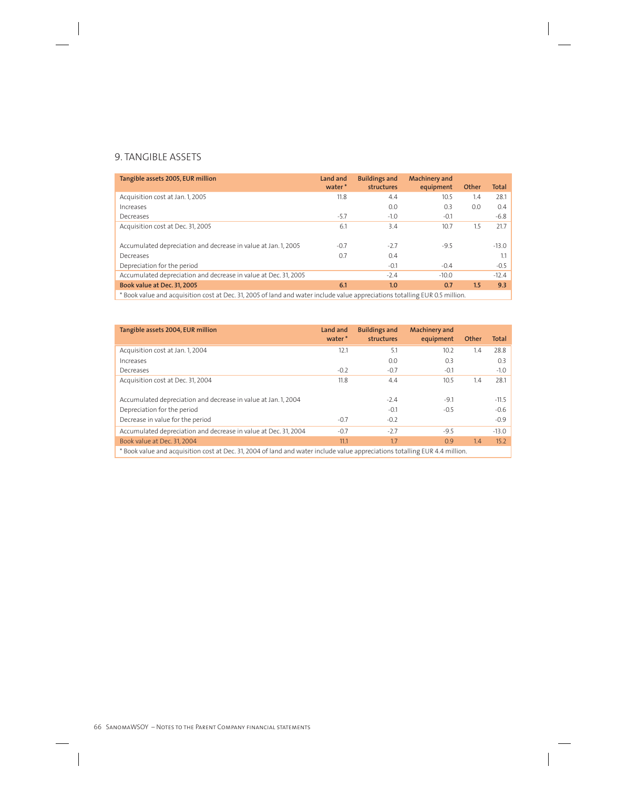## 9. TANGIBLE ASSETS

| Tangible assets 2005, EUR million                                                                                  | Land and<br>water* | <b>Buildings and</b><br>structures | <b>Machinery and</b><br>equipment | Other | <b>Total</b> |
|--------------------------------------------------------------------------------------------------------------------|--------------------|------------------------------------|-----------------------------------|-------|--------------|
| Acquisition cost at Jan. 1, 2005                                                                                   | 11.8               | 4.4                                | 10.5                              | 1.4   | 28.1         |
| Increases                                                                                                          |                    | 0.0                                | 0.3                               | 0.0   | 0.4          |
| Decreases                                                                                                          | $-5.7$             | $-1.0$                             | $-0.1$                            |       | $-6.8$       |
| Acquisition cost at Dec. 31, 2005                                                                                  | 6.1                | 3.4                                | 10.7                              | 1.5   | 21.7         |
| Accumulated depreciation and decrease in value at Jan. 1, 2005                                                     | $-0.7$             | $-2.7$                             | $-9.5$                            |       | $-13.0$      |
| Decreases                                                                                                          | 0.7                | 0.4                                |                                   |       | 1.1          |
| Depreciation for the period                                                                                        |                    | $-0.1$                             | $-0.4$                            |       | $-0.5$       |
| Accumulated depreciation and decrease in value at Dec. 31, 2005                                                    |                    | $-2.4$                             | $-10.0$                           |       | $-12.4$      |
| Book value at Dec. 31, 2005                                                                                        | 6.1                | 1.0                                | 0.7                               | 1.5   | 9.3          |
| . «وزالزو» Daal ushaa aad aad ah Daa 21 2005 of laad aad wateriaal uduud walyo aasaasigti aa tulima EUD O E willia |                    |                                    |                                   |       |              |

Book value and acquisition cost at Dec. 31, 2005 of land and water include value appreciations totalling EUR 0.5 million.

| Tangible assets 2004, EUR million                                                                                           | Land and<br>water* | <b>Buildings and</b><br>structures | <b>Machinery and</b><br>equipment | Other | <b>Total</b> |
|-----------------------------------------------------------------------------------------------------------------------------|--------------------|------------------------------------|-----------------------------------|-------|--------------|
| Acquisition cost at Jan. 1, 2004                                                                                            | 12.1               | 5.1                                | 10.2                              | 1.4   | 28.8         |
| Increases                                                                                                                   |                    | 0.0                                | 0.3                               |       | 0.3          |
| Decreases                                                                                                                   | $-0.2$             | $-0.7$                             | $-0.1$                            |       | $-1.0$       |
| Acquisition cost at Dec. 31, 2004                                                                                           | 11.8               | 4.4                                | 10.5                              | 1.4   | 28.1         |
|                                                                                                                             |                    |                                    |                                   |       |              |
| Accumulated depreciation and decrease in value at Jan. 1, 2004                                                              |                    | $-2.4$                             | $-9.1$                            |       | $-11.5$      |
| Depreciation for the period                                                                                                 |                    | $-0.1$                             | $-0.5$                            |       | $-0.6$       |
| Decrease in value for the period                                                                                            | $-0.7$             | $-0.2$                             |                                   |       | $-0.9$       |
| Accumulated depreciation and decrease in value at Dec. 31, 2004                                                             | $-0.7$             | $-2.7$                             | $-9.5$                            |       | $-13.0$      |
| Book value at Dec. 31, 2004                                                                                                 | 11.1               | 1.7                                | 0.9                               | 1.4   | 15.2         |
| * Book value and acquisition cost at Dec. 31, 2004 of land and water include value appreciations totalling EUR 4.4 million. |                    |                                    |                                   |       |              |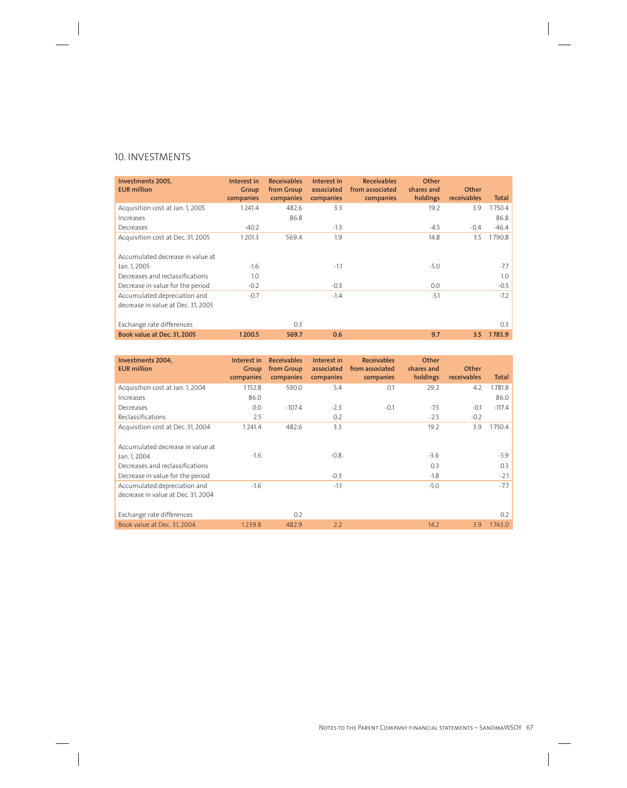## 10. INVESTMENTS

| Investments 2005,<br><b>EUR million</b>                            | Interest in<br>Group<br>companies | <b>Receivables</b><br>from Group<br>companies | Interest in<br>associated<br>companies | <b>Receivables</b><br>from associated<br>companies | Other<br>shares and<br>holdings | Other<br>receivables | Total   |
|--------------------------------------------------------------------|-----------------------------------|-----------------------------------------------|----------------------------------------|----------------------------------------------------|---------------------------------|----------------------|---------|
| Acquisition cost at Jan. 1, 2005                                   | 1241.4                            | 482.6                                         | 3.3                                    |                                                    | 19.2                            | 3.9                  | 1750.4  |
| Increases                                                          |                                   | 86.8                                          |                                        |                                                    |                                 |                      | 86.8    |
| Decreases                                                          | $-40.2$                           |                                               | $-1.3$                                 |                                                    | $-4.5$                          | $-0.4$               | $-46.4$ |
| Acquisition cost at Dec. 31, 2005                                  | 1201.3                            | 569.4                                         | 1.9                                    |                                                    | 14.8                            | 3.5                  | 1790.8  |
| Accumulated decrease in value at                                   |                                   |                                               |                                        |                                                    |                                 |                      |         |
| Jan. 1, 2005                                                       | $-1.6$                            |                                               | $-1.1$                                 |                                                    | $-5.0$                          |                      | $-7.7$  |
| Decreases and reclassifications                                    | 1.0                               |                                               |                                        |                                                    |                                 |                      | 1.0     |
| Decrease in value for the period                                   | $-0.2$                            |                                               | $-0.3$                                 |                                                    | 0.0                             |                      | $-0.5$  |
| Accumulated depreciation and<br>decrease in value at Dec. 31, 2005 | $-0.7$                            |                                               | $-1.4$                                 |                                                    | $-5.1$                          |                      | $-7.2$  |
| Exchange rate differences                                          |                                   | 0.3                                           |                                        |                                                    |                                 |                      | 0.3     |
| Book value at Dec. 31, 2005                                        | 1200.5                            | 569.7                                         | 0.6                                    |                                                    | 9.7                             | 3.5                  | 1783.9  |

| Investments 2004.<br><b>EUR</b> million | Interest in<br>Group<br>companies | <b>Receivables</b><br>from Group<br>companies | Interest in<br>associated<br>companies | <b>Receivables</b><br>from associated<br>companies | Other<br>shares and<br>holdings | Other<br>receivables | Total    |
|-----------------------------------------|-----------------------------------|-----------------------------------------------|----------------------------------------|----------------------------------------------------|---------------------------------|----------------------|----------|
|                                         |                                   | 590.0                                         | 5.4                                    | 0.1                                                | 29.2                            |                      |          |
| Acquisition cost at Jan. 1, 2004        | 1152.8                            |                                               |                                        |                                                    |                                 | 4.2                  | 1781.8   |
| Increases                               | 86.0                              |                                               |                                        |                                                    |                                 |                      | 86.0     |
| Decreases                               | 0.0                               | $-107.4$                                      | $-2.3$                                 | $-0.1$                                             | $-7.5$                          | $-0.1$               | $-117.4$ |
| Reclassifications                       | 2.5                               |                                               | 0.2                                    |                                                    | $-2.5$                          | $-0.2$               |          |
| Acquisition cost at Dec. 31, 2004       | 1241.4                            | 482.6                                         | 3.3                                    |                                                    | 19.2                            | 3.9                  | 1750.4   |
| Accumulated decrease in value at        |                                   |                                               |                                        |                                                    |                                 |                      |          |
| Jan. 1, 2004                            | $-1.6$                            |                                               | $-0.8$                                 |                                                    | $-3.6$                          |                      | $-5.9$   |
| Decreases and reclassifications         |                                   |                                               |                                        |                                                    | 0.3                             |                      | 0.3      |
| Decrease in value for the period        |                                   |                                               | $-0.3$                                 |                                                    | $-1.8$                          |                      | $-2.1$   |
| Accumulated depreciation and            | $-1.6$                            |                                               | $-1.1$                                 |                                                    | $-5.0$                          |                      | $-7.7$   |
| decrease in value at Dec. 31, 2004      |                                   |                                               |                                        |                                                    |                                 |                      |          |
| Exchange rate differences               |                                   | 0.2                                           |                                        |                                                    |                                 |                      | 0.2      |
| Book value at Dec. 31, 2004             | 1239.8                            | 482.9                                         | 2.2                                    |                                                    | 14.2                            | 3.9                  | 1743.0   |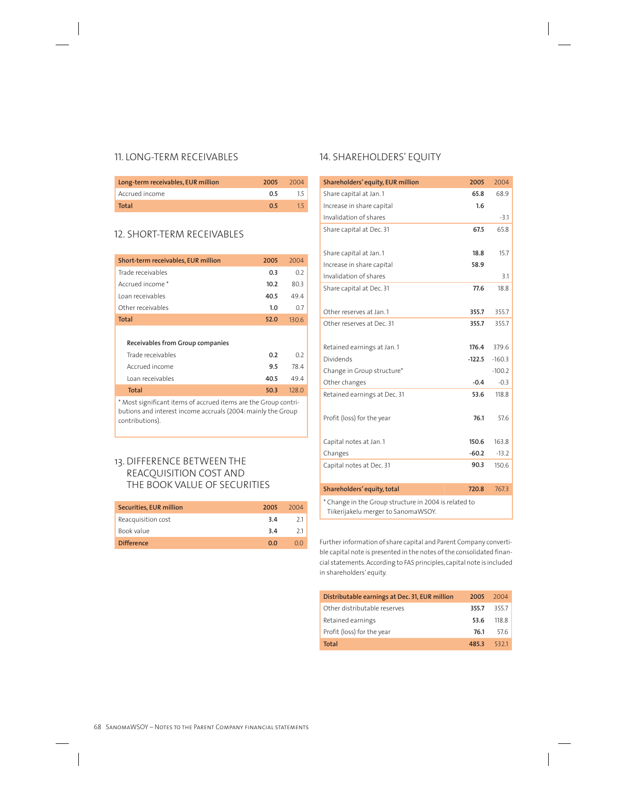## 11. LONG-TERM RECEIVABLES

| Long-term receivables, EUR million | 2005 | -2004 |
|------------------------------------|------|-------|
| Accrued income                     | 0.5  |       |
| Total                              | 05   |       |

## 12. SHORT-TERM RECEIVABLES

| Short-term receivables, EUR million | 2005 | 2004  |
|-------------------------------------|------|-------|
| Trade receivables                   | 0.3  | 0.2   |
| Accrued income *                    | 10.2 | 80.3  |
| Loan receivables                    | 40.5 | 49.4  |
| Other receivables                   | 1.0  | 0.7   |
| <b>Total</b>                        | 52.0 | 130.6 |
|                                     |      |       |
| Receivables from Group companies    |      |       |
| Trade receivables                   | 0.2  | 0.2   |
| Accrued income                      | 9.5  | 78.4  |
| Loan receivables                    | 40.5 | 49.4  |
| <b>Total</b>                        | 50.3 | 128.0 |

\* Most significant items of accrued items are the Group contributions and interest income accruals (2004: mainly the Group contributions).

## 13. DIFFERENCE BETWEEN THE REACQUISITION COST AND THE BOOK VALUE OF SECURITIES

| Securities, EUR million | 2005 | 2004 |
|-------------------------|------|------|
| Reacquisition cost      | 3.4  | 21   |
| Book value              | 3.4  | 21   |
| <b>Difference</b>       | 00   |      |

## 14. SHAREHOLDERS' EQUITY

| Shareholders' equity, EUR million                                                            | 2005     | 2004     |
|----------------------------------------------------------------------------------------------|----------|----------|
| Share capital at Jan. 1                                                                      | 65.8     | 68.9     |
| Increase in share capital                                                                    | 1.6      |          |
| Invalidation of shares                                                                       |          | $-3.1$   |
| Share capital at Dec. 31                                                                     | 67.5     | 65.8     |
| Share capital at Jan. 1                                                                      | 18.8     | 15.7     |
| Increase in share capital                                                                    | 58.9     |          |
| Invalidation of shares                                                                       |          | 3.1      |
| Share capital at Dec. 31                                                                     | 77.6     | 18.8     |
| Other reserves at Jan. 1                                                                     | 355.7    | 355.7    |
| Other reserves at Dec. 31                                                                    | 355.7    | 355.7    |
| Retained earnings at Jan.1                                                                   | 176.4    | 379.6    |
| Dividends                                                                                    | $-122.5$ | $-160.3$ |
| Change in Group structure*                                                                   |          | $-100.2$ |
| Other changes                                                                                | $-0.4$   | $-0.3$   |
| Retained earnings at Dec. 31                                                                 | 53.6     | 118.8    |
| Profit (loss) for the year                                                                   | 76.1     | 57.6     |
| Capital notes at Jan. 1                                                                      | 150.6    | 163.8    |
| Changes                                                                                      | $-60.2$  | $-13.2$  |
| Capital notes at Dec. 31                                                                     | 90.3     | 150.6    |
| Shareholders' equity, total                                                                  | 720.8    | 767.3    |
| * Change in the Group structure in 2004 is related to<br>Tiikerijakelu merger to SanomaWSOY. |          |          |

Further information of share capital and Parent Company convertible capital note is presented in the notes of the consolidated financial statements. According to FAS principles, capital note is included in shareholders' equity.

| Distributable earnings at Dec. 31, EUR million | 2005  | 2004  |
|------------------------------------------------|-------|-------|
| Other distributable reserves                   | 355.7 | 3557  |
| Retained earnings                              | 53.6  | 118.8 |
| Profit (loss) for the year                     | 76.1  | 576   |
| <b>Total</b>                                   | 485.3 | 5321  |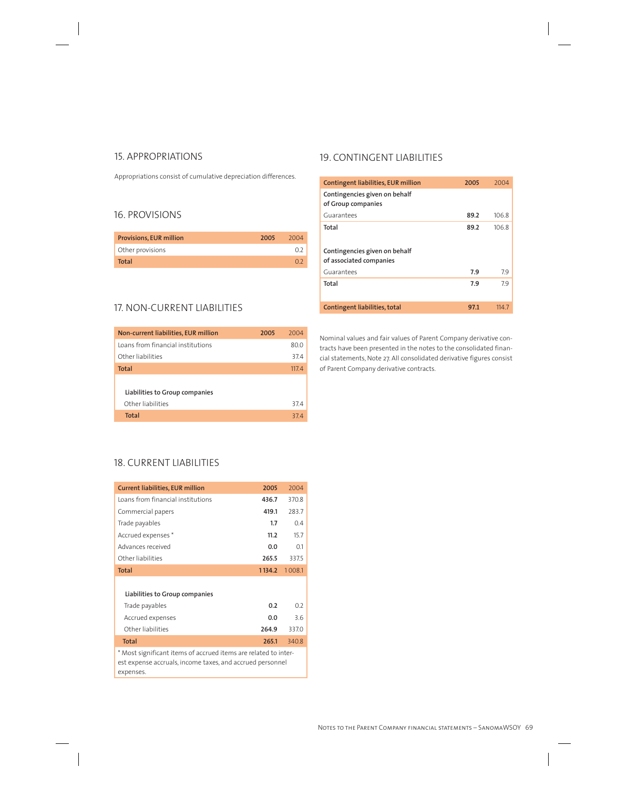## 15. APPROPRIATIONS

Appropriations consist of cumulative depreciation differences.

## 16. PROVISIONS

| <b>Provisions, EUR million</b> | 2005 | 2004 |
|--------------------------------|------|------|
| Other provisions               |      |      |
| Total                          |      | 0.2  |

## 17. NON-CURRENT LIABILITIES

| Non-current liabilities, EUR million | 2005 | 2004  |
|--------------------------------------|------|-------|
| Loans from financial institutions    |      | 80.0  |
| Other liabilities                    |      | 37.4  |
| Total                                |      | 117.4 |
|                                      |      |       |
| Liabilities to Group companies       |      |       |
| Other liabilities                    |      | 37.4  |
| Total                                |      | 374   |

## 19. CONTINGENT LIABILITIES

| Contingent liabilities, EUR million                      | 2005 | 2004  |
|----------------------------------------------------------|------|-------|
| Contingencies given on behalf<br>of Group companies      |      |       |
| Guarantees                                               | 89.2 | 106.8 |
| Total                                                    | 89.2 | 106.8 |
| Contingencies given on behalf<br>of associated companies |      |       |
| Guarantees                                               | 7.9  | 7.9   |
| Total                                                    | 7.9  | 79    |
| Contingent liabilities, total                            | 97.1 | 1147  |

Nominal values and fair values of Parent Company derivative contracts have been presented in the notes to the consolidated financial statements, Note 27. All consolidated derivative figures consist of Parent Company derivative contracts.

## 18. CURRENT LIABILITIES

| <b>Current liabilities, EUR million</b>                                                                                                   | 2005   | 2004   |
|-------------------------------------------------------------------------------------------------------------------------------------------|--------|--------|
| Loans from financial institutions                                                                                                         | 436.7  | 370.8  |
| Commercial papers                                                                                                                         | 419.1  | 283.7  |
| Trade payables                                                                                                                            | 1.7    | 04     |
| Accrued expenses*                                                                                                                         | 11.2   | 15.7   |
| Advances received                                                                                                                         | 0.0    | 0.1    |
| Other liabilities                                                                                                                         | 265.5  | 337.5  |
| <b>Total</b>                                                                                                                              | 1134.2 | 1008.1 |
| Liabilities to Group companies                                                                                                            |        |        |
| Trade payables                                                                                                                            | 0.2    | 02     |
| Accrued expenses                                                                                                                          | 0.0    | 36     |
| Other liabilities                                                                                                                         | 264.9  | 3370   |
| <b>Total</b>                                                                                                                              | 265.1  | 340.8  |
| * Most significant items of accrued items are related to inter-<br>est expense accruals, income taxes, and accrued personnel<br>expenses. |        |        |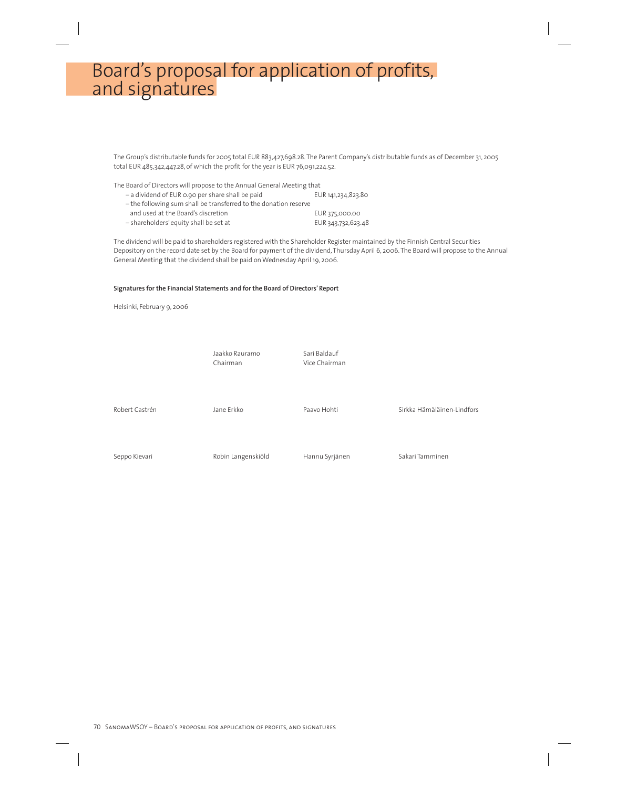## Board's proposal for application of profits, and signatures

The Group's distributable funds for 2005 total EUR 883,427,698.28. The Parent Company's distributable funds as of December 31, 2005 total EUR 485,342,447.28, of which the profit for the year is EUR 76,091,224.52.

The Board of Directors will propose to the Annual General Meeting that – a dividend of EUR 0.90 per share shall be paid EUR 141,234,823.80 – the following sum shall be transferred to the donation reserve and used at the Board's discretion EUR 375,000.00 – shareholders' equity shall be set at EUR 343,732,623.48

The dividend will be paid to shareholders registered with the Shareholder Register maintained by the Finnish Central Securities Depository on the record date set by the Board for payment of the dividend, Thursday April 6, 2006. The Board will propose to the Annual General Meeting that the dividend shall be paid on Wednesday April 19, 2006.

#### **Signatures for the Financial Statements and for the Board of Directors' Report**

Helsinki, February 9, 2006

Jaakko Rauramo Sari Baldauf Chairman Vice Chairman Robert Castrén Theories dan Barkko Paavo Hohti Sirkka Hämäläinen-Lindfors Seppo Kievari **Robin Langenskiöld** Hannu Syrjänen Sakari Tamminen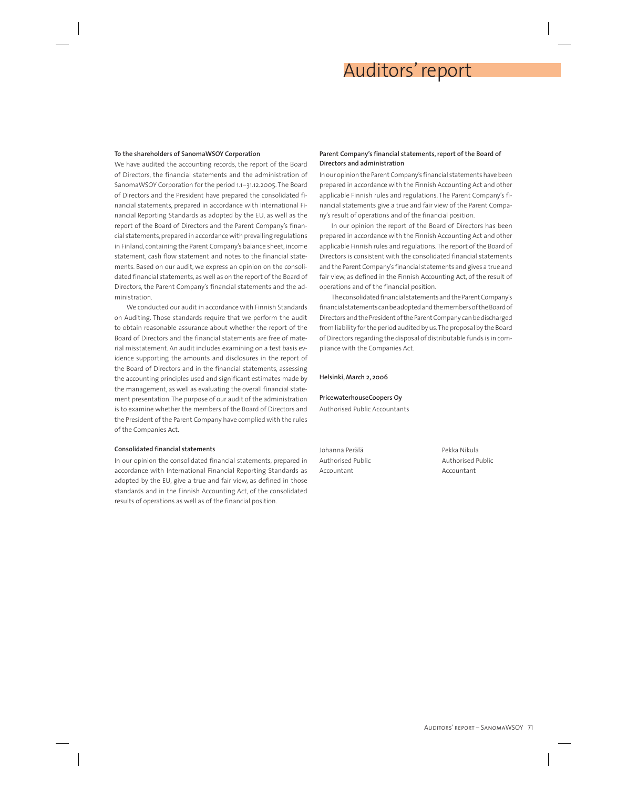## Auditors' report

#### **To the shareholders of SanomaWSOY Corporation**

We have audited the accounting records, the report of the Board of Directors, the financial statements and the administration of SanomaWSOY Corporation for the period 1.1–31.12.2005. The Board of Directors and the President have prepared the consolidated financial statements, prepared in accordance with International Financial Reporting Standards as adopted by the EU, as well as the report of the Board of Directors and the Parent Company's financial statements, prepared in accordance with prevailing regulations in Finland, containing the Parent Company's balance sheet, income statement, cash flow statement and notes to the financial statements. Based on our audit, we express an opinion on the consolidated financial statements, as well as on the report of the Board of Directors, the Parent Company's financial statements and the administration.

We conducted our audit in accordance with Finnish Standards on Auditing. Those standards require that we perform the audit to obtain reasonable assurance about whether the report of the Board of Directors and the financial statements are free of material misstatement. An audit includes examining on a test basis evidence supporting the amounts and disclosures in the report of the Board of Directors and in the financial statements, assessing the accounting principles used and significant estimates made by the management, as well as evaluating the overall financial statement presentation. The purpose of our audit of the administration is to examine whether the members of the Board of Directors and the President of the Parent Company have complied with the rules of the Companies Act.

#### **Consolidated financial statements**

In our opinion the consolidated financial statements, prepared in accordance with International Financial Reporting Standards as adopted by the EU, give a true and fair view, as defined in those standards and in the Finnish Accounting Act, of the consolidated results of operations as well as of the financial position.

#### **Parent Company's financial statements, report of the Board of Directors and administration**

In our opinion the Parent Company's financial statements have been prepared in accordance with the Finnish Accounting Act and other applicable Finnish rules and regulations. The Parent Company's financial statements give a true and fair view of the Parent Company's result of operations and of the financial position.

In our opinion the report of the Board of Directors has been prepared in accordance with the Finnish Accounting Act and other applicable Finnish rules and regulations. The report of the Board of Directors is consistent with the consolidated financial statements and the Parent Company's financial statements and gives a true and fair view, as defined in the Finnish Accounting Act, of the result of operations and of the financial position.

The consolidated financial statements and the Parent Company's financial statements can be adopted and the members of the Board of Directors and the President of the Parent Company can be discharged from liability for the period audited by us. The proposal by the Board of Directors regarding the disposal of distributable funds is in compliance with the Companies Act.

#### **Helsinki, March 2, 2006**

#### **PricewaterhouseCoopers Oy**

Authorised Public Accountants

Johanna Perälä Pekka Nikula Accountant **Accountant** 

Authorised Public Authorised Public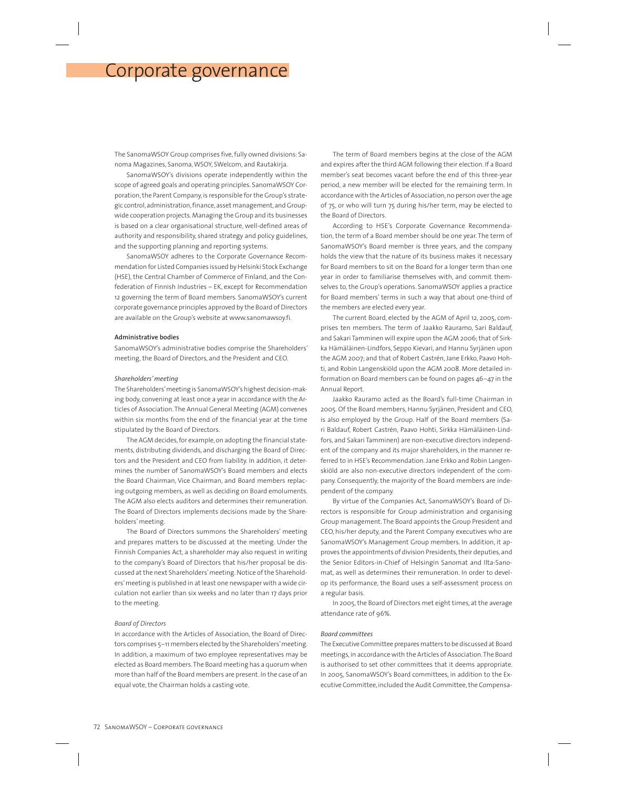## Corporate governance

The SanomaWSOY Group comprises five, fully owned divisions: Sanoma Magazines, Sanoma, WSOY, SWelcom, and Rautakirja.

SanomaWSOY's divisions operate independently within the scope of agreed goals and operating principles. SanomaWSOY Corporation, the Parent Company, is responsible for the Group's strategic control, administration, finance, asset management, and Groupwide cooperation projects. Managing the Group and its businesses is based on a clear organisational structure, well-defined areas of authority and responsibility, shared strategy and policy guidelines, and the supporting planning and reporting systems.

SanomaWSOY adheres to the Corporate Governance Recommendation for Listed Companies issued by Helsinki Stock Exchange (HSE), the Central Chamber of Commerce of Finland, and the Confederation of Finnish Industries – EK, except for Recommendation 12 governing the term of Board members. SanomaWSOY's current corporate governance principles approved by the Board of Directors are available on the Group's website at www.sanomawsoy.fi.

#### **Administrative bodies**

SanomaWSOY's administrative bodies comprise the Shareholders' meeting, the Board of Directors, and the President and CEO.

#### *Shareholders' meeting*

The Shareholders' meeting is SanomaWSOY's highest decision-making body, convening at least once a year in accordance with the Articles of Association. The Annual General Meeting (AGM) convenes within six months from the end of the financial year at the time stipulated by the Board of Directors.

The AGM decides, for example, on adopting the financial statements, distributing dividends, and discharging the Board of Directors and the President and CEO from liability. In addition, it determines the number of SanomaWSOY's Board members and elects the Board Chairman, Vice Chairman, and Board members replacing outgoing members, as well as deciding on Board emoluments. The AGM also elects auditors and determines their remuneration. The Board of Directors implements decisions made by the Shareholders' meeting.

The Board of Directors summons the Shareholders' meeting and prepares matters to be discussed at the meeting. Under the Finnish Companies Act, a shareholder may also request in writing to the company's Board of Directors that his/her proposal be discussed at the next Shareholders' meeting. Notice of the Shareholders' meeting is published in at least one newspaper with a wide circulation not earlier than six weeks and no later than 17 days prior to the meeting.

#### *Board of Directors*

In accordance with the Articles of Association, the Board of Directors comprises 5–11 members elected by the Shareholders' meeting. In addition, a maximum of two employee representatives may be elected as Board members. The Board meeting has a quorum when more than half of the Board members are present. In the case of an equal vote, the Chairman holds a casting vote.

The term of Board members begins at the close of the AGM and expires after the third AGM following their election. If a Board member's seat becomes vacant before the end of this three-year period, a new member will be elected for the remaining term. In accordance with the Articles of Association, no person over the age of 75, or who will turn 75 during his/her term, may be elected to the Board of Directors.

According to HSE's Corporate Governance Recommendation, the term of a Board member should be one year. The term of SanomaWSOY's Board member is three years, and the company holds the view that the nature of its business makes it necessary for Board members to sit on the Board for a longer term than one year in order to familiarise themselves with, and commit themselves to, the Group's operations. SanomaWSOY applies a practice for Board members' terms in such a way that about one-third of the members are elected every year.

The current Board, elected by the AGM of April 12, 2005, comprises ten members. The term of Jaakko Rauramo, Sari Baldauf, and Sakari Tamminen will expire upon the AGM 2006; that of Sirkka Hämäläinen-Lindfors, Seppo Kievari, and Hannu Syrjänen upon the AGM 2007; and that of Robert Castrén, Jane Erkko, Paavo Hohti, and Robin Langenskiöld upon the AGM 2008. More detailed information on Board members can be found on pages 46–47 in the Annual Report.

Jaakko Rauramo acted as the Board's full-time Chairman in 2005. Of the Board members, Hannu Syrjänen, President and CEO, is also employed by the Group. Half of the Board members (Sari Baldauf, Robert Castrén, Paavo Hohti, Sirkka Hämäläinen-Lindfors, and Sakari Tamminen) are non-executive directors independent of the company and its major shareholders, in the manner referred to in HSE's Recommendation. Jane Erkko and Robin Langenskiöld are also non-executive directors independent of the company. Consequently, the majority of the Board members are independent of the company.

By virtue of the Companies Act, SanomaWSOY's Board of Directors is responsible for Group administration and organising Group management. The Board appoints the Group President and CEO, his/her deputy, and the Parent Company executives who are SanomaWSOY's Management Group members. In addition, it approves the appointments of division Presidents, their deputies, and the Senior Editors-in-Chief of Helsingin Sanomat and Ilta-Sanomat, as well as determines their remuneration. In order to develop its performance, the Board uses a self-assessment process on a regular basis.

In 2005, the Board of Directors met eight times, at the average attendance rate of 96%.

#### *Board committees*

The Executive Committee prepares matters to be discussed at Board meetings, in accordance with the Articles of Association. The Board is authorised to set other committees that it deems appropriate. In 2005, SanomaWSOY's Board committees, in addition to the Executive Committee, included the Audit Committee, the Compensa-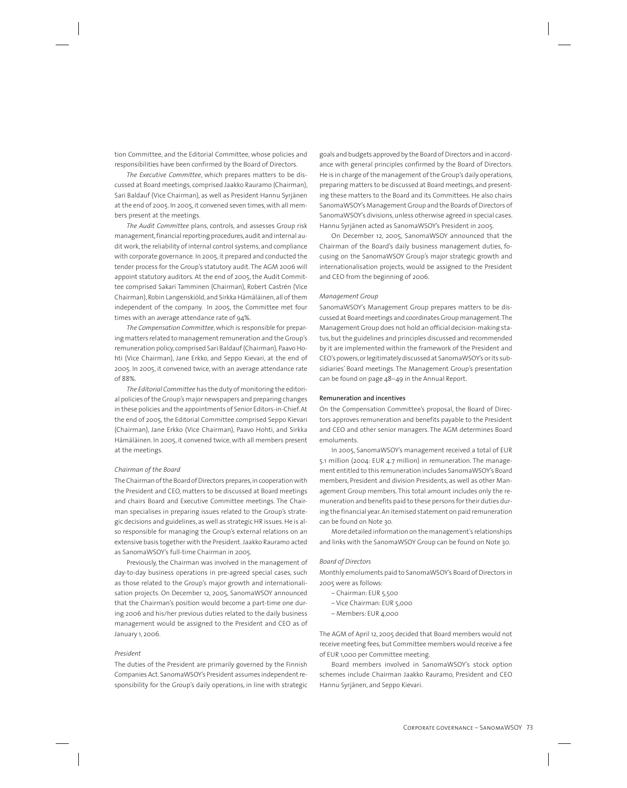tion Committee, and the Editorial Committee, whose policies and responsibilities have been confirmed by the Board of Directors.

*The Executive Committee*, which prepares matters to be discussed at Board meetings, comprised Jaakko Rauramo (Chairman), Sari Baldauf (Vice Chairman), as well as President Hannu Syrjänen at the end of 2005. In 2005, it convened seven times, with all members present at the meetings.

*The Audit Committee* plans, controls, and assesses Group risk management, financial reporting procedures, audit and internal audit work, the reliability of internal control systems, and compliance with corporate governance. In 2005, it prepared and conducted the tender process for the Group's statutory audit. The AGM 2006 will appoint statutory auditors. At the end of 2005, the Audit Committee comprised Sakari Tamminen (Chairman), Robert Castrén (Vice Chairman), Robin Langenskiöld, and Sirkka Hämäläinen, all of them independent of the company. In 2005, the Committee met four times with an average attendance rate of 94%.

*The Compensation Committee*, which is responsible for preparing matters related to management remuneration and the Group's remuneration policy, comprised Sari Baldauf (Chairman), Paavo Hohti (Vice Chairman), Jane Erkko, and Seppo Kievari, at the end of 2005. In 2005, it convened twice, with an average attendance rate of 88%.

*The Editorial Committee* has the duty of monitoring the editorial policies of the Group's major newspapers and preparing changes in these policies and the appointments of Senior Editors-in-Chief. At the end of 2005, the Editorial Committee comprised Seppo Kievari (Chairman), Jane Erkko (Vice Chairman), Paavo Hohti, and Sirkka Hämäläinen. In 2005, it convened twice, with all members present at the meetings.

### *Chairman of the Board*

The Chairman of the Board of Directors prepares, in cooperation with the President and CEO, matters to be discussed at Board meetings and chairs Board and Executive Committee meetings. The Chairman specialises in preparing issues related to the Group's strategic decisions and guidelines, as well as strategic HR issues. He is also responsible for managing the Group's external relations on an extensive basis together with the President. Jaakko Rauramo acted as SanomaWSOY's full-time Chairman in 2005.

Previously, the Chairman was involved in the management of day-to-day business operations in pre-agreed special cases, such as those related to the Group's major growth and internationalisation projects. On December 12, 2005, SanomaWSOY announced that the Chairman's position would become a part-time one during 2006 and his/her previous duties related to the daily business management would be assigned to the President and CEO as of January 1, 2006.

## *President*

The duties of the President are primarily governed by the Finnish Companies Act. SanomaWSOY's President assumes independent responsibility for the Group's daily operations, in line with strategic goals and budgets approved by the Board of Directors and in accordance with general principles confirmed by the Board of Directors. He is in charge of the management of the Group's daily operations, preparing matters to be discussed at Board meetings, and presenting these matters to the Board and its Committees. He also chairs SanomaWSOY's Management Group and the Boards of Directors of SanomaWSOY's divisions, unless otherwise agreed in special cases. Hannu Syrjänen acted as SanomaWSOY's President in 2005.

On December 12, 2005, SanomaWSOY announced that the Chairman of the Board's daily business management duties, focusing on the SanomaWSOY Group's major strategic growth and internationalisation projects, would be assigned to the President and CEO from the beginning of 2006.

### *Management Group*

SanomaWSOY's Management Group prepares matters to be discussed at Board meetings and coordinates Group management. The Management Group does not hold an official decision-making status, but the guidelines and principles discussed and recommended by it are implemented within the framework of the President and CEO's powers, or legitimately discussed at SanomaWSOY's or its subsidiaries' Board meetings. The Management Group's presentation can be found on page 48–49 in the Annual Report.

### **Remuneration and incentives**

On the Compensation Committee's proposal, the Board of Directors approves remuneration and benefits payable to the President and CEO and other senior managers. The AGM determines Board emoluments.

In 2005, SanomaWSOY's management received a total of EUR 5.1 million (2004: EUR 4.7 million) in remuneration. The management entitled to this remuneration includes SanomaWSOY's Board members, President and division Presidents, as well as other Management Group members. This total amount includes only the remuneration and benefits paid to these persons for their duties during the financial year. An itemised statement on paid remuneration can be found on Note 30.

More detailed information on the management's relationships and links with the SanomaWSOY Group can be found on Note 30.

#### *Board of Directors*

Monthly emoluments paid to SanomaWSOY's Board of Directors in 2005 were as follows:

- Chairman: EUR 5,500
- Vice Chairman: EUR 5,000
- Members: EUR 4,000

The AGM of April 12, 2005 decided that Board members would not receive meeting fees, but Committee members would receive a fee of EUR 1,000 per Committee meeting.

Board members involved in SanomaWSOY's stock option schemes include Chairman Jaakko Rauramo, President and CEO Hannu Syrjänen, and Seppo Kievari.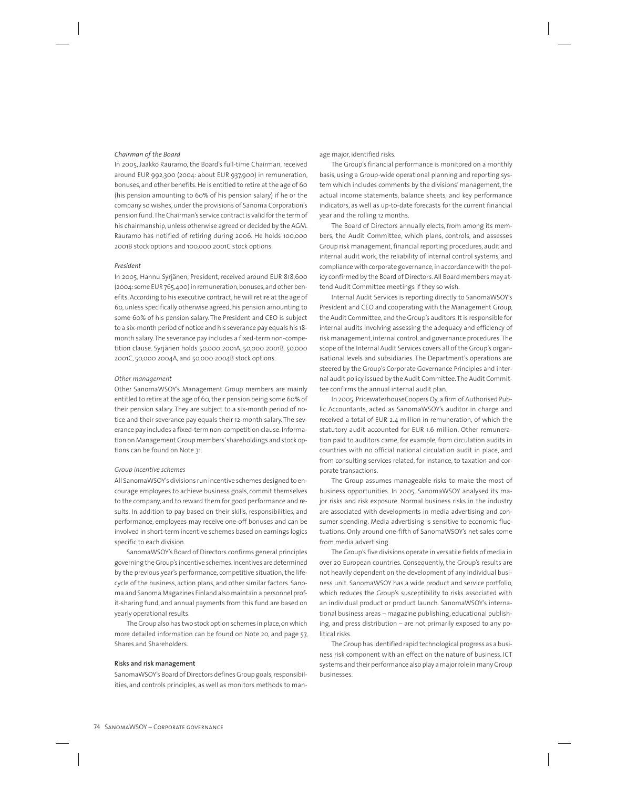### *Chairman of the Board*

In 2005, Jaakko Rauramo, the Board's full-time Chairman, received around EUR 992,300 (2004: about EUR 937,900) in remuneration, bonuses, and other benefits. He is entitled to retire at the age of 60 (his pension amounting to 60% of his pension salary) if he or the company so wishes, under the provisions of Sanoma Corporation's pension fund. The Chairman's service contract is valid for the term of his chairmanship, unless otherwise agreed or decided by the AGM. Rauramo has notified of retiring during 2006. He holds 100,000 2001B stock options and 100,000 2001C stock options.

#### *President*

In 2005, Hannu Syrjänen, President, received around EUR 818,600 (2004: some EUR 765,400) in remuneration, bonuses, and other benefits. According to his executive contract, he will retire at the age of 60, unless specifically otherwise agreed, his pension amounting to some 60% of his pension salary. The President and CEO is subject to a six-month period of notice and his severance pay equals his 18 month salary. The severance pay includes a fixed-term non-competition clause. Syrjänen holds 50,000 2001A, 50,000 2001B, 50,000 2001C, 50,000 2004A, and 50,000 2004B stock options.

### *Other management*

Other SanomaWSOY's Management Group members are mainly entitled to retire at the age of 60, their pension being some 60% of their pension salary. They are subject to a six-month period of notice and their severance pay equals their 12-month salary. The severance pay includes a fixed-term non-competition clause. Information on Management Group members' shareholdings and stock options can be found on Note 31.

## *Group incentive schemes*

All SanomaWSOY's divisions run incentive schemes designed to encourage employees to achieve business goals, commit themselves to the company, and to reward them for good performance and results. In addition to pay based on their skills, responsibilities, and performance, employees may receive one-off bonuses and can be involved in short-term incentive schemes based on earnings logics specific to each division.

SanomaWSOY's Board of Directors confirms general principles governing the Group's incentive schemes. Incentives are determined by the previous year's performance, competitive situation, the lifecycle of the business, action plans, and other similar factors. Sanoma and Sanoma Magazines Finland also maintain a personnel profit-sharing fund, and annual payments from this fund are based on yearly operational results.

The Group also has two stock option schemes in place, on which more detailed information can be found on Note 20, and page 57, Shares and Shareholders.

## **Risks and risk management**

SanomaWSOY's Board of Directors defines Group goals, responsibilities, and controls principles, as well as monitors methods to man-

#### age major, identified risks.

The Group's financial performance is monitored on a monthly basis, using a Group-wide operational planning and reporting system which includes comments by the divisions' management, the actual income statements, balance sheets, and key performance indicators, as well as up-to-date forecasts for the current financial year and the rolling 12 months.

The Board of Directors annually elects, from among its members, the Audit Committee, which plans, controls, and assesses Group risk management, financial reporting procedures, audit and internal audit work, the reliability of internal control systems, and compliance with corporate governance, in accordance with the policy confirmed by the Board of Directors. All Board members may attend Audit Committee meetings if they so wish.

Internal Audit Services is reporting directly to SanomaWSOY's President and CEO and cooperating with the Management Group, the Audit Committee, and the Group's auditors. It is responsible for internal audits involving assessing the adequacy and efficiency of risk management, internal control, and governance procedures. The scope of the Internal Audit Services covers all of the Group's organisational levels and subsidiaries. The Department's operations are steered by the Group's Corporate Governance Principles and internal audit policy issued by the Audit Committee. The Audit Committee confirms the annual internal audit plan.

In 2005, PricewaterhouseCoopers Oy, a firm of Authorised Public Accountants, acted as SanomaWSOY's auditor in charge and received a total of EUR 2.4 million in remuneration, of which the statutory audit accounted for EUR 1.6 million. Other remuneration paid to auditors came, for example, from circulation audits in countries with no official national circulation audit in place, and from consulting services related, for instance, to taxation and corporate transactions.

The Group assumes manageable risks to make the most of business opportunities. In 2005, SanomaWSOY analysed its major risks and risk exposure. Normal business risks in the industry are associated with developments in media advertising and consumer spending. Media advertising is sensitive to economic fluctuations. Only around one-fifth of SanomaWSOY's net sales come from media advertising.

The Group's five divisions operate in versatile fields of media in over 20 European countries. Consequently, the Group's results are not heavily dependent on the development of any individual business unit. SanomaWSOY has a wide product and service portfolio, which reduces the Group's susceptibility to risks associated with an individual product or product launch. SanomaWSOY's international business areas – magazine publishing, educational publishing, and press distribution – are not primarily exposed to any political risks.

The Group has identified rapid technological progress as a business risk component with an effect on the nature of business. ICT systems and their performance also play a major role in many Group businesses.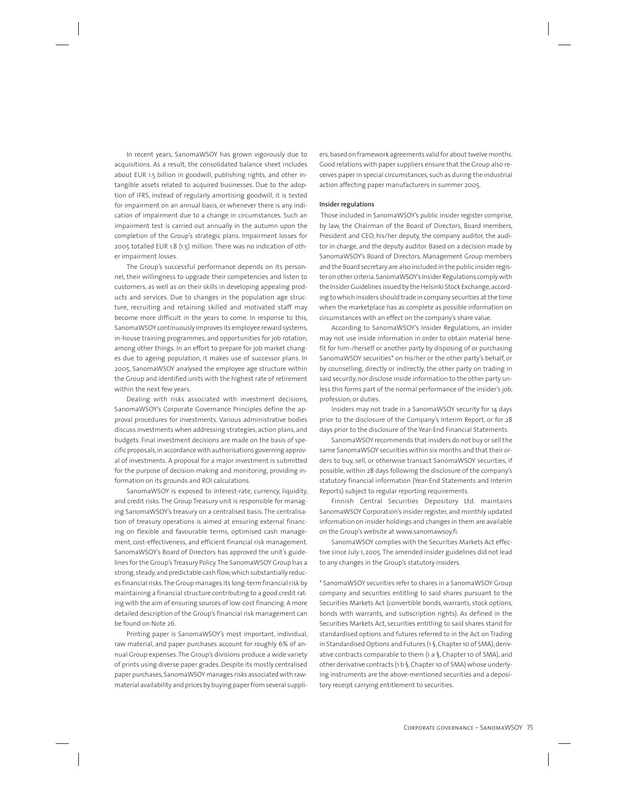In recent years, SanomaWSOY has grown vigorously due to acquisitions. As a result, the consolidated balance sheet includes about EUR 1.5 billion in goodwill, publishing rights, and other intangible assets related to acquired businesses. Due to the adoption of IFRS, instead of regularly amortising goodwill, it is tested for impairment on an annual basis, or whenever there is any indication of impairment due to a change in circumstances. Such an impairment test is carried out annually in the autumn upon the completion of the Group's strategic plans. Impairment losses for 2005 totalled EUR 1.8 (1.5) million. There was no indication of other impairment losses.

The Group's successful performance depends on its personnel, their willingness to upgrade their competencies and listen to customers, as well as on their skills in developing appealing products and services. Due to changes in the population age structure, recruiting and retaining skilled and motivated staff may become more difficult in the years to come. In response to this, SanomaWSOY continuously improves its employee reward systems, in-house training programmes, and opportunities for job rotation, among other things. In an effort to prepare for job market changes due to ageing population, it makes use of successor plans. In 2005, SanomaWSOY analysed the employee age structure within the Group and identified units with the highest rate of retirement within the next few years.

Dealing with risks associated with investment decisions, SanomaWSOY's Corporate Governance Principles define the approval procedures for investments. Various administrative bodies discuss investments when addressing strategies, action plans, and budgets. Final investment decisions are made on the basis of specific proposals, in accordance with authorisations governing approval of investments. A proposal for a major investment is submitted for the purpose of decision-making and monitoring, providing information on its grounds and ROI calculations.

SanomaWSOY is exposed to interest-rate, currency, liquidity, and credit risks. The Group Treasury unit is responsible for managing SanomaWSOY's treasury on a centralised basis. The centralisation of treasury operations is aimed at ensuring external financing on flexible and favourable terms, optimised cash management, cost-effectiveness, and efficient financial risk management. SanomaWSOY's Board of Directors has approved the unit's guidelines for the Group's Treasury Policy. The SanomaWSOY Group has a strong, steady, and predictable cash flow, which substantially reduces financial risks. The Group manages its long-term financial risk by maintaining a financial structure contributing to a good credit rating with the aim of ensuring sources of low-cost financing. A more detailed description of the Group's financial risk management can be found on Note 26.

Printing paper is SanomaWSOY's most important, individual, raw material, and paper purchases account for roughly 6% of annual Group expenses. The Group's divisions produce a wide variety of prints using diverse paper grades. Despite its mostly centralised paper purchases, SanomaWSOY manages risks associated with rawmaterial availability and prices by buying paper from several suppliers, based on framework agreements valid for about twelve months. Good relations with paper suppliers ensure that the Group also receives paper in special circumstances, such as during the industrial action affecting paper manufacturers in summer 2005.

### **Insider regulations**

 Those included in SanomaWSOY's public insider register comprise, by law, the Chairman of the Board of Directors, Board members, President and CEO, his/her deputy, the company auditor, the auditor in charge, and the deputy auditor. Based on a decision made by SanomaWSOY's Board of Directors, Management Group members and the Board secretary are also included in the public insider register on other criteria. SanomaWSOY's Insider Regulations comply with the Insider Guidelines issued by the Helsinki Stock Exchange, according to which insiders should trade in company securities at the time when the marketplace has as complete as possible information on circumstances with an effect on the company's share value.

According to SanomaWSOY's Insider Regulations, an insider may not use inside information in order to obtain material benefit for him-/herself or another party by disposing of or purchasing SanomaWSOY securities\* on his/her or the other party's behalf, or by counselling, directly or indirectly, the other party on trading in said security, nor disclose inside information to the other party unless this forms part of the normal performance of the insider's job, profession, or duties.

Insiders may not trade in a SanomaWSOY security for 14 days prior to the disclosure of the Company's Interim Report, or for 28 days prior to the disclosure of the Year-End Financial Statements.

SanomaWSOY recommends that insiders do not buy or sell the same SanomaWSOY securities within six months and that their orders to buy, sell, or otherwise transact SanomaWSOY securities, if possible, within 28 days following the disclosure of the company's statutory financial information (Year-End Statements and Interim Reports) subject to regular reporting requirements.

Finnish Central Securities Depository Ltd. maintains SanomaWSOY Corporation's insider register, and monthly updated information on insider holdings and changes in them are available on the Group's website at www.sanomawsoy.fi.

SanomaWSOY complies with the Securities Markets Act effective since July 1, 2005. The amended insider guidelines did not lead to any changes in the Group's statutory insiders.

\* SanomaWSOY securities refer to shares in a SanomaWSOY Group company and securities entitling to said shares pursuant to the Securities Markets Act (convertible bonds, warrants, stock options, bonds with warrants, and subscription rights). As defined in the Securities Markets Act, securities entitling to said shares stand for standardised options and futures referred to in the Act on Trading in Standardised Options and Futures (1 §, Chapter 10 of SMA), derivative contracts comparable to them (1 a §, Chapter 10 of SMA), and other derivative contracts (1 b §, Chapter 10 of SMA) whose underlying instruments are the above-mentioned securities and a depository receipt carrying entitlement to securities.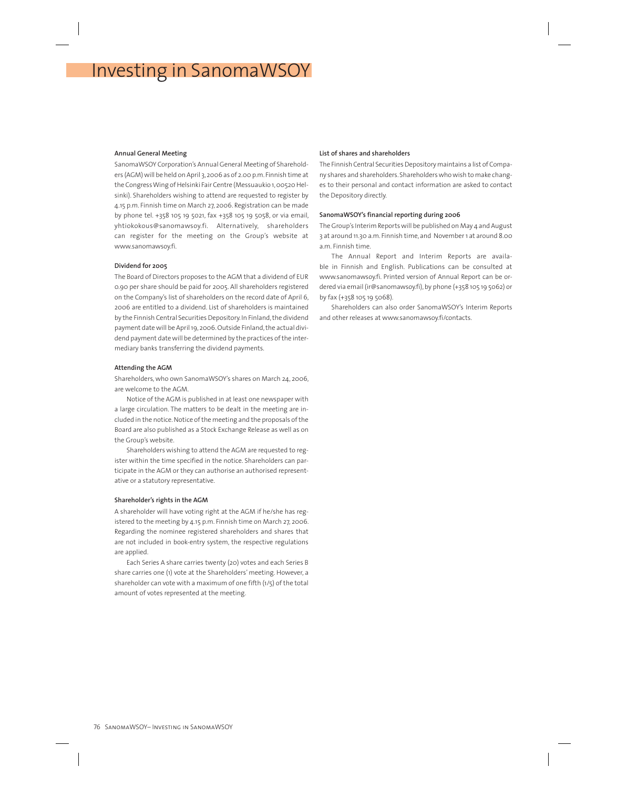# Investing in SanomaWSOY

### **Annual General Meeting**

SanomaWSOY Corporation's Annual General Meeting of Shareholders (AGM) will be held on April 3, 2006 as of 2.00 p.m. Finnish time at the Congress Wing of Helsinki Fair Centre (Messuaukio 1, 00520 Helsinki). Shareholders wishing to attend are requested to register by 4.15 p.m. Finnish time on March 27, 2006. Registration can be made by phone tel. +358 105 19 5021, fax +358 105 19 5058, or via email, yhtiokokous@sanomawsoy.fi. Alternatively, shareholders can register for the meeting on the Group's website at www.sanomawsoy.fi.

### **Dividend for 2005**

The Board of Directors proposes to the AGM that a dividend of EUR 0.90 per share should be paid for 2005. All shareholders registered on the Company's list of shareholders on the record date of April 6, 2006 are entitled to a dividend. List of shareholders is maintained by the Finnish Central Securities Depository. In Finland, the dividend payment date will be April 19, 2006. Outside Finland, the actual dividend payment date will be determined by the practices of the intermediary banks transferring the dividend payments.

### **Attending the AGM**

Shareholders, who own SanomaWSOY's shares on March 24, 2006, are welcome to the AGM.

Notice of the AGM is published in at least one newspaper with a large circulation. The matters to be dealt in the meeting are included in the notice. Notice of the meeting and the proposals of the Board are also published as a Stock Exchange Release as well as on the Group's website.

Shareholders wishing to attend the AGM are requested to register within the time specified in the notice. Shareholders can participate in the AGM or they can authorise an authorised representative or a statutory representative.

### **Shareholder's rights in the AGM**

A shareholder will have voting right at the AGM if he/she has registered to the meeting by 4.15 p.m. Finnish time on March 27, 2006. Regarding the nominee registered shareholders and shares that are not included in book-entry system, the respective regulations are applied.

Each Series A share carries twenty (20) votes and each Series B share carries one (1) vote at the Shareholders' meeting. However, a shareholder can vote with a maximum of one fifth (1/5) of the total amount of votes represented at the meeting.

### **List of shares and shareholders**

The Finnish Central Securities Depository maintains a list of Company shares and shareholders. Shareholders who wish to make changes to their personal and contact information are asked to contact the Depository directly.

### **SanomaWSOY's financial reporting during 2006**

The Group's Interim Reports will be published on May 4 and August 3 at around 11.30 a.m. Finnish time, and November 1 at around 8.00 a.m. Finnish time.

The Annual Report and Interim Reports are available in Finnish and English. Publications can be consulted at www.sanomawsoy.fi. Printed version of Annual Report can be ordered via email (ir@sanomawsoy.fi), by phone (+358 105 19 5062) or by fax (+358 105 19 5068).

Shareholders can also order SanomaWSOY's Interim Reports and other releases at www.sanomawsoy.fi/contacts.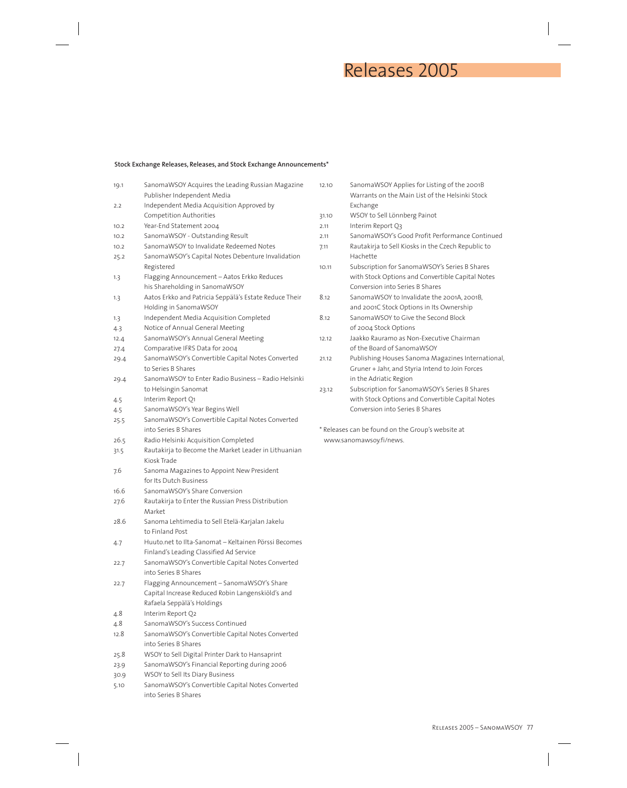## Releases 2005

## **Stock Exchange Releases, Releases, and Stock Exchange Announcements\***

| 19.1 | SanomaWSOY Acquires the Leading Russian Magazine<br>Publisher Independent Media | 12. |
|------|---------------------------------------------------------------------------------|-----|
| 2.2  | Independent Media Acquisition Approved by<br>Competition Authorities            |     |
|      |                                                                                 | 31. |
| 10.2 | Year-End Statement 2004                                                         | 2.1 |
| 10.2 | SanomaWSOY - Outstanding Result                                                 | 2.1 |
| 10.2 | SanomaWSOY to Invalidate Redeemed Notes                                         | 7.1 |
| 25.2 | SanomaWSOY's Capital Notes Debenture Invalidation<br>Registered                 | 10. |
| 1.3  | Flagging Announcement - Aatos Erkko Reduces<br>his Shareholding in SanomaWSOY   |     |
| 1.3  | Aatos Erkko and Patricia Seppälä's Estate Reduce Their<br>Holding in SanomaWSOY | 8.1 |
| 1.3  | Independent Media Acquisition Completed                                         | 8.1 |
| 4.3  | Notice of Annual General Meeting                                                |     |
|      |                                                                                 |     |
| 12.4 | SanomaWSOY's Annual General Meeting                                             | 12. |
| 27.4 | Comparative IFRS Data for 2004                                                  |     |
| 29.4 | SanomaWSOY's Convertible Capital Notes Converted<br>to Series B Shares          | 21. |
| 29.4 | SanomaWSOY to Enter Radio Business - Radio Helsinki                             |     |
|      | to Helsingin Sanomat                                                            | 23  |
| 4.5  | Interim Report Q1                                                               |     |
| 4.5  | SanomaWSOY's Year Begins Well                                                   |     |
| 25.5 | SanomaWSOY's Convertible Capital Notes Converted                                |     |
|      | into Series B Shares                                                            | * R |
| 26.5 | Radio Helsinki Acquisition Completed                                            | V   |
| 31.5 | Rautakirja to Become the Market Leader in Lithuanian                            |     |
|      | Kiosk Trade                                                                     |     |
| 7.6  | Sanoma Magazines to Appoint New President                                       |     |
|      | for Its Dutch Business                                                          |     |
| 16.6 | SanomaWSOY's Share Conversion                                                   |     |
| 27.6 | Rautakirja to Enter the Russian Press Distribution<br>Market                    |     |
| 28.6 | Sanoma Lehtimedia to Sell Etelä-Karjalan Jakelu                                 |     |
|      | to Finland Post                                                                 |     |
| 4.7  | Huuto.net to Ilta-Sanomat – Keltainen Pörssi Becomes                            |     |
|      | Finland's Leading Classified Ad Service                                         |     |
| 22.7 | SanomaWSOY's Convertible Capital Notes Converted                                |     |
|      | into Series B Shares                                                            |     |
| 22.7 | Flagging Announcement - SanomaWSOY's Share                                      |     |
|      | Capital Increase Reduced Robin Langenskiöld's and                               |     |
|      | Rafaela Seppälä's Holdings                                                      |     |
| 4.8  | Interim Report Q2                                                               |     |
|      | SanomaWSOY's Success Continued                                                  |     |
| 4.8  |                                                                                 |     |
| 12.8 | SanomaWSOY's Convertible Capital Notes Converted<br>into Series B Shares        |     |
|      |                                                                                 |     |
| 25.8 | WSOY to Sell Digital Printer Dark to Hansaprint                                 |     |
| 23.9 | SanomaWSOY's Financial Reporting during 2006                                    |     |
| 30.9 | WSOY to Sell Its Diary Business                                                 |     |
| 5.10 | SanomaWSOY's Convertible Capital Notes Converted                                |     |
|      | into Series B Shares                                                            |     |

| 12.10 | SanomaWSOY Applies for Listing of the 2001B        |
|-------|----------------------------------------------------|
|       | Warrants on the Main List of the Helsinki Stock    |
|       | Exchange                                           |
| 31.10 | WSOY to Sell Lönnberg Painot                       |
| 2 11  | Interim Report O3                                  |
| 2.11  | SanomaWSOY's Good Profit Performance Continued     |
| 7.11  | Rautakirja to Sell Kiosks in the Czech Republic to |
|       | Hachette                                           |
| 10.11 | Subscription for SanomaWSOY's Series B Shares      |
|       | with Stock Options and Convertible Capital Notes   |
|       | Conversion into Series B Shares                    |
| 8.12  | SanomaWSOY to Invalidate the 2001A, 2001B,         |
|       | and 2001C Stock Options in Its Ownership           |
| 812   | SanomaWSOY to Give the Second Block                |
|       | of 2004 Stock Options                              |
| 12.12 | Jaakko Rauramo as Non-Executive Chairman           |
|       | of the Board of SanomaWSOY                         |
| 21.12 | Publishing Houses Sanoma Magazines International,  |
|       | Gruner + Jahr, and Styria Intend to Join Forces    |
|       | in the Adriatic Region                             |
| 23.12 | Subscription for SanomaWSOY's Series B Shares      |
|       | with Stock Options and Convertible Capital Notes   |
|       | Conversion into Series B Shares                    |
|       |                                                    |

Releases can be found on the Group's website at www.sanomawsoy.fi/news.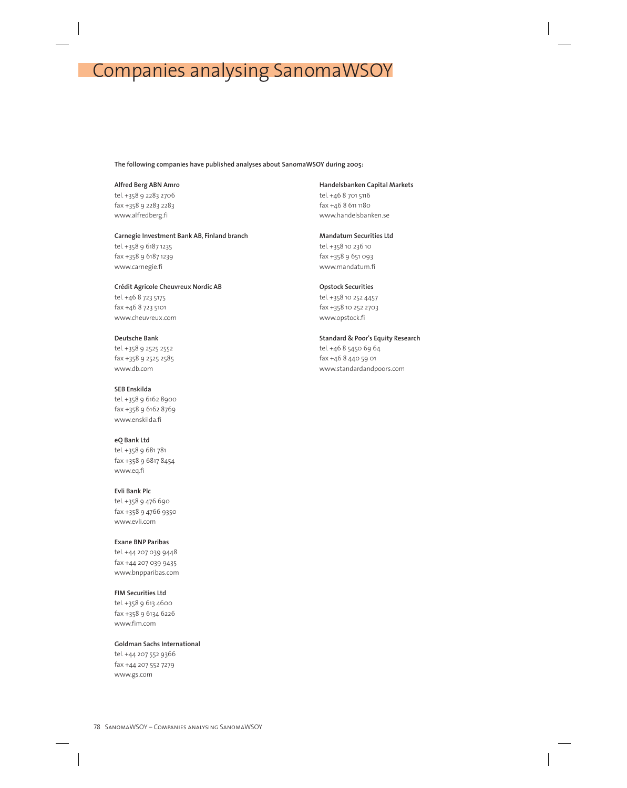# Companies analysing SanomaWSOY

## **The following companies have published analyses about SanomaWSOY during 2005:**

**Alfred Berg ABN Amro** tel. +358 9 2283 2706 fax +358 9 2283 2283 www.alfredberg.fi

**Carnegie Investment Bank AB, Finland branch** tel. +358 9 6187 1235 fax +358 9 6187 1239 www.carnegie.fi

**Crédit Agricole Cheuvreux Nordic AB** tel. +46 8 723 5175 fax +46 8 723 5101 www.cheuvreux.com

**Deutsche Bank** tel. +358 9 2525 2552 fax +358 9 2525 2585 www.db.com

**SEB Enskilda**  tel. +358 9 6162 8900 fax +358 9 6162 8769 www.enskilda.fi

**eQ Bank Ltd** tel. +358 9 681 781 fax +358 9 6817 8454 www.eq.fi

**Evli Bank Plc** tel. +358 9 476 690 fax +358 9 4766 9350 www.evli.com

**Exane BNP Paribas** tel. +44 207 039 9448 fax +44 207 039 9435 www.bnpparibas.com

**FIM Securities Ltd**  tel. +358 9 613 4600 fax +358 9 6134 6226 www.fim.com

**Goldman Sachs International**  tel. +44 207 552 9366 fax +44 207 552 7279 www.gs.com

**Handelsbanken Capital Markets**

tel. +46 8 701 5116 fax +46 8 611 1180 www.handelsbanken.se

**Mandatum Securities Ltd** tel. +358 10 236 10 fax +358 9 651 093 www.mandatum.fi

**Opstock Securities**  tel. +358 10 252 4457 fax +358 10 252 2703 www.opstock.fi

**Standard & Poor's Equity Research** tel. +46 8 5450 69 64 fax +46 8 440 59 01 www.standardandpoors.com